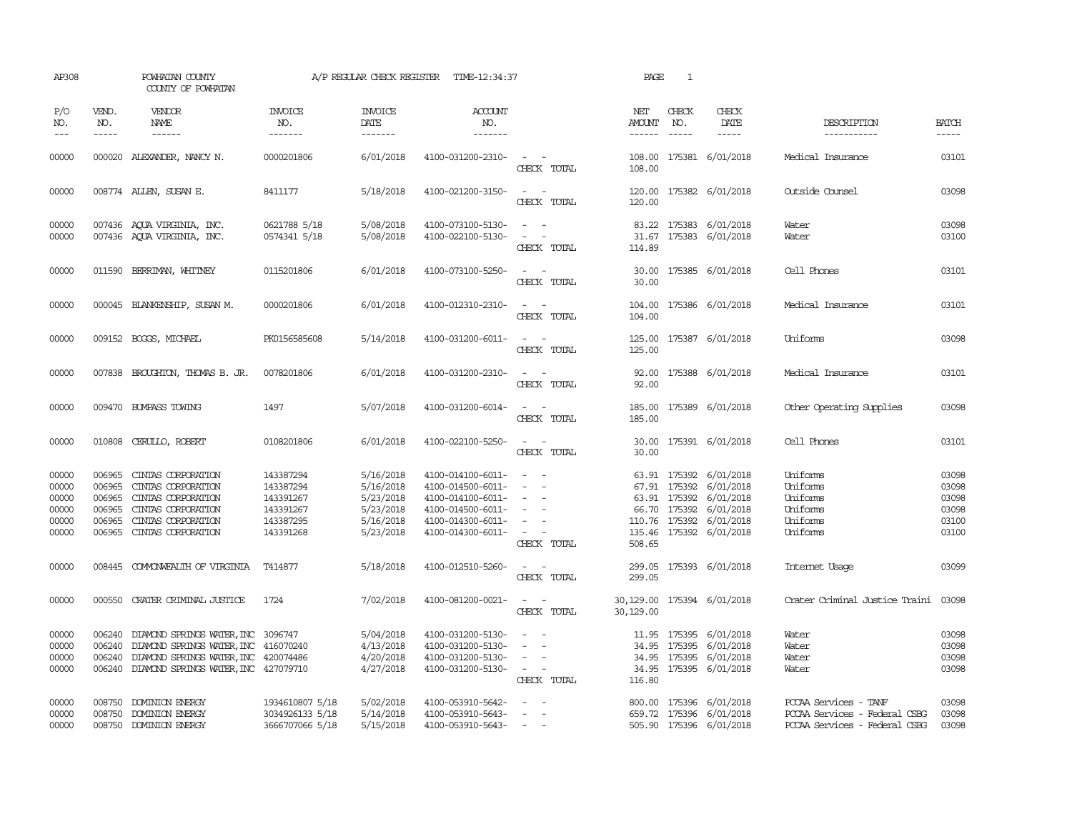| AP308                                              |                                                | POWHATAN COUNTY<br>COUNTY OF POWHATAN                                                                                                                                                  |                                                                            |                                                                            | A/P REGULAR CHECK REGISTER TIME-12:34:37                                                                                   |                                                                                                                             | PAGE                                     | $\mathbf{1}$                |                                                                                                                                                                                                                                                                                                                                                                                                                                                                                                      |                                                                                         |                                                    |
|----------------------------------------------------|------------------------------------------------|----------------------------------------------------------------------------------------------------------------------------------------------------------------------------------------|----------------------------------------------------------------------------|----------------------------------------------------------------------------|----------------------------------------------------------------------------------------------------------------------------|-----------------------------------------------------------------------------------------------------------------------------|------------------------------------------|-----------------------------|------------------------------------------------------------------------------------------------------------------------------------------------------------------------------------------------------------------------------------------------------------------------------------------------------------------------------------------------------------------------------------------------------------------------------------------------------------------------------------------------------|-----------------------------------------------------------------------------------------|----------------------------------------------------|
| P/O<br>NO.<br>$\qquad \qquad - -$                  | VEND.<br>NO.<br>$- - - - -$                    | <b>VENDOR</b><br>NAME                                                                                                                                                                  | INVOICE<br>NO.<br>-------                                                  | <b>INVOICE</b><br>DATE<br>--------                                         | <b>ACCOUNT</b><br>NO.<br>-------                                                                                           |                                                                                                                             | NET<br>AMOUNT<br>------                  | CHECK<br>NO.<br>$- - - - -$ | CHECK<br>DATE<br>$\begin{tabular}{ccccc} \multicolumn{2}{c}{} & \multicolumn{2}{c}{} & \multicolumn{2}{c}{} & \multicolumn{2}{c}{} & \multicolumn{2}{c}{} & \multicolumn{2}{c}{} & \multicolumn{2}{c}{} & \multicolumn{2}{c}{} & \multicolumn{2}{c}{} & \multicolumn{2}{c}{} & \multicolumn{2}{c}{} & \multicolumn{2}{c}{} & \multicolumn{2}{c}{} & \multicolumn{2}{c}{} & \multicolumn{2}{c}{} & \multicolumn{2}{c}{} & \multicolumn{2}{c}{} & \multicolumn{2}{c}{} & \multicolumn{2}{c}{} & \mult$ | DESCRIPTION<br>-----------                                                              | <b>BATCH</b><br>-----                              |
| 00000                                              |                                                | 000020 ALEXANDER, NANCY N.                                                                                                                                                             | 0000201806                                                                 | 6/01/2018                                                                  | 4100-031200-2310-                                                                                                          | $\sim$ $ \sim$<br>CHECK TOTAL                                                                                               | 108.00                                   |                             | 108.00 175381 6/01/2018                                                                                                                                                                                                                                                                                                                                                                                                                                                                              | Medical Insurance                                                                       | 03101                                              |
| 00000                                              |                                                | 008774 ALLEN, SUSAN E.                                                                                                                                                                 | 8411177                                                                    | 5/18/2018                                                                  | 4100-021200-3150-                                                                                                          | $\omega_{\rm{max}}$ and $\omega_{\rm{max}}$<br>CHECK TOTAL                                                                  | 120.00                                   |                             | 120.00 175382 6/01/2018                                                                                                                                                                                                                                                                                                                                                                                                                                                                              | Outside Counsel                                                                         | 03098                                              |
| 00000<br>00000                                     |                                                | 007436 AQUA VIRGINIA, INC.<br>007436 AQUA VIRGINIA, INC.                                                                                                                               | 0621788 5/18<br>0574341 5/18                                               | 5/08/2018<br>5/08/2018                                                     | 4100-073100-5130-<br>4100-022100-5130-                                                                                     | $\omega_{\rm{max}}$ and $\omega_{\rm{max}}$<br>$\mathcal{L}_{\text{max}}$ , and $\mathcal{L}_{\text{max}}$<br>CHECK TOTAL   | 114.89                                   |                             | 83.22 175383 6/01/2018<br>31.67 175383 6/01/2018                                                                                                                                                                                                                                                                                                                                                                                                                                                     | Water<br>Water                                                                          | 03098<br>03100                                     |
| 00000                                              |                                                | 011590 BERRIMAN, WHITNEY                                                                                                                                                               | 0115201806                                                                 | 6/01/2018                                                                  | 4100-073100-5250-                                                                                                          | $\sim$ $ -$<br>CHECK TOTAL                                                                                                  | 30.00<br>30.00                           |                             | 175385 6/01/2018                                                                                                                                                                                                                                                                                                                                                                                                                                                                                     | Cell Phones                                                                             | 03101                                              |
| 00000                                              |                                                | 000045 BLANKENSHIP, SUSAN M.                                                                                                                                                           | 0000201806                                                                 | 6/01/2018                                                                  | 4100-012310-2310-                                                                                                          | $\sim$ $ -$<br>CHECK TOTAL                                                                                                  | 104.00                                   |                             | 104.00 175386 6/01/2018                                                                                                                                                                                                                                                                                                                                                                                                                                                                              | Medical Insurance                                                                       | 03101                                              |
| 00000                                              |                                                | 009152 BOGGS, MICHAEL                                                                                                                                                                  | PK0156585608                                                               | 5/14/2018                                                                  | 4100-031200-6011-                                                                                                          | $\sim$ $ -$<br>CHECK TOTAL                                                                                                  | 125.00<br>125.00                         |                             | 175387 6/01/2018                                                                                                                                                                                                                                                                                                                                                                                                                                                                                     | Uniforms                                                                                | 03098                                              |
| 00000                                              |                                                | 007838 BROUGHTON, THOMAS B. JR.                                                                                                                                                        | 0078201806                                                                 | 6/01/2018                                                                  | 4100-031200-2310-                                                                                                          | $\omega_{\rm{max}}$ and $\omega_{\rm{max}}$<br>CHECK TOTAL                                                                  | 92.00<br>92.00                           |                             | 175388 6/01/2018                                                                                                                                                                                                                                                                                                                                                                                                                                                                                     | Medical Insurance                                                                       | 03101                                              |
| 00000                                              |                                                | 009470 BUMPASS TOWING                                                                                                                                                                  | 1497                                                                       | 5/07/2018                                                                  | 4100-031200-6014-                                                                                                          | $\sim$ $ -$<br>CHECK TOTAL                                                                                                  | 185.00                                   |                             | 185.00 175389 6/01/2018                                                                                                                                                                                                                                                                                                                                                                                                                                                                              | Other Operating Supplies                                                                | 03098                                              |
| 00000                                              |                                                | 010808 CERULLO, ROBERT                                                                                                                                                                 | 0108201806                                                                 | 6/01/2018                                                                  | 4100-022100-5250-                                                                                                          | $\sim$ $ \sim$<br>CHECK TOTAL                                                                                               | 30.00                                    |                             | 30.00 175391 6/01/2018                                                                                                                                                                                                                                                                                                                                                                                                                                                                               | Cell Phones                                                                             | 03101                                              |
| 00000<br>00000<br>00000<br>00000<br>00000<br>00000 | 006965<br>006965<br>006965<br>006965<br>006965 | CINIAS CORPORATION<br>CINIAS CORPORATION<br>CINIAS CORPORATION<br>CINIAS CORPORATION<br>CINIAS CORPORATION<br>006965 CINIAS CORPORATION                                                | 143387294<br>143387294<br>143391267<br>143391267<br>143387295<br>143391268 | 5/16/2018<br>5/16/2018<br>5/23/2018<br>5/23/2018<br>5/16/2018<br>5/23/2018 | 4100-014100-6011-<br>4100-014500-6011-<br>4100-014100-6011-<br>4100-014500-6011-<br>4100-014300-6011-<br>4100-014300-6011- | $\overline{\phantom{a}}$<br>$\sim$<br>$\sim$<br>$\sim$<br>$\sim$<br>$\sim$ $ -$<br>CHECK TOTAL                              | 508.65                                   |                             | 63.91 175392 6/01/2018<br>67.91 175392 6/01/2018<br>63.91 175392 6/01/2018<br>66.70 175392 6/01/2018<br>110.76 175392 6/01/2018<br>135.46 175392 6/01/2018                                                                                                                                                                                                                                                                                                                                           | Uniforms<br>Uniforms<br>Uniforms<br>Uniforms<br>Uniforms<br>Uniforms                    | 03098<br>03098<br>03098<br>03098<br>03100<br>03100 |
| 00000                                              |                                                | 008445 COMMONWEALTH OF VIRGINIA                                                                                                                                                        | T414877                                                                    | 5/18/2018                                                                  | 4100-012510-5260-                                                                                                          | $\sim$ $ \sim$<br>CHECK TOTAL                                                                                               | 299.05                                   |                             | 299.05 175393 6/01/2018                                                                                                                                                                                                                                                                                                                                                                                                                                                                              | Internet Usage                                                                          | 03099                                              |
| 00000                                              |                                                | 000550 CRATER CRIMINAL JUSTICE                                                                                                                                                         | 1724                                                                       | 7/02/2018                                                                  | 4100-081200-0021-                                                                                                          | $\frac{1}{2} \left( \frac{1}{2} \right) \left( \frac{1}{2} \right) = \frac{1}{2} \left( \frac{1}{2} \right)$<br>CHECK TOTAL | 30, 129.00 175394 6/01/2018<br>30,129.00 |                             |                                                                                                                                                                                                                                                                                                                                                                                                                                                                                                      | Crater Criminal Justice Traini 03098                                                    |                                                    |
| 00000<br>00000<br>00000<br>00000                   |                                                | 006240 DIAMOND SPRINGS WATER, INC 3096747<br>006240 DIAMOND SPRINGS WATER, INC 416070240<br>006240 DIAMOND SPRINGS WATER, INC 420074486<br>006240 DIAMOND SPRINGS WATER, INC 427079710 |                                                                            | 5/04/2018<br>4/13/2018<br>4/20/2018<br>4/27/2018                           | 4100-031200-5130-<br>4100-031200-5130-<br>4100-031200-5130-<br>4100-031200-5130-                                           | $\sim$<br>$\sim$ $-$<br>$\sim$<br>$\mathcal{L}_{\text{max}}$ , and $\mathcal{L}_{\text{max}}$<br>CHECK TOTAL                | 116.80                                   |                             | 11.95 175395 6/01/2018<br>34.95 175395 6/01/2018<br>34.95 175395 6/01/2018<br>34.95 175395 6/01/2018                                                                                                                                                                                                                                                                                                                                                                                                 | Water<br>Water<br>Water<br>Water                                                        | 03098<br>03098<br>03098<br>03098                   |
| 00000<br>00000<br>00000                            |                                                | 008750 DOMINION ENERGY<br>008750 DOMINION ENERGY<br>008750 DOMINION ENERGY                                                                                                             | 1934610807 5/18<br>3034926133 5/18<br>3666707066 5/18                      | 5/02/2018<br>5/14/2018<br>5/15/2018                                        | 4100-053910-5642-<br>4100-053910-5643-<br>4100-053910-5643- - -                                                            | $\sim$                                                                                                                      |                                          |                             | 800.00 175396 6/01/2018<br>659.72 175396 6/01/2018<br>505.90 175396 6/01/2018                                                                                                                                                                                                                                                                                                                                                                                                                        | PCCAA Services - TANF<br>PCCAA Services - Federal CSBG<br>PCCAA Services - Federal CSBG | 03098<br>03098<br>03098                            |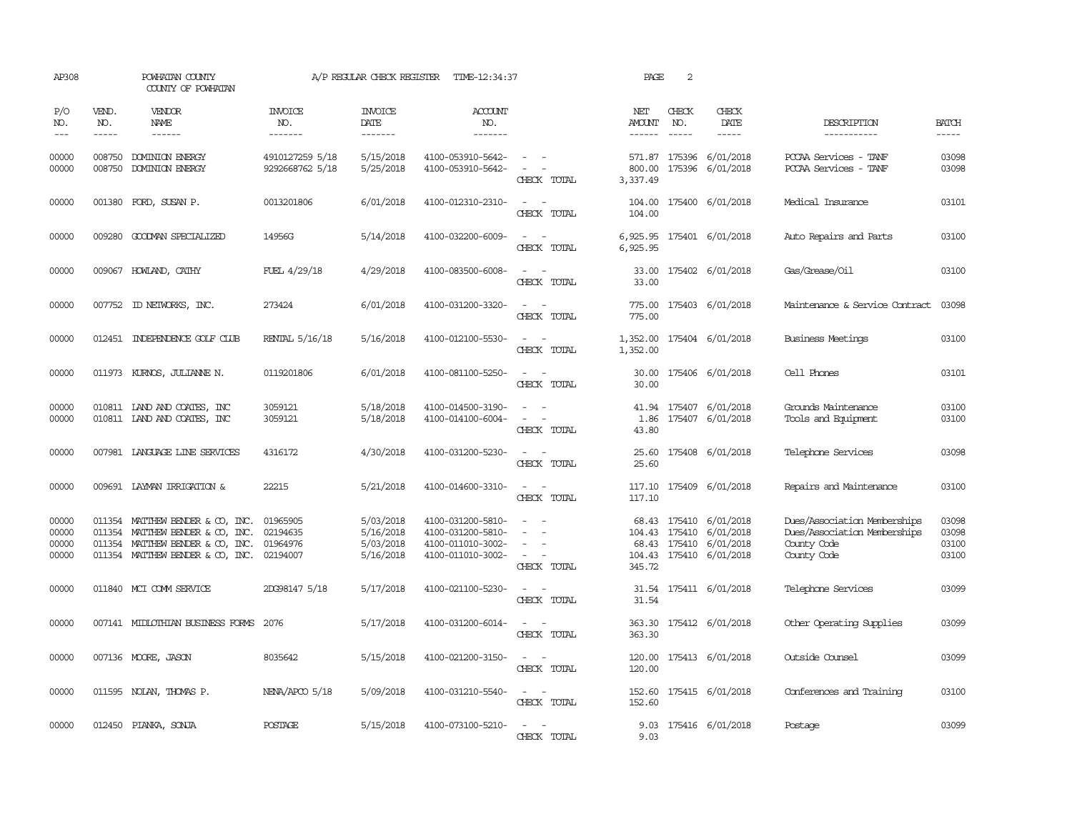| AP308                            | POWHATAN COUNTY<br>COUNTY OF POWHATAN |                                                                                                                                              |                                              | A/P REGULAR CHECK REGISTER                       | TIME-12:34:37                                                                    |                                                                                                                                          | PAGE                           | 2                             |                                                                                                        |                                                                                            |                                  |
|----------------------------------|---------------------------------------|----------------------------------------------------------------------------------------------------------------------------------------------|----------------------------------------------|--------------------------------------------------|----------------------------------------------------------------------------------|------------------------------------------------------------------------------------------------------------------------------------------|--------------------------------|-------------------------------|--------------------------------------------------------------------------------------------------------|--------------------------------------------------------------------------------------------|----------------------------------|
| P/O<br>NO.<br>$- - -$            | VEND.<br>NO.<br>$\frac{1}{2}$         | <b>VENDOR</b><br>NAME<br>$- - - - - -$                                                                                                       | <b>INVOICE</b><br>NO.<br>--------            | <b>INVOICE</b><br>DATE<br>$- - - - - - -$        | <b>ACCOUNT</b><br>NO.<br>-------                                                 |                                                                                                                                          | NET<br>AMOUNT<br>$- - - - - -$ | CHECK<br>NO.<br>$\frac{1}{2}$ | CHECK<br>DATE<br>$- - - - -$                                                                           | DESCRIPTION<br>-----------                                                                 | <b>BATCH</b><br>$- - - - -$      |
| 00000<br>00000                   | 008750<br>008750                      | DOMINION ENERGY<br>DOMINION ENERGY                                                                                                           | 4910127259 5/18<br>9292668762 5/18           | 5/15/2018<br>5/25/2018                           | 4100-053910-5642-<br>4100-053910-5642-                                           | $\sim$ $ -$<br>$\sim$<br>CHECK TOTAL                                                                                                     | 800.00<br>3,337.49             | 175396                        | 571.87 175396 6/01/2018<br>6/01/2018                                                                   | PCCAA Services - TANF<br>PCCAA Services - TANF                                             | 03098<br>03098                   |
| 00000                            |                                       | 001380 FORD, SUSAN P.                                                                                                                        | 0013201806                                   | 6/01/2018                                        | 4100-012310-2310-                                                                | $\overline{\phantom{a}}$<br>$\sim$<br>CHECK TOTAL                                                                                        | 104.00                         |                               | 104.00 175400 6/01/2018                                                                                | Medical Insurance                                                                          | 03101                            |
| 00000                            |                                       | 009280 GOODMAN SPECIALIZED                                                                                                                   | 14956G                                       | 5/14/2018                                        | 4100-032200-6009-                                                                | $\frac{1}{2} \left( \frac{1}{2} \right) \left( \frac{1}{2} \right) = \frac{1}{2} \left( \frac{1}{2} \right)$<br>CHECK TOTAL              | 6,925.95                       |                               | 6,925.95 175401 6/01/2018                                                                              | Auto Repairs and Parts                                                                     | 03100                            |
| 00000                            |                                       | 009067 HOWLAND, CATHY                                                                                                                        | FUEL 4/29/18                                 | 4/29/2018                                        | 4100-083500-6008-                                                                | $\sim$ $ \sim$<br>CHECK TOTAL                                                                                                            | 33.00<br>33.00                 |                               | 175402 6/01/2018                                                                                       | Gas/Grease/Oil                                                                             | 03100                            |
| 00000                            |                                       | 007752 ID NEIWORKS, INC.                                                                                                                     | 273424                                       | 6/01/2018                                        | 4100-031200-3320-                                                                | $\frac{1}{2} \left( \frac{1}{2} \right) \left( \frac{1}{2} \right) = \frac{1}{2} \left( \frac{1}{2} \right)$<br>CHECK TOTAL              | 775.00                         |                               | 775.00 175403 6/01/2018                                                                                | Maintenance & Service Contract                                                             | 03098                            |
| 00000                            |                                       | 012451 INDEPENDENCE GOLF CLUB                                                                                                                | RENTAL 5/16/18                               | 5/16/2018                                        | 4100-012100-5530-                                                                | CHECK TOTAL                                                                                                                              | 1,352.00                       |                               | 1,352.00 175404 6/01/2018                                                                              | Business Meetings                                                                          | 03100                            |
| 00000                            |                                       | 011973 KURNOS, JULIANNE N.                                                                                                                   | 0119201806                                   | 6/01/2018                                        | 4100-081100-5250-                                                                | $\sim$<br>CHECK TOTAL                                                                                                                    | 30.00<br>30.00                 |                               | 175406 6/01/2018                                                                                       | Cell Phones                                                                                | 03101                            |
| 00000<br>00000                   |                                       | 010811 IAND AND COATES, INC<br>010811 IAND AND COATES, INC                                                                                   | 3059121<br>3059121                           | 5/18/2018<br>5/18/2018                           | 4100-014500-3190-<br>4100-014100-6004-                                           | $\sim$ $ \sim$<br>$\sim$<br>$\overline{\phantom{a}}$<br>CHECK TOTAL                                                                      | 1.86<br>43.80                  |                               | 41.94 175407 6/01/2018<br>175407 6/01/2018                                                             | Grounds Maintenance<br>Tools and Equipment                                                 | 03100<br>03100                   |
| 00000                            |                                       | 007981 LANGUAGE LINE SERVICES                                                                                                                | 4316172                                      | 4/30/2018                                        | 4100-031200-5230-                                                                | $\omega_{\rm{max}}$<br>CHECK TOTAL                                                                                                       | 25.60<br>25.60                 |                               | 175408 6/01/2018                                                                                       | Telephone Services                                                                         | 03098                            |
| 00000                            |                                       | 009691 LAYMAN IRRIGATION &                                                                                                                   | 22215                                        | 5/21/2018                                        | 4100-014600-3310-                                                                | $\sim$ $ \sim$<br>CHECK TOTAL                                                                                                            | 117.10                         |                               | 117.10 175409 6/01/2018                                                                                | Repairs and Maintenance                                                                    | 03100                            |
| 00000<br>00000<br>00000<br>00000 |                                       | 011354 MATTHEW BENDER & CO, INC.<br>011354 MATTHEW BENDER & CO, INC.<br>011354 MATTHEW BENDER & CO, INC.<br>011354 MATTHEW BENDER & CO, INC. | 01965905<br>02194635<br>01964976<br>02194007 | 5/03/2018<br>5/16/2018<br>5/03/2018<br>5/16/2018 | 4100-031200-5810-<br>4100-031200-5810-<br>4100-011010-3002-<br>4100-011010-3002- | $\sim$<br>$\overline{\phantom{a}}$<br>$\sim$<br>$\sim$ $ \sim$<br>CHECK TOTAL                                                            | 345.72                         |                               | 68.43 175410 6/01/2018<br>104.43 175410 6/01/2018<br>68.43 175410 6/01/2018<br>104.43 175410 6/01/2018 | Dues/Association Memberships<br>Dues/Association Memberships<br>County Code<br>County Code | 03098<br>03098<br>03100<br>03100 |
| 00000                            |                                       | 011840 MCI COMM SERVICE                                                                                                                      | 2DG98147 5/18                                | 5/17/2018                                        | 4100-021100-5230-                                                                | $\equiv$<br>CHECK TOTAL                                                                                                                  | 31.54<br>31.54                 |                               | 175411 6/01/2018                                                                                       | Telephone Services                                                                         | 03099                            |
| 00000                            |                                       | 007141 MIDIOTHIAN BUSINESS FORMS                                                                                                             | 2076                                         | 5/17/2018                                        | 4100-031200-6014-                                                                | $\sim$<br>CHECK TOTAL                                                                                                                    | 363.30<br>363.30               |                               | 175412 6/01/2018                                                                                       | Other Operating Supplies                                                                   | 03099                            |
| 00000                            |                                       | 007136 MOORE, JASON                                                                                                                          | 8035642                                      | 5/15/2018                                        | 4100-021200-3150-                                                                | $\sim$<br>CHECK TOTAL                                                                                                                    | 120.00                         |                               | 120.00 175413 6/01/2018                                                                                | Outside Counsel                                                                            | 03099                            |
| 00000                            |                                       | 011595 NOLAN, THOMAS P.                                                                                                                      | NENA/APCO 5/18                               | 5/09/2018                                        | 4100-031210-5540-                                                                | $\frac{1}{2} \left( \frac{1}{2} \right) \left( \frac{1}{2} \right) \left( \frac{1}{2} \right) \left( \frac{1}{2} \right)$<br>CHECK TOTAL | 152.60                         |                               | 152.60 175415 6/01/2018                                                                                | Conferences and Training                                                                   | 03100                            |
| 00000                            |                                       | 012450 PIANKA, SONJA                                                                                                                         | POSTAGE                                      | 5/15/2018                                        | 4100-073100-5210-                                                                | $\sim$<br>CHECK TOTAL                                                                                                                    | 9.03                           |                               | 9.03 175416 6/01/2018                                                                                  | Postage                                                                                    | 03099                            |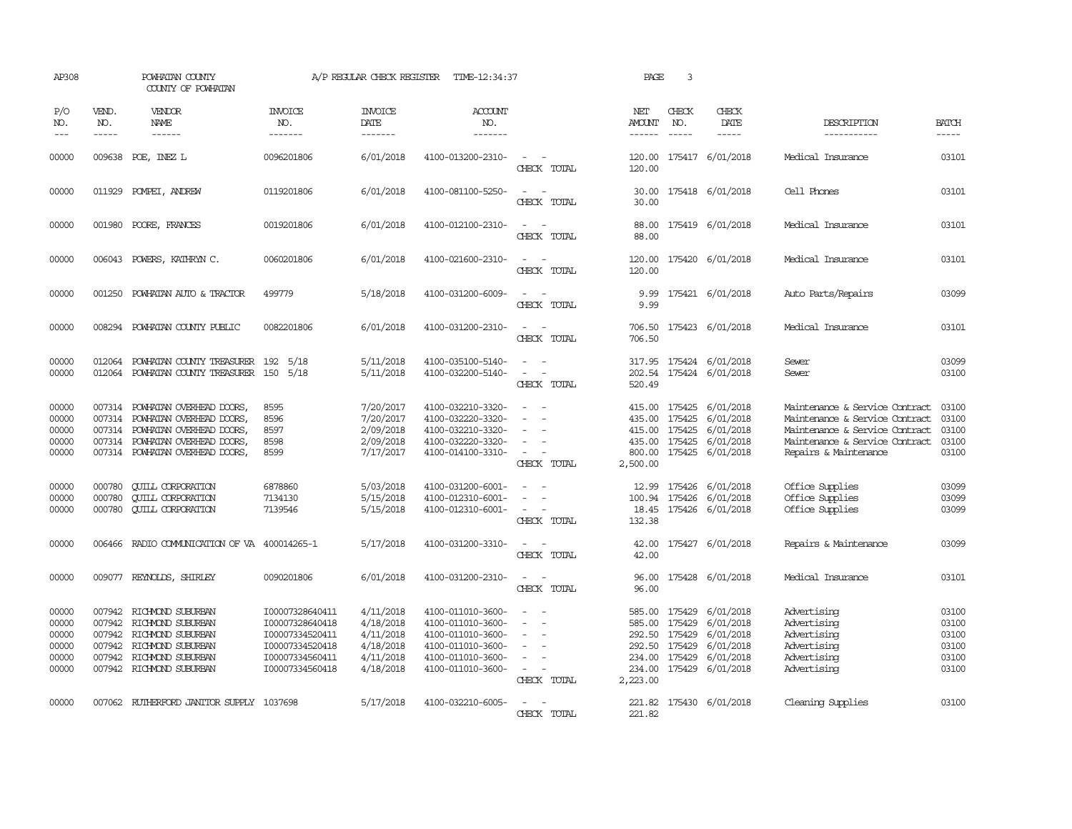| AP308                                              | POWHATAN COUNTY<br>COUNTY OF POWHATAN |                                                                                                                                                               |                                                                                                                | A/P REGULAR CHECK REGISTER                                                 | TIME-12:34:37                                                                                                              |                                                   | PAGE                                                                               | 3                             |                                                                                                         |                                                                                                                                                               |                                                    |
|----------------------------------------------------|---------------------------------------|---------------------------------------------------------------------------------------------------------------------------------------------------------------|----------------------------------------------------------------------------------------------------------------|----------------------------------------------------------------------------|----------------------------------------------------------------------------------------------------------------------------|---------------------------------------------------|------------------------------------------------------------------------------------|-------------------------------|---------------------------------------------------------------------------------------------------------|---------------------------------------------------------------------------------------------------------------------------------------------------------------|----------------------------------------------------|
| P/O<br>NO.<br>$---$                                | VEND.<br>NO.<br>$\frac{1}{2}$         | VENDOR<br>NAME<br>$- - - - - -$                                                                                                                               | <b>INVOICE</b><br>NO.<br>-------                                                                               | <b>INVOICE</b><br>DATE<br>-------                                          | ACCOUNT<br>NO.<br>-------                                                                                                  |                                                   | NET<br>AMOUNT<br>------                                                            | CHECK<br>NO.<br>$\frac{1}{2}$ | CHECK<br><b>DATE</b><br>$\frac{1}{2}$                                                                   | DESCRIPTION<br>-----------                                                                                                                                    | <b>BATCH</b><br>-----                              |
| 00000                                              | 009638                                | POE, INEZ L                                                                                                                                                   | 0096201806                                                                                                     | 6/01/2018                                                                  | 4100-013200-2310-                                                                                                          | CHECK TOTAL                                       | 120.00<br>120.00                                                                   |                               | 175417 6/01/2018                                                                                        | Medical Insurance                                                                                                                                             | 03101                                              |
| 00000                                              | 011929                                | POMPEI, ANDREW                                                                                                                                                | 0119201806                                                                                                     | 6/01/2018                                                                  | 4100-081100-5250-                                                                                                          | CHECK TOTAL                                       | 30.00<br>30.00                                                                     |                               | 175418 6/01/2018                                                                                        | Cell Phones                                                                                                                                                   | 03101                                              |
| 00000                                              | 001980                                | POORE, FRANCES                                                                                                                                                | 0019201806                                                                                                     | 6/01/2018                                                                  | 4100-012100-2310-                                                                                                          | CHECK TOTAL                                       | 88.00<br>88.00                                                                     |                               | 175419 6/01/2018                                                                                        | Medical Insurance                                                                                                                                             | 03101                                              |
| 00000                                              | 006043                                | POWERS, KATHRYN C.                                                                                                                                            | 0060201806                                                                                                     | 6/01/2018                                                                  | 4100-021600-2310-                                                                                                          | CHECK TOTAL                                       | 120.00<br>120.00                                                                   |                               | 175420 6/01/2018                                                                                        | Medical Insurance                                                                                                                                             | 03101                                              |
| 00000                                              | 001250                                | POWHATAN AUTO & TRACTOR                                                                                                                                       | 499779                                                                                                         | 5/18/2018                                                                  | 4100-031200-6009-                                                                                                          | CHECK TOTAL                                       | 9.99<br>9.99                                                                       |                               | 175421 6/01/2018                                                                                        | Auto Parts/Repairs                                                                                                                                            | 03099                                              |
| 00000                                              | 008294                                | POWHATAN COUNTY PUBLIC                                                                                                                                        | 0082201806                                                                                                     | 6/01/2018                                                                  | 4100-031200-2310-                                                                                                          | $\sim$<br>CHECK TOTAL                             | 706.50<br>706.50                                                                   |                               | 175423 6/01/2018                                                                                        | Medical Insurance                                                                                                                                             | 03101                                              |
| 00000<br>00000                                     | 012064                                | POWHATAN COUNTY TREASURER<br>012064 POWHATAN COUNTY TREASURER 150 5/18                                                                                        | 192<br>5/18                                                                                                    | 5/11/2018<br>5/11/2018                                                     | 4100-035100-5140-<br>4100-032200-5140-                                                                                     | $\sim$<br>$\sim$<br>CHECK TOTAL                   | 520.49                                                                             |                               | 317.95 175424 6/01/2018<br>202.54 175424 6/01/2018                                                      | Sewer<br>Sewer                                                                                                                                                | 03099<br>03100                                     |
| 00000<br>00000<br>00000<br>00000<br>00000          | 007314<br>007314                      | 007314 POWHATAN OVERHEAD DOORS,<br>POWHATAN OVERHEAD DOORS,<br>007314 POWHATAN OVERHEAD DOORS,<br>POWHATAN OVERHEAD DOORS,<br>007314 POWHATAN OVERHEAD DOORS, | 8595<br>8596<br>8597<br>8598<br>8599                                                                           | 7/20/2017<br>7/20/2017<br>2/09/2018<br>2/09/2018<br>7/17/2017              | 4100-032210-3320-<br>4100-032220-3320-<br>4100-032210-3320-<br>4100-032220-3320-<br>4100-014100-3310-                      | $\sim$<br>CHECK TOTAL                             | 435.00<br>435.00<br>800.00<br>2,500.00                                             | 175425                        | 415.00 175425 6/01/2018<br>6/01/2018<br>415.00 175425 6/01/2018<br>175425 6/01/2018<br>175425 6/01/2018 | Maintenance & Service Contract<br>Maintenance & Service Contract<br>Maintenance & Service Contract<br>Maintenance & Service Contract<br>Repairs & Maintenance | 03100<br>03100<br>03100<br>03100<br>03100          |
| 00000<br>00000<br>00000                            | 000780<br>000780<br>000780            | <b>CUILL CORPORATION</b><br><b>QUILL CORPORATION</b><br><b>CUILL CORPORATION</b>                                                                              | 6878860<br>7134130<br>7139546                                                                                  | 5/03/2018<br>5/15/2018<br>5/15/2018                                        | 4100-031200-6001-<br>4100-012310-6001-<br>4100-012310-6001-                                                                | $\overline{\phantom{a}}$<br>$\sim$<br>CHECK TOTAL | 12.99<br>18.45<br>132.38                                                           |                               | 175426 6/01/2018<br>100.94 175426 6/01/2018<br>175426 6/01/2018                                         | Office Supplies<br>Office Supplies<br>Office Supplies                                                                                                         | 03099<br>03099<br>03099                            |
| 00000                                              |                                       | 006466 RADIO COMMUNICATION OF VA 400014265-1                                                                                                                  |                                                                                                                | 5/17/2018                                                                  | 4100-031200-3310-                                                                                                          | $\equiv$<br>CHECK TOTAL                           | 42.00<br>42.00                                                                     |                               | 175427 6/01/2018                                                                                        | Repairs & Maintenance                                                                                                                                         | 03099                                              |
| 00000                                              |                                       | 009077 REYNOLDS, SHIRLEY                                                                                                                                      | 0090201806                                                                                                     | 6/01/2018                                                                  | 4100-031200-2310-                                                                                                          | CHECK TOTAL                                       | 96.00<br>96.00                                                                     |                               | 175428 6/01/2018                                                                                        | Medical Insurance                                                                                                                                             | 03101                                              |
| 00000<br>00000<br>00000<br>00000<br>00000<br>00000 | 007942<br>007942                      | RICHMOND SUBURBAN<br>007942 RICHMOND SUBURBAN<br>007942 RICHMOND SUBURBAN<br>007942 RICHMOND SUBURBAN<br>RICHMOND SUBURBAN<br>007942 RICHMOND SUBURBAN        | I00007328640411<br>I00007328640418<br>I00007334520411<br>I00007334520418<br>100007334560411<br>I00007334560418 | 4/11/2018<br>4/18/2018<br>4/11/2018<br>4/18/2018<br>4/11/2018<br>4/18/2018 | 4100-011010-3600-<br>4100-011010-3600-<br>4100-011010-3600-<br>4100-011010-3600-<br>4100-011010-3600-<br>4100-011010-3600- | $\overline{\phantom{a}}$<br>CHECK TOTAL           | 585.00<br>585.00<br>292.50 175429<br>292.50 175429<br>234.00<br>234.00<br>2,223.00 | 175429<br>175429<br>175429    | 6/01/2018<br>6/01/2018<br>6/01/2018<br>6/01/2018<br>6/01/2018<br>175429 6/01/2018                       | Advertising<br>Advertising<br>Advertising<br>Advertising<br>Advertising<br>Advertising                                                                        | 03100<br>03100<br>03100<br>03100<br>03100<br>03100 |
| 00000                                              |                                       | 007062 RUIHERFORD JANITOR SUPPLY 1037698                                                                                                                      |                                                                                                                | 5/17/2018                                                                  | 4100-032210-6005-                                                                                                          | CHECK TOTAL                                       | 221.82                                                                             |                               | 221.82 175430 6/01/2018                                                                                 | Cleaning Supplies                                                                                                                                             | 03100                                              |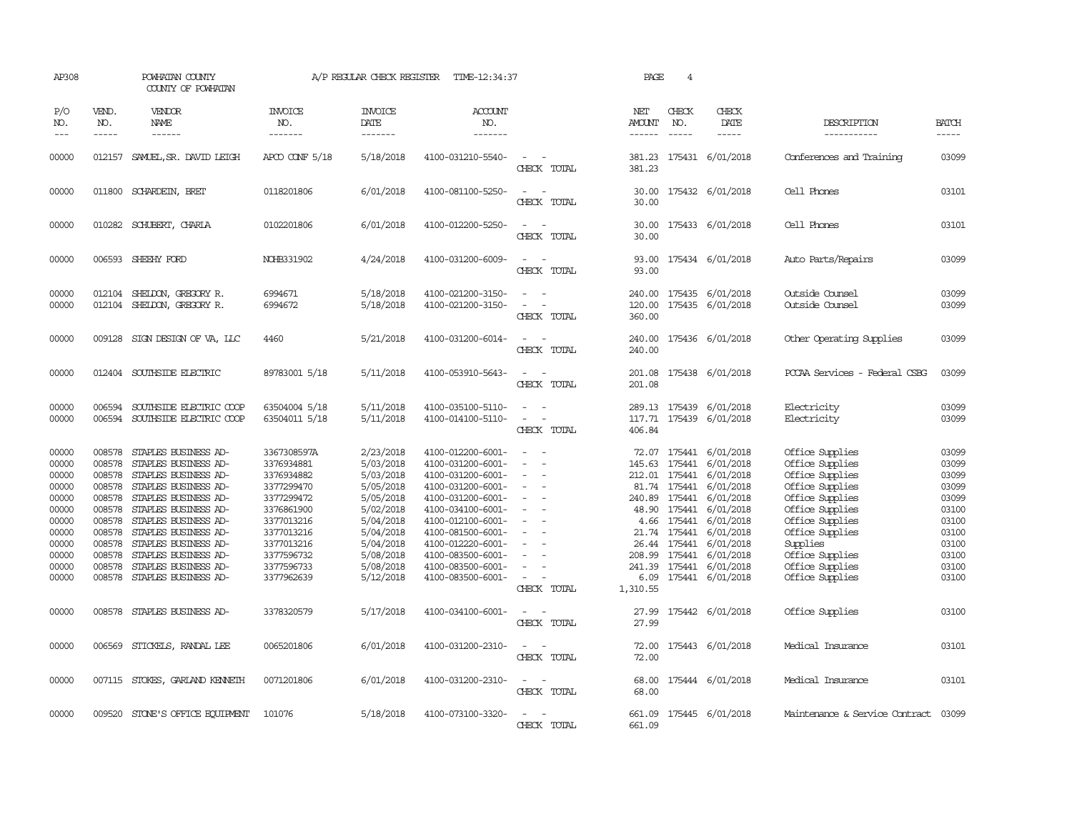| AP308                                                                                                             | POWHATAN COUNTY<br>COUNTY OF POWHATAN                                                                                |                                                                                                                                                                                                                                                                                                                             |                                                                                                                                                                                     | A/P REGULAR CHECK REGISTER                                                                                                                                            | TIME-12:34:37                                                                                                                                                                                                                                                                 |                                                                                                                                                                   | PAGE                                                                                         | $\overline{4}$                                                                                                            |                                                                                                                                                                                                 |                                                                                                                                                                                                                                              |                                                                                                                   |
|-------------------------------------------------------------------------------------------------------------------|----------------------------------------------------------------------------------------------------------------------|-----------------------------------------------------------------------------------------------------------------------------------------------------------------------------------------------------------------------------------------------------------------------------------------------------------------------------|-------------------------------------------------------------------------------------------------------------------------------------------------------------------------------------|-----------------------------------------------------------------------------------------------------------------------------------------------------------------------|-------------------------------------------------------------------------------------------------------------------------------------------------------------------------------------------------------------------------------------------------------------------------------|-------------------------------------------------------------------------------------------------------------------------------------------------------------------|----------------------------------------------------------------------------------------------|---------------------------------------------------------------------------------------------------------------------------|-------------------------------------------------------------------------------------------------------------------------------------------------------------------------------------------------|----------------------------------------------------------------------------------------------------------------------------------------------------------------------------------------------------------------------------------------------|-------------------------------------------------------------------------------------------------------------------|
| P/O<br>NO.<br>$---$                                                                                               | VEND.<br>NO.<br>$- - - - -$                                                                                          | <b>VENDOR</b><br>NAME<br>$- - - - - -$                                                                                                                                                                                                                                                                                      | <b>INVOICE</b><br>NO.<br>-------                                                                                                                                                    | <b>INVOICE</b><br>DATE<br>-------                                                                                                                                     | <b>ACCOUNT</b><br>NO.<br>-------                                                                                                                                                                                                                                              |                                                                                                                                                                   | NET<br>AMOUNT<br>------                                                                      | CHECK<br>NO.<br>$- - - - -$                                                                                               | CHECK<br>DATE<br>$- - - - -$                                                                                                                                                                    | DESCRIPTION<br>-----------                                                                                                                                                                                                                   | <b>BATCH</b><br>-----                                                                                             |
| 00000                                                                                                             |                                                                                                                      | 012157 SAMUEL, SR. DAVID LEIGH                                                                                                                                                                                                                                                                                              | APCO CONF 5/18                                                                                                                                                                      | 5/18/2018                                                                                                                                                             | 4100-031210-5540-                                                                                                                                                                                                                                                             | $\overline{\phantom{a}}$<br>CHECK TOTAL                                                                                                                           | 381.23<br>381.23                                                                             |                                                                                                                           | 175431 6/01/2018                                                                                                                                                                                | Conferences and Training                                                                                                                                                                                                                     | 03099                                                                                                             |
| 00000                                                                                                             |                                                                                                                      | 011800 SCHARDEIN, BRET                                                                                                                                                                                                                                                                                                      | 0118201806                                                                                                                                                                          | 6/01/2018                                                                                                                                                             | 4100-081100-5250-                                                                                                                                                                                                                                                             | CHECK TOTAL                                                                                                                                                       | 30.00                                                                                        |                                                                                                                           | 30.00 175432 6/01/2018                                                                                                                                                                          | Cell Phones                                                                                                                                                                                                                                  | 03101                                                                                                             |
| 00000                                                                                                             |                                                                                                                      | 010282 SCHUBERT, CHARLA                                                                                                                                                                                                                                                                                                     | 0102201806                                                                                                                                                                          | 6/01/2018                                                                                                                                                             | 4100-012200-5250-                                                                                                                                                                                                                                                             | $\sim$ $\sim$<br>CHECK TOTAL                                                                                                                                      | 30.00<br>30.00                                                                               |                                                                                                                           | 175433 6/01/2018                                                                                                                                                                                | Cell Phones                                                                                                                                                                                                                                  | 03101                                                                                                             |
| 00000                                                                                                             |                                                                                                                      | 006593 SHEEHY FORD                                                                                                                                                                                                                                                                                                          | NOHB331902                                                                                                                                                                          | 4/24/2018                                                                                                                                                             | 4100-031200-6009-                                                                                                                                                                                                                                                             | $\sim$ $\sim$<br>CHECK TOTAL                                                                                                                                      | 93.00                                                                                        |                                                                                                                           | 93.00 175434 6/01/2018                                                                                                                                                                          | Auto Parts/Repairs                                                                                                                                                                                                                           | 03099                                                                                                             |
| 00000<br>00000                                                                                                    |                                                                                                                      | 012104 SHELDON, GREGORY R.<br>012104 SHELDON, GREGORY R.                                                                                                                                                                                                                                                                    | 6994671<br>6994672                                                                                                                                                                  | 5/18/2018<br>5/18/2018                                                                                                                                                | 4100-021200-3150-<br>4100-021200-3150-                                                                                                                                                                                                                                        | CHECK TOTAL                                                                                                                                                       | 240.00<br>120.00<br>360.00                                                                   |                                                                                                                           | 175435 6/01/2018<br>175435 6/01/2018                                                                                                                                                            | Outside Counsel<br>Outside Counsel                                                                                                                                                                                                           | 03099<br>03099                                                                                                    |
| 00000                                                                                                             |                                                                                                                      | 009128 SIGN DESIGN OF VA, LLC                                                                                                                                                                                                                                                                                               | 4460                                                                                                                                                                                | 5/21/2018                                                                                                                                                             | 4100-031200-6014-                                                                                                                                                                                                                                                             | $\sim$<br>CHECK TOTAL                                                                                                                                             | 240.00<br>240.00                                                                             |                                                                                                                           | 175436 6/01/2018                                                                                                                                                                                | Other Operating Supplies                                                                                                                                                                                                                     | 03099                                                                                                             |
| 00000                                                                                                             |                                                                                                                      | 012404 SOUTHSIDE ELECTRIC                                                                                                                                                                                                                                                                                                   | 89783001 5/18                                                                                                                                                                       | 5/11/2018                                                                                                                                                             | 4100-053910-5643-                                                                                                                                                                                                                                                             | CHECK TOTAL                                                                                                                                                       | 201.08                                                                                       |                                                                                                                           | 201.08 175438 6/01/2018                                                                                                                                                                         | PCCAA Services - Federal CSBG                                                                                                                                                                                                                | 03099                                                                                                             |
| 00000<br>00000                                                                                                    | 006594                                                                                                               | SOUTHSIDE ELECTRIC COOP<br>006594 SOUTHSIDE ELECTRIC COOP                                                                                                                                                                                                                                                                   | 63504004 5/18<br>63504011 5/18                                                                                                                                                      | 5/11/2018<br>5/11/2018                                                                                                                                                | 4100-035100-5110-<br>4100-014100-5110-                                                                                                                                                                                                                                        | $\sim$<br>$\sim$ $-$<br>$\overline{\phantom{a}}$<br>CHECK TOTAL                                                                                                   | 406.84                                                                                       |                                                                                                                           | 289.13 175439 6/01/2018<br>117.71 175439 6/01/2018                                                                                                                                              | Electricity<br>Electricity                                                                                                                                                                                                                   | 03099<br>03099                                                                                                    |
| 00000<br>00000<br>00000<br>00000<br>00000<br>00000<br>00000<br>00000<br>00000<br>00000<br>00000<br>00000<br>00000 | 008578<br>008578<br>008578<br>008578<br>008578<br>008578<br>008578<br>008578<br>008578<br>008578<br>008578<br>008578 | STAPLES BUSINESS AD-<br>STAPLES BUSINESS AD-<br>STAPLES BUSINESS AD-<br>STAPLES BUSINESS AD-<br>STAPLES BUSINESS AD-<br>STAPLES BUSINESS AD-<br>STAPLES BUSINESS AD-<br>STAPLES BUSINESS AD-<br>STAPLES BUSINESS AD-<br>STAPLES BUSINESS AD-<br>STAPLES BUSINESS AD-<br>008578 STAPLES BUSINESS AD-<br>STAPLES BUSINESS AD- | 3367308597A<br>3376934881<br>3376934882<br>3377299470<br>3377299472<br>3376861900<br>3377013216<br>3377013216<br>3377013216<br>3377596732<br>3377596733<br>3377962639<br>3378320579 | 2/23/2018<br>5/03/2018<br>5/03/2018<br>5/05/2018<br>5/05/2018<br>5/02/2018<br>5/04/2018<br>5/04/2018<br>5/04/2018<br>5/08/2018<br>5/08/2018<br>5/12/2018<br>5/17/2018 | 4100-012200-6001-<br>4100-031200-6001-<br>4100-031200-6001-<br>4100-031200-6001-<br>4100-031200-6001-<br>4100-034100-6001-<br>4100-012100-6001-<br>4100-081500-6001-<br>4100-012220-6001-<br>4100-083500-6001-<br>4100-083500-6001-<br>4100-083500-6001-<br>4100-034100-6001- | $\overline{\phantom{a}}$<br>$\overline{\phantom{a}}$<br>$\overline{\phantom{a}}$<br>$\equiv$<br>$\sim$<br>$\sim$ $\sim$<br>CHECK TOTAL<br>$\equiv$<br>CHECK TOTAL | 72.07<br>145.63<br>48.90<br>21.74<br>26.44<br>208.99<br>241.39<br>1,310.55<br>27.99<br>27.99 | 175441<br>212.01 175441<br>81.74 175441<br>240.89 175441<br>175441<br>4.66 175441<br>175441<br>175441<br>175441<br>175441 | 175441 6/01/2018<br>6/01/2018<br>6/01/2018<br>6/01/2018<br>6/01/2018<br>6/01/2018<br>6/01/2018<br>6/01/2018<br>6/01/2018<br>6/01/2018<br>6/01/2018<br>6.09 175441 6/01/2018<br>175442 6/01/2018 | Office Supplies<br>Office Supplies<br>Office Supplies<br>Office Supplies<br>Office Supplies<br>Office Supplies<br>Office Supplies<br>Office Supplies<br>Supplies<br>Office Supplies<br>Office Supplies<br>Office Supplies<br>Office Supplies | 03099<br>03099<br>03099<br>03099<br>03099<br>03100<br>03100<br>03100<br>03100<br>03100<br>03100<br>03100<br>03100 |
| 00000                                                                                                             | 006569                                                                                                               | STICKELS, RANDAL LEE                                                                                                                                                                                                                                                                                                        | 0065201806                                                                                                                                                                          | 6/01/2018                                                                                                                                                             | 4100-031200-2310-                                                                                                                                                                                                                                                             | $\equiv$<br>CHECK TOTAL                                                                                                                                           | 72.00<br>72.00                                                                               |                                                                                                                           | 175443 6/01/2018                                                                                                                                                                                | Medical Insurance                                                                                                                                                                                                                            | 03101                                                                                                             |
| 00000                                                                                                             |                                                                                                                      | 007115 STOKES, GARLAND KENNETH                                                                                                                                                                                                                                                                                              | 0071201806                                                                                                                                                                          | 6/01/2018                                                                                                                                                             | 4100-031200-2310-                                                                                                                                                                                                                                                             | $\frac{1}{2} \left( \frac{1}{2} \right) \left( \frac{1}{2} \right) = \frac{1}{2} \left( \frac{1}{2} \right)$<br>CHECK TOTAL                                       | 68.00<br>68.00                                                                               |                                                                                                                           | 175444 6/01/2018                                                                                                                                                                                | Medical Insurance                                                                                                                                                                                                                            | 03101                                                                                                             |
| 00000                                                                                                             |                                                                                                                      | 009520 STONE'S OFFICE EQUIPMENT                                                                                                                                                                                                                                                                                             | 101076                                                                                                                                                                              | 5/18/2018                                                                                                                                                             | 4100-073100-3320-                                                                                                                                                                                                                                                             | $\frac{1}{2} \left( \frac{1}{2} \right) \left( \frac{1}{2} \right) = \frac{1}{2} \left( \frac{1}{2} \right)$<br>CHECK TOTAL                                       | 661.09<br>661.09                                                                             |                                                                                                                           | 175445 6/01/2018                                                                                                                                                                                | Maintenance & Service Contract                                                                                                                                                                                                               | 03099                                                                                                             |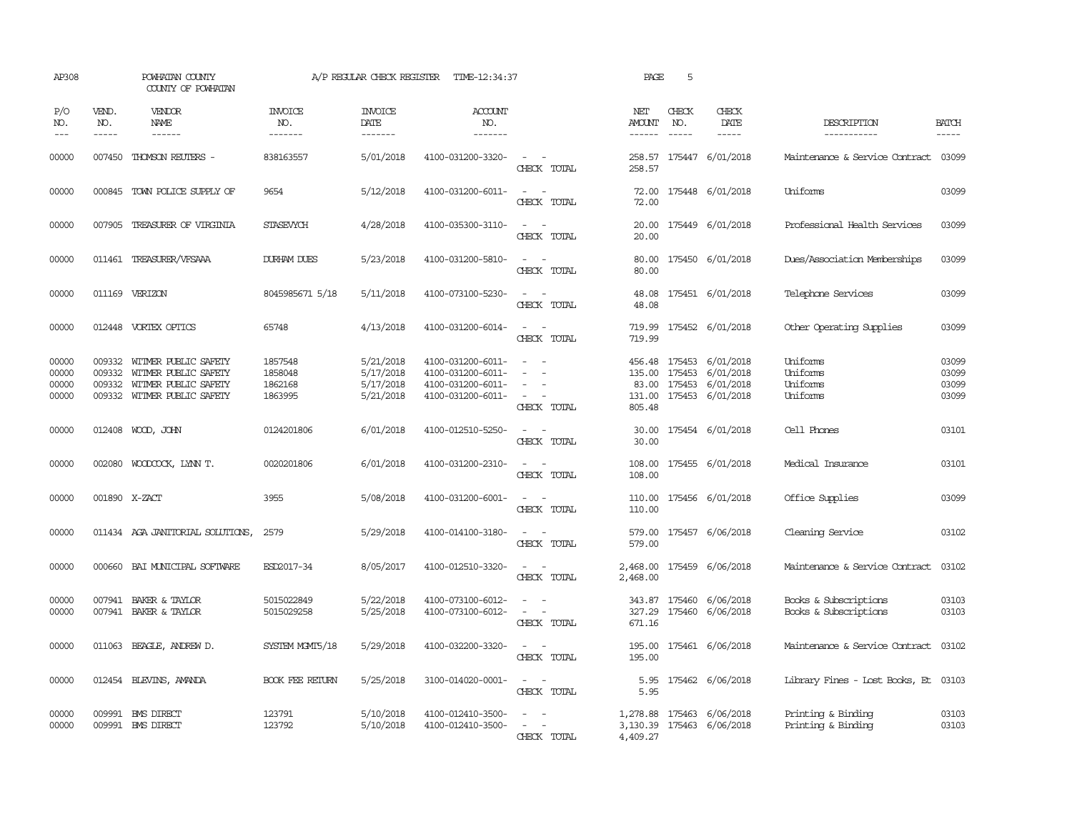| AP308                            | POWHATAN COUNTY<br>COUNTY OF POWHATAN |                                                                                                     |                                          | A/P REGULAR CHECK REGISTER                       | TIME-12:34:37                                                                    |                                                                                                                             | PAGE                           | 5                             |                                                                                                   |                                                |                                  |
|----------------------------------|---------------------------------------|-----------------------------------------------------------------------------------------------------|------------------------------------------|--------------------------------------------------|----------------------------------------------------------------------------------|-----------------------------------------------------------------------------------------------------------------------------|--------------------------------|-------------------------------|---------------------------------------------------------------------------------------------------|------------------------------------------------|----------------------------------|
| P/O<br>NO.<br>$\frac{1}{2}$      | VEND.<br>NO.<br>$- - - - -$           | <b>VENDOR</b><br><b>NAME</b><br>$- - - - - -$                                                       | <b>INVOICE</b><br>NO.<br>-------         | <b>INVOICE</b><br>DATE<br>-------                | <b>ACCOUNT</b><br>NO.<br>-------                                                 |                                                                                                                             | NET<br>AMOUNT<br>$- - - - - -$ | CHECK<br>NO.<br>$\frac{1}{2}$ | CHECK<br>DATE<br>$- - - - -$                                                                      | DESCRIPTION<br>-----------                     | <b>BATCH</b><br>$- - - - -$      |
| 00000                            |                                       | 007450 THOMSON REUTERS -                                                                            | 838163557                                | 5/01/2018                                        | 4100-031200-3320-                                                                | $\sim$ $\sim$<br>CHECK TOTAL                                                                                                | 258.57                         |                               | 258.57 175447 6/01/2018                                                                           | Maintenance & Service Contract 03099           |                                  |
| 00000                            |                                       | 000845 TOWN POLICE SUPPLY OF                                                                        | 9654                                     | 5/12/2018                                        | 4100-031200-6011-                                                                | $\sim$ $ \sim$<br>CHECK TOTAL                                                                                               | 72.00<br>72.00                 |                               | 175448 6/01/2018                                                                                  | Uniforms                                       | 03099                            |
| 00000                            |                                       | 007905 TREASURER OF VIRGINIA                                                                        | STASEVYCH                                | 4/28/2018                                        | 4100-035300-3110-                                                                | $\sim$ $ -$<br>CHECK TOTAL                                                                                                  | 20.00                          |                               | 20.00 175449 6/01/2018                                                                            | Professional Health Services                   | 03099                            |
| 00000                            |                                       | 011461 TREASURER/VFSAAA                                                                             | <b>DURHAM DUES</b>                       | 5/23/2018                                        | 4100-031200-5810-                                                                | $\sim$<br>CHECK TOTAL                                                                                                       | 80.00<br>80.00                 |                               | 175450 6/01/2018                                                                                  | Dues/Association Memberships                   | 03099                            |
| 00000                            |                                       | 011169 VERIZON                                                                                      | 8045985671 5/18                          | 5/11/2018                                        | 4100-073100-5230-                                                                | $\sim$<br>CHECK TOTAL                                                                                                       | 48.08<br>48.08                 |                               | 175451 6/01/2018                                                                                  | Telephone Services                             | 03099                            |
| 00000                            |                                       | 012448 VORTEX OPTICS                                                                                | 65748                                    | 4/13/2018                                        | 4100-031200-6014-                                                                | $\frac{1}{2} \left( \frac{1}{2} \right) \left( \frac{1}{2} \right) = \frac{1}{2} \left( \frac{1}{2} \right)$<br>CHECK TOTAL | 719.99                         |                               | 719.99 175452 6/01/2018                                                                           | Other Operating Supplies                       | 03099                            |
| 00000<br>00000<br>00000<br>00000 | 009332<br>009332<br>009332            | WITMER PUBLIC SAFETY<br>WITMER PUBLIC SAFETY<br>WITMER PUBLIC SAFETY<br>009332 WITMER PUBLIC SAFETY | 1857548<br>1858048<br>1862168<br>1863995 | 5/21/2018<br>5/17/2018<br>5/17/2018<br>5/21/2018 | 4100-031200-6011-<br>4100-031200-6011-<br>4100-031200-6011-<br>4100-031200-6011- | $\sim$<br>$\sim$<br>$\overline{\phantom{a}}$<br>$\sim$ 100 $\mu$<br>CHECK TOTAL                                             | 83.00<br>805.48                |                               | 456.48 175453 6/01/2018<br>135.00 175453 6/01/2018<br>175453 6/01/2018<br>131.00 175453 6/01/2018 | Uniforms<br>Uniforms<br>Uniforms<br>Uniforms   | 03099<br>03099<br>03099<br>03099 |
| 00000                            |                                       | 012408 WOOD, JOHN                                                                                   | 0124201806                               | 6/01/2018                                        | 4100-012510-5250-                                                                | $\equiv$<br>CHECK TOTAL                                                                                                     | 30.00<br>30.00                 |                               | 175454 6/01/2018                                                                                  | Cell Phones                                    | 03101                            |
| 00000                            |                                       | 002080 WOODCOCK, LYNN T.                                                                            | 0020201806                               | 6/01/2018                                        | 4100-031200-2310-                                                                | $\sim$<br>CHECK TOTAL                                                                                                       | 108.00<br>108.00               |                               | 175455 6/01/2018                                                                                  | Medical Insurance                              | 03101                            |
| 00000                            |                                       | 001890 X-ZACT                                                                                       | 3955                                     | 5/08/2018                                        | 4100-031200-6001-                                                                | $ -$<br>CHECK TOTAL                                                                                                         | 110.00                         |                               | 110.00 175456 6/01/2018                                                                           | Office Supplies                                | 03099                            |
| 00000                            |                                       | 011434 AGA JANITORIAL SOLUTIONS,                                                                    | 2579                                     | 5/29/2018                                        | 4100-014100-3180-                                                                | $\sim$ $ \sim$<br>CHECK TOTAL                                                                                               | 579.00                         |                               | 579.00 175457 6/06/2018                                                                           | Cleaning Service                               | 03102                            |
| 00000                            |                                       | 000660 BAI MUNICIPAL SOFTWARE                                                                       | ESD2017-34                               | 8/05/2017                                        | 4100-012510-3320-                                                                | $\sim$ $ -$<br>CHECK TOTAL                                                                                                  | 2,468.00                       |                               | 2,468.00 175459 6/06/2018                                                                         | Maintenance & Service Contract                 | 03102                            |
| 00000<br>00000                   |                                       | 007941 BAKER & TAYLOR<br>007941 BAKER & TAYLOR                                                      | 5015022849<br>5015029258                 | 5/22/2018<br>5/25/2018                           | 4100-073100-6012-<br>4100-073100-6012-                                           | CHECK TOTAL                                                                                                                 | 343.87<br>327.29<br>671.16     |                               | 175460 6/06/2018<br>175460 6/06/2018                                                              | Books & Subscriptions<br>Books & Subscriptions | 03103<br>03103                   |
| 00000                            |                                       | 011063 BEAGLE, ANDREW D.                                                                            | SYSTEM MGMT5/18                          | 5/29/2018                                        | 4100-032200-3320-                                                                | $\sim$ 100 $\mu$<br>CHECK TOTAL                                                                                             | 195.00                         |                               | 195.00 175461 6/06/2018                                                                           | Maintenance & Service Contract                 | 03102                            |
| 00000                            |                                       | 012454 BLEVINS, AMANDA                                                                              | <b>BOOK FEE RETURN</b>                   | 5/25/2018                                        | 3100-014020-0001-                                                                | $\sim$<br>CHECK TOTAL                                                                                                       | 5.95                           |                               | 5.95 175462 6/06/2018                                                                             | Library Fines - Lost Books, Et                 | 03103                            |
| 00000<br>00000                   |                                       | 009991 BMS DIRECT<br>009991 BMS DIRECT                                                              | 123791<br>123792                         | 5/10/2018<br>5/10/2018                           | 4100-012410-3500-<br>4100-012410-3500-                                           | $\sim$ 100 $\sim$<br>$\sim$<br>$\sim$<br>CHECK TOTAL                                                                        | 4,409.27                       |                               | 1,278.88 175463 6/06/2018<br>3,130.39 175463 6/06/2018                                            | Printing & Binding<br>Printing & Binding       | 03103<br>03103                   |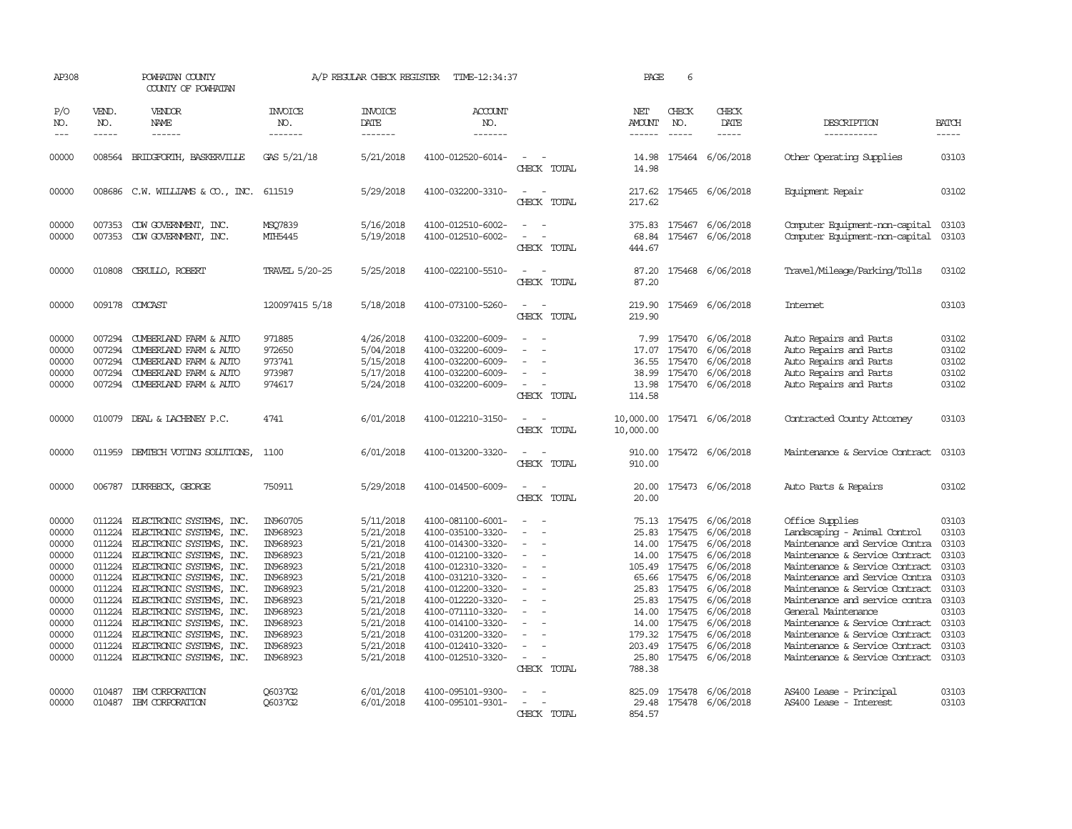| AP308                                                                                                             |                                                                                                  | POWHATAN COUNTY<br>COUNTY OF POWHATAN                                                                                                                                                                                                                                                                                                                                                         |                                                                                                                                                          | A/P REGULAR CHECK REGISTER                                                                                                                                            | TIME-12:34:37                                                                                                                                                                                                                                                                 |                                                                                           | PAGE                                                         | 6                                                                                                                                                 |                                                                                                                                                                                           |                                                                                                                                                                                                                                                                                                                                                                                                                            |                                                                                                                   |
|-------------------------------------------------------------------------------------------------------------------|--------------------------------------------------------------------------------------------------|-----------------------------------------------------------------------------------------------------------------------------------------------------------------------------------------------------------------------------------------------------------------------------------------------------------------------------------------------------------------------------------------------|----------------------------------------------------------------------------------------------------------------------------------------------------------|-----------------------------------------------------------------------------------------------------------------------------------------------------------------------|-------------------------------------------------------------------------------------------------------------------------------------------------------------------------------------------------------------------------------------------------------------------------------|-------------------------------------------------------------------------------------------|--------------------------------------------------------------|---------------------------------------------------------------------------------------------------------------------------------------------------|-------------------------------------------------------------------------------------------------------------------------------------------------------------------------------------------|----------------------------------------------------------------------------------------------------------------------------------------------------------------------------------------------------------------------------------------------------------------------------------------------------------------------------------------------------------------------------------------------------------------------------|-------------------------------------------------------------------------------------------------------------------|
| P/O<br>NO.<br>$---$                                                                                               | VEND.<br>NO.<br>$- - - - -$                                                                      | VENDOR<br>NAME<br>$- - - - - -$                                                                                                                                                                                                                                                                                                                                                               | <b>INVOICE</b><br>NO.<br>-------                                                                                                                         | <b>INVOICE</b><br>DATE<br>-------                                                                                                                                     | ACCOUNT<br>NO.<br>-------                                                                                                                                                                                                                                                     |                                                                                           | NET<br>AMOUNT<br>$- - - - - -$                               | CHECK<br>NO.<br>$\frac{1}{2}$                                                                                                                     | CHECK<br>DATE<br>$- - - - -$                                                                                                                                                              | DESCRIPTION<br>-----------                                                                                                                                                                                                                                                                                                                                                                                                 | <b>BATCH</b><br>$- - - - -$                                                                                       |
| 00000                                                                                                             |                                                                                                  | 008564 BRIDGFORIH, BASKERVILLE                                                                                                                                                                                                                                                                                                                                                                | GAS 5/21/18                                                                                                                                              | 5/21/2018                                                                                                                                                             | 4100-012520-6014-                                                                                                                                                                                                                                                             | CHECK TOTAL                                                                               | 14.98                                                        |                                                                                                                                                   | 14.98 175464 6/06/2018                                                                                                                                                                    | Other Operating Supplies                                                                                                                                                                                                                                                                                                                                                                                                   | 03103                                                                                                             |
| 00000                                                                                                             |                                                                                                  | 008686 C.W. WILLIAMS & CO., INC.                                                                                                                                                                                                                                                                                                                                                              | 611519                                                                                                                                                   | 5/29/2018                                                                                                                                                             | 4100-032200-3310-                                                                                                                                                                                                                                                             | CHECK TOTAL                                                                               | 217.62<br>217.62                                             |                                                                                                                                                   | 175465 6/06/2018                                                                                                                                                                          | Equipment Repair                                                                                                                                                                                                                                                                                                                                                                                                           | 03102                                                                                                             |
| 00000<br>00000                                                                                                    | 007353                                                                                           | 007353 CDW GOVERNMENT, INC.<br>CDW GOVERNMENT, INC.                                                                                                                                                                                                                                                                                                                                           | MSO7839<br>MIH5445                                                                                                                                       | 5/16/2018<br>5/19/2018                                                                                                                                                | 4100-012510-6002-<br>4100-012510-6002-                                                                                                                                                                                                                                        | $\sim$<br>CHECK TOTAL                                                                     | 375.83<br>68.84<br>444.67                                    |                                                                                                                                                   | 175467 6/06/2018<br>175467 6/06/2018                                                                                                                                                      | Computer Equipment-non-capital<br>Computer Equipment-non-capital                                                                                                                                                                                                                                                                                                                                                           | 03103<br>03103                                                                                                    |
| 00000                                                                                                             | 010808                                                                                           | CERULLO, ROBERT                                                                                                                                                                                                                                                                                                                                                                               | TRAVEL 5/20-25                                                                                                                                           | 5/25/2018                                                                                                                                                             | 4100-022100-5510-                                                                                                                                                                                                                                                             | $\overline{\phantom{a}}$<br>$\sim$<br>CHECK TOTAL                                         | 87.20<br>87.20                                               |                                                                                                                                                   | 175468 6/06/2018                                                                                                                                                                          | Travel/Mileage/Parking/Tolls                                                                                                                                                                                                                                                                                                                                                                                               | 03102                                                                                                             |
| 00000                                                                                                             |                                                                                                  | 009178 COMCAST                                                                                                                                                                                                                                                                                                                                                                                | 120097415 5/18                                                                                                                                           | 5/18/2018                                                                                                                                                             | 4100-073100-5260-                                                                                                                                                                                                                                                             | $\overline{\phantom{a}}$<br>CHECK TOTAL                                                   | 219.90<br>219.90                                             |                                                                                                                                                   | 175469 6/06/2018                                                                                                                                                                          | <b>Internet</b>                                                                                                                                                                                                                                                                                                                                                                                                            | 03103                                                                                                             |
| 00000<br>00000<br>00000<br>00000<br>00000                                                                         | 007294<br>007294<br>007294<br>007294<br>007294                                                   | CUMBERLAND FARM & AUTO<br>CUMBERLAND FARM & AUTO<br>CUMBERLAND FARM & AUTO<br>CUMBERLAND FARM & AUTO<br>CUMBERLAND FARM & AUTO                                                                                                                                                                                                                                                                | 971885<br>972650<br>973741<br>973987<br>974617                                                                                                           | 4/26/2018<br>5/04/2018<br>5/15/2018<br>5/17/2018<br>5/24/2018                                                                                                         | 4100-032200-6009-<br>4100-032200-6009-<br>4100-032200-6009-<br>4100-032200-6009-<br>4100-032200-6009-                                                                                                                                                                         | $\overline{\phantom{a}}$<br>CHECK TOTAL                                                   | 7.99<br>17.07<br>36.55<br>38.99<br>13.98<br>114.58           | 175470<br>175470<br>175470<br>175470                                                                                                              | 6/06/2018<br>6/06/2018<br>6/06/2018<br>6/06/2018<br>175470 6/06/2018                                                                                                                      | Auto Repairs and Parts<br>Auto Repairs and Parts<br>Auto Repairs and Parts<br>Auto Repairs and Parts<br>Auto Repairs and Parts                                                                                                                                                                                                                                                                                             | 03102<br>03102<br>03102<br>03102<br>03102                                                                         |
| 00000                                                                                                             | 010079                                                                                           | DEAL & LACHENEY P.C.                                                                                                                                                                                                                                                                                                                                                                          | 4741                                                                                                                                                     | 6/01/2018                                                                                                                                                             | 4100-012210-3150-                                                                                                                                                                                                                                                             | $\overline{\phantom{a}}$<br>CHECK TOTAL                                                   | 10,000.00 175471 6/06/2018<br>10,000.00                      |                                                                                                                                                   |                                                                                                                                                                                           | Contracted County Attorney                                                                                                                                                                                                                                                                                                                                                                                                 | 03103                                                                                                             |
| 00000                                                                                                             |                                                                                                  | 011959 DEMIECH VOTING SOLUTIONS,                                                                                                                                                                                                                                                                                                                                                              | 1100                                                                                                                                                     | 6/01/2018                                                                                                                                                             | 4100-013200-3320-                                                                                                                                                                                                                                                             | CHECK TOTAL                                                                               | 910.00                                                       |                                                                                                                                                   | 910.00 175472 6/06/2018                                                                                                                                                                   | Maintenance & Service Contract                                                                                                                                                                                                                                                                                                                                                                                             | 03103                                                                                                             |
| 00000                                                                                                             |                                                                                                  | 006787 DURRBECK, GEORGE                                                                                                                                                                                                                                                                                                                                                                       | 750911                                                                                                                                                   | 5/29/2018                                                                                                                                                             | 4100-014500-6009-                                                                                                                                                                                                                                                             | CHECK TOTAL                                                                               | 20.00<br>20.00                                               |                                                                                                                                                   | 175473 6/06/2018                                                                                                                                                                          | Auto Parts & Repairs                                                                                                                                                                                                                                                                                                                                                                                                       | 03102                                                                                                             |
| 00000<br>00000<br>00000<br>00000<br>00000<br>00000<br>00000<br>00000<br>00000<br>00000<br>00000<br>00000<br>00000 | 011224<br>011224<br>011224<br>011224<br>011224<br>011224<br>011224<br>011224<br>011224<br>011224 | ELECTRONIC SYSTEMS, INC.<br>ELECTRONIC SYSTEMS, INC.<br>ELECTRONIC SYSTEMS, INC.<br>011224 ELECTRONIC SYSTEMS, INC.<br>ELECTRONIC SYSTEMS, INC.<br>ELECTRONIC SYSTEMS, INC.<br>011224 ELECTRONIC SYSTEMS, INC.<br>011224 ELECTRONIC SYSTEMS, INC.<br>ELECTRONIC SYSTEMS, INC.<br>ELECTRONIC SYSTEMS, INC.<br>ELECTRONIC SYSTEMS, INC.<br>ELECTRONIC SYSTEMS, INC.<br>ELECTRONIC SYSTEMS, INC. | IN960705<br>IN968923<br>IN968923<br>IN968923<br>IN968923<br>IN968923<br>IN968923<br>IN968923<br>IN968923<br>IN968923<br>IN968923<br>IN968923<br>IN968923 | 5/11/2018<br>5/21/2018<br>5/21/2018<br>5/21/2018<br>5/21/2018<br>5/21/2018<br>5/21/2018<br>5/21/2018<br>5/21/2018<br>5/21/2018<br>5/21/2018<br>5/21/2018<br>5/21/2018 | 4100-081100-6001-<br>4100-035100-3320-<br>4100-014300-3320-<br>4100-012100-3320-<br>4100-012310-3320-<br>4100-031210-3320-<br>4100-012200-3320-<br>4100-012220-3320-<br>4100-071110-3320-<br>4100-014100-3320-<br>4100-031200-3320-<br>4100-012410-3320-<br>4100-012510-3320- | $\overline{\phantom{a}}$<br>$\overline{\phantom{a}}$<br>$\sim$<br>$\equiv$<br>CHECK TOTAL | 25.83<br>14.00<br>25.83<br>14.00<br>14.00<br>25.80<br>788.38 | 175475<br>14.00 175475<br>175475<br>105.49 175475<br>65.66 175475<br>175475<br>25.83 175475<br>175475<br>175475<br>179.32 175475<br>203.49 175475 | 75.13 175475 6/06/2018<br>6/06/2018<br>6/06/2018<br>6/06/2018<br>6/06/2018<br>6/06/2018<br>6/06/2018<br>6/06/2018<br>6/06/2018<br>6/06/2018<br>6/06/2018<br>6/06/2018<br>175475 6/06/2018 | Office Supplies<br>Landscaping - Animal Control<br>Maintenance and Service Contra<br>Maintenance & Service Contract<br>Maintenance & Service Contract<br>Maintenance and Service Contra<br>Maintenance & Service Contract<br>Maintenance and service contra<br>General Maintenance<br>Maintenance & Service Contract<br>Maintenance & Service Contract<br>Maintenance & Service Contract<br>Maintenance & Service Contract | 03103<br>03103<br>03103<br>03103<br>03103<br>03103<br>03103<br>03103<br>03103<br>03103<br>03103<br>03103<br>03103 |
| 00000<br>00000                                                                                                    | 010487                                                                                           | IBM CORPORATION<br>010487 IBM CORPORATION                                                                                                                                                                                                                                                                                                                                                     | O6037G2<br>O6037G2                                                                                                                                       | 6/01/2018<br>6/01/2018                                                                                                                                                | 4100-095101-9300-<br>4100-095101-9301-                                                                                                                                                                                                                                        | $\equiv$<br>$\overline{\phantom{a}}$<br>CHECK TOTAL                                       | 854.57                                                       |                                                                                                                                                   | 825.09 175478 6/06/2018<br>29.48 175478 6/06/2018                                                                                                                                         | AS400 Lease - Principal<br>AS400 Lease - Interest                                                                                                                                                                                                                                                                                                                                                                          | 03103<br>03103                                                                                                    |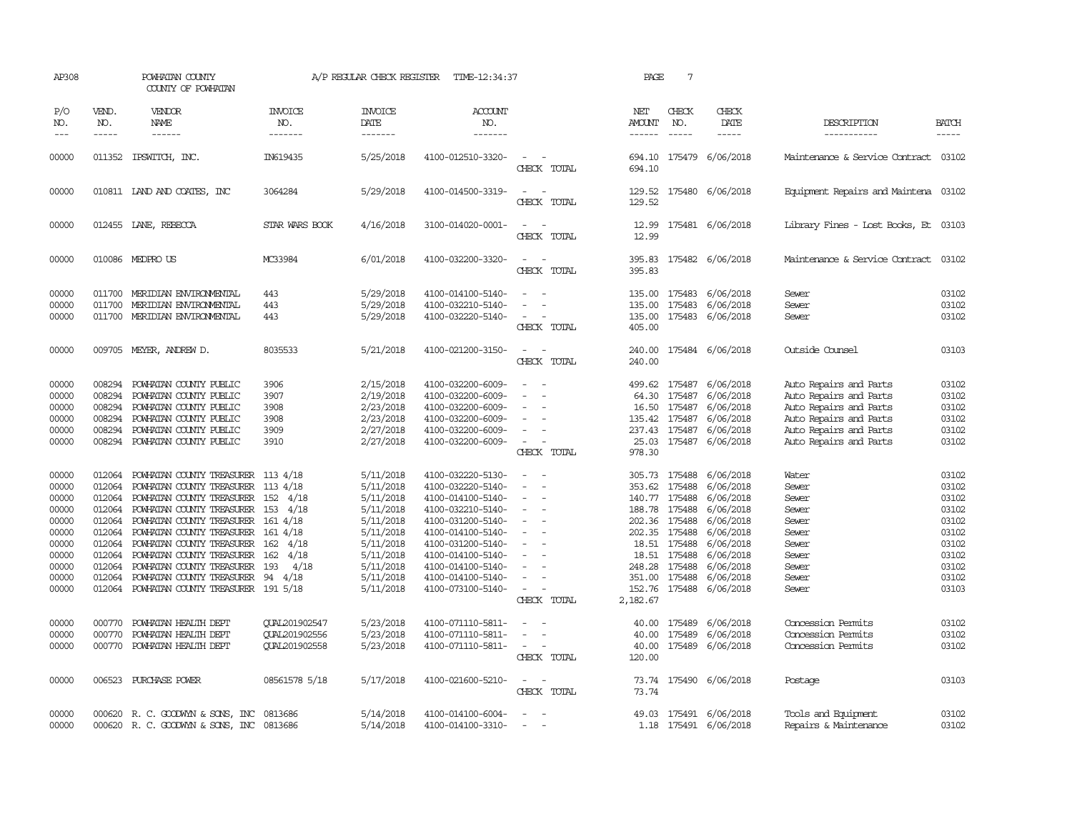| AP308                                                                                           | POWHATAN COUNTY<br>COUNTY OF POWHATAN                              |                                                                                                                                                                                                                                                                                                                                                                                                      |                                                                           | A/P REGULAR CHECK REGISTER                                                                                                                  | TIME-12:34:37                                                                                                                                                                                                                       |                                                                                                                                                                           | PAGE                                                                                                                     | $7\phantom{.0}$                        |                                                                                                                                                                         |                                                                                                                                                          |                                                                                                 |
|-------------------------------------------------------------------------------------------------|--------------------------------------------------------------------|------------------------------------------------------------------------------------------------------------------------------------------------------------------------------------------------------------------------------------------------------------------------------------------------------------------------------------------------------------------------------------------------------|---------------------------------------------------------------------------|---------------------------------------------------------------------------------------------------------------------------------------------|-------------------------------------------------------------------------------------------------------------------------------------------------------------------------------------------------------------------------------------|---------------------------------------------------------------------------------------------------------------------------------------------------------------------------|--------------------------------------------------------------------------------------------------------------------------|----------------------------------------|-------------------------------------------------------------------------------------------------------------------------------------------------------------------------|----------------------------------------------------------------------------------------------------------------------------------------------------------|-------------------------------------------------------------------------------------------------|
| P/O<br>NO.<br>$---$                                                                             | VEND.<br>NO.<br>$\frac{1}{2}$                                      | VENDOR<br><b>NAME</b><br>------                                                                                                                                                                                                                                                                                                                                                                      | <b>INVOICE</b><br>NO.<br>-------                                          | <b>INVOICE</b><br><b>DATE</b><br>-------                                                                                                    | <b>ACCOUNT</b><br>NO.<br>-------                                                                                                                                                                                                    |                                                                                                                                                                           | NET<br>AMOUNT<br>$- - - - - -$                                                                                           | CHECK<br>NO.<br>$- - - - -$            | CHECK<br>DATE<br>$- - - - -$                                                                                                                                            | DESCRIPTION<br>-----------                                                                                                                               | <b>BATCH</b><br>$- - - - -$                                                                     |
|                                                                                                 |                                                                    |                                                                                                                                                                                                                                                                                                                                                                                                      |                                                                           |                                                                                                                                             |                                                                                                                                                                                                                                     |                                                                                                                                                                           |                                                                                                                          |                                        |                                                                                                                                                                         |                                                                                                                                                          |                                                                                                 |
| 00000                                                                                           |                                                                    | 011352 IPSWITCH, INC.                                                                                                                                                                                                                                                                                                                                                                                | IN619435                                                                  | 5/25/2018                                                                                                                                   | 4100-012510-3320-                                                                                                                                                                                                                   | $\sim$<br>CHECK TOTAL                                                                                                                                                     | 694.10                                                                                                                   |                                        | 694.10 175479 6/06/2018                                                                                                                                                 | Maintenance & Service Contract 03102                                                                                                                     |                                                                                                 |
| 00000                                                                                           |                                                                    | 010811 IAND AND COATES, INC                                                                                                                                                                                                                                                                                                                                                                          | 3064284                                                                   | 5/29/2018                                                                                                                                   | 4100-014500-3319-                                                                                                                                                                                                                   | $\sim$<br>CHECK TOTAL                                                                                                                                                     | 129.52                                                                                                                   |                                        | 129.52 175480 6/06/2018                                                                                                                                                 | Equipment Repairs and Maintena 03102                                                                                                                     |                                                                                                 |
| 00000                                                                                           |                                                                    | 012455 LANE, REBECCA                                                                                                                                                                                                                                                                                                                                                                                 | STAR WARS BOOK                                                            | 4/16/2018                                                                                                                                   | 3100-014020-0001-                                                                                                                                                                                                                   | $\equiv$<br>CHECK TOTAL                                                                                                                                                   | 12.99<br>12.99                                                                                                           |                                        | 175481 6/06/2018                                                                                                                                                        | Library Fines - Lost Books, Et 03103                                                                                                                     |                                                                                                 |
| 00000                                                                                           |                                                                    | 010086 MEDPROUS                                                                                                                                                                                                                                                                                                                                                                                      | MC33984                                                                   | 6/01/2018                                                                                                                                   | 4100-032200-3320-                                                                                                                                                                                                                   | $ -$<br>CHECK TOTAL                                                                                                                                                       | 395.83                                                                                                                   |                                        | 395.83 175482 6/06/2018                                                                                                                                                 | Maintenance & Service Contract                                                                                                                           | 03102                                                                                           |
| 00000<br>00000<br>00000                                                                         | 011700<br>011700<br>011700                                         | MERIDIAN ENVIRONMENTAL<br>MERIDIAN ENVIRONMENTAL<br>MERIDIAN ENVIRONMENTAL                                                                                                                                                                                                                                                                                                                           | 443<br>443<br>443                                                         | 5/29/2018<br>5/29/2018<br>5/29/2018                                                                                                         | 4100-014100-5140-<br>4100-032210-5140-<br>4100-032220-5140-                                                                                                                                                                         | $\equiv$<br>$\equiv$<br>$\equiv$<br>CHECK TOTAL                                                                                                                           | 135.00<br>135.00<br>405.00                                                                                               |                                        | 135.00 175483 6/06/2018<br>175483 6/06/2018<br>175483 6/06/2018                                                                                                         | Sewer<br>Sewer<br>Sewer                                                                                                                                  | 03102<br>03102<br>03102                                                                         |
| 00000                                                                                           |                                                                    | 009705 MEYER, ANDREW D.                                                                                                                                                                                                                                                                                                                                                                              | 8035533                                                                   | 5/21/2018                                                                                                                                   | 4100-021200-3150-                                                                                                                                                                                                                   | $\frac{1}{2} \left( \frac{1}{2} \right) \left( \frac{1}{2} \right) \left( \frac{1}{2} \right) \left( \frac{1}{2} \right)$<br>CHECK TOTAL                                  | 240.00                                                                                                                   |                                        | 240.00 175484 6/06/2018                                                                                                                                                 | Outside Counsel                                                                                                                                          | 03103                                                                                           |
| 00000<br>00000<br>00000<br>00000<br>00000<br>00000                                              | 008294<br>008294<br>008294<br>008294<br>008294<br>008294           | POWHATAN COUNTY PUBLIC<br>POWHATAN COUNTY PUBLIC<br>POWHATAN COUNTY PUBLIC<br>POWHATAN COUNTY PUBLIC<br>POWHATAN COUNTY PUBLIC<br>POWHATAN COUNTY PUBLIC                                                                                                                                                                                                                                             | 3906<br>3907<br>3908<br>3908<br>3909<br>3910                              | 2/15/2018<br>2/19/2018<br>2/23/2018<br>2/23/2018<br>2/27/2018<br>2/27/2018                                                                  | 4100-032200-6009-<br>4100-032200-6009-<br>4100-032200-6009-<br>4100-032200-6009-<br>4100-032200-6009-<br>4100-032200-6009-                                                                                                          | $\sim$<br>$\equiv$<br>$\equiv$<br>$\sim$<br>$\sim$<br>$\sim$<br>CHECK TOTAL                                                                                               | 64.30<br>135.42 175487<br>25.03<br>978.30                                                                                |                                        | 499.62 175487 6/06/2018<br>175487 6/06/2018<br>16.50 175487 6/06/2018<br>6/06/2018<br>237.43 175487 6/06/2018<br>175487 6/06/2018                                       | Auto Repairs and Parts<br>Auto Repairs and Parts<br>Auto Repairs and Parts<br>Auto Repairs and Parts<br>Auto Repairs and Parts<br>Auto Repairs and Parts | 03102<br>03102<br>03102<br>03102<br>03102<br>03102                                              |
| 00000<br>00000<br>00000<br>00000<br>00000<br>00000<br>00000<br>00000<br>00000<br>00000<br>00000 | 012064<br>012064<br>012064<br>012064<br>012064<br>012064<br>012064 | POWHATAN COUNTY TREASURER 113 4/18<br>POWHATAN COUNTY TREASURER 113 4/18<br>POWHATAN COUNTY TREASURER<br>POWHATAN COUNTY TREASURER<br>POWHATAN COUNTY TREASURER<br>012064 POWHATAN COUNTY TREASURER 161 4/18<br>012064 POWHATAN COUNTY TREASURER 162 4/18<br>012064 POWHATAN COUNTY TREASURER<br>POWHATAN COUNTY TREASURER<br>POWHATAN COUNTY TREASURER<br>012064 POWHATAN COUNTY TREASURER 191 5/18 | 152 4/18<br>153 4/18<br>161 4/18<br>4/18<br>162<br>4/18<br>193<br>94 4/18 | 5/11/2018<br>5/11/2018<br>5/11/2018<br>5/11/2018<br>5/11/2018<br>5/11/2018<br>5/11/2018<br>5/11/2018<br>5/11/2018<br>5/11/2018<br>5/11/2018 | 4100-032220-5130-<br>4100-032220-5140-<br>4100-014100-5140-<br>4100-032210-5140-<br>4100-031200-5140-<br>4100-014100-5140-<br>4100-031200-5140-<br>4100-014100-5140-<br>4100-014100-5140-<br>4100-014100-5140-<br>4100-073100-5140- | $\sim$<br>$\equiv$<br>$\sim$<br>$\overline{\phantom{a}}$<br>$\overline{\phantom{a}}$<br>$\equiv$<br>$\sim$<br>$\sim$<br>$\sim$<br>$\overline{\phantom{a}}$<br>CHECK TOTAL | 353.62 175488<br>140.77 175488<br>188.78 175488<br>202.36 175488<br>202.35 175488<br>248.28 175488<br>351.00<br>2,182.67 | 18.51 175488<br>18.51 175488<br>175488 | 305.73 175488 6/06/2018<br>6/06/2018<br>6/06/2018<br>6/06/2018<br>6/06/2018<br>6/06/2018<br>6/06/2018<br>6/06/2018<br>6/06/2018<br>6/06/2018<br>152.76 175488 6/06/2018 | Water<br>Sewer<br>Sewer<br>Sewer<br>Sewer<br>Sewer<br>Sewer<br>Sewer<br>Sewer<br>Sewer<br>Sewer                                                          | 03102<br>03102<br>03102<br>03102<br>03102<br>03102<br>03102<br>03102<br>03102<br>03102<br>03103 |
| 00000<br>00000<br>00000                                                                         | 000770<br>000770<br>000770                                         | POWHATAN HEALTH DEPT<br>POWHATAN HEALTH DEPT<br>POWHATAN HEALTH DEPT                                                                                                                                                                                                                                                                                                                                 | QUAL201902547<br>QUAL201902556<br>QUAL201902558                           | 5/23/2018<br>5/23/2018<br>5/23/2018                                                                                                         | 4100-071110-5811-<br>4100-071110-5811-<br>4100-071110-5811-                                                                                                                                                                         | $\sim$<br>$\sim$<br>$\omega_{\rm{max}}$ and $\omega_{\rm{max}}$<br>CHECK TOTAL                                                                                            | 40.00<br>40.00<br>120.00                                                                                                 | 175489<br>175489                       | 6/06/2018<br>6/06/2018<br>40.00 175489 6/06/2018                                                                                                                        | Concession Permits<br>Concession Permits<br>Concession Permits                                                                                           | 03102<br>03102<br>03102                                                                         |
| 00000                                                                                           |                                                                    | 006523 PURCHASE POWER                                                                                                                                                                                                                                                                                                                                                                                | 08561578 5/18                                                             | 5/17/2018                                                                                                                                   | 4100-021600-5210-                                                                                                                                                                                                                   | $\overline{\phantom{a}}$<br>CHECK TOTAL                                                                                                                                   | 73.74                                                                                                                    |                                        | 73.74 175490 6/06/2018                                                                                                                                                  | Postage                                                                                                                                                  | 03103                                                                                           |
| 00000<br>00000                                                                                  |                                                                    | 000620 R. C. GOODWYN & SONS, INC<br>000620 R. C. GOODWYN & SONS, INC 0813686                                                                                                                                                                                                                                                                                                                         | 0813686                                                                   | 5/14/2018<br>5/14/2018                                                                                                                      | 4100-014100-6004-<br>4100-014100-3310-                                                                                                                                                                                              | $\overline{\phantom{a}}$<br>$\sim$                                                                                                                                        | 49.03                                                                                                                    |                                        | 175491 6/06/2018<br>1.18 175491 6/06/2018                                                                                                                               | Tools and Equipment<br>Repairs & Maintenance                                                                                                             | 03102<br>03102                                                                                  |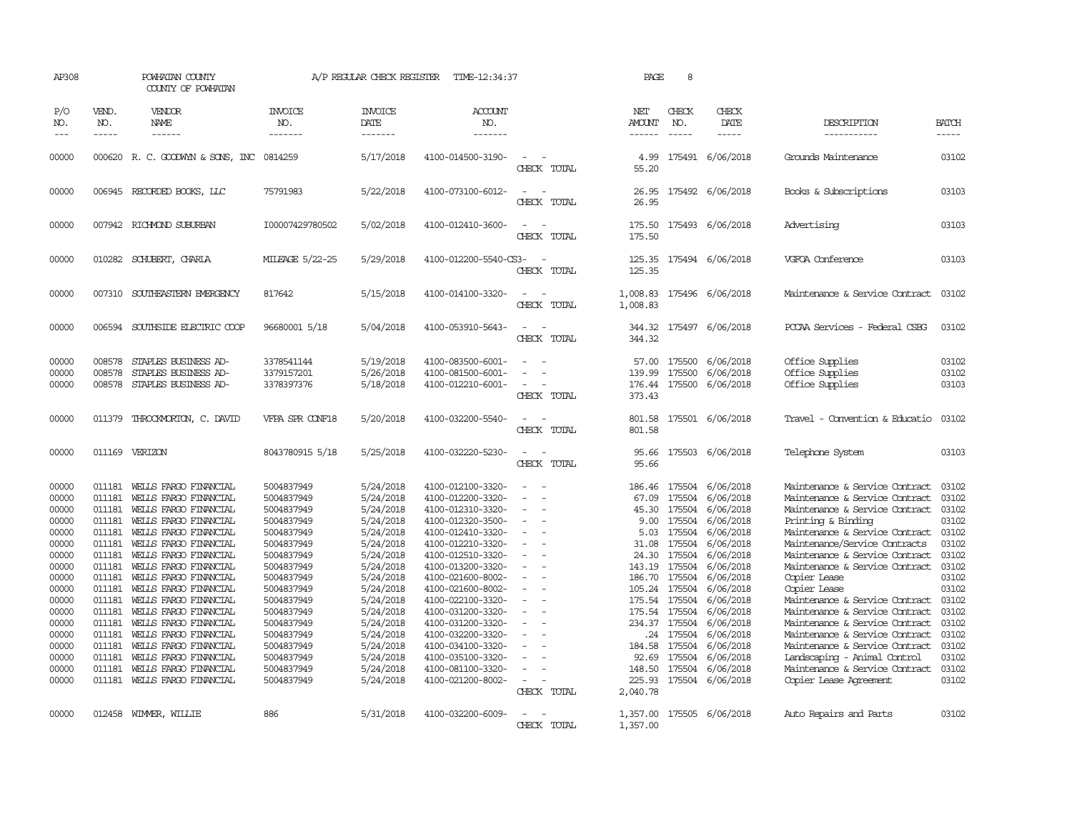| AP308                                                                                                                                                          |                                                                                                                                                    | POWHATAN COUNTY<br>COUNTY OF POWHATAN                                                                                                                                                                                                                                                                                                                                                                                                                                               |                                                                                                                                                                                                                                                          | A/P REGULAR CHECK REGISTER                                                                                                                                                                                                             | TIME-12:34:37                                                                                                                                                                                                                                                                                                                                                                          |                                                                                                                               | PAGE                                                                                                                                            | 8                                                                                                                                                          |                                                                                                                                                                                                                                                                    |                                                                                                                                                                                                                                                                                                                                                                                                                                                                                                                                                                                    |                                                                                                                                                       |
|----------------------------------------------------------------------------------------------------------------------------------------------------------------|----------------------------------------------------------------------------------------------------------------------------------------------------|-------------------------------------------------------------------------------------------------------------------------------------------------------------------------------------------------------------------------------------------------------------------------------------------------------------------------------------------------------------------------------------------------------------------------------------------------------------------------------------|----------------------------------------------------------------------------------------------------------------------------------------------------------------------------------------------------------------------------------------------------------|----------------------------------------------------------------------------------------------------------------------------------------------------------------------------------------------------------------------------------------|----------------------------------------------------------------------------------------------------------------------------------------------------------------------------------------------------------------------------------------------------------------------------------------------------------------------------------------------------------------------------------------|-------------------------------------------------------------------------------------------------------------------------------|-------------------------------------------------------------------------------------------------------------------------------------------------|------------------------------------------------------------------------------------------------------------------------------------------------------------|--------------------------------------------------------------------------------------------------------------------------------------------------------------------------------------------------------------------------------------------------------------------|------------------------------------------------------------------------------------------------------------------------------------------------------------------------------------------------------------------------------------------------------------------------------------------------------------------------------------------------------------------------------------------------------------------------------------------------------------------------------------------------------------------------------------------------------------------------------------|-------------------------------------------------------------------------------------------------------------------------------------------------------|
| P/O<br>NO.<br>$---$                                                                                                                                            | VEND.<br>NO.<br>$- - - - -$                                                                                                                        | VENDOR<br>NAME<br>$- - - - - -$                                                                                                                                                                                                                                                                                                                                                                                                                                                     | <b>INVOICE</b><br>NO.<br>-------                                                                                                                                                                                                                         | <b>INVOICE</b><br><b>DATE</b><br>-------                                                                                                                                                                                               | <b>ACCOUNT</b><br>NO.<br>-------                                                                                                                                                                                                                                                                                                                                                       |                                                                                                                               | NET<br><b>AMOUNT</b><br>------                                                                                                                  | CHECK<br>NO.<br>$- - - - -$                                                                                                                                | CHECK<br><b>DATE</b><br>$- - - - -$                                                                                                                                                                                                                                | DESCRIPTION<br>------------                                                                                                                                                                                                                                                                                                                                                                                                                                                                                                                                                        | <b>BATCH</b><br>-----                                                                                                                                 |
| 00000                                                                                                                                                          |                                                                                                                                                    | 000620 R. C. GOODWYN & SONS, INC                                                                                                                                                                                                                                                                                                                                                                                                                                                    | 0814259                                                                                                                                                                                                                                                  | 5/17/2018                                                                                                                                                                                                                              | 4100-014500-3190-                                                                                                                                                                                                                                                                                                                                                                      | $\sim$<br>CHECK TOTAL                                                                                                         | 4.99<br>55.20                                                                                                                                   |                                                                                                                                                            | 175491 6/06/2018                                                                                                                                                                                                                                                   | Grounds Maintenance                                                                                                                                                                                                                                                                                                                                                                                                                                                                                                                                                                | 03102                                                                                                                                                 |
| 00000                                                                                                                                                          |                                                                                                                                                    | 006945 RECORDED BOOKS, LLC                                                                                                                                                                                                                                                                                                                                                                                                                                                          | 75791983                                                                                                                                                                                                                                                 | 5/22/2018                                                                                                                                                                                                                              | 4100-073100-6012-                                                                                                                                                                                                                                                                                                                                                                      | $\overline{\phantom{a}}$<br>CHECK TOTAL                                                                                       | 26.95<br>26.95                                                                                                                                  |                                                                                                                                                            | 175492 6/06/2018                                                                                                                                                                                                                                                   | Books & Subscriptions                                                                                                                                                                                                                                                                                                                                                                                                                                                                                                                                                              | 03103                                                                                                                                                 |
| 00000                                                                                                                                                          |                                                                                                                                                    | 007942 RICHMOND SUBURBAN                                                                                                                                                                                                                                                                                                                                                                                                                                                            | I00007429780502                                                                                                                                                                                                                                          | 5/02/2018                                                                                                                                                                                                                              | 4100-012410-3600-                                                                                                                                                                                                                                                                                                                                                                      | CHECK TOTAL                                                                                                                   | 175.50                                                                                                                                          |                                                                                                                                                            | 175.50 175493 6/06/2018                                                                                                                                                                                                                                            | Advertising                                                                                                                                                                                                                                                                                                                                                                                                                                                                                                                                                                        | 03103                                                                                                                                                 |
| 00000                                                                                                                                                          |                                                                                                                                                    | 010282 SCHUBERT, CHARLA                                                                                                                                                                                                                                                                                                                                                                                                                                                             | MILEAGE 5/22-25                                                                                                                                                                                                                                          | 5/29/2018                                                                                                                                                                                                                              | 4100-012200-5540-CS3-                                                                                                                                                                                                                                                                                                                                                                  | CHECK TOTAL                                                                                                                   | 125.35                                                                                                                                          |                                                                                                                                                            | 125.35 175494 6/06/2018                                                                                                                                                                                                                                            | VGFOA Conference                                                                                                                                                                                                                                                                                                                                                                                                                                                                                                                                                                   | 03103                                                                                                                                                 |
| 00000                                                                                                                                                          |                                                                                                                                                    | 007310 SOUTHEASTERN EMERGENCY                                                                                                                                                                                                                                                                                                                                                                                                                                                       | 817642                                                                                                                                                                                                                                                   | 5/15/2018                                                                                                                                                                                                                              | 4100-014100-3320-                                                                                                                                                                                                                                                                                                                                                                      | CHECK TOTAL                                                                                                                   | 1,008.83<br>1,008.83                                                                                                                            |                                                                                                                                                            | 175496 6/06/2018                                                                                                                                                                                                                                                   | Maintenance & Service Contract                                                                                                                                                                                                                                                                                                                                                                                                                                                                                                                                                     | 03102                                                                                                                                                 |
| 00000                                                                                                                                                          |                                                                                                                                                    | 006594 SOUTHSIDE ELECTRIC COOP                                                                                                                                                                                                                                                                                                                                                                                                                                                      | 96680001 5/18                                                                                                                                                                                                                                            | 5/04/2018                                                                                                                                                                                                                              | 4100-053910-5643-                                                                                                                                                                                                                                                                                                                                                                      | $\equiv$<br>CHECK TOTAL                                                                                                       | 344.32                                                                                                                                          |                                                                                                                                                            | 344.32 175497 6/06/2018                                                                                                                                                                                                                                            | PCCAA Services - Federal CSBG                                                                                                                                                                                                                                                                                                                                                                                                                                                                                                                                                      | 03102                                                                                                                                                 |
| 00000<br>00000<br>00000                                                                                                                                        | 008578<br>008578<br>008578                                                                                                                         | STAPLES BUSINESS AD-<br>STAPLES BUSINESS AD-<br>STAPLES BUSINESS AD-                                                                                                                                                                                                                                                                                                                                                                                                                | 3378541144<br>3379157201<br>3378397376                                                                                                                                                                                                                   | 5/19/2018<br>5/26/2018<br>5/18/2018                                                                                                                                                                                                    | 4100-083500-6001-<br>4100-081500-6001-<br>4100-012210-6001-                                                                                                                                                                                                                                                                                                                            | $\equiv$<br>CHECK TOTAL                                                                                                       | 57.00<br>139.99<br>373.43                                                                                                                       | 175500<br>175500                                                                                                                                           | 6/06/2018<br>6/06/2018<br>176.44 175500 6/06/2018                                                                                                                                                                                                                  | Office Supplies<br>Office Supplies<br>Office Supplies                                                                                                                                                                                                                                                                                                                                                                                                                                                                                                                              | 03102<br>03102<br>03103                                                                                                                               |
| 00000                                                                                                                                                          |                                                                                                                                                    | 011379 THROCKMORTON, C. DAVID                                                                                                                                                                                                                                                                                                                                                                                                                                                       | VFPA SPR CONF18                                                                                                                                                                                                                                          | 5/20/2018                                                                                                                                                                                                                              | 4100-032200-5540-                                                                                                                                                                                                                                                                                                                                                                      | $\equiv$<br>CHECK TOTAL                                                                                                       | 801.58<br>801.58                                                                                                                                |                                                                                                                                                            | 175501 6/06/2018                                                                                                                                                                                                                                                   | Travel - Convention & Educatio                                                                                                                                                                                                                                                                                                                                                                                                                                                                                                                                                     | 03102                                                                                                                                                 |
| 00000                                                                                                                                                          |                                                                                                                                                    | 011169 VERIZON                                                                                                                                                                                                                                                                                                                                                                                                                                                                      | 8043780915 5/18                                                                                                                                                                                                                                          | 5/25/2018                                                                                                                                                                                                                              | 4100-032220-5230-                                                                                                                                                                                                                                                                                                                                                                      | $\sim$ $\sim$<br>CHECK TOTAL                                                                                                  | 95.66<br>95.66                                                                                                                                  |                                                                                                                                                            | 175503 6/06/2018                                                                                                                                                                                                                                                   | Telephone System                                                                                                                                                                                                                                                                                                                                                                                                                                                                                                                                                                   | 03103                                                                                                                                                 |
| 00000<br>00000<br>00000<br>00000<br>00000<br>00000<br>00000<br>00000<br>00000<br>00000<br>00000<br>00000<br>00000<br>00000<br>00000<br>00000<br>00000<br>00000 | 011181<br>011181<br>011181<br>011181<br>011181<br>011181<br>011181<br>011181<br>011181<br>011181<br>011181<br>011181<br>011181<br>011181<br>011181 | 011181 WELLS FARGO FINANCIAL<br>WELLS FARGO FINANCIAL<br>WELLS FARGO FINANCIAL<br>WELLS FARGO FINANCIAL<br>WELLS FARGO FINANCIAL<br>011181 WELLS FARGO FINANCIAL<br>WELLS FARGO FINANCIAL<br>WELLS FARGO FINANCIAL<br>WELLS FARGO FINANCIAL<br>WELLS FARGO FINANCIAL<br>WELLS FARGO FINANCIAL<br>WEILS FARGO FINANCIAL<br>WELLS FARGO FINANCIAL<br>WELLS FARGO FINANCIAL<br>WELLS FARGO FINANCIAL<br>WEILS FARGO FINANCIAL<br>WELLS FARGO FINANCIAL<br>011181 WELLS FARGO FINANCIAL | 5004837949<br>5004837949<br>5004837949<br>5004837949<br>5004837949<br>5004837949<br>5004837949<br>5004837949<br>5004837949<br>5004837949<br>5004837949<br>5004837949<br>5004837949<br>5004837949<br>5004837949<br>5004837949<br>5004837949<br>5004837949 | 5/24/2018<br>5/24/2018<br>5/24/2018<br>5/24/2018<br>5/24/2018<br>5/24/2018<br>5/24/2018<br>5/24/2018<br>5/24/2018<br>5/24/2018<br>5/24/2018<br>5/24/2018<br>5/24/2018<br>5/24/2018<br>5/24/2018<br>5/24/2018<br>5/24/2018<br>5/24/2018 | 4100-012100-3320-<br>4100-012200-3320-<br>4100-012310-3320-<br>4100-012320-3500-<br>4100-012410-3320-<br>4100-012210-3320-<br>4100-012510-3320-<br>4100-013200-3320-<br>4100-021600-8002-<br>4100-021600-8002-<br>4100-022100-3320-<br>4100-031200-3320-<br>4100-031200-3320-<br>4100-032200-3320-<br>4100-034100-3320-<br>4100-035100-3320-<br>4100-081100-3320-<br>4100-021200-8002- | $\overline{\phantom{a}}$<br>$\sim$<br>$\overline{\phantom{a}}$<br>$\overline{\phantom{a}}$<br>$\sim$<br>$\sim$<br>CHECK TOTAL | 67.09<br>45.30<br>9.00<br>5.03<br>31.08<br>24.30<br>143.19<br>186.70 175504<br>175.54<br>234.37 175504<br>184.58<br>92.69<br>148.50<br>2,040.78 | 175504<br>175504<br>175504<br>175504<br>175504<br>175504<br>175504<br>105.24 175504<br>175.54 175504<br>175504<br>.24 175504<br>175504<br>175504<br>175504 | 186.46 175504 6/06/2018<br>6/06/2018<br>6/06/2018<br>6/06/2018<br>6/06/2018<br>6/06/2018<br>6/06/2018<br>6/06/2018<br>6/06/2018<br>6/06/2018<br>6/06/2018<br>6/06/2018<br>6/06/2018<br>6/06/2018<br>6/06/2018<br>6/06/2018<br>6/06/2018<br>225.93 175504 6/06/2018 | Maintenance & Service Contract<br>Maintenance & Service Contract<br>Maintenance & Service Contract<br>Printing & Binding<br>Maintenance & Service Contract 03102<br>Maintenance/Service Contracts<br>Maintenance & Service Contract<br>Maintenance & Service Contract<br>Copier Lease<br>Copier Lease<br>Maintenance & Service Contract<br>Maintenance & Service Contract<br>Maintenance & Service Contract<br>Maintenance & Service Contract<br>Maintenance & Service Contract<br>Landscaping - Animal Control<br>Maintenance & Service Contract<br><b>Copier Lease Agreement</b> | 03102<br>03102<br>03102<br>03102<br>03102<br>03102<br>03102<br>03102<br>03102<br>03102<br>03102<br>03102<br>03102<br>03102<br>03102<br>03102<br>03102 |
| 00000                                                                                                                                                          |                                                                                                                                                    | 012458 WIMMER, WILLIE                                                                                                                                                                                                                                                                                                                                                                                                                                                               | 886                                                                                                                                                                                                                                                      | 5/31/2018                                                                                                                                                                                                                              | 4100-032200-6009-                                                                                                                                                                                                                                                                                                                                                                      | CHECK TOTAL                                                                                                                   | 1,357.00                                                                                                                                        |                                                                                                                                                            | 1,357.00 175505 6/06/2018                                                                                                                                                                                                                                          | Auto Repairs and Parts                                                                                                                                                                                                                                                                                                                                                                                                                                                                                                                                                             | 03102                                                                                                                                                 |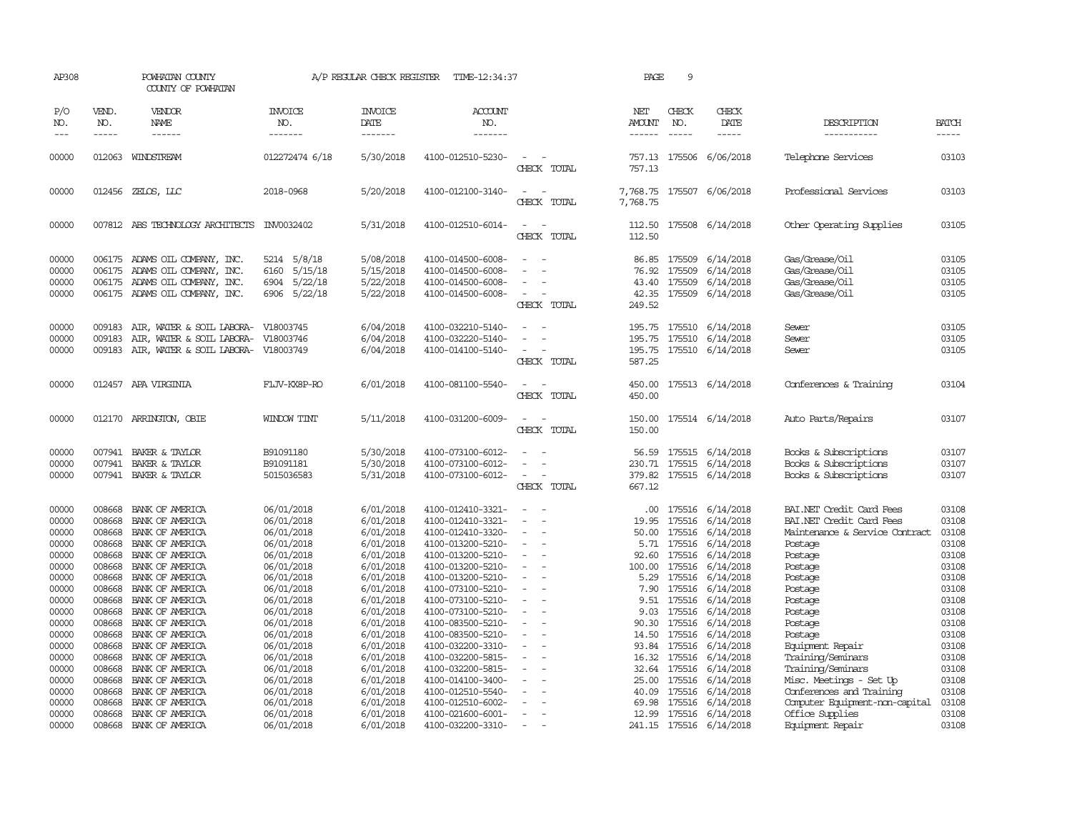| AP308                                                                                                                               |                                                                              | POWHATAN COUNTY<br>COUNTY OF POWHATAN                                                                                                                                                                                                                                                                                                      |                                                                                                                                                                                                                | A/P REGULAR CHECK REGISTER                                                                                                                                                                      | TIME-12:34:37                                                                                                                                                                                                                                                                                                           |                                                                                                                                | PAGE                                                                                                         | 9                                |                                                                                                                                                                                                                                                                                                              |                                                                                                                                                                                                                                                         |                                                                                                                                     |
|-------------------------------------------------------------------------------------------------------------------------------------|------------------------------------------------------------------------------|--------------------------------------------------------------------------------------------------------------------------------------------------------------------------------------------------------------------------------------------------------------------------------------------------------------------------------------------|----------------------------------------------------------------------------------------------------------------------------------------------------------------------------------------------------------------|-------------------------------------------------------------------------------------------------------------------------------------------------------------------------------------------------|-------------------------------------------------------------------------------------------------------------------------------------------------------------------------------------------------------------------------------------------------------------------------------------------------------------------------|--------------------------------------------------------------------------------------------------------------------------------|--------------------------------------------------------------------------------------------------------------|----------------------------------|--------------------------------------------------------------------------------------------------------------------------------------------------------------------------------------------------------------------------------------------------------------------------------------------------------------|---------------------------------------------------------------------------------------------------------------------------------------------------------------------------------------------------------------------------------------------------------|-------------------------------------------------------------------------------------------------------------------------------------|
| P/O<br>NO.                                                                                                                          | VEND.<br>NO.<br>$- - - - -$                                                  | VENDOR<br>NAME                                                                                                                                                                                                                                                                                                                             | <b>INVOICE</b><br>NO.<br>-------                                                                                                                                                                               | <b>INVOICE</b><br><b>DATE</b><br>-------                                                                                                                                                        | <b>ACCOUNT</b><br>NO.<br>-------                                                                                                                                                                                                                                                                                        |                                                                                                                                | <b>NET</b><br><b>AMOUNT</b><br>------                                                                        | CHECK<br>NO.<br>$\frac{1}{2}$    | CHECK<br>DATE<br>$- - - - -$                                                                                                                                                                                                                                                                                 | DESCRIPTION<br>-----------                                                                                                                                                                                                                              | <b>BATCH</b><br>-----                                                                                                               |
| 00000                                                                                                                               |                                                                              | 012063 WINDSTREAM                                                                                                                                                                                                                                                                                                                          | 012272474 6/18                                                                                                                                                                                                 | 5/30/2018                                                                                                                                                                                       | 4100-012510-5230-                                                                                                                                                                                                                                                                                                       | $\sim$<br>CHECK TOTAL                                                                                                          | 757.13<br>757.13                                                                                             |                                  | 175506 6/06/2018                                                                                                                                                                                                                                                                                             | Telephone Services                                                                                                                                                                                                                                      | 03103                                                                                                                               |
| 00000                                                                                                                               |                                                                              | 012456 ZELOS, LLC                                                                                                                                                                                                                                                                                                                          | 2018-0968                                                                                                                                                                                                      | 5/20/2018                                                                                                                                                                                       | 4100-012100-3140-                                                                                                                                                                                                                                                                                                       | $\sim$<br>CHECK TOTAL                                                                                                          | 7,768.75                                                                                                     |                                  | 7,768.75 175507 6/06/2018                                                                                                                                                                                                                                                                                    | Professional Services                                                                                                                                                                                                                                   | 03103                                                                                                                               |
| 00000                                                                                                                               |                                                                              | 007812 ABS TECHNOLOGY ARCHITECTS INV0032402                                                                                                                                                                                                                                                                                                |                                                                                                                                                                                                                | 5/31/2018                                                                                                                                                                                       | 4100-012510-6014-                                                                                                                                                                                                                                                                                                       | CHECK TOTAL                                                                                                                    | 112.50                                                                                                       |                                  | 112.50 175508 6/14/2018                                                                                                                                                                                                                                                                                      | Other Operating Supplies                                                                                                                                                                                                                                | 03105                                                                                                                               |
| 00000<br>00000<br>00000<br>00000                                                                                                    | 006175                                                                       | 006175 ADAMS OIL COMPANY, INC.<br>ADAMS OIL COMPANY, INC.<br>006175 ADAMS OIL COMPANY, INC.<br>006175 ADAMS OIL COMPANY, INC.                                                                                                                                                                                                              | 5214 5/8/18<br>5/15/18<br>6160<br>5/22/18<br>6904<br>6906 5/22/18                                                                                                                                              | 5/08/2018<br>5/15/2018<br>5/22/2018<br>5/22/2018                                                                                                                                                | 4100-014500-6008-<br>4100-014500-6008-<br>4100-014500-6008-<br>4100-014500-6008-                                                                                                                                                                                                                                        | $\overline{\phantom{a}}$<br>$\sim$<br>CHECK TOTAL                                                                              | 76.92<br>43.40<br>249.52                                                                                     | 86.85 175509<br>175509<br>175509 | 6/14/2018<br>6/14/2018<br>6/14/2018<br>42.35 175509 6/14/2018                                                                                                                                                                                                                                                | Gas/Grease/Oil<br>Gas/Grease/Oil<br>Gas/Grease/Oil<br>Gas/Grease/Oil                                                                                                                                                                                    | 03105<br>03105<br>03105<br>03105                                                                                                    |
| 00000<br>00000<br>00000                                                                                                             | 009183<br>009183                                                             | AIR, WATER & SOIL LABORA-<br>AIR, WATER & SOIL LABORA-<br>009183 AIR, WATER & SOIL LABORA-                                                                                                                                                                                                                                                 | V18003745<br>V18003746<br>V18003749                                                                                                                                                                            | 6/04/2018<br>6/04/2018<br>6/04/2018                                                                                                                                                             | 4100-032210-5140-<br>4100-032220-5140-<br>4100-014100-5140-                                                                                                                                                                                                                                                             | $\overline{a}$<br>CHECK TOTAL                                                                                                  | 195.75<br>195.75<br>195.75<br>587.25                                                                         |                                  | 175510 6/14/2018<br>175510 6/14/2018<br>175510 6/14/2018                                                                                                                                                                                                                                                     | Sewer<br>Sewer<br>Sewer                                                                                                                                                                                                                                 | 03105<br>03105<br>03105                                                                                                             |
| 00000                                                                                                                               |                                                                              | 012457 APA VIRGINIA                                                                                                                                                                                                                                                                                                                        | FLJV-KX8P-RO                                                                                                                                                                                                   | 6/01/2018                                                                                                                                                                                       | 4100-081100-5540-                                                                                                                                                                                                                                                                                                       | $\overline{\phantom{a}}$<br>CHECK TOTAL                                                                                        | 450.00                                                                                                       |                                  | 450.00 175513 6/14/2018                                                                                                                                                                                                                                                                                      | Conferences & Training                                                                                                                                                                                                                                  | 03104                                                                                                                               |
| 00000                                                                                                                               |                                                                              | 012170 ARRINGTON, OBIE                                                                                                                                                                                                                                                                                                                     | WINDOW TINT                                                                                                                                                                                                    | 5/11/2018                                                                                                                                                                                       | 4100-031200-6009-                                                                                                                                                                                                                                                                                                       | CHECK TOTAL                                                                                                                    | 150.00                                                                                                       |                                  | 150.00 175514 6/14/2018                                                                                                                                                                                                                                                                                      | Auto Parts/Repairs                                                                                                                                                                                                                                      | 03107                                                                                                                               |
| 00000<br>00000<br>00000                                                                                                             | 007941                                                                       | 007941 BAKER & TAYLOR<br>BAKER & TAYLOR<br>007941 BAKER & TAYLOR                                                                                                                                                                                                                                                                           | B91091180<br>B91091181<br>5015036583                                                                                                                                                                           | 5/30/2018<br>5/30/2018<br>5/31/2018                                                                                                                                                             | 4100-073100-6012-<br>4100-073100-6012-<br>4100-073100-6012-                                                                                                                                                                                                                                                             | $\overline{\phantom{a}}$<br>CHECK TOTAL                                                                                        | 56.59<br>230.71<br>379.82<br>667.12                                                                          |                                  | 175515 6/14/2018<br>175515 6/14/2018<br>175515 6/14/2018                                                                                                                                                                                                                                                     | Books & Subscriptions<br>Books & Subscriptions<br>Books & Subscriptions                                                                                                                                                                                 | 03107<br>03107<br>03107                                                                                                             |
| 00000<br>00000<br>00000<br>00000<br>00000<br>00000<br>00000<br>00000<br>00000<br>00000<br>00000<br>00000<br>00000<br>00000<br>00000 | 008668<br>008668<br>008668<br>008668<br>008668<br>008668<br>008668<br>008668 | BANK OF AMERICA<br>BANK OF AMERICA<br>BANK OF AMERICA<br>BANK OF AMERICA<br>BANK OF AMERICA<br>BANK OF AMERICA<br>008668 BANK OF AMERICA<br>008668 BANK OF AMERICA<br>008668 BANK OF AMERICA<br>BANK OF AMERICA<br>008668 BANK OF AMERICA<br>008668 BANK OF AMERICA<br>BANK OF AMERICA<br>008668 BANK OF AMERICA<br>008668 BANK OF AMERICA | 06/01/2018<br>06/01/2018<br>06/01/2018<br>06/01/2018<br>06/01/2018<br>06/01/2018<br>06/01/2018<br>06/01/2018<br>06/01/2018<br>06/01/2018<br>06/01/2018<br>06/01/2018<br>06/01/2018<br>06/01/2018<br>06/01/2018 | 6/01/2018<br>6/01/2018<br>6/01/2018<br>6/01/2018<br>6/01/2018<br>6/01/2018<br>6/01/2018<br>6/01/2018<br>6/01/2018<br>6/01/2018<br>6/01/2018<br>6/01/2018<br>6/01/2018<br>6/01/2018<br>6/01/2018 | 4100-012410-3321-<br>4100-012410-3321-<br>4100-012410-3320-<br>4100-013200-5210-<br>4100-013200-5210-<br>4100-013200-5210-<br>4100-013200-5210-<br>4100-073100-5210-<br>4100-073100-5210-<br>4100-073100-5210-<br>4100-083500-5210-<br>4100-083500-5210-<br>4100-032200-3310-<br>4100-032200-5815-<br>4100-032200-5815- | $\sim$<br>$\sim$<br>$\equiv$<br>$\equiv$<br>$\sim$<br>$\sim$<br>$\overline{\phantom{a}}$<br>$\overline{\phantom{a}}$<br>$\sim$ | .00<br>19.95<br>50.00<br>5.71<br>92.60<br>100.00<br>7.90<br>9.51<br>9.03<br>90.30<br>14.50<br>93.84<br>32.64 | 175516                           | 175516 6/14/2018<br>175516 6/14/2018<br>175516 6/14/2018<br>175516 6/14/2018<br>175516 6/14/2018<br>175516 6/14/2018<br>5.29 175516 6/14/2018<br>6/14/2018<br>175516 6/14/2018<br>175516 6/14/2018<br>175516 6/14/2018<br>175516 6/14/2018<br>175516 6/14/2018<br>16.32 175516 6/14/2018<br>175516 6/14/2018 | BAI.NET Credit Card Fees<br>BAI.NET Credit Card Fees<br>Maintenance & Service Contract<br>Postage<br>Postage<br>Postage<br>Postage<br>Postage<br>Postage<br>Postage<br>Postage<br>Postage<br>Equipment Repair<br>Training/Seminars<br>Training/Seminars | 03108<br>03108<br>03108<br>03108<br>03108<br>03108<br>03108<br>03108<br>03108<br>03108<br>03108<br>03108<br>03108<br>03108<br>03108 |
| 00000<br>00000<br>00000<br>00000<br>00000                                                                                           | 008668<br>008668<br>008668                                                   | BANK OF AMERICA<br>BANK OF AMERICA<br>BANK OF AMERICA<br>008668 BANK OF AMERICA<br>008668 BANK OF AMERICA                                                                                                                                                                                                                                  | 06/01/2018<br>06/01/2018<br>06/01/2018<br>06/01/2018<br>06/01/2018                                                                                                                                             | 6/01/2018<br>6/01/2018<br>6/01/2018<br>6/01/2018<br>6/01/2018                                                                                                                                   | 4100-014100-3400-<br>4100-012510-5540-<br>4100-012510-6002-<br>4100-021600-6001-<br>4100-032200-3310-                                                                                                                                                                                                                   | $\sim$<br>$\sim$                                                                                                               | 25.00<br>40.09<br>69.98                                                                                      |                                  | 175516 6/14/2018<br>175516 6/14/2018<br>175516 6/14/2018<br>12.99 175516 6/14/2018<br>241.15 175516 6/14/2018                                                                                                                                                                                                | Misc. Meetings - Set Up<br>Conferences and Training<br>Computer Equipment-non-capital<br>Office Supplies<br>Equipment Repair                                                                                                                            | 03108<br>03108<br>03108<br>03108<br>03108                                                                                           |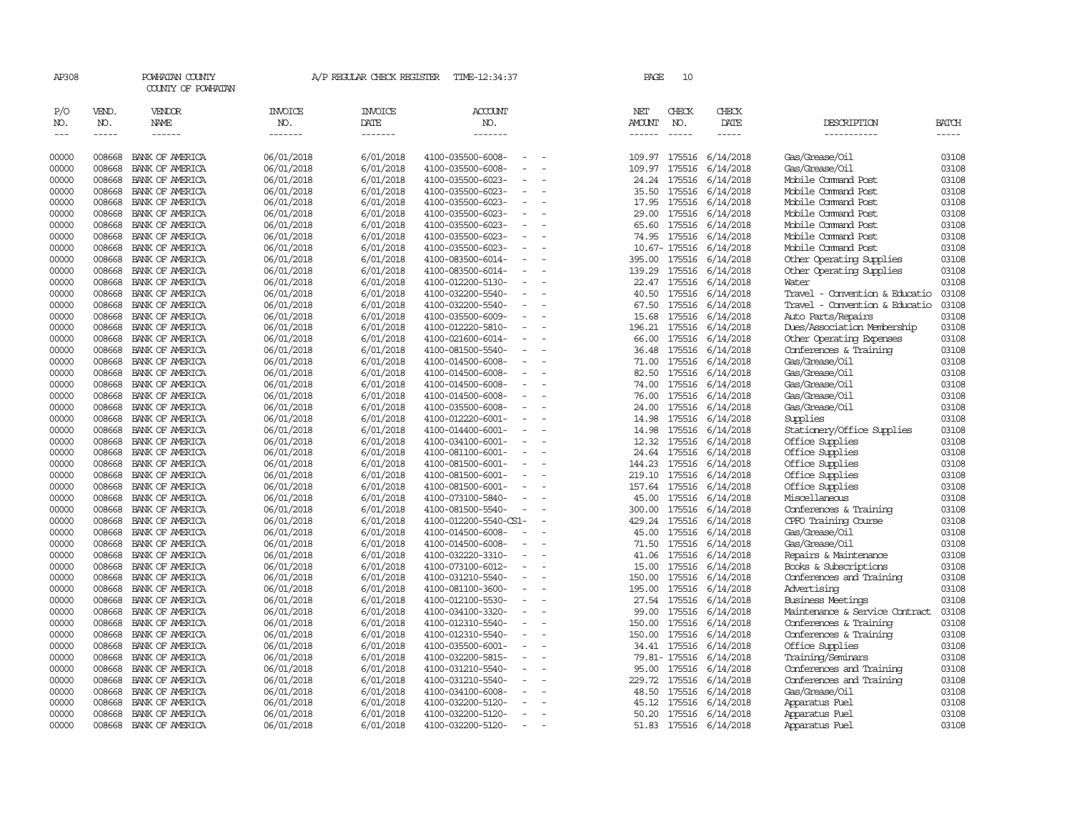| AP308                       |                       | POWHATAN COUNTY<br>COUNTY OF POWHATAN  |                                  | A/P REGULAR CHECK REGISTER               | TIME-12:34:37                                 | PAGE                           | 10               |                               |                                                |                       |
|-----------------------------|-----------------------|----------------------------------------|----------------------------------|------------------------------------------|-----------------------------------------------|--------------------------------|------------------|-------------------------------|------------------------------------------------|-----------------------|
| P/O<br>NO.<br>$\frac{1}{2}$ | VEND.<br>NO.<br>----- | VENDOR<br><b>NAME</b><br>$- - - - - -$ | <b>INVOICE</b><br>NO.<br>------- | <b>INVOICE</b><br><b>DATE</b><br>------- | <b>ACCOUNT</b><br>NO.<br>-------              | NET<br><b>AMOUNT</b><br>------ | CHECK<br>NO.     | CHECK<br><b>DATE</b><br>----- | DESCRIPTION<br>-----------                     | <b>BATCH</b><br>----- |
| 00000                       | 008668                | BANK OF AMERICA                        | 06/01/2018                       | 6/01/2018                                | 4100-035500-6008-                             | 109.97                         | 175516           | 6/14/2018                     | Gas/Grease/Oil                                 | 03108                 |
| 00000                       | 008668                | BANK OF AMERICA                        | 06/01/2018                       | 6/01/2018                                | 4100-035500-6008-                             | 109.97                         | 175516           | 6/14/2018                     | Gas/Grease/Oil                                 | 03108                 |
| 00000                       | 008668                | BANK OF AMERICA                        | 06/01/2018                       | 6/01/2018                                | 4100-035500-6023-                             | 24.24                          | 175516           | 6/14/2018                     | Mobile Command Post                            | 03108                 |
| 00000                       | 008668                | BANK OF AMERICA                        | 06/01/2018                       | 6/01/2018                                | 4100-035500-6023-                             | 35.50                          | 175516           | 6/14/2018                     | Mobile Command Post                            | 03108                 |
| 00000                       | 008668                | BANK OF AMERICA                        | 06/01/2018                       | 6/01/2018                                | 4100-035500-6023-                             | 17.95                          | 175516           | 6/14/2018                     | Mobile Command Post                            | 03108                 |
| 00000                       | 008668                | BANK OF AMERICA                        | 06/01/2018                       | 6/01/2018                                | 4100-035500-6023-                             | 29.00                          | 175516           | 6/14/2018                     | Mobile Command Post                            | 03108                 |
| 00000                       | 008668                | BANK OF AMERICA                        | 06/01/2018                       | 6/01/2018                                | 4100-035500-6023-<br>$\equiv$                 | 65.60                          | 175516           | 6/14/2018                     | Mobile Command Post                            | 03108                 |
| 00000                       | 008668                | BANK OF AMERICA                        | 06/01/2018                       | 6/01/2018                                | 4100-035500-6023-                             | 74.95                          | 175516           | 6/14/2018                     | Mobile Command Post                            | 03108                 |
| 00000                       | 008668                | BANK OF AMERICA                        | 06/01/2018                       | 6/01/2018                                | 4100-035500-6023-                             |                                | 10.67-175516     | 6/14/2018                     | Mobile Command Post                            | 03108                 |
| 00000                       | 008668                | BANK OF AMERICA                        | 06/01/2018                       | 6/01/2018                                | 4100-083500-6014-                             | 395.00                         | 175516           | 6/14/2018                     | Other Operating Supplies                       | 03108                 |
| 00000                       | 008668                | BANK OF AMERICA                        | 06/01/2018                       | 6/01/2018                                | 4100-083500-6014-                             | 139.29                         | 175516           | 6/14/2018                     | Other Operating Supplies                       | 03108                 |
| 00000                       | 008668                | BANK OF AMERICA                        | 06/01/2018                       | 6/01/2018                                | 4100-012200-5130-<br>$\sim$                   | 22.47                          | 175516           | 6/14/2018                     | Water                                          | 03108                 |
| 00000                       | 008668                | BANK OF AMERICA                        | 06/01/2018                       | 6/01/2018                                | 4100-032200-5540-                             | 40.50                          | 175516           | 6/14/2018                     | Travel - Convention & Educatio                 | 03108                 |
| 00000                       | 008668                | BANK OF AMERICA                        | 06/01/2018                       | 6/01/2018                                | 4100-032200-5540-<br>$\equiv$                 | 67.50                          | 175516           | 6/14/2018                     | Travel - Convention & Educatio                 | 03108                 |
| 00000                       | 008668                | BANK OF AMERICA                        | 06/01/2018                       | 6/01/2018                                | 4100-035500-6009-                             | 15.68                          | 175516           | 6/14/2018                     | Auto Parts/Repairs                             | 03108                 |
| 00000                       | 008668                | BANK OF AMERICA                        | 06/01/2018                       | 6/01/2018                                | 4100-012220-5810-                             | 196.21                         | 175516           | 6/14/2018                     | Dues/Association Membership                    | 03108                 |
| 00000                       | 008668                | BANK OF AMERICA                        | 06/01/2018                       | 6/01/2018                                | 4100-021600-6014-                             | 66.00                          | 175516           | 6/14/2018                     | Other Operating Expenses                       | 03108                 |
| 00000                       | 008668                | BANK OF AMERICA                        | 06/01/2018                       | 6/01/2018                                | 4100-081500-5540-                             | 36.48                          | 175516           | 6/14/2018                     | Conferences & Training                         | 03108                 |
| 00000                       | 008668                | BANK OF AMERICA                        | 06/01/2018                       | 6/01/2018                                | 4100-014500-6008-                             | 71.00                          | 175516           | 6/14/2018                     | Gas/Grease/Oil                                 | 03108                 |
| 00000                       | 008668                | BANK OF AMERICA                        | 06/01/2018                       | 6/01/2018                                | 4100-014500-6008-                             | 82.50                          | 175516           | 6/14/2018                     | Gas/Grease/Oil                                 | 03108                 |
| 00000                       | 008668                | BANK OF AMERICA                        | 06/01/2018                       | 6/01/2018                                | 4100-014500-6008-<br>$\sim$                   | 74.00                          | 175516           | 6/14/2018                     | Gas/Grease/Oil                                 | 03108                 |
| 00000                       | 008668                | BANK OF AMERICA                        | 06/01/2018                       | 6/01/2018                                | 4100-014500-6008-                             | 76.00                          | 175516           | 6/14/2018                     | Gas/Grease/Oil                                 | 03108                 |
| 00000                       | 008668                | BANK OF AMERICA                        | 06/01/2018                       | 6/01/2018                                | 4100-035500-6008-                             | 24.00                          | 175516           | 6/14/2018                     | Gas/Grease/Oil                                 | 03108                 |
| 00000                       | 008668                | BANK OF AMERICA                        | 06/01/2018                       | 6/01/2018                                | 4100-012220-6001-<br>$\overline{\phantom{a}}$ | 14.98                          | 175516           | 6/14/2018                     | Supplies                                       | 03108                 |
| 00000                       | 008668                | BANK OF AMERICA                        | 06/01/2018                       | 6/01/2018                                | 4100-014400-6001-                             | 14.98                          | 175516           | 6/14/2018                     | Stationery/Office Supplies                     | 03108                 |
| 00000                       | 008668                | BANK OF AMERICA                        | 06/01/2018                       | 6/01/2018                                | 4100-034100-6001-                             | 12.32                          | 175516           | 6/14/2018                     | Office Supplies                                | 03108                 |
| 00000                       | 008668                | BANK OF AMERICA                        | 06/01/2018                       | 6/01/2018                                | 4100-081100-6001-                             | 24.64                          | 175516           | 6/14/2018                     | Office Supplies                                | 03108                 |
| 00000                       | 008668                | BANK OF AMERICA                        | 06/01/2018                       | 6/01/2018                                | 4100-081500-6001-<br>$\overline{\phantom{a}}$ | 144.23                         | 175516           | 6/14/2018                     | Office Supplies                                | 03108                 |
| 00000                       | 008668                | BANK OF AMERICA                        | 06/01/2018                       | 6/01/2018                                | 4100-081500-6001-<br>$\overline{\phantom{a}}$ | 219.10                         | 175516           | 6/14/2018                     | Office Supplies                                | 03108                 |
| 00000                       | 008668                | BANK OF AMERICA                        | 06/01/2018                       | 6/01/2018                                | 4100-081500-6001-<br>$\equiv$                 | 157.64                         | 175516<br>175516 | 6/14/2018                     | Office Supplies                                | 03108                 |
| 00000<br>00000              | 008668<br>008668      | BANK OF AMERICA<br>BANK OF AMERICA     | 06/01/2018                       | 6/01/2018                                | 4100-073100-5840-<br>4100-081500-5540-        | 45.00<br>300.00                | 175516           | 6/14/2018                     | Miscellaneous                                  | 03108<br>03108        |
| 00000                       | 008668                | BANK OF AMERICA                        | 06/01/2018                       | 6/01/2018<br>6/01/2018                   | 4100-012200-5540-CS1-                         | 429.24                         | 175516           | 6/14/2018                     | Conferences & Training<br>CPFO Training Course | 03108                 |
| 00000                       | 008668                | BANK OF AMERICA                        | 06/01/2018<br>06/01/2018         | 6/01/2018                                | 4100-014500-6008-                             | 45.00                          | 175516           | 6/14/2018<br>6/14/2018        | Gas/Grease/Oil                                 | 03108                 |
| 00000                       | 008668                | BANK OF AMERICA                        | 06/01/2018                       | 6/01/2018                                | 4100-014500-6008-<br>$\overline{\phantom{a}}$ | 71.50                          | 175516           | 6/14/2018                     | Gas/Grease/Oil                                 | 03108                 |
| 00000                       | 008668                | BANK OF AMERICA                        | 06/01/2018                       | 6/01/2018                                | 4100-032220-3310-                             | 41.06                          | 175516           | 6/14/2018                     | Repairs & Maintenance                          | 03108                 |
| 00000                       | 008668                | BANK OF AMERICA                        | 06/01/2018                       | 6/01/2018                                | 4100-073100-6012-                             | 15.00                          | 175516           | 6/14/2018                     | Books & Subscriptions                          | 03108                 |
| 00000                       | 008668                | BANK OF AMERICA                        | 06/01/2018                       | 6/01/2018                                | 4100-031210-5540-<br>$\equiv$                 | 150.00                         | 175516           | 6/14/2018                     | Conferences and Training                       | 03108                 |
| 00000                       | 008668                | BANK OF AMERICA                        | 06/01/2018                       | 6/01/2018                                | 4100-081100-3600-                             | 195.00                         | 175516           | 6/14/2018                     | Advertising                                    | 03108                 |
| 00000                       | 008668                | BANK OF AMERICA                        | 06/01/2018                       | 6/01/2018                                | 4100-012100-5530-<br>$\overline{\phantom{a}}$ | 27.54                          | 175516           | 6/14/2018                     | <b>Business Meetings</b>                       | 03108                 |
| 00000                       | 008668                | BANK OF AMERICA                        | 06/01/2018                       | 6/01/2018                                | 4100-034100-3320-                             | 99.00                          | 175516           | 6/14/2018                     | Maintenance & Service Contract                 | 03108                 |
| 00000                       | 008668                | BANK OF AMERICA                        | 06/01/2018                       | 6/01/2018                                | 4100-012310-5540-<br>$\equiv$                 | 150.00                         | 175516           | 6/14/2018                     | Conferences & Training                         | 03108                 |
| 00000                       | 008668                | BANK OF AMERICA                        | 06/01/2018                       | 6/01/2018                                | 4100-012310-5540-                             | 150.00                         | 175516           | 6/14/2018                     | Conferences & Training                         | 03108                 |
| 00000                       | 008668                | BANK OF AMERICA                        | 06/01/2018                       | 6/01/2018                                | 4100-035500-6001-                             | 34.41                          | 175516           | 6/14/2018                     | Office Supplies                                | 03108                 |
| 00000                       | 008668                | BANK OF AMERICA                        | 06/01/2018                       | 6/01/2018                                | 4100-032200-5815-<br>$\equiv$                 |                                | 79.81-175516     | 6/14/2018                     | Training/Seminars                              | 03108                 |
| 00000                       | 008668                | BANK OF AMERICA                        | 06/01/2018                       | 6/01/2018                                | 4100-031210-5540-                             | 95.00                          | 175516           | 6/14/2018                     | Conferences and Training                       | 03108                 |
| 00000                       | 008668                | BANK OF AMERICA                        | 06/01/2018                       | 6/01/2018                                | 4100-031210-5540-                             | 229.72                         | 175516           | 6/14/2018                     | Conferences and Training                       | 03108                 |
| 00000                       | 008668                | BANK OF AMERICA                        | 06/01/2018                       | 6/01/2018                                | 4100-034100-6008-                             | 48.50                          | 175516           | 6/14/2018                     | Gas/Grease/Oil                                 | 03108                 |
| 00000                       | 008668                | BANK OF AMERICA                        | 06/01/2018                       | 6/01/2018                                | 4100-032200-5120-                             | 45.12                          | 175516           | 6/14/2018                     | Apparatus Fuel                                 | 03108                 |
| 00000                       | 008668                | BANK OF AMERICA                        | 06/01/2018                       | 6/01/2018                                | 4100-032200-5120-<br>$\equiv$                 | 50.20                          | 175516           | 6/14/2018                     | Apparatus Fuel                                 | 03108                 |
| 00000                       | 008668                | BANK OF AMERICA                        | 06/01/2018                       | 6/01/2018                                | 4100-032200-5120-<br>$\sim$                   | 51.83                          |                  | 175516 6/14/2018              | Apparatus Fuel                                 | 03108                 |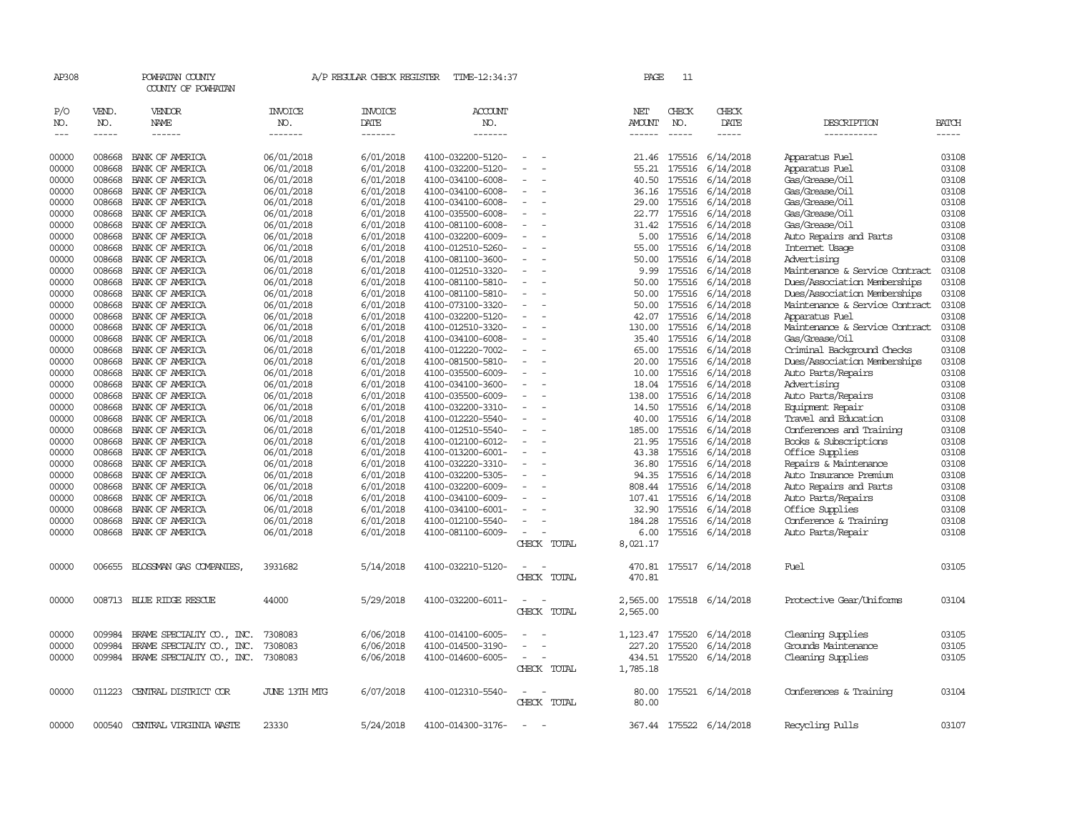| AP308               |                                                                                                                                                                                                                                                                                                                                                                                                                                                                         | POWHATAN COUNTY<br>COUNTY OF POWHATAN |                                  | A/P REGULAR CHECK REGISTER         | TIME-12:34:37                          |                          |  | PAGE                           | 11                            |                                                                                                                                                                                                                                                                                                                                                                                                                                                                          |                                                            |                       |
|---------------------|-------------------------------------------------------------------------------------------------------------------------------------------------------------------------------------------------------------------------------------------------------------------------------------------------------------------------------------------------------------------------------------------------------------------------------------------------------------------------|---------------------------------------|----------------------------------|------------------------------------|----------------------------------------|--------------------------|--|--------------------------------|-------------------------------|--------------------------------------------------------------------------------------------------------------------------------------------------------------------------------------------------------------------------------------------------------------------------------------------------------------------------------------------------------------------------------------------------------------------------------------------------------------------------|------------------------------------------------------------|-----------------------|
| P/O<br>NO.<br>$---$ | VEND.<br>NO.<br>$\begin{tabular}{ccccc} \multicolumn{2}{c }{\multicolumn{2}{c }{\multicolumn{2}{c }{\multicolumn{2}{c}}{\hspace{-2.2cm}}}} \multicolumn{2}{c }{\multicolumn{2}{c }{\hspace{-2.2cm}}\hline} \multicolumn{2}{c }{\hspace{-2.2cm}}\hline \multicolumn{2}{c }{\hspace{-2.2cm}}\hline \multicolumn{2}{c }{\hspace{-2.2cm}}\hline \multicolumn{2}{c }{\hspace{-2.2cm}}\hline \multicolumn{2}{c }{\hspace{-2.2cm}}\hline \multicolumn{2}{c }{\hspace{-2.2cm}}$ | VENDOR<br>NAME<br>------              | <b>INVOICE</b><br>NO.<br>------- | <b>INVOICE</b><br>DATE<br>-------- | <b>ACCOUNT</b><br>NO.<br>-------       |                          |  | NET<br><b>AMOUNT</b><br>------ | CHECK<br>NO.<br>$\frac{1}{2}$ | CHECK<br>DATE<br>$\begin{tabular}{ccccc} \multicolumn{2}{c }{\multicolumn{2}{c }{\multicolumn{2}{c }{\multicolumn{2}{c}}{\hspace{-2.2cm}}}} \multicolumn{2}{c }{\multicolumn{2}{c }{\hspace{-2.2cm}}\hline} \multicolumn{2}{c }{\hspace{-2.2cm}}\hline \multicolumn{2}{c }{\hspace{-2.2cm}}\hline \multicolumn{2}{c }{\hspace{-2.2cm}}\hline \multicolumn{2}{c }{\hspace{-2.2cm}}\hline \multicolumn{2}{c }{\hspace{-2.2cm}}\hline \multicolumn{2}{c }{\hspace{-2.2cm}}$ | DESCRIPTION<br>-----------                                 | <b>BATCH</b><br>----- |
| 00000               | 008668                                                                                                                                                                                                                                                                                                                                                                                                                                                                  | BANK OF AMERICA                       | 06/01/2018                       | 6/01/2018                          | 4100-032200-5120-                      |                          |  | 21.46                          | 175516                        | 6/14/2018                                                                                                                                                                                                                                                                                                                                                                                                                                                                | Apparatus Fuel                                             | 03108                 |
| 00000               | 008668                                                                                                                                                                                                                                                                                                                                                                                                                                                                  | BANK OF AMERICA                       | 06/01/2018                       | 6/01/2018                          | 4100-032200-5120-                      |                          |  | 55.21                          | 175516                        | 6/14/2018                                                                                                                                                                                                                                                                                                                                                                                                                                                                | Apparatus Fuel                                             | 03108                 |
| 00000               | 008668                                                                                                                                                                                                                                                                                                                                                                                                                                                                  | BANK OF AMERICA                       | 06/01/2018                       | 6/01/2018                          | 4100-034100-6008-                      |                          |  | 40.50                          | 175516                        | 6/14/2018                                                                                                                                                                                                                                                                                                                                                                                                                                                                | Gas/Grease/Oil                                             | 03108                 |
| 00000               | 008668                                                                                                                                                                                                                                                                                                                                                                                                                                                                  | BANK OF AMERICA                       | 06/01/2018                       | 6/01/2018                          | 4100-034100-6008-                      |                          |  | 36.16                          | 175516                        | 6/14/2018                                                                                                                                                                                                                                                                                                                                                                                                                                                                | Gas/Grease/Oil                                             | 03108                 |
| 00000               | 008668                                                                                                                                                                                                                                                                                                                                                                                                                                                                  | BANK OF AMERICA                       | 06/01/2018                       | 6/01/2018                          | 4100-034100-6008-                      |                          |  | 29.00                          | 175516                        | 6/14/2018                                                                                                                                                                                                                                                                                                                                                                                                                                                                | Gas/Grease/Oil                                             | 03108                 |
| 00000<br>00000      | 008668<br>008668                                                                                                                                                                                                                                                                                                                                                                                                                                                        | BANK OF AMERICA<br>BANK OF AMERICA    | 06/01/2018                       | 6/01/2018                          | 4100-035500-6008-<br>4100-081100-6008- |                          |  | 22.77<br>31.42                 | 175516<br>175516              | 6/14/2018                                                                                                                                                                                                                                                                                                                                                                                                                                                                | Gas/Grease/Oil<br>Gas/Grease/Oil                           | 03108<br>03108        |
|                     | 008668                                                                                                                                                                                                                                                                                                                                                                                                                                                                  |                                       | 06/01/2018                       | 6/01/2018<br>6/01/2018             |                                        |                          |  | 5.00                           |                               | 6/14/2018                                                                                                                                                                                                                                                                                                                                                                                                                                                                |                                                            | 03108                 |
| 00000               | 008668                                                                                                                                                                                                                                                                                                                                                                                                                                                                  | BANK OF AMERICA<br>BANK OF AMERICA    | 06/01/2018                       | 6/01/2018                          | 4100-032200-6009-                      |                          |  | 55.00                          | 175516<br>175516              | 6/14/2018                                                                                                                                                                                                                                                                                                                                                                                                                                                                | Auto Repairs and Parts                                     | 03108                 |
| 00000               |                                                                                                                                                                                                                                                                                                                                                                                                                                                                         |                                       | 06/01/2018                       | 6/01/2018                          | 4100-012510-5260-                      |                          |  |                                |                               | 6/14/2018                                                                                                                                                                                                                                                                                                                                                                                                                                                                | Internet Usage                                             | 03108                 |
| 00000               | 008668                                                                                                                                                                                                                                                                                                                                                                                                                                                                  | BANK OF AMERICA                       | 06/01/2018                       |                                    | 4100-081100-3600-                      |                          |  | 50.00                          | 175516                        | 6/14/2018                                                                                                                                                                                                                                                                                                                                                                                                                                                                | Advertising                                                |                       |
| 00000<br>00000      | 008668<br>008668                                                                                                                                                                                                                                                                                                                                                                                                                                                        | BANK OF AMERICA<br>BANK OF AMERICA    | 06/01/2018                       | 6/01/2018                          | 4100-012510-3320-                      |                          |  | 9.99                           | 175516                        | 6/14/2018                                                                                                                                                                                                                                                                                                                                                                                                                                                                | Maintenance & Service Contract                             | 03108<br>03108        |
| 00000               |                                                                                                                                                                                                                                                                                                                                                                                                                                                                         |                                       | 06/01/2018                       | 6/01/2018                          | 4100-081100-5810-                      |                          |  | 50.00                          | 175516                        | 6/14/2018                                                                                                                                                                                                                                                                                                                                                                                                                                                                | Dues/Association Memberships                               | 03108                 |
| 00000               | 008668<br>008668                                                                                                                                                                                                                                                                                                                                                                                                                                                        | BANK OF AMERICA<br>BANK OF AMERICA    | 06/01/2018                       | 6/01/2018                          | 4100-081100-5810-                      | $\equiv$                 |  | 50.00<br>50.00                 | 175516<br>175516              | 6/14/2018                                                                                                                                                                                                                                                                                                                                                                                                                                                                | Dues/Association Memberships                               | 03108                 |
| 00000               | 008668                                                                                                                                                                                                                                                                                                                                                                                                                                                                  | BANK OF AMERICA                       | 06/01/2018<br>06/01/2018         | 6/01/2018<br>6/01/2018             | 4100-073100-3320-<br>4100-032200-5120- |                          |  | 42.07                          | 175516                        | 6/14/2018<br>6/14/2018                                                                                                                                                                                                                                                                                                                                                                                                                                                   | Maintenance & Service Contract<br>Apparatus Fuel           | 03108                 |
| 00000               | 008668                                                                                                                                                                                                                                                                                                                                                                                                                                                                  | BANK OF AMERICA                       | 06/01/2018                       | 6/01/2018                          | 4100-012510-3320-                      |                          |  | 130.00                         | 175516                        | 6/14/2018                                                                                                                                                                                                                                                                                                                                                                                                                                                                | Maintenance & Service Contract                             | 03108                 |
| 00000               | 008668                                                                                                                                                                                                                                                                                                                                                                                                                                                                  | BANK OF AMERICA                       | 06/01/2018                       | 6/01/2018                          | 4100-034100-6008-                      |                          |  | 35.40                          | 175516                        | 6/14/2018                                                                                                                                                                                                                                                                                                                                                                                                                                                                | Gas/Grease/Oil                                             | 03108                 |
| 00000               | 008668                                                                                                                                                                                                                                                                                                                                                                                                                                                                  | BANK OF AMERICA                       | 06/01/2018                       | 6/01/2018                          | 4100-012220-7002-                      | $\sim$                   |  | 65.00                          | 175516                        | 6/14/2018                                                                                                                                                                                                                                                                                                                                                                                                                                                                |                                                            | 03108                 |
| 00000               | 008668                                                                                                                                                                                                                                                                                                                                                                                                                                                                  | BANK OF AMERICA                       | 06/01/2018                       | 6/01/2018                          | 4100-081500-5810-                      |                          |  | 20.00                          | 175516                        | 6/14/2018                                                                                                                                                                                                                                                                                                                                                                                                                                                                | Criminal Background Checks<br>Dues/Association Memberships | 03108                 |
| 00000               | 008668                                                                                                                                                                                                                                                                                                                                                                                                                                                                  | BANK OF AMERICA                       | 06/01/2018                       | 6/01/2018                          | 4100-035500-6009-                      |                          |  | 10.00                          | 175516                        | 6/14/2018                                                                                                                                                                                                                                                                                                                                                                                                                                                                | Auto Parts/Repairs                                         | 03108                 |
| 00000               | 008668                                                                                                                                                                                                                                                                                                                                                                                                                                                                  | BANK OF AMERICA                       | 06/01/2018                       | 6/01/2018                          | 4100-034100-3600-                      |                          |  | 18.04                          | 175516                        | 6/14/2018                                                                                                                                                                                                                                                                                                                                                                                                                                                                | Advertising                                                | 03108                 |
| 00000               | 008668                                                                                                                                                                                                                                                                                                                                                                                                                                                                  | BANK OF AMERICA                       | 06/01/2018                       | 6/01/2018                          | 4100-035500-6009-                      | $\equiv$                 |  | 138.00                         | 175516                        | 6/14/2018                                                                                                                                                                                                                                                                                                                                                                                                                                                                | Auto Parts/Repairs                                         | 03108                 |
| 00000               | 008668                                                                                                                                                                                                                                                                                                                                                                                                                                                                  | BANK OF AMERICA                       | 06/01/2018                       | 6/01/2018                          | 4100-032200-3310-                      |                          |  | 14.50                          | 175516                        | 6/14/2018                                                                                                                                                                                                                                                                                                                                                                                                                                                                | Equipment Repair                                           | 03108                 |
| 00000               | 008668                                                                                                                                                                                                                                                                                                                                                                                                                                                                  | BANK OF AMERICA                       | 06/01/2018                       | 6/01/2018                          | 4100-012220-5540-                      |                          |  | 40.00                          | 175516                        | 6/14/2018                                                                                                                                                                                                                                                                                                                                                                                                                                                                | Travel and Education                                       | 03108                 |
| 00000               | 008668                                                                                                                                                                                                                                                                                                                                                                                                                                                                  | BANK OF AMERICA                       | 06/01/2018                       | 6/01/2018                          | 4100-012510-5540-                      |                          |  | 185.00                         | 175516                        | 6/14/2018                                                                                                                                                                                                                                                                                                                                                                                                                                                                | Conferences and Training                                   | 03108                 |
| 00000               | 008668                                                                                                                                                                                                                                                                                                                                                                                                                                                                  | BANK OF AMERICA                       | 06/01/2018                       | 6/01/2018                          | 4100-012100-6012-                      |                          |  | 21.95                          | 175516                        | 6/14/2018                                                                                                                                                                                                                                                                                                                                                                                                                                                                | Books & Subscriptions                                      | 03108                 |
| 00000               | 008668                                                                                                                                                                                                                                                                                                                                                                                                                                                                  | BANK OF AMERICA                       | 06/01/2018                       | 6/01/2018                          | 4100-013200-6001-                      |                          |  | 43.38                          | 175516                        | 6/14/2018                                                                                                                                                                                                                                                                                                                                                                                                                                                                | Office Supplies                                            | 03108                 |
| 00000               | 008668                                                                                                                                                                                                                                                                                                                                                                                                                                                                  | BANK OF AMERICA                       | 06/01/2018                       | 6/01/2018                          | 4100-032220-3310-                      |                          |  | 36.80                          | 175516                        | 6/14/2018                                                                                                                                                                                                                                                                                                                                                                                                                                                                | Repairs & Maintenance                                      | 03108                 |
| 00000               | 008668                                                                                                                                                                                                                                                                                                                                                                                                                                                                  | BANK OF AMERICA                       | 06/01/2018                       | 6/01/2018                          | 4100-032200-5305-                      |                          |  | 94.35                          | 175516                        | 6/14/2018                                                                                                                                                                                                                                                                                                                                                                                                                                                                | Auto Insurance Premium                                     | 03108                 |
| 00000               | 008668                                                                                                                                                                                                                                                                                                                                                                                                                                                                  | BANK OF AMERICA                       | 06/01/2018                       | 6/01/2018                          | 4100-032200-6009-                      |                          |  | 808.44                         | 175516                        | 6/14/2018                                                                                                                                                                                                                                                                                                                                                                                                                                                                | Auto Repairs and Parts                                     | 03108                 |
| 00000               | 008668                                                                                                                                                                                                                                                                                                                                                                                                                                                                  | BANK OF AMERICA                       | 06/01/2018                       | 6/01/2018                          | 4100-034100-6009-                      |                          |  | 107.41                         | 175516                        | 6/14/2018                                                                                                                                                                                                                                                                                                                                                                                                                                                                | Auto Parts/Repairs                                         | 03108                 |
| 00000               | 008668                                                                                                                                                                                                                                                                                                                                                                                                                                                                  | BANK OF AMERICA                       | 06/01/2018                       | 6/01/2018                          | 4100-034100-6001-                      |                          |  | 32.90                          | 175516                        | 6/14/2018                                                                                                                                                                                                                                                                                                                                                                                                                                                                | Office Supplies                                            | 03108                 |
| 00000               | 008668                                                                                                                                                                                                                                                                                                                                                                                                                                                                  | BANK OF AMERICA                       | 06/01/2018                       | 6/01/2018                          | 4100-012100-5540-                      |                          |  | 184.28                         | 175516                        | 6/14/2018                                                                                                                                                                                                                                                                                                                                                                                                                                                                | Conference & Training                                      | 03108                 |
| 00000               | 008668                                                                                                                                                                                                                                                                                                                                                                                                                                                                  | BANK OF AMERICA                       | 06/01/2018                       | 6/01/2018                          | 4100-081100-6009-                      |                          |  | 6.00                           | 175516                        | 6/14/2018                                                                                                                                                                                                                                                                                                                                                                                                                                                                | Auto Parts/Repair                                          | 03108                 |
|                     |                                                                                                                                                                                                                                                                                                                                                                                                                                                                         |                                       |                                  |                                    |                                        | CHECK TOTAL              |  | 8,021.17                       |                               |                                                                                                                                                                                                                                                                                                                                                                                                                                                                          |                                                            |                       |
| 00000               | 006655                                                                                                                                                                                                                                                                                                                                                                                                                                                                  | BLOSSMAN GAS COMPANIES,               | 3931682                          | 5/14/2018                          | 4100-032210-5120-                      | CHECK TOTAL              |  | 470.81<br>470.81               |                               | 175517 6/14/2018                                                                                                                                                                                                                                                                                                                                                                                                                                                         | Fuel                                                       | 03105                 |
| 00000               |                                                                                                                                                                                                                                                                                                                                                                                                                                                                         | 008713 BLUE RIDGE RESCUE              | 44000                            | 5/29/2018                          | 4100-032200-6011-                      | $\equiv$<br>CHECK TOTAL  |  | 2,565.00<br>2,565.00           |                               | 175518 6/14/2018                                                                                                                                                                                                                                                                                                                                                                                                                                                         | Protective Gear/Uniforms                                   | 03104                 |
| 00000               | 009984                                                                                                                                                                                                                                                                                                                                                                                                                                                                  | BRAME SPECIALITY CO., INC.            | 7308083                          | 6/06/2018                          | 4100-014100-6005-                      |                          |  | 1,123.47                       | 175520                        | 6/14/2018                                                                                                                                                                                                                                                                                                                                                                                                                                                                | Cleaning Supplies                                          | 03105                 |
| 00000               | 009984                                                                                                                                                                                                                                                                                                                                                                                                                                                                  | BRAME SPECIALITY CO., INC.            | 7308083                          | 6/06/2018                          | 4100-014500-3190-                      |                          |  | 227.20                         | 175520                        | 6/14/2018                                                                                                                                                                                                                                                                                                                                                                                                                                                                | Grounds Maintenance                                        | 03105                 |
| 00000               | 009984                                                                                                                                                                                                                                                                                                                                                                                                                                                                  | BRAME SPECIALITY CO., INC.            | 7308083                          | 6/06/2018                          | 4100-014600-6005-                      | CHECK TOTAL              |  | 434.51<br>1,785.18             | 175520                        | 6/14/2018                                                                                                                                                                                                                                                                                                                                                                                                                                                                | Cleaning Supplies                                          | 03105                 |
| 00000               | 011223                                                                                                                                                                                                                                                                                                                                                                                                                                                                  | CENTRAL DISTRICT COR                  | JUNE 13TH MTG                    | 6/07/2018                          | 4100-012310-5540-                      | CHECK TOTAL              |  | 80.00<br>80.00                 |                               | 175521 6/14/2018                                                                                                                                                                                                                                                                                                                                                                                                                                                         | Conferences & Training                                     | 03104                 |
| 00000               |                                                                                                                                                                                                                                                                                                                                                                                                                                                                         | 000540 CENTRAL VIRGINIA WASTE         | 23330                            | 5/24/2018                          | 4100-014300-3176-                      | $\overline{\phantom{a}}$ |  |                                |                               | 367.44 175522 6/14/2018                                                                                                                                                                                                                                                                                                                                                                                                                                                  | Recycling Pulls                                            | 03107                 |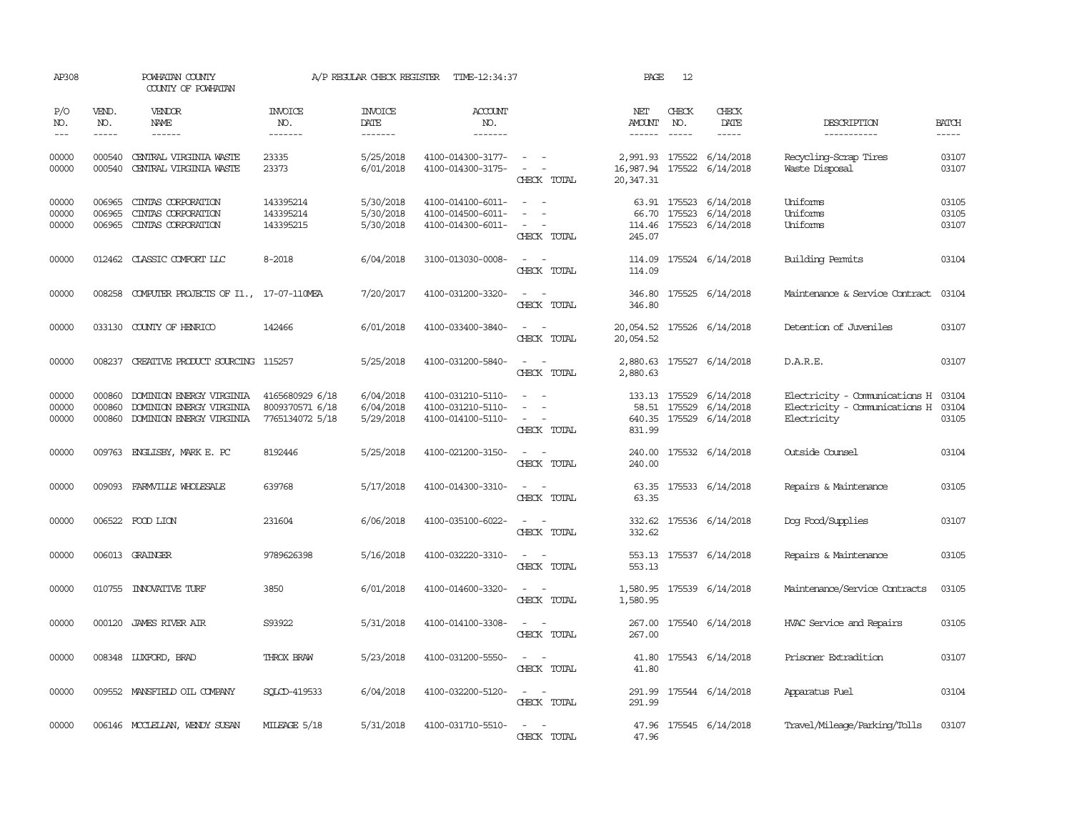| AP308                       |                               | POWHATAN COUNTY<br>COUNTY OF POWHATAN                                            |                                                       | A/P REGULAR CHECK REGISTER          | TIME-12:34:37                                               |                                                                              | PAGE                                       | 12                            |                                                                |                                                                               |                             |
|-----------------------------|-------------------------------|----------------------------------------------------------------------------------|-------------------------------------------------------|-------------------------------------|-------------------------------------------------------------|------------------------------------------------------------------------------|--------------------------------------------|-------------------------------|----------------------------------------------------------------|-------------------------------------------------------------------------------|-----------------------------|
| P/O<br>NO.<br>$\frac{1}{2}$ | VEND.<br>NO.<br>$\frac{1}{2}$ | <b>VENDOR</b><br><b>NAME</b><br>------                                           | <b>INVOICE</b><br>NO.<br>-------                      | <b>INVOICE</b><br>DATE<br>-------   | ACCOUNT<br>NO.<br>-------                                   |                                                                              | NET<br>AMOUNT<br>------                    | CHECK<br>NO.<br>$- - - - -$   | CHECK<br>DATE<br>-----                                         | DESCRIPTION<br>-----------                                                    | <b>BATCH</b><br>$- - - - -$ |
| 00000<br>00000              | 000540<br>000540              | CENTRAL VIRGINIA WASTE<br>CENTRAL VIRGINIA WASTE                                 | 23335<br>23373                                        | 5/25/2018<br>6/01/2018              | 4100-014300-3177-<br>4100-014300-3175-                      | $\sim$ $ \sim$<br>$\omega_{\rm{max}}$ and $\omega_{\rm{max}}$<br>CHECK TOTAL | 2,991.93 175522<br>16,987.94<br>20, 347.31 | 175522                        | 6/14/2018<br>6/14/2018                                         | Recycling-Scrap Tires<br>Waste Disposal                                       | 03107<br>03107              |
| 00000<br>00000<br>00000     | 006965<br>006965<br>006965    | CINIAS CORPORATION<br>CINIAS CORPORATION<br>CINIAS CORPORATION                   | 143395214<br>143395214<br>143395215                   | 5/30/2018<br>5/30/2018<br>5/30/2018 | 4100-014100-6011-<br>4100-014500-6011-<br>4100-014300-6011- | $\sim$ $-$<br>$\overline{\phantom{a}}$<br>$\sim$<br>$\sim$<br>CHECK TOTAL    | 66.70<br>245.07                            | 175523                        | 63.91 175523 6/14/2018<br>6/14/2018<br>114.46 175523 6/14/2018 | Uniforms<br>Uniforms<br>Uniforms                                              | 03105<br>03105<br>03107     |
| 00000                       |                               | 012462 CLASSIC COMFORT LLC                                                       | 8-2018                                                | 6/04/2018                           | 3100-013030-0008-                                           | CHECK TOTAL                                                                  | 114.09<br>114.09                           |                               | 175524 6/14/2018                                               | Building Permits                                                              | 03104                       |
| 00000                       | 008258                        | COMPUTER PROJECTS OF I1., 17-07-110MEA                                           |                                                       | 7/20/2017                           | 4100-031200-3320-                                           | $\overline{\phantom{a}}$<br>$\sim$<br>CHECK TOTAL                            | 346.80<br>346.80                           |                               | 175525 6/14/2018                                               | Maintenance & Service Contract                                                | 03104                       |
| 00000                       |                               | 033130 COUNTY OF HENRICO                                                         | 142466                                                | 6/01/2018                           | 4100-033400-3840-                                           | $\sim$ $ \sim$<br>CHECK TOTAL                                                | 20,054.52<br>20,054.52                     |                               | 175526 6/14/2018                                               | Detention of Juveniles                                                        | 03107                       |
| 00000                       |                               | 008237 CREATIVE PRODUCT SOURCING 115257                                          |                                                       | 5/25/2018                           | 4100-031200-5840-                                           | CHECK TOTAL                                                                  | 2,880.63                                   |                               | 2,880.63 175527 6/14/2018                                      | D.A.R.E.                                                                      | 03107                       |
| 00000<br>00000<br>00000     | 000860<br>000860<br>000860    | DOMINION ENERGY VIRGINIA<br>DOMINION ENERGY VIRGINIA<br>DOMINION ENERGY VIRGINIA | 4165680929 6/18<br>8009370571 6/18<br>7765134072 5/18 | 6/04/2018<br>6/04/2018<br>5/29/2018 | 4100-031210-5110-<br>4100-031210-5110-<br>4100-014100-5110- | $\sim$<br>$\overline{\phantom{a}}$<br>$\sim$ $\sim$<br>CHECK TOTAL           | 831.99                                     | 133.13 175529<br>58.51 175529 | 6/14/2018<br>6/14/2018<br>640.35 175529 6/14/2018              | Electricity - Comunications H<br>Electricity - Comunications H<br>Electricity | 03104<br>03104<br>03105     |
| 00000                       |                               | 009763 ENGLISBY, MARK E. PC                                                      | 8192446                                               | 5/25/2018                           | 4100-021200-3150-                                           | $\sim$ $ \sim$<br>CHECK TOTAL                                                | 240.00<br>240.00                           |                               | 175532 6/14/2018                                               | Outside Counsel                                                               | 03104                       |
| 00000                       | 009093                        | FARMVILLE WHOLESALE                                                              | 639768                                                | 5/17/2018                           | 4100-014300-3310-                                           | $\sim$<br>$\sim$<br>CHECK TOTAL                                              | 63.35                                      |                               | 63.35 175533 6/14/2018                                         | Repairs & Maintenance                                                         | 03105                       |
| 00000                       |                               | 006522 FOOD LION                                                                 | 231604                                                | 6/06/2018                           | 4100-035100-6022-                                           | $\sim$ $\sim$<br>CHECK TOTAL                                                 | 332.62<br>332.62                           |                               | 175536 6/14/2018                                               | Dog Food/Supplies                                                             | 03107                       |
| 00000                       |                               | 006013 GRAINGER                                                                  | 9789626398                                            | 5/16/2018                           | 4100-032220-3310-                                           | CHECK TOTAL                                                                  | 553.13                                     |                               | 553.13 175537 6/14/2018                                        | Repairs & Maintenance                                                         | 03105                       |
| 00000                       | 010755                        | <b>INNOVATIVE TURF</b>                                                           | 3850                                                  | 6/01/2018                           | 4100-014600-3320-                                           | CHECK TOTAL                                                                  | 1,580.95<br>1,580.95                       |                               | 175539 6/14/2018                                               | Maintenance/Service Contracts                                                 | 03105                       |
| 00000                       | 000120                        | JAMES RIVER AIR                                                                  | S93922                                                | 5/31/2018                           | 4100-014100-3308-                                           | CHECK TOTAL                                                                  | 267.00<br>267.00                           |                               | 175540 6/14/2018                                               | HVAC Service and Repairs                                                      | 03105                       |
| 00000                       |                               | 008348 LUXFORD, BRAD                                                             | <b>THROX BRAW</b>                                     | 5/23/2018                           | 4100-031200-5550-                                           | $\overline{\phantom{a}}$<br>CHECK TOTAL                                      | 41.80                                      |                               | 41.80 175543 6/14/2018                                         | Prisoner Extradition                                                          | 03107                       |
| 00000                       |                               | 009552 MANSFIELD OIL COMPANY                                                     | SOLCD-419533                                          | 6/04/2018                           | 4100-032200-5120-                                           | $\sim$<br>CHECK TOTAL                                                        | 291.99<br>291.99                           |                               | 175544 6/14/2018                                               | Apparatus Fuel                                                                | 03104                       |
| 00000                       |                               | 006146 MCCLELLAN, WENDY SUSAN                                                    | MILEAGE 5/18                                          | 5/31/2018                           | 4100-031710-5510-                                           | $\sim$<br>$\sim$<br>CHECK TOTAL                                              | 47.96                                      |                               | 47.96 175545 6/14/2018                                         | Travel/Mileage/Parking/Tolls                                                  | 03107                       |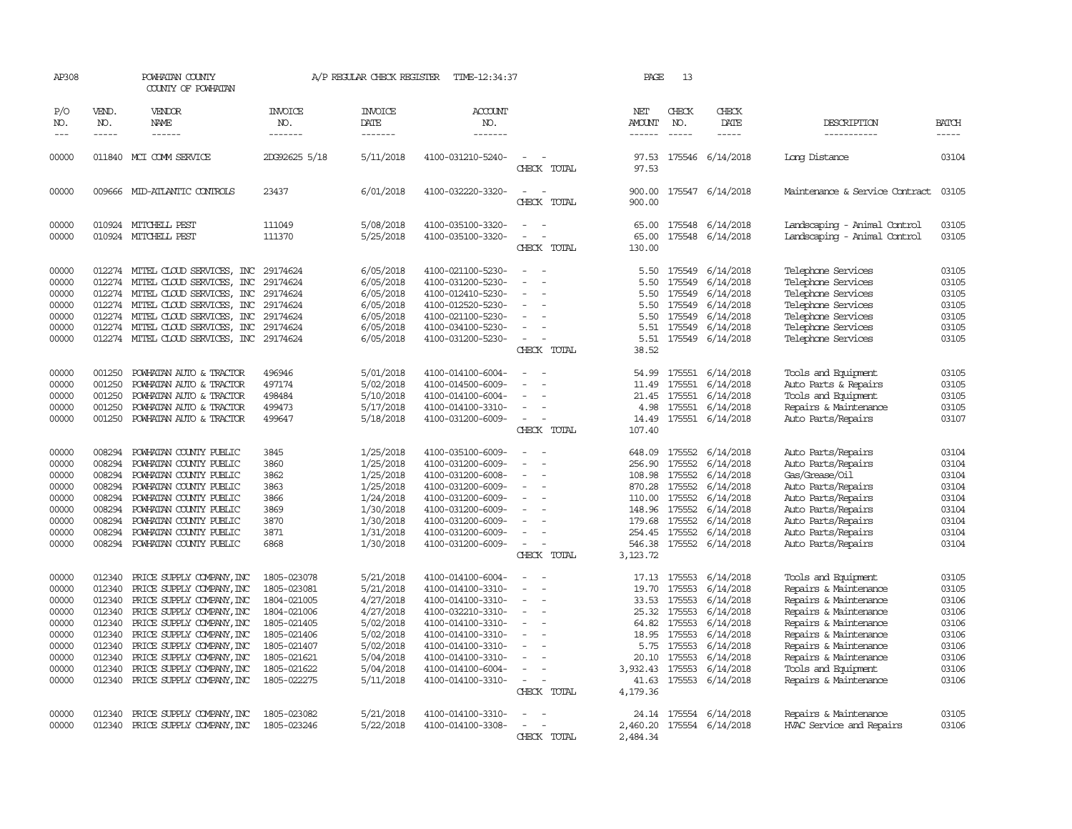| AP308                                                                                  |                                                                                        | POWHATAN COUNTY<br>COUNTY OF POWHATAN                                                                                                                                                                                                                                                                                      |                                                                                                                                                    | A/P REGULAR CHECK REGISTER                                                                                                     | TIME-12:34:37                                                                                                                                                                                                  |                                               |       | PAGE                                                                                          | 13                                                                                                     |                                                                                                                                |                                                                                                                                                                                                                                                    |                                                                                        |
|----------------------------------------------------------------------------------------|----------------------------------------------------------------------------------------|----------------------------------------------------------------------------------------------------------------------------------------------------------------------------------------------------------------------------------------------------------------------------------------------------------------------------|----------------------------------------------------------------------------------------------------------------------------------------------------|--------------------------------------------------------------------------------------------------------------------------------|----------------------------------------------------------------------------------------------------------------------------------------------------------------------------------------------------------------|-----------------------------------------------|-------|-----------------------------------------------------------------------------------------------|--------------------------------------------------------------------------------------------------------|--------------------------------------------------------------------------------------------------------------------------------|----------------------------------------------------------------------------------------------------------------------------------------------------------------------------------------------------------------------------------------------------|----------------------------------------------------------------------------------------|
| P/O<br>NO.<br>$---$                                                                    | VEND.<br>NO.<br>$- - - - -$                                                            | VENDOR<br><b>NAME</b><br>$- - - - - -$                                                                                                                                                                                                                                                                                     | INVOICE<br>NO.<br>-------                                                                                                                          | <b>INVOICE</b><br>DATE<br>-------                                                                                              | ACCOUNT<br>NO.<br>-------                                                                                                                                                                                      |                                               |       | NET<br><b>AMOUNT</b><br>$- - - - - -$                                                         | CHECK<br>NO.                                                                                           | CHECK<br>DATE<br>-----                                                                                                         | DESCRIPTION<br>-----------                                                                                                                                                                                                                         | <b>BATCH</b><br>-----                                                                  |
| 00000                                                                                  |                                                                                        | 011840 MCI COMM SERVICE                                                                                                                                                                                                                                                                                                    | 2DG92625 5/18                                                                                                                                      | 5/11/2018                                                                                                                      | 4100-031210-5240-                                                                                                                                                                                              | CHECK TOTAL                                   |       | 97.53<br>97.53                                                                                |                                                                                                        | 175546 6/14/2018                                                                                                               | Long Distance                                                                                                                                                                                                                                      | 03104                                                                                  |
| 00000                                                                                  |                                                                                        | 009666 MID-ATLANTIC CONTROLS                                                                                                                                                                                                                                                                                               | 23437                                                                                                                                              | 6/01/2018                                                                                                                      | 4100-032220-3320-                                                                                                                                                                                              | $\overline{\phantom{a}}$<br>CHECK TOTAL       |       | 900.00<br>900.00                                                                              |                                                                                                        | 175547 6/14/2018                                                                                                               | Maintenance & Service Contract                                                                                                                                                                                                                     | 03105                                                                                  |
| 00000<br>00000                                                                         |                                                                                        | 010924 MITCHELL PEST<br>010924 MITCHELL PEST                                                                                                                                                                                                                                                                               | 111049<br>111370                                                                                                                                   | 5/08/2018<br>5/25/2018                                                                                                         | 4100-035100-3320-<br>4100-035100-3320-                                                                                                                                                                         | CHECK TOTAL                                   |       | 65.00<br>65.00<br>130.00                                                                      |                                                                                                        | 175548 6/14/2018<br>175548 6/14/2018                                                                                           | Landscaping - Animal Control<br>Landscaping - Animal Control                                                                                                                                                                                       | 03105<br>03105                                                                         |
| 00000<br>00000<br>00000<br>00000<br>00000<br>00000<br>00000                            |                                                                                        | 012274 MITEL CLOUD SERVICES, INC<br>012274 MITEL CLOUD SERVICES, INC<br>012274 MITEL CLOUD SERVICES, INC<br>012274 MITEL CLOUD SERVICES, INC<br>012274 MITEL CLOUD SERVICES, INC<br>012274 MITEL CLOUD SERVICES, INC<br>012274 MITEL CLOUD SERVICES, INC                                                                   | 29174624<br>29174624<br>29174624<br>29174624<br>29174624<br>29174624<br>29174624                                                                   | 6/05/2018<br>6/05/2018<br>6/05/2018<br>6/05/2018<br>6/05/2018<br>6/05/2018<br>6/05/2018                                        | 4100-021100-5230-<br>4100-031200-5230-<br>4100-012410-5230-<br>4100-012520-5230-<br>4100-021100-5230-<br>4100-034100-5230-<br>4100-031200-5230-                                                                | $\sim$<br>$\equiv$<br>$\equiv$<br>CHECK TOTAL |       | 5.50<br>5.50<br>5.50<br>5.50<br>5.50<br>5.51<br>5.51<br>38.52                                 | 175549<br>175549                                                                                       | 175549 6/14/2018<br>6/14/2018<br>175549 6/14/2018<br>6/14/2018<br>175549 6/14/2018<br>175549 6/14/2018<br>175549 6/14/2018     | Telephone Services<br>Telephone Services<br>Telephone Services<br>Telephone Services<br>Telephone Services<br>Telephone Services<br>Telephone Services                                                                                             | 03105<br>03105<br>03105<br>03105<br>03105<br>03105<br>03105                            |
| 00000<br>00000<br>00000<br>00000<br>00000                                              | 001250<br>001250<br>001250<br>001250<br>001250                                         | POWHATAN AUTO & TRACTOR<br>POWHATAN AUTO & TRACTOR<br>POWHATAN AUTO & TRACTOR<br>POWHATAN AUTO & TRACTOR<br>POWHATAN AUTO & TRACTOR                                                                                                                                                                                        | 496946<br>497174<br>498484<br>499473<br>499647                                                                                                     | 5/01/2018<br>5/02/2018<br>5/10/2018<br>5/17/2018<br>5/18/2018                                                                  | 4100-014100-6004-<br>4100-014500-6009-<br>4100-014100-6004-<br>4100-014100-3310-<br>4100-031200-6009-                                                                                                          | $\sim$<br>CHECK TOTAL                         |       | 54.99<br>11.49<br>21.45<br>4.98<br>14.49<br>107.40                                            | 175551                                                                                                 | 175551 6/14/2018<br>6/14/2018<br>175551 6/14/2018<br>175551 6/14/2018<br>175551 6/14/2018                                      | Tools and Equipment<br>Auto Parts & Repairs<br>Tools and Equipment<br>Repairs & Maintenance<br>Auto Parts/Repairs                                                                                                                                  | 03105<br>03105<br>03105<br>03105<br>03107                                              |
| 00000<br>00000<br>00000<br>00000<br>00000<br>00000<br>00000<br>00000<br>00000          | 008294<br>008294<br>008294<br>008294<br>008294<br>008294<br>008294<br>008294<br>008294 | POWHATAN COUNTY PUBLIC<br>POWHATAN COUNTY PUBLIC<br>POWHATAN COUNTY PUBLIC<br>POWHATAN COUNTY PUBLIC<br>POWHATAN COUNTY PUBLIC<br>POWHATAN COUNTY PUBLIC<br>POWHATAN COUNTY PUBLIC<br>POWHATAN COUNTY PUBLIC<br>POWHATAN COUNTY PUBLIC                                                                                     | 3845<br>3860<br>3862<br>3863<br>3866<br>3869<br>3870<br>3871<br>6868                                                                               | 1/25/2018<br>1/25/2018<br>1/25/2018<br>1/25/2018<br>1/24/2018<br>1/30/2018<br>1/30/2018<br>1/31/2018<br>1/30/2018              | 4100-035100-6009-<br>4100-031200-6009-<br>4100-031200-6008-<br>4100-031200-6009-<br>4100-031200-6009-<br>4100-031200-6009-<br>4100-031200-6009-<br>4100-031200-6009-<br>4100-031200-6009-                      | $\equiv$<br>$\equiv$                          |       | 648.09<br>256.90<br>108.98<br>870.28 175552<br>110.00<br>148.96<br>179.68<br>254.45<br>546.38 | 175552<br>175552<br>175552<br>175552<br>175552<br>175552<br>175552<br>175552                           | 6/14/2018<br>6/14/2018<br>6/14/2018<br>6/14/2018<br>6/14/2018<br>6/14/2018<br>6/14/2018<br>6/14/2018<br>6/14/2018              | Auto Parts/Repairs<br>Auto Parts/Repairs<br>Gas/Grease/Oil<br>Auto Parts/Repairs<br>Auto Parts/Repairs<br>Auto Parts/Repairs<br>Auto Parts/Repairs<br>Auto Parts/Repairs<br>Auto Parts/Repairs                                                     | 03104<br>03104<br>03104<br>03104<br>03104<br>03104<br>03104<br>03104<br>03104          |
|                                                                                        |                                                                                        |                                                                                                                                                                                                                                                                                                                            |                                                                                                                                                    |                                                                                                                                |                                                                                                                                                                                                                | CHECK TOTAL                                   |       | 3,123.72                                                                                      |                                                                                                        |                                                                                                                                |                                                                                                                                                                                                                                                    |                                                                                        |
| 00000<br>00000<br>00000<br>00000<br>00000<br>00000<br>00000<br>00000<br>00000<br>00000 | 012340<br>012340<br>012340<br>012340<br>012340<br>012340                               | PRICE SUPPLY COMPANY, INC<br>PRICE SUPPLY COMPANY, INC<br>012340 PRICE SUPPLY COMPANY, INC<br>012340 PRICE SUPPLY COMPANY, INC<br>012340 PRICE SUPPLY COMPANY, INC<br>PRICE SUPPLY COMPANY, INC<br>PRICE SUPPLY COMPANY, INC<br>PRICE SUPPLY COMPANY, INC<br>PRICE SUPPLY COMPANY, INC<br>012340 PRICE SUPPLY COMPANY, INC | 1805-023078<br>1805-023081<br>1804-021005<br>1804-021006<br>1805-021405<br>1805-021406<br>1805-021407<br>1805-021621<br>1805-021622<br>1805-022275 | 5/21/2018<br>5/21/2018<br>4/27/2018<br>4/27/2018<br>5/02/2018<br>5/02/2018<br>5/02/2018<br>5/04/2018<br>5/04/2018<br>5/11/2018 | 4100-014100-6004-<br>4100-014100-3310-<br>4100-014100-3310-<br>4100-032210-3310-<br>4100-014100-3310-<br>4100-014100-3310-<br>4100-014100-3310-<br>4100-014100-3310-<br>4100-014100-6004-<br>4100-014100-3310- | $\equiv$<br>CHECK TOTAL                       |       | 17.13<br>19.70<br>33.53<br>64.82<br>18.95<br>5.75<br>20.10<br>3,932.43<br>41.63<br>4,179.36   | 175553<br>175553<br>175553<br>25.32 175553<br>175553<br>175553<br>175553<br>175553<br>175553<br>175553 | 6/14/2018<br>6/14/2018<br>6/14/2018<br>6/14/2018<br>6/14/2018<br>6/14/2018<br>6/14/2018<br>6/14/2018<br>6/14/2018<br>6/14/2018 | Tools and Equipment<br>Repairs & Maintenance<br>Repairs & Maintenance<br>Repairs & Maintenance<br>Repairs & Maintenance<br>Repairs & Maintenance<br>Repairs & Maintenance<br>Repairs & Maintenance<br>Tools and Equipment<br>Repairs & Maintenance | 03105<br>03105<br>03106<br>03106<br>03106<br>03106<br>03106<br>03106<br>03106<br>03106 |
| 00000<br>00000                                                                         | 012340                                                                                 | PRICE SUPPLY COMPANY, INC<br>012340 PRICE SUPPLY COMPANY, INC                                                                                                                                                                                                                                                              | 1805-023082<br>1805-023246                                                                                                                         | 5/21/2018<br>5/22/2018                                                                                                         | 4100-014100-3310-<br>4100-014100-3308-                                                                                                                                                                         | CHECK                                         | TOTAL | 2,484.34                                                                                      |                                                                                                        | 24.14 175554 6/14/2018<br>2,460.20 175554 6/14/2018                                                                            | Repairs & Maintenance<br>HVAC Service and Repairs                                                                                                                                                                                                  | 03105<br>03106                                                                         |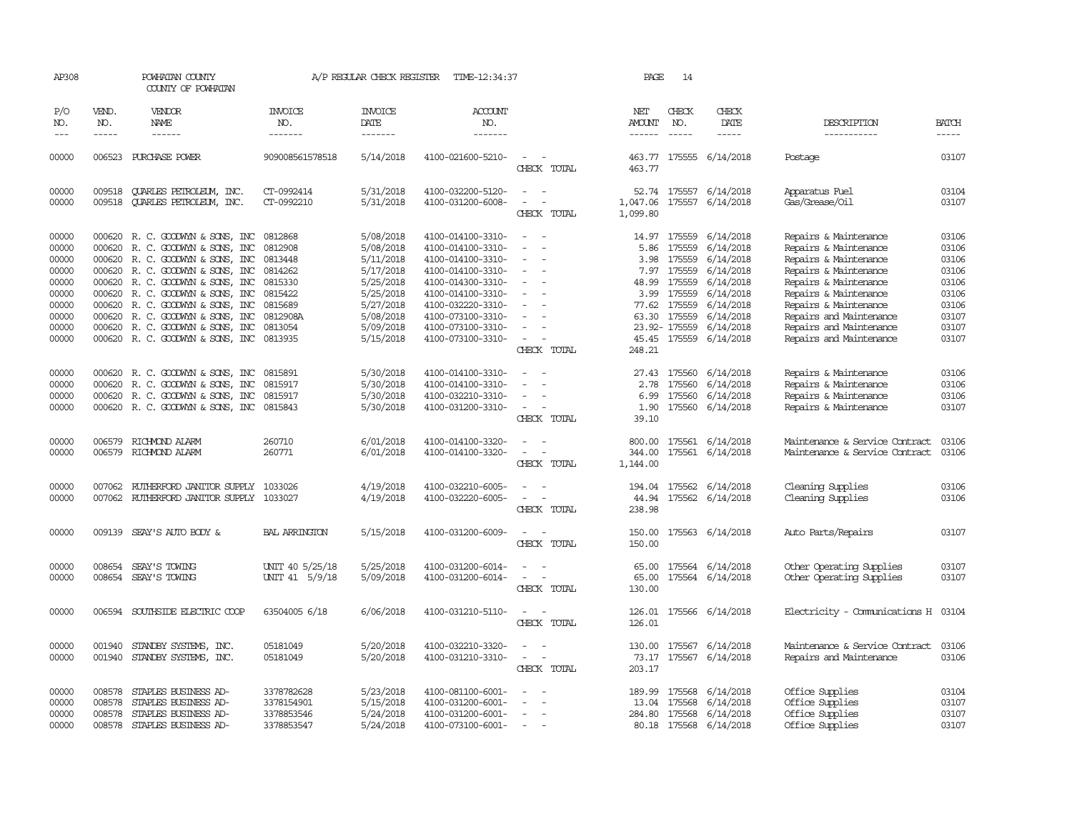| AP308                                                                                  |                                      | POWHATAN COUNTY<br>COUNTY OF POWHATAN                                                                                                                                                                                                                                                                                                                       |                                                                                                             | A/P REGULAR CHECK REGISTER                                                                                                     | TIME-12:34:37                                                                                                                                                                                                  |                                                                                                                             | PAGE                                                               | 14                                                                                                |                                                                                                                                             |                                                                                                                                                                                                                                                              |                                                                                        |
|----------------------------------------------------------------------------------------|--------------------------------------|-------------------------------------------------------------------------------------------------------------------------------------------------------------------------------------------------------------------------------------------------------------------------------------------------------------------------------------------------------------|-------------------------------------------------------------------------------------------------------------|--------------------------------------------------------------------------------------------------------------------------------|----------------------------------------------------------------------------------------------------------------------------------------------------------------------------------------------------------------|-----------------------------------------------------------------------------------------------------------------------------|--------------------------------------------------------------------|---------------------------------------------------------------------------------------------------|---------------------------------------------------------------------------------------------------------------------------------------------|--------------------------------------------------------------------------------------------------------------------------------------------------------------------------------------------------------------------------------------------------------------|----------------------------------------------------------------------------------------|
| P/O<br>NO.                                                                             | VEND.<br>NO.                         | VENDOR<br>NAME                                                                                                                                                                                                                                                                                                                                              | <b>INVOICE</b><br>NO.                                                                                       | <b>INVOICE</b><br>DATE                                                                                                         | ACCOUNT<br>NO.                                                                                                                                                                                                 |                                                                                                                             | NET<br>AMOUNT                                                      | CHECK<br>NO.                                                                                      | CHECK<br>DATE                                                                                                                               | DESCRIPTION                                                                                                                                                                                                                                                  | <b>BATCH</b>                                                                           |
| $---$                                                                                  | $\cdots \cdots \cdots$               | $- - - - - -$                                                                                                                                                                                                                                                                                                                                               | -------                                                                                                     | -------                                                                                                                        | -------                                                                                                                                                                                                        |                                                                                                                             |                                                                    | $\frac{1}{2}$                                                                                     | -----                                                                                                                                       | -----------                                                                                                                                                                                                                                                  |                                                                                        |
| 00000                                                                                  |                                      | 006523 PURCHASE POWER                                                                                                                                                                                                                                                                                                                                       | 909008561578518                                                                                             | 5/14/2018                                                                                                                      | 4100-021600-5210-                                                                                                                                                                                              | $\overline{\phantom{a}}$<br>CHECK TOTAL                                                                                     | 463.77                                                             |                                                                                                   | 463.77 175555 6/14/2018                                                                                                                     | Postage                                                                                                                                                                                                                                                      | 03107                                                                                  |
| 00000<br>00000                                                                         | 009518                               | 009518 CUARLES PETROLEUM, INC.<br>QUARLES PETROLEUM, INC.                                                                                                                                                                                                                                                                                                   | CT-0992414<br>CT-0992210                                                                                    | 5/31/2018<br>5/31/2018                                                                                                         | 4100-032200-5120-<br>4100-031200-6008-                                                                                                                                                                         | $\overline{\phantom{a}}$<br>CHECK TOTAL                                                                                     | 1,047.06<br>1,099.80                                               | 175557                                                                                            | 52.74 175557 6/14/2018<br>6/14/2018                                                                                                         | Apparatus Fuel<br>Gas/Grease/Oil                                                                                                                                                                                                                             | 03104<br>03107                                                                         |
| 00000<br>00000<br>00000<br>00000<br>00000<br>00000<br>00000<br>00000<br>00000<br>00000 | 000620                               | 000620 R.C. GOODWYN & SONS, INC<br>R. C. GOODWYN & SONS, INC<br>000620 R. C. GOODWYN & SONS, INC<br>000620 R. C. GOODWYN & SONS, INC<br>000620 R. C. GOODWYN & SONS, INC<br>000620 R. C. GOODWYN & SONS, INC<br>000620 R. C. GOODWYN & SONS, INC<br>000620 R.C. GOODWYN & SONS, INC<br>000620 R. C. GOODWYN & SONS, INC<br>000620 R. C. GOODWYN & SONS, INC | 0812868<br>0812908<br>0813448<br>0814262<br>0815330<br>0815422<br>0815689<br>0812908A<br>0813054<br>0813935 | 5/08/2018<br>5/08/2018<br>5/11/2018<br>5/17/2018<br>5/25/2018<br>5/25/2018<br>5/27/2018<br>5/08/2018<br>5/09/2018<br>5/15/2018 | 4100-014100-3310-<br>4100-014100-3310-<br>4100-014100-3310-<br>4100-014100-3310-<br>4100-014300-3310-<br>4100-014100-3310-<br>4100-032220-3310-<br>4100-073100-3310-<br>4100-073100-3310-<br>4100-073100-3310- | $\equiv$<br>$\sim$<br>$\overline{\phantom{0}}$<br>CHECK TOTAL                                                               | 14.97<br>5.86<br>3.98<br>48.99<br>3.99<br>77.62<br>63.30<br>248.21 | 175559<br>175559<br>175559<br>7.97 175559<br>175559<br>175559<br>175559<br>175559<br>23.92-175559 | 6/14/2018<br>6/14/2018<br>6/14/2018<br>6/14/2018<br>6/14/2018<br>6/14/2018<br>6/14/2018<br>6/14/2018<br>6/14/2018<br>45.45 175559 6/14/2018 | Repairs & Maintenance<br>Repairs & Maintenance<br>Repairs & Maintenance<br>Repairs & Maintenance<br>Repairs & Maintenance<br>Repairs & Maintenance<br>Repairs & Maintenance<br>Repairs and Maintenance<br>Repairs and Maintenance<br>Repairs and Maintenance | 03106<br>03106<br>03106<br>03106<br>03106<br>03106<br>03106<br>03107<br>03107<br>03107 |
| 00000<br>00000<br>00000<br>00000                                                       |                                      | 000620 R.C. GOODWYN & SONS, INC<br>000620 R. C. GOODWYN & SONS, INC<br>000620 R. C. GOODWYN & SONS, INC<br>000620 R. C. GOODWYN & SONS, INC 0815843                                                                                                                                                                                                         | 0815891<br>0815917<br>0815917                                                                               | 5/30/2018<br>5/30/2018<br>5/30/2018<br>5/30/2018                                                                               | 4100-014100-3310-<br>4100-014100-3310-<br>4100-032210-3310-<br>4100-031200-3310-                                                                                                                               | $\equiv$<br>$\overline{\phantom{a}}$<br>CHECK TOTAL                                                                         | 27.43<br>2.78<br>6.99<br>1.90<br>39.10                             | 175560<br>175560<br>175560<br>175560                                                              | 6/14/2018<br>6/14/2018<br>6/14/2018<br>6/14/2018                                                                                            | Repairs & Maintenance<br>Repairs & Maintenance<br>Repairs & Maintenance<br>Repairs & Maintenance                                                                                                                                                             | 03106<br>03106<br>03106<br>03107                                                       |
| 00000<br>00000                                                                         | 006579                               | RICHMOND ALARM<br>006579 RICHMOND ALARM                                                                                                                                                                                                                                                                                                                     | 260710<br>260771                                                                                            | 6/01/2018<br>6/01/2018                                                                                                         | 4100-014100-3320-<br>4100-014100-3320-                                                                                                                                                                         | CHECK TOTAL                                                                                                                 | 800.00<br>344.00<br>1,144.00                                       |                                                                                                   | 175561 6/14/2018<br>175561 6/14/2018                                                                                                        | Maintenance & Service Contract<br>Maintenance & Service Contract                                                                                                                                                                                             | 03106<br>03106                                                                         |
| 00000<br>00000                                                                         | 007062                               | 007062 RUTHERFORD JANITOR SUPPLY<br>RUTHERFORD JANITOR SUPPLY 1033027                                                                                                                                                                                                                                                                                       | 1033026                                                                                                     | 4/19/2018<br>4/19/2018                                                                                                         | 4100-032210-6005-<br>4100-032220-6005-                                                                                                                                                                         | $\overline{\phantom{a}}$<br>CHECK TOTAL                                                                                     | 44.94<br>238.98                                                    |                                                                                                   | 194.04 175562 6/14/2018<br>175562 6/14/2018                                                                                                 | Cleaning Supplies<br>Cleaning Supplies                                                                                                                                                                                                                       | 03106<br>03106                                                                         |
| 00000                                                                                  | 009139                               | SEAY'S AUTO BODY &                                                                                                                                                                                                                                                                                                                                          | <b>BAL ARRINGTON</b>                                                                                        | 5/15/2018                                                                                                                      | 4100-031200-6009-                                                                                                                                                                                              | CHECK TOTAL                                                                                                                 | 150.00<br>150.00                                                   |                                                                                                   | 175563 6/14/2018                                                                                                                            | Auto Parts/Repairs                                                                                                                                                                                                                                           | 03107                                                                                  |
| 00000<br>00000                                                                         | 008654                               | SEAY'S TOWING<br>008654 SEAY'S TOWING                                                                                                                                                                                                                                                                                                                       | UNIT 40 5/25/18<br>UNIT 41 5/9/18                                                                           | 5/25/2018<br>5/09/2018                                                                                                         | 4100-031200-6014-<br>4100-031200-6014-                                                                                                                                                                         | $\sim$<br>CHECK TOTAL                                                                                                       | 65.00<br>65.00<br>130.00                                           |                                                                                                   | 175564 6/14/2018<br>175564 6/14/2018                                                                                                        | Other Operating Supplies<br>Other Operating Supplies                                                                                                                                                                                                         | 03107<br>03107                                                                         |
| 00000                                                                                  |                                      | 006594 SOUTHSIDE ELECTRIC COOP                                                                                                                                                                                                                                                                                                                              | 63504005 6/18                                                                                               | 6/06/2018                                                                                                                      | 4100-031210-5110-                                                                                                                                                                                              | $\frac{1}{2} \left( \frac{1}{2} \right) \left( \frac{1}{2} \right) = \frac{1}{2} \left( \frac{1}{2} \right)$<br>CHECK TOTAL | 126.01                                                             |                                                                                                   | 126.01 175566 6/14/2018                                                                                                                     | Electricity - Comunications H 03104                                                                                                                                                                                                                          |                                                                                        |
| 00000<br>00000                                                                         | 001940                               | STANDBY SYSTEMS, INC.<br>001940 STANDBY SYSTEMS, INC.                                                                                                                                                                                                                                                                                                       | 05181049<br>05181049                                                                                        | 5/20/2018<br>5/20/2018                                                                                                         | 4100-032210-3320-<br>4100-031210-3310-                                                                                                                                                                         | $\equiv$<br>CHECK TOTAL                                                                                                     | 130.00<br>203.17                                                   | 175567                                                                                            | 6/14/2018<br>73.17 175567 6/14/2018                                                                                                         | Maintenance & Service Contract<br>Repairs and Maintenance                                                                                                                                                                                                    | 03106<br>03106                                                                         |
| 00000<br>00000<br>00000<br>00000                                                       | 008578<br>008578<br>008578<br>008578 | STAPLES BUSINESS AD-<br>STAPLES BUSINESS AD-<br>STAPLES BUSINESS AD-<br>STAPLES BUSINESS AD-                                                                                                                                                                                                                                                                | 3378782628<br>3378154901<br>3378853546<br>3378853547                                                        | 5/23/2018<br>5/15/2018<br>5/24/2018<br>5/24/2018                                                                               | 4100-081100-6001-<br>4100-031200-6001-<br>4100-031200-6001-<br>4100-073100-6001-                                                                                                                               | $\sim$                                                                                                                      | 189.99<br>13.04<br>284.80                                          | 175568<br>175568<br>175568                                                                        | 6/14/2018<br>6/14/2018<br>6/14/2018<br>80.18 175568 6/14/2018                                                                               | Office Supplies<br>Office Supplies<br>Office Supplies<br>Office Supplies                                                                                                                                                                                     | 03104<br>03107<br>03107<br>03107                                                       |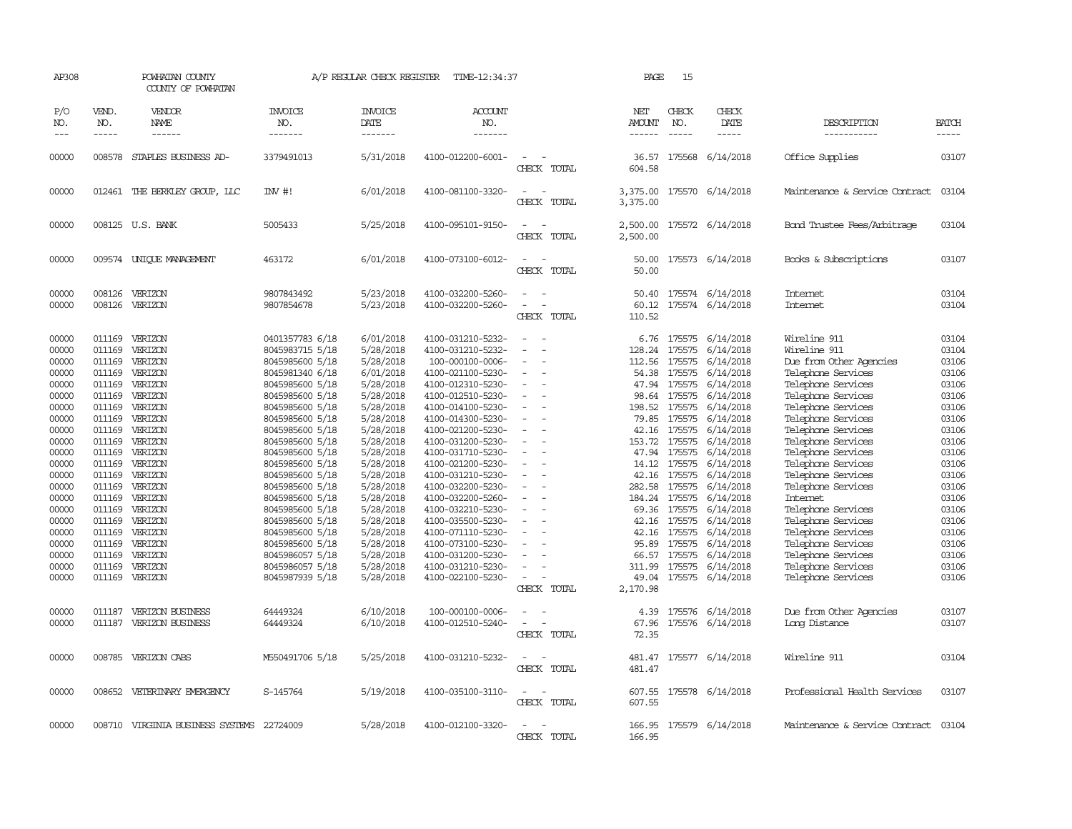| AP308                                     |                                      | POWHATAN COUNTY<br>COUNTY OF POWHATAN                             |                                                                                             | A/P REGULAR CHECK REGISTER                                    | TIME-12:34:37                                                                                         |                                                     | PAGE                                          | 15                                             |                                                                      |                                                                                                            |                                           |
|-------------------------------------------|--------------------------------------|-------------------------------------------------------------------|---------------------------------------------------------------------------------------------|---------------------------------------------------------------|-------------------------------------------------------------------------------------------------------|-----------------------------------------------------|-----------------------------------------------|------------------------------------------------|----------------------------------------------------------------------|------------------------------------------------------------------------------------------------------------|-------------------------------------------|
| P/O<br>NO.<br>$---$                       | VEND.<br>NO.<br>$- - - - -$          | <b>VENDOR</b><br>NAME<br>------                                   | <b>INVOICE</b><br>NO.<br>-------                                                            | <b>INVOICE</b><br>DATE<br>-------                             | ACCOUNT<br>NO.<br>-------                                                                             |                                                     | NET<br><b>AMOUNT</b><br>$- - - - - -$         | CHECK<br>NO.<br>$\frac{1}{2}$                  | CHECK<br>DATE<br>$- - - - -$                                         | DESCRIPTION<br>-----------                                                                                 | <b>BATCH</b><br>$- - - - -$               |
| 00000                                     |                                      | 008578 STAPLES BUSINESS AD-                                       | 3379491013                                                                                  | 5/31/2018                                                     | 4100-012200-6001-                                                                                     | $\sim$<br>CHECK TOTAL                               | 36.57<br>604.58                               |                                                | 175568 6/14/2018                                                     | Office Supplies                                                                                            | 03107                                     |
| 00000                                     |                                      | 012461 THE BERKLEY GROUP, LLC                                     | $IW$ #!                                                                                     | 6/01/2018                                                     | 4100-081100-3320-                                                                                     | $\equiv$<br>CHECK TOTAL                             | 3,375.00                                      |                                                | 3,375.00 175570 6/14/2018                                            | Maintenance & Service Contract                                                                             | 03104                                     |
| 00000                                     |                                      | 008125 U.S. BANK                                                  | 5005433                                                                                     | 5/25/2018                                                     | 4100-095101-9150-                                                                                     | CHECK TOTAL                                         | 2,500.00<br>2,500.00                          |                                                | 175572 6/14/2018                                                     | Bond Trustee Fees/Arbitrage                                                                                | 03104                                     |
| 00000                                     |                                      | 009574 UNIQUE MANAGEMENT                                          | 463172                                                                                      | 6/01/2018                                                     | 4100-073100-6012-                                                                                     | $\equiv$<br>CHECK TOTAL                             | 50.00<br>50.00                                |                                                | 175573 6/14/2018                                                     | Books & Subscriptions                                                                                      | 03107                                     |
| 00000<br>00000                            | 008126<br>008126                     | VERIZON<br>VERIZON                                                | 9807843492<br>9807854678                                                                    | 5/23/2018<br>5/23/2018                                        | 4100-032200-5260-<br>4100-032200-5260-                                                                | CHECK TOTAL                                         | 50.40<br>60.12<br>110.52                      |                                                | 175574 6/14/2018<br>175574 6/14/2018                                 | Internet<br>Internet                                                                                       | 03104<br>03104                            |
| 00000<br>00000<br>00000<br>00000<br>00000 | 011169<br>011169<br>011169           | VERIZON<br>VERIZON<br>011169 VERIZON<br>011169 VERIZON<br>VERIZON | 0401357783 6/18<br>8045983715 5/18<br>8045985600 5/18<br>8045981340 6/18<br>8045985600 5/18 | 6/01/2018<br>5/28/2018<br>5/28/2018<br>6/01/2018<br>5/28/2018 | 4100-031210-5232-<br>4100-031210-5232-<br>100-000100-0006-<br>4100-021100-5230-<br>4100-012310-5230-  | $\overline{\phantom{a}}$<br>$\sim$                  | 6.76<br>128.24<br>112.56<br>54.38<br>47.94    | 175575<br>175575<br>175575<br>175575           | 175575 6/14/2018<br>6/14/2018<br>6/14/2018<br>6/14/2018<br>6/14/2018 | Wireline 911<br>Wireline 911<br>Due from Other Agencies<br>Telephone Services<br>Telephone Services        | 03104<br>03104<br>03106<br>03106<br>03106 |
| 00000<br>00000<br>00000<br>00000          | 011169<br>011169<br>011169           | VERIZON<br>011169 VERIZON<br>VERIZON<br>VERIZON                   | 8045985600 5/18<br>8045985600 5/18<br>8045985600 5/18<br>8045985600 5/18                    | 5/28/2018<br>5/28/2018<br>5/28/2018<br>5/28/2018              | 4100-012510-5230-<br>4100-014100-5230-<br>4100-014300-5230-<br>4100-021200-5230-                      | $\sim$<br>$\equiv$                                  | 198.52<br>79.85<br>42.16                      | 98.64 175575<br>175575<br>175575<br>175575     | 6/14/2018<br>6/14/2018<br>6/14/2018<br>6/14/2018                     | Telephone Services<br>Telephone Services<br>Telephone Services<br>Telephone Services                       | 03106<br>03106<br>03106<br>03106          |
| 00000<br>00000<br>00000<br>00000<br>00000 | 011169<br>011169<br>011169<br>011169 | VERIZON<br>VERIZON<br>VERIZON<br>VERIZON<br>011169 VERIZON        | 8045985600 5/18<br>8045985600 5/18<br>8045985600 5/18<br>8045985600 5/18<br>8045985600 5/18 | 5/28/2018<br>5/28/2018<br>5/28/2018<br>5/28/2018<br>5/28/2018 | 4100-031200-5230-<br>4100-031710-5230-<br>4100-021200-5230-<br>4100-031210-5230-<br>4100-032200-5230- | $\sim$<br>$\sim$<br>$\equiv$                        | 153.72<br>47.94<br>14.12<br>42.16<br>282.58   | 175575<br>175575<br>175575<br>175575<br>175575 | 6/14/2018<br>6/14/2018<br>6/14/2018<br>6/14/2018<br>6/14/2018        | Telephone Services<br>Telephone Services<br>Telephone Services<br>Telephone Services<br>Telephone Services | 03106<br>03106<br>03106<br>03106<br>03106 |
| 00000<br>00000<br>00000<br>00000          | 011169<br>011169                     | 011169 VERIZON<br>VERIZON<br>VERIZON<br>011169 VERIZON            | 8045985600 5/18<br>8045985600 5/18<br>8045985600 5/18<br>8045985600 5/18                    | 5/28/2018<br>5/28/2018<br>5/28/2018<br>5/28/2018              | 4100-032200-5260-<br>4100-032210-5230-<br>4100-035500-5230-<br>4100-071110-5230-                      | $\sim$<br>$\equiv$                                  | 184.24<br>69.36<br>42.16<br>42.16             | 175575<br>175575<br>175575<br>175575           | 6/14/2018<br>6/14/2018<br>6/14/2018<br>6/14/2018                     | Internet<br>Telephone Services<br>Telephone Services<br>Telephone Services                                 | 03106<br>03106<br>03106<br>03106          |
| 00000<br>00000<br>00000<br>00000          | 011169<br>011169<br>011169<br>011169 | VERIZON<br>VERIZON<br>VERIZON<br>VERIZON                          | 8045985600 5/18<br>8045986057 5/18<br>8045986057 5/18<br>8045987939 5/18                    | 5/28/2018<br>5/28/2018<br>5/28/2018<br>5/28/2018              | 4100-073100-5230-<br>4100-031200-5230-<br>4100-031210-5230-<br>4100-022100-5230-                      | $\overline{\phantom{a}}$<br>$\equiv$<br>CHECK TOTAL | 95.89<br>66.57<br>311.99<br>49.04<br>2,170.98 | 175575<br>175575<br>175575                     | 6/14/2018<br>6/14/2018<br>6/14/2018<br>175575 6/14/2018              | Telephone Services<br>Telephone Services<br>Telephone Services<br>Telephone Services                       | 03106<br>03106<br>03106<br>03106          |
| 00000<br>00000                            | 011187<br>011187                     | VERIZON BUSINESS<br>VERIZON BUSINESS                              | 64449324<br>64449324                                                                        | 6/10/2018<br>6/10/2018                                        | 100-000100-0006-<br>4100-012510-5240-                                                                 | $\equiv$<br>CHECK TOTAL                             | 4.39<br>67.96<br>72.35                        |                                                | 175576 6/14/2018<br>175576 6/14/2018                                 | Due from Other Agencies<br>Long Distance                                                                   | 03107<br>03107                            |
| 00000                                     |                                      | 008785 VERIZON CABS                                               | M550491706 5/18                                                                             | 5/25/2018                                                     | 4100-031210-5232-                                                                                     | $\overline{\phantom{a}}$<br>CHECK TOTAL             | 481.47<br>481.47                              |                                                | 175577 6/14/2018                                                     | Wireline 911                                                                                               | 03104                                     |
| 00000                                     |                                      | 008652 VETERINARY EMERGENCY                                       | S-145764                                                                                    | 5/19/2018                                                     | 4100-035100-3110-                                                                                     | $\equiv$<br>CHECK TOTAL                             | 607.55<br>607.55                              |                                                | 175578 6/14/2018                                                     | Professional Health Services                                                                               | 03107                                     |
| 00000                                     |                                      | 008710 VIRGINIA BUSINESS SYSTEMS 22724009                         |                                                                                             | 5/28/2018                                                     | 4100-012100-3320-                                                                                     | CHECK TOTAL                                         | 166.95<br>166.95                              |                                                | 175579 6/14/2018                                                     | Maintenance & Service Contract                                                                             | 03104                                     |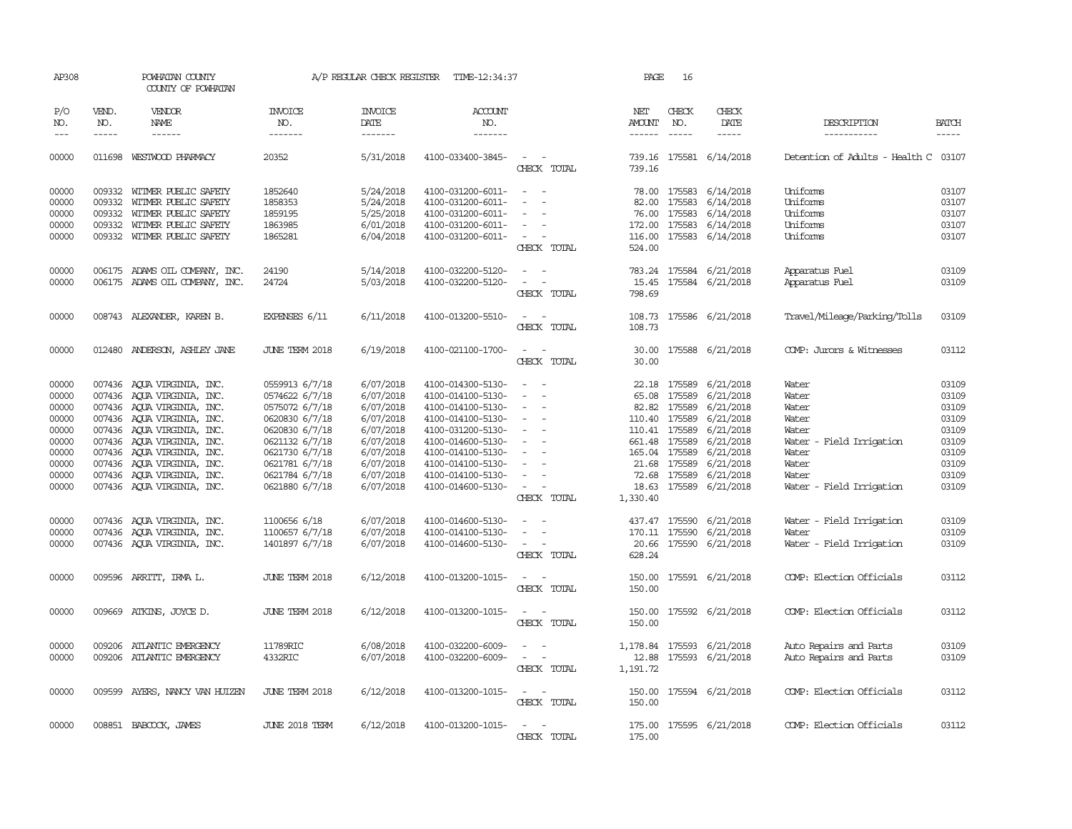| AP308      |              | POWHATAN COUNTY<br>COUNTY OF POWHATAN |                       | A/P REGULAR CHECK REGISTER | TIME-12:34:37         |                                           | PAGE                                                                                                                                                                                                                                                                                                                                                                                                                                                                                       | 16            |                                                                                                                                                                                                                                                                                                                                                                                                                                                                                     |                                      |              |
|------------|--------------|---------------------------------------|-----------------------|----------------------------|-----------------------|-------------------------------------------|--------------------------------------------------------------------------------------------------------------------------------------------------------------------------------------------------------------------------------------------------------------------------------------------------------------------------------------------------------------------------------------------------------------------------------------------------------------------------------------------|---------------|-------------------------------------------------------------------------------------------------------------------------------------------------------------------------------------------------------------------------------------------------------------------------------------------------------------------------------------------------------------------------------------------------------------------------------------------------------------------------------------|--------------------------------------|--------------|
| P/O<br>NO. | VEND.<br>NO. | VENDOR<br>NAME                        | INVOICE<br>NO.        | <b>INVOICE</b><br>DATE     | <b>ACCOUNT</b><br>NO. |                                           | NET<br>AMOUNT                                                                                                                                                                                                                                                                                                                                                                                                                                                                              | CHECK<br>NO.  | CHECK<br>DATE                                                                                                                                                                                                                                                                                                                                                                                                                                                                       | DESCRIPTION                          | <b>BATCH</b> |
| $- - -$    | $- - - - -$  | ------                                | -------               | -------                    | -------               |                                           | $\begin{tabular}{ccccc} \multicolumn{2}{c} {\textbf{1}} & \multicolumn{2}{c} {\textbf{2}} & \multicolumn{2}{c} {\textbf{3}} & \multicolumn{2}{c} {\textbf{4}} & \multicolumn{2}{c} {\textbf{5}} & \multicolumn{2}{c} {\textbf{6}} & \multicolumn{2}{c} {\textbf{7}} & \multicolumn{2}{c} {\textbf{8}} & \multicolumn{2}{c} {\textbf{9}} & \multicolumn{2}{c} {\textbf{1}} & \multicolumn{2}{c} {\textbf{1}} & \multicolumn{2}{c} {\textbf{1}} & \multicolumn{2}{c} {\textbf{1}} & \multic$ | $- - - - -$   | $\begin{tabular}{ccccc} \multicolumn{2}{c}{} & \multicolumn{2}{c}{} & \multicolumn{2}{c}{} & \multicolumn{2}{c}{} & \multicolumn{2}{c}{} & \multicolumn{2}{c}{} & \multicolumn{2}{c}{} & \multicolumn{2}{c}{} & \multicolumn{2}{c}{} & \multicolumn{2}{c}{} & \multicolumn{2}{c}{} & \multicolumn{2}{c}{} & \multicolumn{2}{c}{} & \multicolumn{2}{c}{} & \multicolumn{2}{c}{} & \multicolumn{2}{c}{} & \multicolumn{2}{c}{} & \multicolumn{2}{c}{} & \multicolumn{2}{c}{} & \mult$ | -----------                          | $- - - - -$  |
| 00000      |              | 011698 WESTWOOD PHARMACY              | 20352                 | 5/31/2018                  | 4100-033400-3845-     | $\sim$ $\sim$<br>CHECK TOTAL              | 739.16                                                                                                                                                                                                                                                                                                                                                                                                                                                                                     |               | 739.16 175581 6/14/2018                                                                                                                                                                                                                                                                                                                                                                                                                                                             | Detention of Adults - Health C 03107 |              |
| 00000      |              | 009332 WITMER PUBLIC SAFETY           | 1852640               | 5/24/2018                  | 4100-031200-6011-     | $\sim$ $\sim$                             |                                                                                                                                                                                                                                                                                                                                                                                                                                                                                            |               | 78.00 175583 6/14/2018                                                                                                                                                                                                                                                                                                                                                                                                                                                              | Uniforms                             | 03107        |
| 00000      |              | 009332 WITMER PUBLIC SAFETY           | 1858353               | 5/24/2018                  | 4100-031200-6011-     | $\sim$<br>$\overline{\phantom{a}}$        |                                                                                                                                                                                                                                                                                                                                                                                                                                                                                            | 82.00 175583  | 6/14/2018                                                                                                                                                                                                                                                                                                                                                                                                                                                                           | Uniforms                             | 03107        |
| 00000      |              | 009332 WITMER PUBLIC SAFETY           | 1859195               | 5/25/2018                  | 4100-031200-6011-     | $\overline{\phantom{a}}$                  | 76.00                                                                                                                                                                                                                                                                                                                                                                                                                                                                                      | 175583        | 6/14/2018                                                                                                                                                                                                                                                                                                                                                                                                                                                                           | Uniforms                             | 03107        |
| 00000      |              | 009332 WITMER PUBLIC SAFETY           | 1863985               | 6/01/2018                  | 4100-031200-6011-     |                                           |                                                                                                                                                                                                                                                                                                                                                                                                                                                                                            | 172.00 175583 | 6/14/2018                                                                                                                                                                                                                                                                                                                                                                                                                                                                           | Uniforms                             | 03107        |
| 00000      |              | 009332 WITMER PUBLIC SAFETY           | 1865281               | 6/04/2018                  | 4100-031200-6011-     | $\sim$                                    |                                                                                                                                                                                                                                                                                                                                                                                                                                                                                            |               | 116.00 175583 6/14/2018                                                                                                                                                                                                                                                                                                                                                                                                                                                             | Uniforms                             | 03107        |
|            |              |                                       |                       |                            |                       | CHECK TOTAL                               | 524.00                                                                                                                                                                                                                                                                                                                                                                                                                                                                                     |               |                                                                                                                                                                                                                                                                                                                                                                                                                                                                                     |                                      |              |
| 00000      |              | 006175 ADAMS OIL COMPANY, INC.        | 24190                 | 5/14/2018                  | 4100-032200-5120-     | $\overline{\phantom{a}}$                  | 783.24                                                                                                                                                                                                                                                                                                                                                                                                                                                                                     |               | 175584 6/21/2018                                                                                                                                                                                                                                                                                                                                                                                                                                                                    | Apparatus Fuel                       | 03109        |
| 00000      |              | 006175 ADAMS OIL COMPANY, INC.        | 24724                 | 5/03/2018                  | 4100-032200-5120-     | $\sim$<br>$\overline{\phantom{a}}$        |                                                                                                                                                                                                                                                                                                                                                                                                                                                                                            |               | 15.45 175584 6/21/2018                                                                                                                                                                                                                                                                                                                                                                                                                                                              | Apparatus Fuel                       | 03109        |
|            |              |                                       |                       |                            |                       | CHECK TOTAL                               | 798.69                                                                                                                                                                                                                                                                                                                                                                                                                                                                                     |               |                                                                                                                                                                                                                                                                                                                                                                                                                                                                                     |                                      |              |
| 00000      |              | 008743 ALEXANDER, KAREN B.            | EXPENSES 6/11         | 6/11/2018                  | 4100-013200-5510-     | $\sim$ $\sim$                             |                                                                                                                                                                                                                                                                                                                                                                                                                                                                                            |               | 108.73 175586 6/21/2018                                                                                                                                                                                                                                                                                                                                                                                                                                                             | Travel/Mileage/Parking/Tolls         | 03109        |
|            |              |                                       |                       |                            |                       | CHECK TOTAL                               | 108.73                                                                                                                                                                                                                                                                                                                                                                                                                                                                                     |               |                                                                                                                                                                                                                                                                                                                                                                                                                                                                                     |                                      |              |
| 00000      |              | 012480 ANDERSON, ASHLEY JANE          | JUNE TERM 2018        | 6/19/2018                  | 4100-021100-1700-     | $\sim$<br>$\sim$                          |                                                                                                                                                                                                                                                                                                                                                                                                                                                                                            |               | 30.00 175588 6/21/2018                                                                                                                                                                                                                                                                                                                                                                                                                                                              | COMP: Jurors & Witnesses             | 03112        |
|            |              |                                       |                       |                            |                       | CHECK TOTAL                               | 30.00                                                                                                                                                                                                                                                                                                                                                                                                                                                                                      |               |                                                                                                                                                                                                                                                                                                                                                                                                                                                                                     |                                      |              |
| 00000      |              | 007436 AQUA VIRGINIA, INC.            | 0559913 6/7/18        | 6/07/2018                  | 4100-014300-5130-     | $\sim$                                    |                                                                                                                                                                                                                                                                                                                                                                                                                                                                                            | 22.18 175589  | 6/21/2018                                                                                                                                                                                                                                                                                                                                                                                                                                                                           | Water                                | 03109        |
| 00000      |              | 007436 AQUA VIRGINIA, INC.            | 0574622 6/7/18        | 6/07/2018                  | 4100-014100-5130-     | $\overline{\phantom{a}}$                  | 65.08                                                                                                                                                                                                                                                                                                                                                                                                                                                                                      | 175589        | 6/21/2018                                                                                                                                                                                                                                                                                                                                                                                                                                                                           | Water                                | 03109        |
| 00000      |              | 007436 AQUA VIRGINIA, INC.            | 0575072 6/7/18        | 6/07/2018                  | 4100-014100-5130-     | $\sim$<br>$\overline{\phantom{a}}$        |                                                                                                                                                                                                                                                                                                                                                                                                                                                                                            | 82.82 175589  | 6/21/2018                                                                                                                                                                                                                                                                                                                                                                                                                                                                           | Water                                | 03109        |
| 00000      |              | 007436 AQUA VIRGINIA, INC.            | 0620830 6/7/18        | 6/07/2018                  | 4100-014100-5130-     | $\sim$                                    |                                                                                                                                                                                                                                                                                                                                                                                                                                                                                            | 110.40 175589 | 6/21/2018                                                                                                                                                                                                                                                                                                                                                                                                                                                                           | Water                                | 03109        |
| 00000      |              | 007436 AQUA VIRGINIA, INC.            | 0620830 6/7/18        | 6/07/2018                  | 4100-031200-5130-     | $\overline{\phantom{a}}$                  |                                                                                                                                                                                                                                                                                                                                                                                                                                                                                            | 110.41 175589 | 6/21/2018                                                                                                                                                                                                                                                                                                                                                                                                                                                                           | Water                                | 03109        |
| 00000      |              | 007436 AQUA VIRGINIA, INC.            | 0621132 6/7/18        | 6/07/2018                  | 4100-014600-5130-     | $\sim$                                    |                                                                                                                                                                                                                                                                                                                                                                                                                                                                                            | 661.48 175589 | 6/21/2018                                                                                                                                                                                                                                                                                                                                                                                                                                                                           | Water - Field Irrigation             | 03109        |
| 00000      |              | 007436 AQUA VIRGINIA, INC.            | 0621730 6/7/18        | 6/07/2018                  | 4100-014100-5130-     | $\sim$                                    |                                                                                                                                                                                                                                                                                                                                                                                                                                                                                            | 165.04 175589 | 6/21/2018                                                                                                                                                                                                                                                                                                                                                                                                                                                                           | Water                                | 03109        |
| 00000      |              | 007436 AQUA VIRGINIA, INC.            | 0621781 6/7/18        | 6/07/2018                  | 4100-014100-5130-     | $\overline{\phantom{a}}$                  |                                                                                                                                                                                                                                                                                                                                                                                                                                                                                            | 21.68 175589  | 6/21/2018                                                                                                                                                                                                                                                                                                                                                                                                                                                                           | Water                                | 03109        |
| 00000      |              | 007436 AQUA VIRGINIA, INC.            | 0621784 6/7/18        | 6/07/2018                  | 4100-014100-5130-     |                                           |                                                                                                                                                                                                                                                                                                                                                                                                                                                                                            | 72.68 175589  | 6/21/2018                                                                                                                                                                                                                                                                                                                                                                                                                                                                           | Water                                | 03109        |
| 00000      |              | 007436 AQUA VIRGINIA, INC.            | 0621880 6/7/18        | 6/07/2018                  | 4100-014600-5130-     | $\sim$                                    |                                                                                                                                                                                                                                                                                                                                                                                                                                                                                            |               | 18.63 175589 6/21/2018                                                                                                                                                                                                                                                                                                                                                                                                                                                              | Water - Field Irrigation             | 03109        |
|            |              |                                       |                       |                            |                       | CHECK TOTAL                               | 1,330.40                                                                                                                                                                                                                                                                                                                                                                                                                                                                                   |               |                                                                                                                                                                                                                                                                                                                                                                                                                                                                                     |                                      |              |
| 00000      |              | 007436 AQUA VIRGINIA, INC.            | 1100656 6/18          | 6/07/2018                  | 4100-014600-5130-     |                                           |                                                                                                                                                                                                                                                                                                                                                                                                                                                                                            | 437.47 175590 | 6/21/2018                                                                                                                                                                                                                                                                                                                                                                                                                                                                           | Water - Field Irrigation             | 03109        |
| 00000      |              | 007436 AQUA VIRGINIA, INC.            | 1100657 6/7/18        | 6/07/2018                  | 4100-014100-5130-     | $\sim$<br>$\sim$                          |                                                                                                                                                                                                                                                                                                                                                                                                                                                                                            | 170.11 175590 | 6/21/2018                                                                                                                                                                                                                                                                                                                                                                                                                                                                           | Water                                | 03109        |
| 00000      |              | 007436 AQUA VIRGINIA, INC.            | 1401897 6/7/18        | 6/07/2018                  | 4100-014600-5130-     | $\sim$ $ \sim$                            |                                                                                                                                                                                                                                                                                                                                                                                                                                                                                            |               | 20.66 175590 6/21/2018                                                                                                                                                                                                                                                                                                                                                                                                                                                              | Water - Field Irrigation             | 03109        |
|            |              |                                       |                       |                            |                       | CHECK TOTAL                               | 628.24                                                                                                                                                                                                                                                                                                                                                                                                                                                                                     |               |                                                                                                                                                                                                                                                                                                                                                                                                                                                                                     |                                      |              |
| 00000      |              | 009596 ARRITT, IRMA L.                | JUNE TERM 2018        | 6/12/2018                  | 4100-013200-1015-     | $\overline{\phantom{a}}$<br>$\sim$        | 150.00                                                                                                                                                                                                                                                                                                                                                                                                                                                                                     |               | 175591 6/21/2018                                                                                                                                                                                                                                                                                                                                                                                                                                                                    | COMP: Election Officials             | 03112        |
|            |              |                                       |                       |                            |                       | CHECK TOTAL                               | 150.00                                                                                                                                                                                                                                                                                                                                                                                                                                                                                     |               |                                                                                                                                                                                                                                                                                                                                                                                                                                                                                     |                                      |              |
| 00000      |              | 009669 ATKINS, JOYCE D.               | JUNE TERM 2018        | 6/12/2018                  | 4100-013200-1015-     | $\sim$ $ \sim$                            |                                                                                                                                                                                                                                                                                                                                                                                                                                                                                            |               | 150.00 175592 6/21/2018                                                                                                                                                                                                                                                                                                                                                                                                                                                             | COMP: Election Officials             | 03112        |
|            |              |                                       |                       |                            |                       | CHECK TOTAL                               | 150.00                                                                                                                                                                                                                                                                                                                                                                                                                                                                                     |               |                                                                                                                                                                                                                                                                                                                                                                                                                                                                                     |                                      |              |
| 00000      | 009206       | ATLANTIC EMERGENCY                    | 11789RIC              | 6/08/2018                  | 4100-032200-6009-     | $\omega_{\rm{max}}$ , $\omega_{\rm{max}}$ |                                                                                                                                                                                                                                                                                                                                                                                                                                                                                            |               | 1,178.84 175593 6/21/2018                                                                                                                                                                                                                                                                                                                                                                                                                                                           | Auto Repairs and Parts               | 03109        |
| 00000      |              | 009206 ATLANTIC EMERGENCY             | 4332RIC               | 6/07/2018                  | 4100-032200-6009-     | $\sim$<br>$\overline{\phantom{a}}$        |                                                                                                                                                                                                                                                                                                                                                                                                                                                                                            |               | 12.88 175593 6/21/2018                                                                                                                                                                                                                                                                                                                                                                                                                                                              | Auto Repairs and Parts               | 03109        |
|            |              |                                       |                       |                            |                       | CHECK TOTAL                               | 1,191.72                                                                                                                                                                                                                                                                                                                                                                                                                                                                                   |               |                                                                                                                                                                                                                                                                                                                                                                                                                                                                                     |                                      |              |
| 00000      |              | 009599 AYERS, NANCY VAN HUIZEN        | JUNE TERM 2018        | 6/12/2018                  | 4100-013200-1015-     | $\overline{\phantom{a}}$<br>$\sim$        |                                                                                                                                                                                                                                                                                                                                                                                                                                                                                            |               | 150.00 175594 6/21/2018                                                                                                                                                                                                                                                                                                                                                                                                                                                             | COMP: Election Officials             | 03112        |
|            |              |                                       |                       |                            |                       | CHECK TOTAL                               | 150.00                                                                                                                                                                                                                                                                                                                                                                                                                                                                                     |               |                                                                                                                                                                                                                                                                                                                                                                                                                                                                                     |                                      |              |
| 00000      |              | 008851 BABCOCK, JAMES                 | <b>JUNE 2018 TERM</b> | 6/12/2018                  | 4100-013200-1015-     |                                           |                                                                                                                                                                                                                                                                                                                                                                                                                                                                                            |               | 175.00 175595 6/21/2018                                                                                                                                                                                                                                                                                                                                                                                                                                                             | COMP: Election Officials             | 03112        |
|            |              |                                       |                       |                            |                       | CHECK TOTAL                               | 175.00                                                                                                                                                                                                                                                                                                                                                                                                                                                                                     |               |                                                                                                                                                                                                                                                                                                                                                                                                                                                                                     |                                      |              |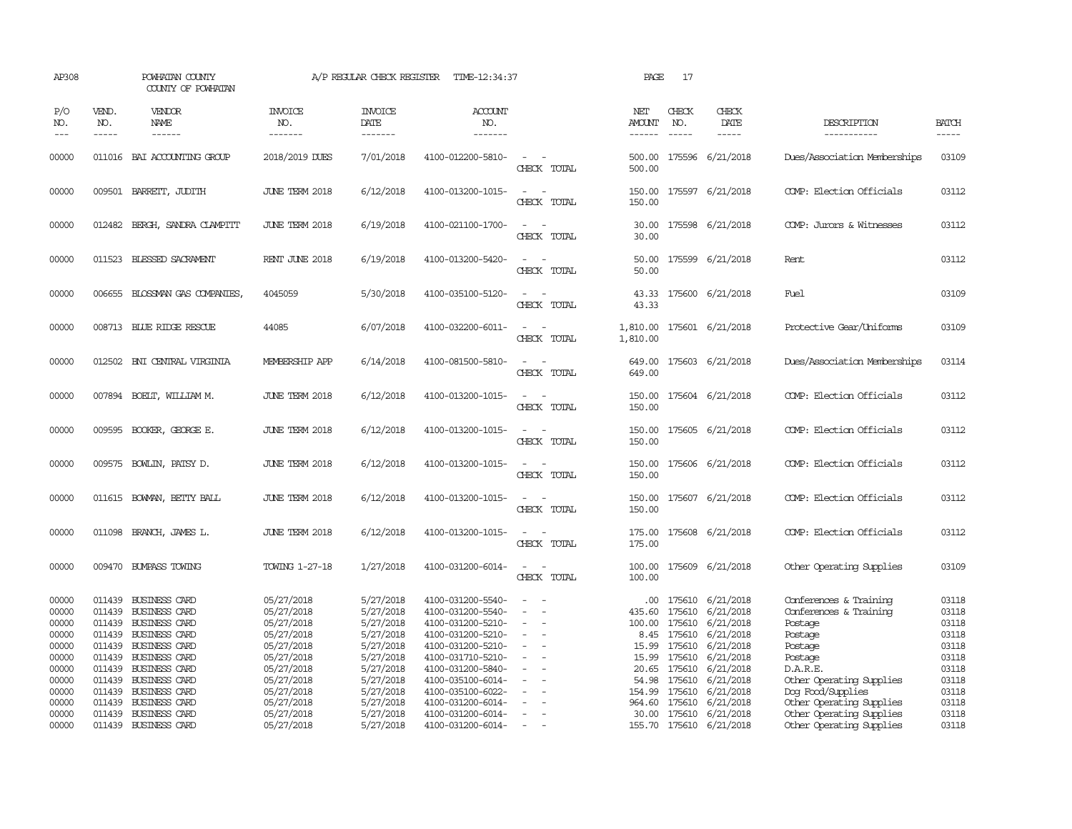| AP308                                                                                                    |                                                          | POWHATAN COUNTY<br>COUNTY OF POWHATAN                                                                                                                                                                                                                     |                                                                                                                                                                      | A/P REGULAR CHECK REGISTER                                                                                                                               | TIME-12:34:37                                                                                                                                                                                                                                            |                                                          | PAGE                                                                                                     | 17                            |                                                                                                                                                                                                                                       |                                                                                                                                                                                                                                               |                                                                                                          |
|----------------------------------------------------------------------------------------------------------|----------------------------------------------------------|-----------------------------------------------------------------------------------------------------------------------------------------------------------------------------------------------------------------------------------------------------------|----------------------------------------------------------------------------------------------------------------------------------------------------------------------|----------------------------------------------------------------------------------------------------------------------------------------------------------|----------------------------------------------------------------------------------------------------------------------------------------------------------------------------------------------------------------------------------------------------------|----------------------------------------------------------|----------------------------------------------------------------------------------------------------------|-------------------------------|---------------------------------------------------------------------------------------------------------------------------------------------------------------------------------------------------------------------------------------|-----------------------------------------------------------------------------------------------------------------------------------------------------------------------------------------------------------------------------------------------|----------------------------------------------------------------------------------------------------------|
| P/O<br>NO.<br>$---$                                                                                      | VEND.<br>NO.<br>$- - - - -$                              | <b>VENDOR</b><br><b>NAME</b><br>------                                                                                                                                                                                                                    | <b>INVOICE</b><br>NO.<br>-------                                                                                                                                     | <b>INVOICE</b><br>DATE<br>-------                                                                                                                        | <b>ACCOUNT</b><br>NO.<br>-------                                                                                                                                                                                                                         |                                                          | NET<br>AMOUNT<br>------                                                                                  | CHECK<br>NO.<br>$\frac{1}{2}$ | CHECK<br>DATE<br>$- - - - -$                                                                                                                                                                                                          | DESCRIPTION<br>-----------                                                                                                                                                                                                                    | <b>BATCH</b><br>$- - - - -$                                                                              |
| 00000                                                                                                    |                                                          | 011016 BAI ACCOUNTING GROUP                                                                                                                                                                                                                               | 2018/2019 DUES                                                                                                                                                       | 7/01/2018                                                                                                                                                | 4100-012200-5810-                                                                                                                                                                                                                                        | $\sim$<br>CHECK TOTAL                                    | 500.00                                                                                                   |                               | 500.00 175596 6/21/2018                                                                                                                                                                                                               | Dues/Association Memberships                                                                                                                                                                                                                  | 03109                                                                                                    |
| 00000                                                                                                    |                                                          | 009501 BARRETT, JUDITH                                                                                                                                                                                                                                    | JUNE TERM 2018                                                                                                                                                       | 6/12/2018                                                                                                                                                | 4100-013200-1015-                                                                                                                                                                                                                                        | CHECK TOTAL                                              | 150.00<br>150.00                                                                                         |                               | 175597 6/21/2018                                                                                                                                                                                                                      | COMP: Election Officials                                                                                                                                                                                                                      | 03112                                                                                                    |
| 00000                                                                                                    |                                                          | 012482 BERGH, SANDRA CLAMPITT                                                                                                                                                                                                                             | JUNE TERM 2018                                                                                                                                                       | 6/19/2018                                                                                                                                                | 4100-021100-1700-                                                                                                                                                                                                                                        | $\omega_{\rm{max}}$ , $\omega_{\rm{max}}$<br>CHECK TOTAL | 30.00<br>30.00                                                                                           |                               | 175598 6/21/2018                                                                                                                                                                                                                      | COMP: Jurors & Witnesses                                                                                                                                                                                                                      | 03112                                                                                                    |
| 00000                                                                                                    |                                                          | 011523 BLESSED SACRAMENT                                                                                                                                                                                                                                  | RENT JUNE 2018                                                                                                                                                       | 6/19/2018                                                                                                                                                | 4100-013200-5420-                                                                                                                                                                                                                                        | $\sim$<br>CHECK TOTAL                                    | 50.00                                                                                                    |                               | 50.00 175599 6/21/2018                                                                                                                                                                                                                | Rent                                                                                                                                                                                                                                          | 03112                                                                                                    |
| 00000                                                                                                    |                                                          | 006655 BLOSSMAN GAS COMPANIES,                                                                                                                                                                                                                            | 4045059                                                                                                                                                              | 5/30/2018                                                                                                                                                | 4100-035100-5120-                                                                                                                                                                                                                                        | CHECK TOTAL                                              | 43.33<br>43.33                                                                                           |                               | 175600 6/21/2018                                                                                                                                                                                                                      | Fuel                                                                                                                                                                                                                                          | 03109                                                                                                    |
| 00000                                                                                                    |                                                          | 008713 BLUE RIDGE RESCUE                                                                                                                                                                                                                                  | 44085                                                                                                                                                                | 6/07/2018                                                                                                                                                | 4100-032200-6011-                                                                                                                                                                                                                                        | $\sim$<br>CHECK TOTAL                                    | 1,810.00<br>1,810.00                                                                                     |                               | 175601 6/21/2018                                                                                                                                                                                                                      | Protective Gear/Uniforms                                                                                                                                                                                                                      | 03109                                                                                                    |
| 00000                                                                                                    |                                                          | 012502 BNI CENTRAL VIRGINIA                                                                                                                                                                                                                               | MEMBERSHIP APP                                                                                                                                                       | 6/14/2018                                                                                                                                                | 4100-081500-5810-                                                                                                                                                                                                                                        | $\sim$<br>CHECK TOTAL                                    | 649.00<br>649.00                                                                                         |                               | 175603 6/21/2018                                                                                                                                                                                                                      | Dues/Association Memberships                                                                                                                                                                                                                  | 03114                                                                                                    |
| 00000                                                                                                    |                                                          | 007894 BOELT, WILLIAM M.                                                                                                                                                                                                                                  | JUNE TERM 2018                                                                                                                                                       | 6/12/2018                                                                                                                                                | 4100-013200-1015-                                                                                                                                                                                                                                        | $\sim$<br>CHECK TOTAL                                    | 150.00<br>150.00                                                                                         |                               | 175604 6/21/2018                                                                                                                                                                                                                      | COMP: Election Officials                                                                                                                                                                                                                      | 03112                                                                                                    |
| 00000                                                                                                    |                                                          | 009595 BOOKER, GEORGE E.                                                                                                                                                                                                                                  | JUNE TERM 2018                                                                                                                                                       | 6/12/2018                                                                                                                                                | 4100-013200-1015-                                                                                                                                                                                                                                        | CHECK TOTAL                                              | 150.00<br>150.00                                                                                         |                               | 175605 6/21/2018                                                                                                                                                                                                                      | COMP: Election Officials                                                                                                                                                                                                                      | 03112                                                                                                    |
| 00000                                                                                                    | 009575                                                   | BOWLIN, PATSY D.                                                                                                                                                                                                                                          | JUNE TERM 2018                                                                                                                                                       | 6/12/2018                                                                                                                                                | 4100-013200-1015-                                                                                                                                                                                                                                        | CHECK TOTAL                                              | 150.00<br>150.00                                                                                         |                               | 175606 6/21/2018                                                                                                                                                                                                                      | COMP: Election Officials                                                                                                                                                                                                                      | 03112                                                                                                    |
| 00000                                                                                                    | 011615                                                   | BOWAN, BETTY BALL                                                                                                                                                                                                                                         | JUNE TERM 2018                                                                                                                                                       | 6/12/2018                                                                                                                                                | 4100-013200-1015-                                                                                                                                                                                                                                        | CHECK TOTAL                                              | 150.00<br>150.00                                                                                         |                               | 175607 6/21/2018                                                                                                                                                                                                                      | COMP: Election Officials                                                                                                                                                                                                                      | 03112                                                                                                    |
| 00000                                                                                                    | 011098                                                   | BRANCH, JAMES L.                                                                                                                                                                                                                                          | JUNE TERM 2018                                                                                                                                                       | 6/12/2018                                                                                                                                                | 4100-013200-1015-                                                                                                                                                                                                                                        | $\equiv$<br>CHECK TOTAL                                  | 175.00<br>175.00                                                                                         |                               | 175608 6/21/2018                                                                                                                                                                                                                      | COMP: Election Officials                                                                                                                                                                                                                      | 03112                                                                                                    |
| 00000                                                                                                    |                                                          | 009470 BUMPASS TOWING                                                                                                                                                                                                                                     | TOWING 1-27-18                                                                                                                                                       | 1/27/2018                                                                                                                                                | 4100-031200-6014-                                                                                                                                                                                                                                        | $\sim$<br>CHECK TOTAL                                    | 100.00<br>100.00                                                                                         |                               | 175609 6/21/2018                                                                                                                                                                                                                      | Other Operating Supplies                                                                                                                                                                                                                      | 03109                                                                                                    |
| 00000<br>00000<br>00000<br>00000<br>00000<br>00000<br>00000<br>00000<br>00000<br>00000<br>00000<br>00000 | 011439<br>011439<br>011439<br>011439<br>011439<br>011439 | BUSINESS CARD<br><b>BUSINESS CARD</b><br>BUSINESS CARD<br>BUSINESS CARD<br>011439 BUSINESS CARD<br>011439 BUSINESS CARD<br>011439 BUSINESS CARD<br>011439 BUSINESS CARD<br>011439 BUSINESS CARD<br>BUSINESS CARD<br>BUSINESS CARD<br>011439 BUSINESS CARD | 05/27/2018<br>05/27/2018<br>05/27/2018<br>05/27/2018<br>05/27/2018<br>05/27/2018<br>05/27/2018<br>05/27/2018<br>05/27/2018<br>05/27/2018<br>05/27/2018<br>05/27/2018 | 5/27/2018<br>5/27/2018<br>5/27/2018<br>5/27/2018<br>5/27/2018<br>5/27/2018<br>5/27/2018<br>5/27/2018<br>5/27/2018<br>5/27/2018<br>5/27/2018<br>5/27/2018 | 4100-031200-5540-<br>4100-031200-5540-<br>4100-031200-5210-<br>4100-031200-5210-<br>4100-031200-5210-<br>4100-031710-5210-<br>4100-031200-5840-<br>4100-035100-6014-<br>4100-035100-6022-<br>4100-031200-6014-<br>4100-031200-6014-<br>4100-031200-6014- | $\equiv$<br>$\sim$<br>$\overline{\phantom{a}}$           | $.00 \cdot$<br>435.60<br>100.00<br>8.45<br>15.99<br>15.99<br>20.65<br>54.98<br>154.99<br>964.60<br>30.00 | 175610<br>175610              | 175610 6/21/2018<br>6/21/2018<br>175610 6/21/2018<br>175610 6/21/2018<br>175610 6/21/2018<br>175610 6/21/2018<br>175610 6/21/2018<br>175610 6/21/2018<br>175610 6/21/2018<br>6/21/2018<br>175610 6/21/2018<br>155.70 175610 6/21/2018 | Conferences & Training<br>Conferences & Training<br>Postage<br>Postage<br>Postage<br>Postage<br>D.A.R.E.<br>Other Operating Supplies<br>Dog Food/Supplies<br>Other Operating Supplies<br>Other Operating Supplies<br>Other Operating Supplies | 03118<br>03118<br>03118<br>03118<br>03118<br>03118<br>03118<br>03118<br>03118<br>03118<br>03118<br>03118 |
|                                                                                                          |                                                          |                                                                                                                                                                                                                                                           |                                                                                                                                                                      |                                                                                                                                                          |                                                                                                                                                                                                                                                          |                                                          |                                                                                                          |                               |                                                                                                                                                                                                                                       |                                                                                                                                                                                                                                               |                                                                                                          |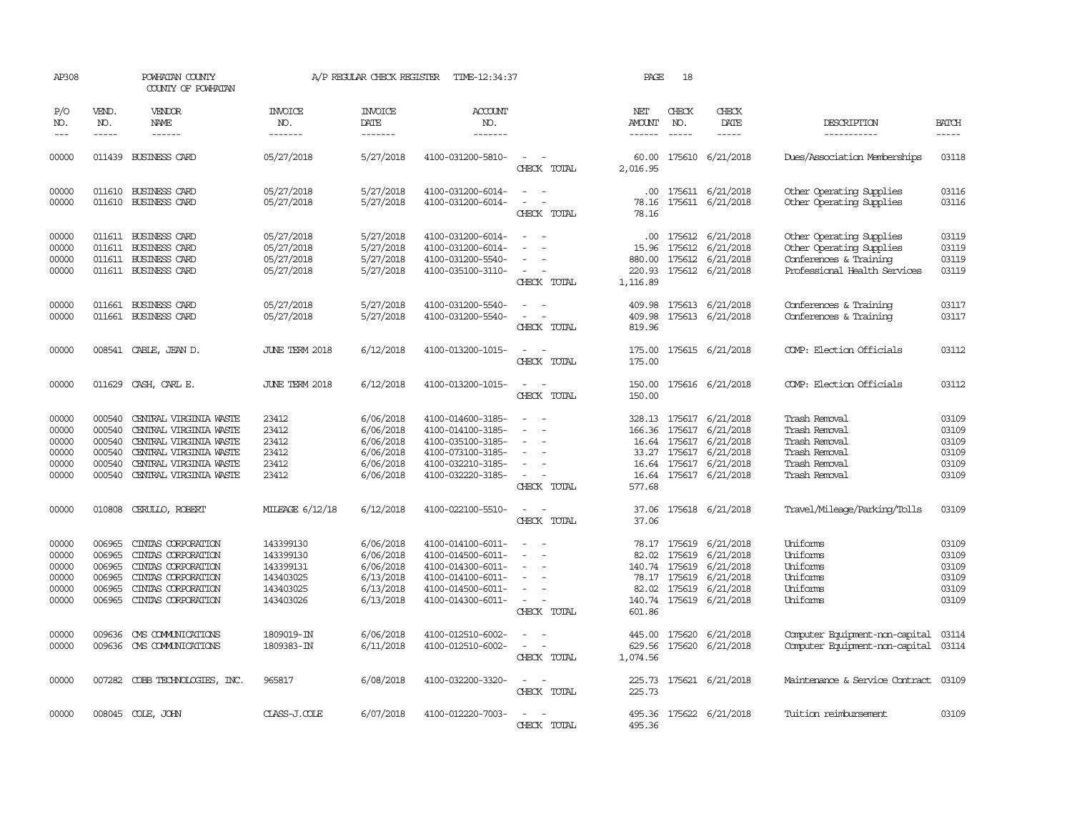| AP308                                              |                                                          | POWHATAN COUNTY<br>COUNTY OF POWHATAN                                                                                                                                                                                                                                                                                                                                                                                                                                                        |                                                                            | A/P REGULAR CHECK REGISTER                                                 | TIME-12:34:37                                                                                                              |                                                                                                                             | PAGE                               | 18                                      |                                                                                                                                               |                                                                                                                |                                                    |
|----------------------------------------------------|----------------------------------------------------------|----------------------------------------------------------------------------------------------------------------------------------------------------------------------------------------------------------------------------------------------------------------------------------------------------------------------------------------------------------------------------------------------------------------------------------------------------------------------------------------------|----------------------------------------------------------------------------|----------------------------------------------------------------------------|----------------------------------------------------------------------------------------------------------------------------|-----------------------------------------------------------------------------------------------------------------------------|------------------------------------|-----------------------------------------|-----------------------------------------------------------------------------------------------------------------------------------------------|----------------------------------------------------------------------------------------------------------------|----------------------------------------------------|
| P/O<br>NO.<br>$---$                                | VEND.<br>NO.<br>$\frac{1}{2}$                            | VENDOR<br>NAME<br>$\frac{1}{2} \left( \frac{1}{2} \right) \left( \frac{1}{2} \right) \left( \frac{1}{2} \right) \left( \frac{1}{2} \right) \left( \frac{1}{2} \right) \left( \frac{1}{2} \right) \left( \frac{1}{2} \right) \left( \frac{1}{2} \right) \left( \frac{1}{2} \right) \left( \frac{1}{2} \right) \left( \frac{1}{2} \right) \left( \frac{1}{2} \right) \left( \frac{1}{2} \right) \left( \frac{1}{2} \right) \left( \frac{1}{2} \right) \left( \frac{1}{2} \right) \left( \frac$ | <b>INVOICE</b><br>NO.<br>-------                                           | <b>INVOICE</b><br>DATE<br>--------                                         | <b>ACCOUNT</b><br>NO.<br>-------                                                                                           |                                                                                                                             | NET<br>AMOUNT<br>$- - - - - -$     | CHECK<br>NO.<br>$\frac{1}{2}$           | CHECK<br>DATE<br>$\frac{1}{2}$                                                                                                                | DESCRIPTION<br>-----------                                                                                     | <b>BATCH</b><br>-----                              |
| 00000                                              |                                                          | 011439 BUSINESS CARD                                                                                                                                                                                                                                                                                                                                                                                                                                                                         | 05/27/2018                                                                 | 5/27/2018                                                                  | 4100-031200-5810-                                                                                                          | $\sim$<br>CHECK TOTAL                                                                                                       | 60.00<br>2,016.95                  |                                         | 175610 6/21/2018                                                                                                                              | Dues/Association Memberships                                                                                   | 03118                                              |
| 00000<br>00000                                     | 011610                                                   | 011610 BUSINESS CARD<br><b>BUSINESS CARD</b>                                                                                                                                                                                                                                                                                                                                                                                                                                                 | 05/27/2018<br>05/27/2018                                                   | 5/27/2018<br>5/27/2018                                                     | 4100-031200-6014-<br>4100-031200-6014-                                                                                     | $\equiv$<br>$\equiv$<br>CHECK TOTAL                                                                                         | 78.16<br>78.16                     |                                         | .00 175611 6/21/2018<br>175611 6/21/2018                                                                                                      | Other Operating Supplies<br>Other Operating Supplies                                                           | 03116<br>03116                                     |
| 00000<br>00000<br>00000<br>00000                   | 011611                                                   | 011611 BUSINESS CARD<br><b>BUSINESS CARD</b><br>011611 BUSINESS CARD<br>011611 BUSINESS CARD                                                                                                                                                                                                                                                                                                                                                                                                 | 05/27/2018<br>05/27/2018<br>05/27/2018<br>05/27/2018                       | 5/27/2018<br>5/27/2018<br>5/27/2018<br>5/27/2018                           | 4100-031200-6014-<br>4100-031200-6014-<br>4100-031200-5540-<br>4100-035100-3110-                                           | $\overline{\phantom{a}}$<br>CHECK TOTAL                                                                                     | .00<br>15.96<br>880.00<br>1,116.89 |                                         | 175612 6/21/2018<br>175612 6/21/2018<br>175612 6/21/2018<br>220.93 175612 6/21/2018                                                           | Other Operating Supplies<br>Other Operating Supplies<br>Conferences & Training<br>Professional Health Services | 03119<br>03119<br>03119<br>03119                   |
| 00000<br>00000                                     | 011661                                                   | <b>BUSINESS CARD</b><br>011661 BUSINESS CARD                                                                                                                                                                                                                                                                                                                                                                                                                                                 | 05/27/2018<br>05/27/2018                                                   | 5/27/2018<br>5/27/2018                                                     | 4100-031200-5540-<br>4100-031200-5540-                                                                                     | $\sim$<br>CHECK TOTAL                                                                                                       | 409.98<br>409.98<br>819.96         |                                         | 175613 6/21/2018<br>175613 6/21/2018                                                                                                          | Conferences & Training<br>Conferences & Training                                                               | 03117<br>03117                                     |
| 00000                                              |                                                          | 008541 CABLE, JEAN D.                                                                                                                                                                                                                                                                                                                                                                                                                                                                        | JUNE TERM 2018                                                             | 6/12/2018                                                                  | 4100-013200-1015-                                                                                                          | $\overline{\phantom{a}}$<br>$\overline{\phantom{a}}$<br>CHECK TOTAL                                                         | 175.00<br>175.00                   |                                         | 175615 6/21/2018                                                                                                                              | COMP: Election Officials                                                                                       | 03112                                              |
| 00000                                              |                                                          | 011629 CASH, CARL E.                                                                                                                                                                                                                                                                                                                                                                                                                                                                         | JUNE TERM 2018                                                             | 6/12/2018                                                                  | 4100-013200-1015-                                                                                                          | $\frac{1}{2} \left( \frac{1}{2} \right) \left( \frac{1}{2} \right) = \frac{1}{2} \left( \frac{1}{2} \right)$<br>CHECK TOTAL | 150.00<br>150.00                   |                                         | 175616 6/21/2018                                                                                                                              | COMP: Election Officials                                                                                       | 03112                                              |
| 00000<br>00000<br>00000<br>00000<br>00000<br>00000 | 000540<br>000540<br>000540<br>000540<br>000540           | CENTRAL VIRGINIA WASTE<br>CENTRAL VIRGINIA WASTE<br>CENTRAL VIRGINIA WASTE<br>CENTRAL VIRGINIA WASTE<br>CENTRAL VIRGINIA WASTE<br>000540 CENTRAL VIRGINIA WASTE                                                                                                                                                                                                                                                                                                                              | 23412<br>23412<br>23412<br>23412<br>23412<br>23412                         | 6/06/2018<br>6/06/2018<br>6/06/2018<br>6/06/2018<br>6/06/2018<br>6/06/2018 | 4100-014600-3185-<br>4100-014100-3185-<br>4100-035100-3185-<br>4100-073100-3185-<br>4100-032210-3185-<br>4100-032220-3185- | $\overline{\phantom{a}}$<br>CHECK TOTAL                                                                                     | 166.36<br>33.27<br>577.68          |                                         | 328.13 175617 6/21/2018<br>175617 6/21/2018<br>16.64 175617 6/21/2018<br>175617 6/21/2018<br>16.64 175617 6/21/2018<br>16.64 175617 6/21/2018 | Trash Removal<br>Trash Removal<br>Trash Removal<br>Trash Removal<br>Trash Removal<br>Trash Removal             | 03109<br>03109<br>03109<br>03109<br>03109<br>03109 |
| 00000                                              |                                                          | 010808 CERULLO, ROBERT                                                                                                                                                                                                                                                                                                                                                                                                                                                                       | MILEAGE 6/12/18                                                            | 6/12/2018                                                                  | 4100-022100-5510-                                                                                                          | $\frac{1}{2} \left( \frac{1}{2} \right) \left( \frac{1}{2} \right) = \frac{1}{2} \left( \frac{1}{2} \right)$<br>CHECK TOTAL | 37.06<br>37.06                     |                                         | 175618 6/21/2018                                                                                                                              | Travel/Mileage/Parking/Tolls                                                                                   | 03109                                              |
| 00000<br>00000<br>00000<br>00000<br>00000<br>00000 | 006965<br>006965<br>006965<br>006965<br>006965<br>006965 | CINIAS CORPORATION<br>CINIAS CORPORATION<br>CINIAS CORPORATION<br>CINIAS CORPORATION<br>CINIAS CORPORATION<br>CINIAS CORPORATION                                                                                                                                                                                                                                                                                                                                                             | 143399130<br>143399130<br>143399131<br>143403025<br>143403025<br>143403026 | 6/06/2018<br>6/06/2018<br>6/06/2018<br>6/13/2018<br>6/13/2018<br>6/13/2018 | 4100-014100-6011-<br>4100-014500-6011-<br>4100-014300-6011-<br>4100-014100-6011-<br>4100-014500-6011-<br>4100-014300-6011- | $\equiv$<br>CHECK TOTAL                                                                                                     | 82.02<br>82.02<br>601.86           | 175619<br>140.74 175619<br>78.17 175619 | 78.17 175619 6/21/2018<br>6/21/2018<br>6/21/2018<br>6/21/2018<br>175619 6/21/2018<br>140.74 175619 6/21/2018                                  | Uniforms<br><b>Uniforms</b><br>Uniforms<br>Uniforms<br>Uniforms<br>Uniforms                                    | 03109<br>03109<br>03109<br>03109<br>03109<br>03109 |
| 00000<br>00000                                     | 009636<br>009636                                         | CMS COMMUNICATIONS<br>OMS COMMUNICATIONS                                                                                                                                                                                                                                                                                                                                                                                                                                                     | 1809019-IN<br>1809383-IN                                                   | 6/06/2018<br>6/11/2018                                                     | 4100-012510-6002-<br>4100-012510-6002-                                                                                     | CHECK TOTAL                                                                                                                 | 445.00<br>629.56<br>1,074.56       | 175620                                  | 175620 6/21/2018<br>6/21/2018                                                                                                                 | Computer Equipment-non-capital<br>Computer Equipment-non-capital                                               | 03114<br>03114                                     |
| 00000                                              |                                                          | 007282 COBB TECHNOLOGIES, INC.                                                                                                                                                                                                                                                                                                                                                                                                                                                               | 965817                                                                     | 6/08/2018                                                                  | 4100-032200-3320-                                                                                                          | $\sim$ 100 $\mu$<br>CHECK TOTAL                                                                                             | 225.73                             |                                         | 225.73 175621 6/21/2018                                                                                                                       | Maintenance & Service Contract                                                                                 | 03109                                              |
| 00000                                              |                                                          | 008045 COLE, JOHN                                                                                                                                                                                                                                                                                                                                                                                                                                                                            | CLASS-J.COLE                                                               | 6/07/2018                                                                  | 4100-012220-7003-                                                                                                          | $\sim$ 100 $\mu$<br>CHECK TOTAL                                                                                             | 495.36<br>495.36                   |                                         | 175622 6/21/2018                                                                                                                              | Tuition reimbursement                                                                                          | 03109                                              |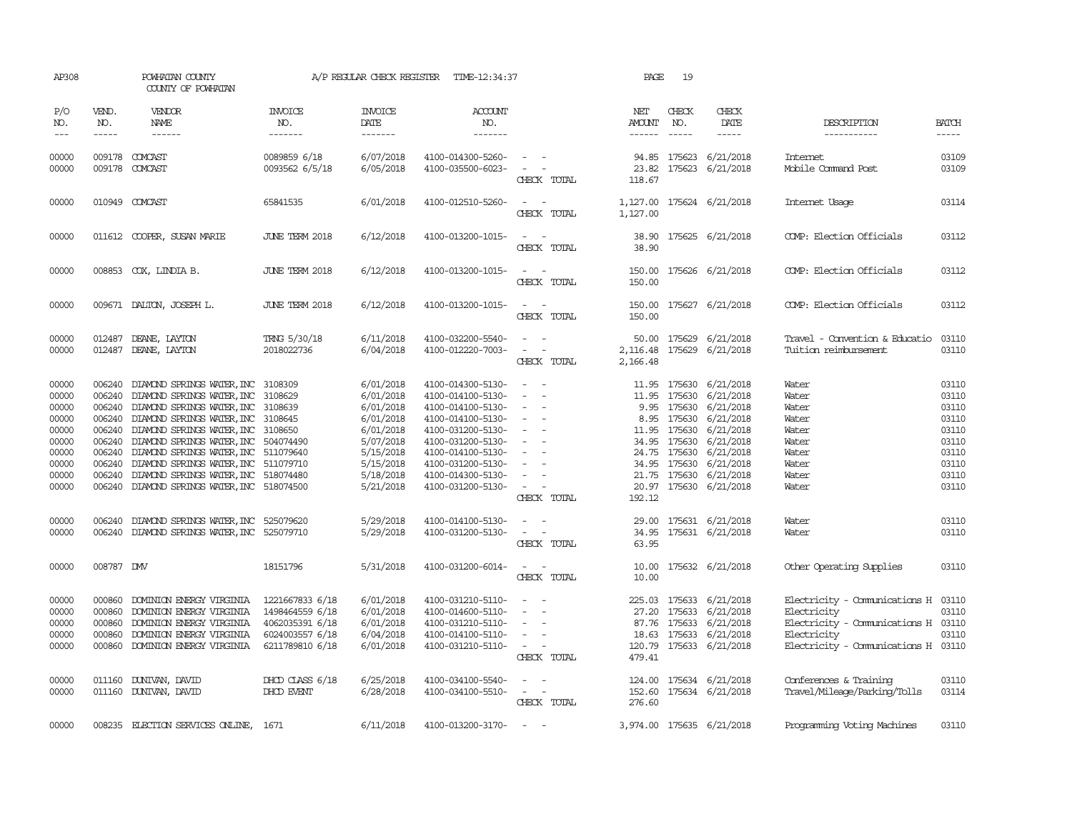| AP308                                                                                  |                                                | POWHATAN COUNTY<br>COUNTY OF POWHATAN                                                                                                                                                                                                                                                                                                                                                                                                                      |                                                                                             | A/P REGULAR CHECK REGISTER                                                                                                     | TIME-12:34:37                                                                                                                                                                                                  |                                                                                                                                                     | PAGE                     | 19                          |                                                                                                                                                                                                                                                                |                                                                                                                                                  |                                                                                        |
|----------------------------------------------------------------------------------------|------------------------------------------------|------------------------------------------------------------------------------------------------------------------------------------------------------------------------------------------------------------------------------------------------------------------------------------------------------------------------------------------------------------------------------------------------------------------------------------------------------------|---------------------------------------------------------------------------------------------|--------------------------------------------------------------------------------------------------------------------------------|----------------------------------------------------------------------------------------------------------------------------------------------------------------------------------------------------------------|-----------------------------------------------------------------------------------------------------------------------------------------------------|--------------------------|-----------------------------|----------------------------------------------------------------------------------------------------------------------------------------------------------------------------------------------------------------------------------------------------------------|--------------------------------------------------------------------------------------------------------------------------------------------------|----------------------------------------------------------------------------------------|
| P/O<br>NO.<br>$\frac{1}{2}$                                                            | VEND.<br>NO.<br>$- - - - -$                    | VENDOR<br>NAME<br>$- - - - - -$                                                                                                                                                                                                                                                                                                                                                                                                                            | <b>INVOICE</b><br>NO.<br>-------                                                            | <b>INVOICE</b><br>DATE<br>$- - - - - - -$                                                                                      | <b>ACCOUNT</b><br>NO.<br>-------                                                                                                                                                                               |                                                                                                                                                     | NET<br>AMOUNT<br>------- | CHECK<br>NO.<br>$- - - - -$ | CHECK<br>DATE                                                                                                                                                                                                                                                  | DESCRIPTION<br>-----------                                                                                                                       | <b>BATCH</b><br>-----                                                                  |
| 00000<br>00000                                                                         |                                                | 009178 COMCAST<br>009178 COMCAST                                                                                                                                                                                                                                                                                                                                                                                                                           | 0089859 6/18<br>0093562 6/5/18                                                              | 6/07/2018<br>6/05/2018                                                                                                         | 4100-014300-5260-<br>4100-035500-6023-                                                                                                                                                                         | $\sim$ $  -$<br>$\sim$ $ -$<br>CHECK TOTAL                                                                                                          | 23.82<br>118.67          |                             | 94.85 175623 6/21/2018<br>175623 6/21/2018                                                                                                                                                                                                                     | Internet<br>Mobile Command Post                                                                                                                  | 03109<br>03109                                                                         |
| 00000                                                                                  |                                                | 010949 COMCAST                                                                                                                                                                                                                                                                                                                                                                                                                                             | 65841535                                                                                    | 6/01/2018                                                                                                                      | 4100-012510-5260-                                                                                                                                                                                              | $\sim$ $ -$<br>CHECK TOTAL                                                                                                                          | 1,127.00<br>1,127.00     |                             | 175624 6/21/2018                                                                                                                                                                                                                                               | Internet Usage                                                                                                                                   | 03114                                                                                  |
| 00000                                                                                  |                                                | 011612 COOPER, SUSAN MARIE                                                                                                                                                                                                                                                                                                                                                                                                                                 | JUNE TERM 2018                                                                              | 6/12/2018                                                                                                                      | 4100-013200-1015-                                                                                                                                                                                              | $\sim$ $ \sim$<br>CHECK TOTAL                                                                                                                       | 38.90                    |                             | 38.90 175625 6/21/2018                                                                                                                                                                                                                                         | COMP: Election Officials                                                                                                                         | 03112                                                                                  |
| 00000                                                                                  |                                                | 008853 COX, LINDIA B.                                                                                                                                                                                                                                                                                                                                                                                                                                      | <b>JUNE TERM 2018</b>                                                                       | 6/12/2018                                                                                                                      | 4100-013200-1015-                                                                                                                                                                                              | $\omega_{\rm{max}}$ and $\omega_{\rm{max}}$<br>CHECK TOTAL                                                                                          | 150.00                   |                             | 150.00 175626 6/21/2018                                                                                                                                                                                                                                        | COMP: Election Officials                                                                                                                         | 03112                                                                                  |
| 00000                                                                                  |                                                | 009671 DALTON, JOSEPH L.                                                                                                                                                                                                                                                                                                                                                                                                                                   | JUNE TERM 2018                                                                              | 6/12/2018                                                                                                                      | 4100-013200-1015-                                                                                                                                                                                              | $\sim$ $ \sim$<br>CHECK TOTAL                                                                                                                       | 150.00                   |                             | 150.00 175627 6/21/2018                                                                                                                                                                                                                                        | COMP: Election Officials                                                                                                                         | 03112                                                                                  |
| 00000<br>00000                                                                         | 012487                                         | DEANE, LAYTON<br>012487 DEANE, LAYTON                                                                                                                                                                                                                                                                                                                                                                                                                      | TRNG 5/30/18<br>2018022736                                                                  | 6/11/2018<br>6/04/2018                                                                                                         | 4100-032200-5540-<br>4100-012220-7003-                                                                                                                                                                         | $\mathcal{L}_{\text{max}}$ , and $\mathcal{L}_{\text{max}}$<br>$\mathcal{L}_{\text{max}}$ , and $\mathcal{L}_{\text{max}}$<br>CHECK TOTAL           | 2,166.48                 |                             | 50.00 175629 6/21/2018<br>2, 116.48 175629 6/21/2018                                                                                                                                                                                                           | Travel - Convention & Educatio<br>Tuition reimbursement                                                                                          | 03110<br>03110                                                                         |
| 00000<br>00000<br>00000<br>00000<br>00000<br>00000<br>00000<br>00000<br>00000<br>00000 | 006240<br>006240                               | DIAMOND SPRINGS WATER, INC 3108309<br>DIAMOND SPRINGS WATER, INC 3108629<br>006240 DIAMOND SPRINGS WATER, INC 3108639<br>006240 DIAMOND SPRINGS WATER, INC 3108645<br>006240 DIAMOND SPRINGS WATER, INC 3108650<br>006240 DIAMOND SPRINGS WATER, INC 504074490<br>006240 DIAMOND SPRINGS WATER, INC 511079640<br>006240 DIAMOND SPRINGS WATER, INC 511079710<br>006240 DIAMOND SPRINGS WATER, INC 518074480<br>006240 DIAMOND SPRINGS WATER, INC 518074500 |                                                                                             | 6/01/2018<br>6/01/2018<br>6/01/2018<br>6/01/2018<br>6/01/2018<br>5/07/2018<br>5/15/2018<br>5/15/2018<br>5/18/2018<br>5/21/2018 | 4100-014300-5130-<br>4100-014100-5130-<br>4100-014100-5130-<br>4100-014100-5130-<br>4100-031200-5130-<br>4100-031200-5130-<br>4100-014100-5130-<br>4100-031200-5130-<br>4100-014300-5130-<br>4100-031200-5130- | $\overline{a}$<br>$\sim$<br>$\sim$<br>$\sim$ $-$<br>$\sim$ $-$<br>$\sim 100$<br>$\sim$ $ \sim$<br>$\sim$<br>$\sim$<br>$\sim$ $ \sim$<br>CHECK TOTAL | 192.12                   |                             | 11.95 175630 6/21/2018<br>11.95 175630 6/21/2018<br>9.95 175630 6/21/2018<br>8.95 175630 6/21/2018<br>11.95 175630 6/21/2018<br>34.95 175630 6/21/2018<br>24.75 175630 6/21/2018<br>34.95 175630 6/21/2018<br>21.75 175630 6/21/2018<br>20.97 175630 6/21/2018 | Water<br>Water<br>Water<br>Water<br>Water<br>Water<br>Water<br>Water<br>Water<br>Water                                                           | 03110<br>03110<br>03110<br>03110<br>03110<br>03110<br>03110<br>03110<br>03110<br>03110 |
| 00000<br>00000                                                                         | 006240                                         | DIAMOND SPRINGS WATER, INC 525079620<br>006240 DIAMOND SPRINGS WATER, INC 525079710                                                                                                                                                                                                                                                                                                                                                                        |                                                                                             | 5/29/2018<br>5/29/2018                                                                                                         | 4100-014100-5130-<br>4100-031200-5130-                                                                                                                                                                         | $\frac{1}{2} \left( \frac{1}{2} \right) \left( \frac{1}{2} \right) = \frac{1}{2} \left( \frac{1}{2} \right)$<br>$\sim$ 100 $\sim$<br>CHECK TOTAL    | 63.95                    |                             | 29.00 175631 6/21/2018<br>34.95 175631 6/21/2018                                                                                                                                                                                                               | Water<br>Water                                                                                                                                   | 03110<br>03110                                                                         |
| 00000                                                                                  | 008787 DMV                                     |                                                                                                                                                                                                                                                                                                                                                                                                                                                            | 18151796                                                                                    | 5/31/2018                                                                                                                      | 4100-031200-6014-                                                                                                                                                                                              | $\sim$ $ -$<br>CHECK TOTAL                                                                                                                          | 10.00                    |                             | 10.00 175632 6/21/2018                                                                                                                                                                                                                                         | Other Operating Supplies                                                                                                                         | 03110                                                                                  |
| 00000<br>00000<br>00000<br>00000<br>00000                                              | 000860<br>000860<br>000860<br>000860<br>000860 | DOMINION ENERGY VIRGINIA<br>DOMINION ENERGY VIRGINIA<br>DOMINION ENERGY VIRGINIA<br>DOMINION ENERGY VIRGINIA<br>DOMINION ENERGY VIRGINIA                                                                                                                                                                                                                                                                                                                   | 1221667833 6/18<br>1498464559 6/18<br>4062035391 6/18<br>6024003557 6/18<br>6211789810 6/18 | 6/01/2018<br>6/01/2018<br>6/01/2018<br>6/04/2018<br>6/01/2018                                                                  | 4100-031210-5110-<br>4100-014600-5110-<br>4100-031210-5110-<br>4100-014100-5110-<br>4100-031210-5110-                                                                                                          | $\overline{\phantom{a}}$<br>$\sim$<br>$\sim$<br>$\sim$<br>$\omega_{\rm{max}}$ and $\omega_{\rm{max}}$<br>CHECK TOTAL                                | 479.41                   |                             | 225.03 175633 6/21/2018<br>27.20 175633 6/21/2018<br>87.76 175633 6/21/2018<br>18.63 175633 6/21/2018<br>120.79 175633 6/21/2018                                                                                                                               | Electricity - Communications H 03110<br>Electricity<br>Electricity - Comunications H 03110<br>Electricity<br>Electricity - Comunications H 03110 | 03110<br>03110                                                                         |
| 00000<br>00000                                                                         |                                                | 011160 DUNIVAN, DAVID<br>011160 DUNIVAN, DAVID                                                                                                                                                                                                                                                                                                                                                                                                             | DHOD CLASS 6/18<br>DHOD EVENT                                                               | 6/25/2018<br>6/28/2018                                                                                                         | 4100-034100-5540-<br>4100-034100-5510-                                                                                                                                                                         | $\mathcal{L}_{\text{max}}$ , and $\mathcal{L}_{\text{max}}$<br>$\sim$ $ \sim$ $-$<br>CHECK TOTAL                                                    | 276.60                   |                             | 124.00 175634 6/21/2018<br>152.60 175634 6/21/2018                                                                                                                                                                                                             | Conferences & Training<br>Travel/Mileage/Parking/Tolls                                                                                           | 03110<br>03114                                                                         |
| 00000                                                                                  |                                                | 008235 ELECTION SERVICES ONLINE, 1671                                                                                                                                                                                                                                                                                                                                                                                                                      |                                                                                             | 6/11/2018                                                                                                                      | 4100-013200-3170-                                                                                                                                                                                              | $\sim$ $ \sim$ $ -$                                                                                                                                 |                          |                             | 3,974.00 175635 6/21/2018                                                                                                                                                                                                                                      | Programming Voting Machines                                                                                                                      | 03110                                                                                  |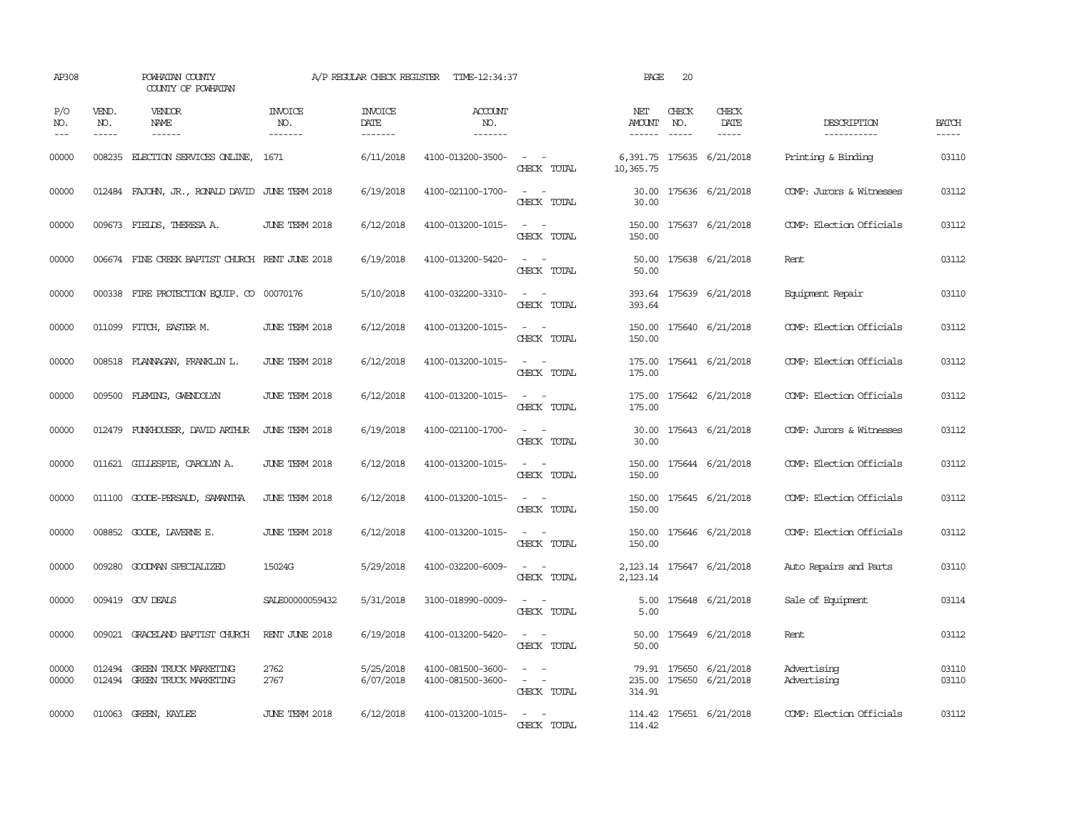| AP308               |                             | POWHATAN COUNTY<br>COUNTY OF POWHATAN                        |                                  | A/P REGULAR CHECK REGISTER        | TIME-12:34:37                          |                                                                                                                             | PAGE                           | 20           |                                                   |                            |                             |
|---------------------|-----------------------------|--------------------------------------------------------------|----------------------------------|-----------------------------------|----------------------------------------|-----------------------------------------------------------------------------------------------------------------------------|--------------------------------|--------------|---------------------------------------------------|----------------------------|-----------------------------|
| P/O<br>NO.<br>$---$ | VEND.<br>NO.<br>$- - - - -$ | VENDOR<br>NAME                                               | <b>INVOICE</b><br>NO.<br>------- | <b>INVOICE</b><br>DATE<br>------- | <b>ACCOUNT</b><br>NO.<br>-------       |                                                                                                                             | NET<br>AMOUNT<br>$- - - - - -$ | CHECK<br>NO. | CHECK<br>DATE<br>$- - - - -$                      | DESCRIPTION<br>----------- | <b>BATCH</b><br>$- - - - -$ |
| 00000               | 008235                      | ELECTION SERVICES ONLINE,                                    | 1671                             | 6/11/2018                         | 4100-013200-3500-                      | $\omega_{\rm{max}}$ and $\omega_{\rm{max}}$<br>CHECK TOTAL                                                                  | 10,365.75                      |              | 6,391.75 175635 6/21/2018                         | Printing & Binding         | 03110                       |
| 00000               |                             | 012484 FAJOHN, JR., RONALD DAVID JUNE TERM 2018              |                                  | 6/19/2018                         | 4100-021100-1700-                      | $\sim$ $ \sim$<br>CHECK TOTAL                                                                                               | 30.00                          |              | 30.00 175636 6/21/2018                            | COMP: Jurors & Witnesses   | 03112                       |
| 00000               |                             | 009673 FIELDS, THERESA A.                                    | JUNE TERM 2018                   | 6/12/2018                         | 4100-013200-1015-                      | $\frac{1}{2} \left( \frac{1}{2} \right) \left( \frac{1}{2} \right) = \frac{1}{2} \left( \frac{1}{2} \right)$<br>CHECK TOTAL | 150.00                         |              | 150.00 175637 6/21/2018                           | COMP: Election Officials   | 03112                       |
| 00000               |                             | 006674 FINE CREEK BAPTIST CHURCH RENT JUNE 2018              |                                  | 6/19/2018                         | 4100-013200-5420-                      | $\sim$ $\sim$<br>CHECK TOTAL                                                                                                | 50.00                          |              | 50.00 175638 6/21/2018                            | Rent                       | 03112                       |
| 00000               |                             | 000338 FIRE PROTECTION EQUIP. CO 00070176                    |                                  | 5/10/2018                         | 4100-032200-3310-                      | $\sim$ $ \sim$<br>CHECK TOTAL                                                                                               | 393.64                         |              | 393.64 175639 6/21/2018                           | Equipment Repair           | 03110                       |
| 00000               |                             | 011099 FITCH, EASTER M.                                      | JUNE TERM 2018                   | 6/12/2018                         | 4100-013200-1015-                      | $\sim$ 100 $\sim$<br>CHECK TOTAL                                                                                            | 150.00                         |              | 150.00 175640 6/21/2018                           | COMP: Election Officials   | 03112                       |
| 00000               |                             | 008518 FLANNAGAN, FRANKLIN L.                                | JUNE TERM 2018                   | 6/12/2018                         | 4100-013200-1015-                      | $\sim$<br>$\sim$<br>CHECK TOTAL                                                                                             | 175.00<br>175.00               |              | 175641 6/21/2018                                  | COMP: Election Officials   | 03112                       |
| 00000               |                             | 009500 FLEMING, GWENDOLYN                                    | JUNE TERM 2018                   | 6/12/2018                         | 4100-013200-1015-                      | $\sim$ $\sim$<br>CHECK TOTAL                                                                                                | 175.00<br>175.00               |              | 175642 6/21/2018                                  | COMP: Election Officials   | 03112                       |
| 00000               |                             | 012479 FUNKHOUSER, DAVID ARTHUR                              | JUNE TERM 2018                   | 6/19/2018                         | 4100-021100-1700-                      | $\sim$ $ \sim$<br>CHECK TOTAL                                                                                               | 30.00<br>30.00                 |              | 175643 6/21/2018                                  | COMP: Jurors & Witnesses   | 03112                       |
| 00000               |                             | 011621 GILLESPIE, CAROLYN A.                                 | JUNE TERM 2018                   | 6/12/2018                         | 4100-013200-1015-                      | $\sim$ $\sim$<br>CHECK TOTAL                                                                                                | 150.00                         |              | 150.00 175644 6/21/2018                           | COMP: Election Officials   | 03112                       |
| 00000               |                             | 011100 GOODE-PERSAUD, SAMANTHA                               | JUNE TERM 2018                   | 6/12/2018                         | 4100-013200-1015-                      | $\sim$ $ \sim$<br>CHECK TOTAL                                                                                               | 150.00<br>150.00               |              | 175645 6/21/2018                                  | COMP: Election Officials   | 03112                       |
| 00000               |                             | 008852 GOODE, LAVERNE E.                                     | <b>JUNE TERM 2018</b>            | 6/12/2018                         | 4100-013200-1015-                      | $\sim$ $\sim$<br>CHECK TOTAL                                                                                                | 150.00                         |              | 150.00 175646 6/21/2018                           | COMP: Election Officials   | 03112                       |
| 00000               |                             | 009280 GOODMAN SPECIALIZED                                   | 15024G                           | 5/29/2018                         | 4100-032200-6009-                      | $ -$<br>CHECK TOTAL                                                                                                         | 2,123.14                       |              | 2, 123.14 175647 6/21/2018                        | Auto Repairs and Parts     | 03110                       |
| 00000               |                             | 009419 GOV DEALS                                             | SALE00000059432                  | 5/31/2018                         | 3100-018990-0009-                      | CHECK TOTAL                                                                                                                 | 5.00<br>5.00                   |              | 175648 6/21/2018                                  | Sale of Equipment          | 03114                       |
| 00000               |                             | 009021 GRACELAND BAPTIST CHURCH                              | RENT JUNE 2018                   | 6/19/2018                         | 4100-013200-5420-                      | $\overline{\phantom{a}}$<br>CHECK TOTAL                                                                                     | 50.00<br>50.00                 |              | 175649 6/21/2018                                  | Rent                       | 03112                       |
| 00000<br>00000      |                             | 012494 GREEN TRUCK MARKETING<br>012494 GREEN TRUCK MARKETING | 2762<br>2767                     | 5/25/2018<br>6/07/2018            | 4100-081500-3600-<br>4100-081500-3600- | $\sim$<br>$\sim$<br>$\sim$ $ -$<br>CHECK TOTAL                                                                              | 314.91                         |              | 79.91 175650 6/21/2018<br>235.00 175650 6/21/2018 | Advertising<br>Advertising | 03110<br>03110              |
| 00000               |                             | 010063 GREEN, KAYLEE                                         | JUNE TERM 2018                   | 6/12/2018                         | 4100-013200-1015-                      | $\sim$ $\sim$<br>CHECK TOTAL                                                                                                | 114.42                         |              | 114.42 175651 6/21/2018                           | COMP: Election Officials   | 03112                       |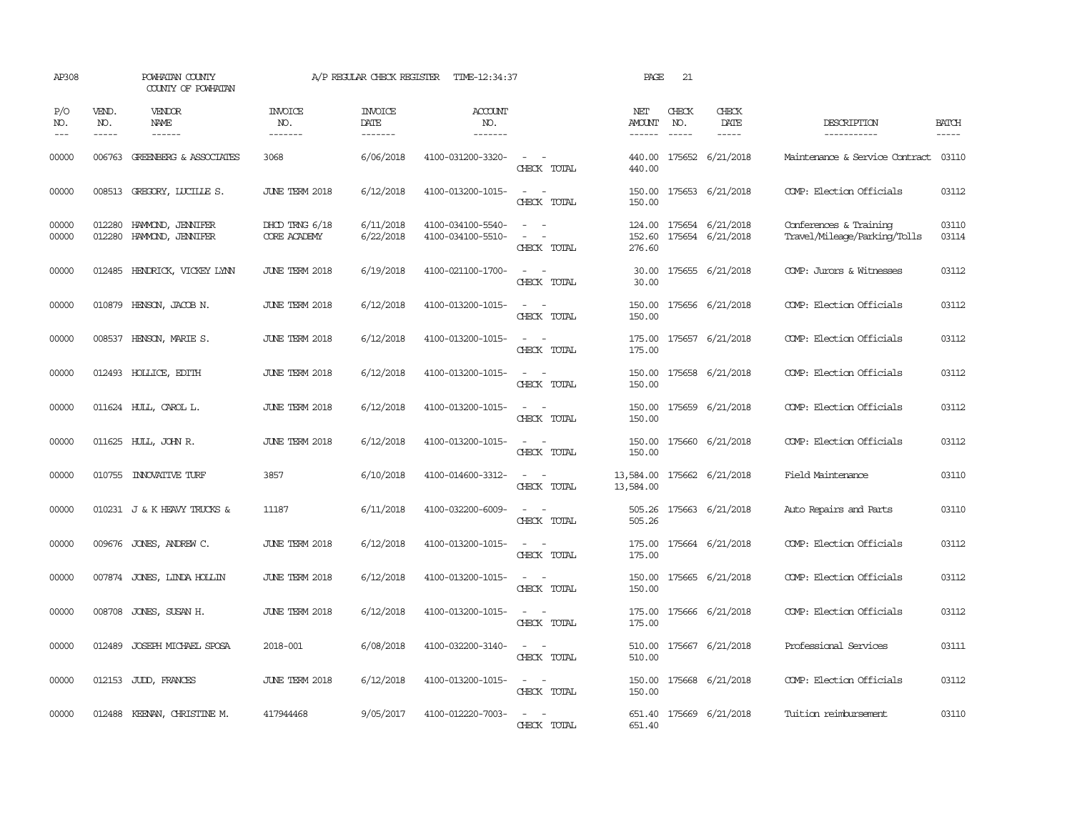| AP308               |                             | POWHATAN COUNTY<br>COUNTY OF POWHATAN               |                                       | A/P REGULAR CHECK REGISTER        | TIME-12:34:37                          |                                                                                                                             | PAGE                           | 21                          |                                      |                                                        |                       |
|---------------------|-----------------------------|-----------------------------------------------------|---------------------------------------|-----------------------------------|----------------------------------------|-----------------------------------------------------------------------------------------------------------------------------|--------------------------------|-----------------------------|--------------------------------------|--------------------------------------------------------|-----------------------|
| P/O<br>NO.<br>$---$ | VEND.<br>NO.<br>$- - - - -$ | VENDOR<br>NAME<br>$- - - - - -$                     | <b>INVOICE</b><br>NO.<br>-------      | <b>INVOICE</b><br>DATE<br>------- | <b>ACCOUNT</b><br>NO.<br>-------       |                                                                                                                             | NET<br>AMOUNT<br>$- - - - - -$ | CHECK<br>NO.<br>$- - - - -$ | CHECK<br>DATE<br>-----               | DESCRIPTION<br>-----------                             | <b>BATCH</b><br>----- |
| 00000               |                             | 006763 GREENBERG & ASSOCIATES                       | 3068                                  | 6/06/2018                         | 4100-031200-3320-                      | $\omega_{\rm{max}}$ and $\omega_{\rm{max}}$<br>CHECK TOTAL                                                                  | 440.00<br>440.00               |                             | 175652 6/21/2018                     | Maintenance & Service Contract                         | 03110                 |
| 00000               |                             | 008513 GREGORY, LUCILLE S.                          | JUNE TERM 2018                        | 6/12/2018                         | 4100-013200-1015-                      | $\sim$ $\sim$<br>CHECK TOTAL                                                                                                | 150.00<br>150.00               |                             | 175653 6/21/2018                     | COMP: Election Officials                               | 03112                 |
| 00000<br>00000      |                             | 012280 HAMMOND, JENNIFER<br>012280 HAMOND, JENNIFER | DHCD TRNG 6/18<br><b>CORE ACADEMY</b> | 6/11/2018<br>6/22/2018            | 4100-034100-5540-<br>4100-034100-5510- | $\sim$<br>$\sim$<br>$\sim$<br>$\overline{a}$<br>CHECK TOTAL                                                                 | 124.00<br>152.60<br>276.60     |                             | 175654 6/21/2018<br>175654 6/21/2018 | Conferences & Training<br>Travel/Mileage/Parking/Tolls | 03110<br>03114        |
| 00000               |                             | 012485 HENDRICK, VICKEY LYNN                        | JUNE TERM 2018                        | 6/19/2018                         | 4100-021100-1700-                      | $\sim$<br>CHECK TOTAL                                                                                                       | 30.00<br>30.00                 |                             | 175655 6/21/2018                     | COMP: Jurors & Witnesses                               | 03112                 |
| 00000               |                             | 010879 HENSON, JACOB N.                             | <b>JUNE TERM 2018</b>                 | 6/12/2018                         | 4100-013200-1015-                      | $\frac{1}{2} \left( \frac{1}{2} \right) \left( \frac{1}{2} \right) = \frac{1}{2} \left( \frac{1}{2} \right)$<br>CHECK TOTAL | 150.00<br>150.00               |                             | 175656 6/21/2018                     | COMP: Election Officials                               | 03112                 |
| 00000               |                             | 008537 HENSON, MARIE S.                             | JUNE TERM 2018                        | 6/12/2018                         | 4100-013200-1015-                      | $\overline{\phantom{a}}$<br>$\sim$<br>CHECK TOTAL                                                                           | 175.00<br>175.00               |                             | 175657 6/21/2018                     | COMP: Election Officials                               | 03112                 |
| 00000               |                             | 012493 HOLLICE, EDITH                               | JUNE TERM 2018                        | 6/12/2018                         | 4100-013200-1015-                      | CHECK TOTAL                                                                                                                 | 150.00<br>150.00               |                             | 175658 6/21/2018                     | COMP: Election Officials                               | 03112                 |
| 00000               |                             | 011624 HULL, CAROL L.                               | JUNE TERM 2018                        | 6/12/2018                         | 4100-013200-1015-                      | CHECK TOTAL                                                                                                                 | 150.00<br>150.00               |                             | 175659 6/21/2018                     | COMP: Election Officials                               | 03112                 |
| 00000               |                             | 011625 HULL, JOHN R.                                | JUNE TERM 2018                        | 6/12/2018                         | 4100-013200-1015-                      | $\overline{\phantom{a}}$<br>$\sim$<br>CHECK TOTAL                                                                           | 150.00<br>150.00               |                             | 175660 6/21/2018                     | COMP: Election Officials                               | 03112                 |
| 00000               |                             | 010755 INNOVATIVE TURF                              | 3857                                  | 6/10/2018                         | 4100-014600-3312-                      | $\sim$<br>$\sim$<br>CHECK TOTAL                                                                                             | 13,584.00<br>13,584.00         |                             | 175662 6/21/2018                     | Field Maintenance                                      | 03110                 |
| 00000               |                             | 010231 J & K HEAVY TRUCKS &                         | 11187                                 | 6/11/2018                         | 4100-032200-6009-                      | $\sim$<br>CHECK TOTAL                                                                                                       | 505.26<br>505.26               |                             | 175663 6/21/2018                     | Auto Repairs and Parts                                 | 03110                 |
| 00000               |                             | 009676 JONES, ANDREW C.                             | JUNE TERM 2018                        | 6/12/2018                         | 4100-013200-1015-                      | $\sim$<br>$\sim$<br>CHECK TOTAL                                                                                             | 175.00<br>175.00               |                             | 175664 6/21/2018                     | COMP: Election Officials                               | 03112                 |
| 00000               |                             | 007874 JONES, LINDA HOLLIN                          | JUNE TERM 2018                        | 6/12/2018                         | 4100-013200-1015-                      | $\sim$<br>$\sim$<br>CHECK TOTAL                                                                                             | 150.00<br>150.00               |                             | 175665 6/21/2018                     | COMP: Election Officials                               | 03112                 |
| 00000               | 008708                      | JONES, SUSAN H.                                     | <b>JUNE TERM 2018</b>                 | 6/12/2018                         | 4100-013200-1015-                      | $\overline{\phantom{a}}$<br>$\sim$<br>CHECK TOTAL                                                                           | 175.00<br>175.00               |                             | 175666 6/21/2018                     | COMP: Election Officials                               | 03112                 |
| 00000               | 012489                      | JOSEPH MICHAEL SPOSA                                | 2018-001                              | 6/08/2018                         | 4100-032200-3140-                      | $\sim$<br>$\sim$<br>CHECK TOTAL                                                                                             | 510.00<br>510.00               |                             | 175667 6/21/2018                     | Professional Services                                  | 03111                 |
| 00000               |                             | 012153 JUDD, FRANCES                                | JUNE TERM 2018                        | 6/12/2018                         | 4100-013200-1015-                      | $\sim$ $\sim$<br>CHECK TOTAL                                                                                                | 150.00<br>150.00               |                             | 175668 6/21/2018                     | COMP: Election Officials                               | 03112                 |
| 00000               | 012488                      | KEENAN, CHRISTINE M.                                | 417944468                             | 9/05/2017                         | 4100-012220-7003-                      | $\overline{\phantom{a}}$<br>$\overline{\phantom{a}}$<br>CHECK TOTAL                                                         | 651.40<br>651.40               |                             | 175669 6/21/2018                     | Tuition reimbursement                                  | 03110                 |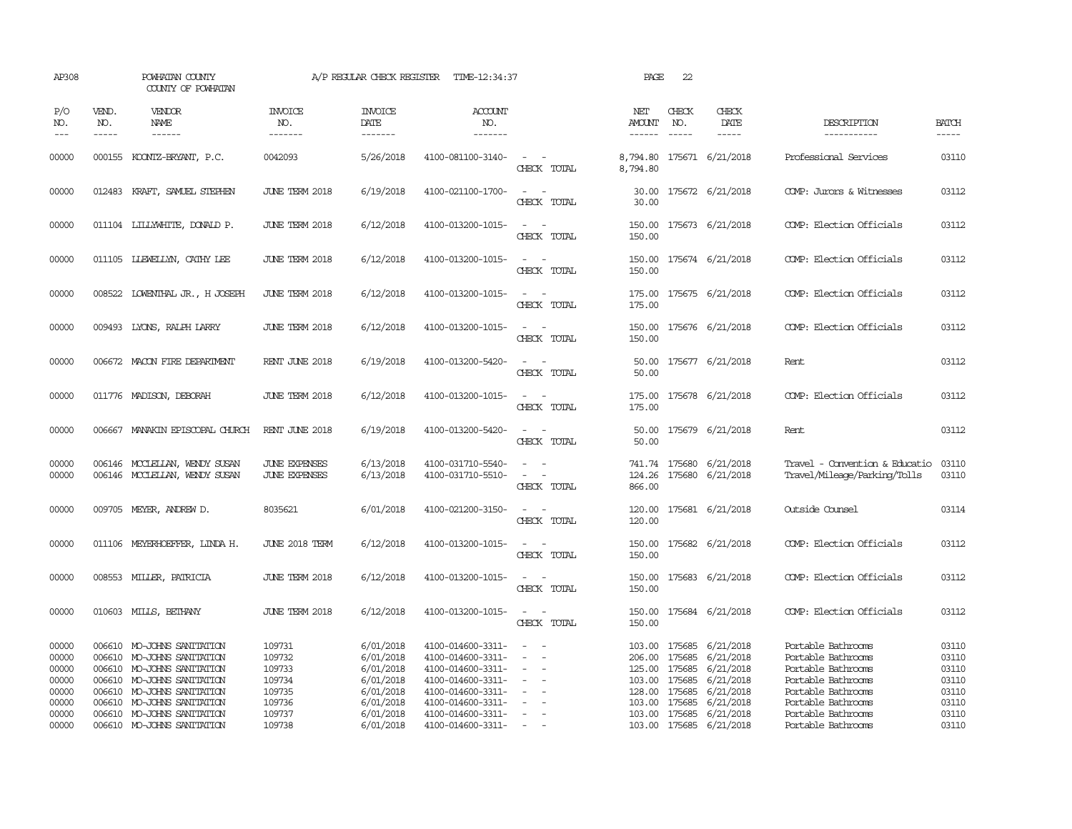| AP308                                              |                  | POWHATAN COUNTY<br>COUNTY OF POWHATAN                                                                                                                                            |                                                          | A/P REGULAR CHECK REGISTER                                                 | TIME-12:34:37                                                                                                              |                                                                                                                             | PAGE                                                     | 22                                             |                                                                                   |                                                                                                                                  |                                                    |
|----------------------------------------------------|------------------|----------------------------------------------------------------------------------------------------------------------------------------------------------------------------------|----------------------------------------------------------|----------------------------------------------------------------------------|----------------------------------------------------------------------------------------------------------------------------|-----------------------------------------------------------------------------------------------------------------------------|----------------------------------------------------------|------------------------------------------------|-----------------------------------------------------------------------------------|----------------------------------------------------------------------------------------------------------------------------------|----------------------------------------------------|
| P/O<br>NO.<br>$\qquad \qquad -$                    | VEND.<br>NO.     | VENDOR<br>NAME<br>------                                                                                                                                                         | <b>INVOICE</b><br>NO.<br>-------                         | <b>INVOICE</b><br>DATE<br>-------                                          | <b>ACCOUNT</b><br>NO.<br>-------                                                                                           |                                                                                                                             | NET<br>AMOUNT<br>$- - - - - -$                           | CHECK<br>NO.<br>$- - - - -$                    | CHECK<br>DATE<br>-----                                                            | DESCRIPTION<br>-----------                                                                                                       | <b>BATCH</b><br>-----                              |
| 00000                                              |                  | 000155 KOONTZ-BRYANT, P.C.                                                                                                                                                       | 0042093                                                  | 5/26/2018                                                                  | 4100-081100-3140-                                                                                                          | $\equiv$<br>CHECK TOTAL                                                                                                     | 8,794.80<br>8,794.80                                     |                                                | 175671 6/21/2018                                                                  | Professional Services                                                                                                            | 03110                                              |
| 00000                                              |                  | 012483 KRAFT, SAMUEL STEPHEN                                                                                                                                                     | JUNE TERM 2018                                           | 6/19/2018                                                                  | 4100-021100-1700-                                                                                                          | $\overline{\phantom{a}}$<br>$\overline{\phantom{a}}$<br>CHECK TOTAL                                                         | 30.00                                                    |                                                | 30.00 175672 6/21/2018                                                            | COMP: Jurors & Witnesses                                                                                                         | 03112                                              |
| 00000                                              |                  | 011104 LILLYWHITE, DONALD P.                                                                                                                                                     | JUNE TERM 2018                                           | 6/12/2018                                                                  | 4100-013200-1015-                                                                                                          | $\sim$<br>CHECK TOTAL                                                                                                       | 150.00<br>150.00                                         |                                                | 175673 6/21/2018                                                                  | COMP: Election Officials                                                                                                         | 03112                                              |
| 00000                                              |                  | 011105 LIEWELLYN, CATHY LEE                                                                                                                                                      | JUNE TERM 2018                                           | 6/12/2018                                                                  | 4100-013200-1015-                                                                                                          | $\frac{1}{2} \left( \frac{1}{2} \right) \left( \frac{1}{2} \right) = \frac{1}{2} \left( \frac{1}{2} \right)$<br>CHECK TOTAL | 150.00<br>150.00                                         |                                                | 175674 6/21/2018                                                                  | COMP: Election Officials                                                                                                         | 03112                                              |
| 00000                                              |                  | 008522 LOWENTHAL JR., H JOSEPH                                                                                                                                                   | JUNE TERM 2018                                           | 6/12/2018                                                                  | 4100-013200-1015-                                                                                                          | $\sim$ $ \sim$<br>CHECK TOTAL                                                                                               | 175.00<br>175.00                                         |                                                | 175675 6/21/2018                                                                  | COMP: Election Officials                                                                                                         | 03112                                              |
| 00000                                              |                  | 009493 LYONS, RALPH LARRY                                                                                                                                                        | JUNE TERM 2018                                           | 6/12/2018                                                                  | 4100-013200-1015-                                                                                                          | $\sim$ 100 $\sim$<br>CHECK TOTAL                                                                                            | 150.00<br>150.00                                         |                                                | 175676 6/21/2018                                                                  | COMP: Election Officials                                                                                                         | 03112                                              |
| 00000                                              |                  | 006672 MACON FIRE DEPARIMENT                                                                                                                                                     | RENT JUNE 2018                                           | 6/19/2018                                                                  | 4100-013200-5420-                                                                                                          | $\sim$<br>CHECK TOTAL                                                                                                       | 50.00<br>50.00                                           |                                                | 175677 6/21/2018                                                                  | Rent.                                                                                                                            | 03112                                              |
| 00000                                              |                  | 011776 MADISON, DEBORAH                                                                                                                                                          | JUNE TERM 2018                                           | 6/12/2018                                                                  | 4100-013200-1015-                                                                                                          | $\sim$ 10 $\sim$ 10 $\sim$<br>CHECK TOTAL                                                                                   | 175.00<br>175.00                                         |                                                | 175678 6/21/2018                                                                  | COMP: Election Officials                                                                                                         | 03112                                              |
| 00000                                              |                  | 006667 MANAKIN EPISCOPAL CHURCH                                                                                                                                                  | RENT JUNE 2018                                           | 6/19/2018                                                                  | 4100-013200-5420-                                                                                                          | $\overline{\phantom{a}}$<br>CHECK TOTAL                                                                                     | 50.00<br>50.00                                           |                                                | 175679 6/21/2018                                                                  | Rent                                                                                                                             | 03112                                              |
| 00000<br>00000                                     | 006146<br>006146 | MCCLEILAN, WENDY SUSAN<br>MCCLEILAN, WENDY SUSAN                                                                                                                                 | <b>JUNE EXPENSES</b><br><b>JUNE EXPENSES</b>             | 6/13/2018<br>6/13/2018                                                     | 4100-031710-5540-<br>4100-031710-5510-                                                                                     | $\equiv$<br>$\equiv$<br>CHECK TOTAL                                                                                         | 741.74<br>124.26<br>866.00                               | 175680<br>175680                               | 6/21/2018<br>6/21/2018                                                            | Travel - Convention & Educatio<br>Travel/Mileage/Parking/Tolls                                                                   | 03110<br>03110                                     |
| 00000                                              |                  | 009705 MEYER, ANDREW D.                                                                                                                                                          | 8035621                                                  | 6/01/2018                                                                  | 4100-021200-3150-                                                                                                          | $\sim$<br>CHECK TOTAL                                                                                                       | 120.00<br>120.00                                         |                                                | 175681 6/21/2018                                                                  | Outside Counsel                                                                                                                  | 03114                                              |
| 00000                                              |                  | 011106 MEYERHOEFFER, LINDA H.                                                                                                                                                    | <b>JUNE 2018 TERM</b>                                    | 6/12/2018                                                                  | 4100-013200-1015-                                                                                                          | $\sim$<br>CHECK TOTAL                                                                                                       | 150.00<br>150.00                                         |                                                | 175682 6/21/2018                                                                  | COMP: Election Officials                                                                                                         | 03112                                              |
| 00000                                              |                  | 008553 MILLER, PATRICIA                                                                                                                                                          | JUNE TERM 2018                                           | 6/12/2018                                                                  | 4100-013200-1015-                                                                                                          | $\sim$<br>CHECK TOTAL                                                                                                       | 150.00<br>150.00                                         |                                                | 175683 6/21/2018                                                                  | COMP: Election Officials                                                                                                         | 03112                                              |
| 00000                                              |                  | 010603 MILLS, BETHANY                                                                                                                                                            | JUNE TERM 2018                                           | 6/12/2018                                                                  | 4100-013200-1015-                                                                                                          | $\sim$ $ \sim$<br>CHECK TOTAL                                                                                               | 150.00<br>150.00                                         |                                                | 175684 6/21/2018                                                                  | COMP: Election Officials                                                                                                         | 03112                                              |
| 00000<br>00000<br>00000<br>00000<br>00000<br>00000 |                  | 006610 MO-JOHNS SANITATION<br>006610 MO-JOHNS SANITATION<br>006610 MO-JOHNS SANITATION<br>006610 MO-JOHNS SANITATION<br>006610 MO-JOHNS SANITATION<br>006610 MO-JOHNS SANITATION | 109731<br>109732<br>109733<br>109734<br>109735<br>109736 | 6/01/2018<br>6/01/2018<br>6/01/2018<br>6/01/2018<br>6/01/2018<br>6/01/2018 | 4100-014600-3311-<br>4100-014600-3311-<br>4100-014600-3311-<br>4100-014600-3311-<br>4100-014600-3311-<br>4100-014600-3311- | $\sim$<br>$\sim$<br>$\overline{\phantom{a}}$<br>$\overline{\phantom{a}}$                                                    | 103.00<br>206.00<br>125.00<br>103.00<br>128.00<br>103.00 | 175685<br>175685<br>175685<br>175685<br>175685 | 175685 6/21/2018<br>6/21/2018<br>6/21/2018<br>6/21/2018<br>6/21/2018<br>6/21/2018 | Portable Bathrooms<br>Portable Bathrooms<br>Portable Bathrooms<br>Portable Bathrooms<br>Portable Bathrooms<br>Portable Bathrooms | 03110<br>03110<br>03110<br>03110<br>03110<br>03110 |
| 00000<br>00000                                     |                  | 006610 MO-JOHNS SANITATION<br>006610 MO-JOHNS SANITATION                                                                                                                         | 109737<br>109738                                         | 6/01/2018<br>6/01/2018                                                     | 4100-014600-3311-<br>4100-014600-3311-                                                                                     | $\equiv$<br>$\sim$                                                                                                          |                                                          |                                                | 103.00 175685 6/21/2018<br>103.00 175685 6/21/2018                                | Portable Bathrooms<br>Portable Bathrooms                                                                                         | 03110<br>03110                                     |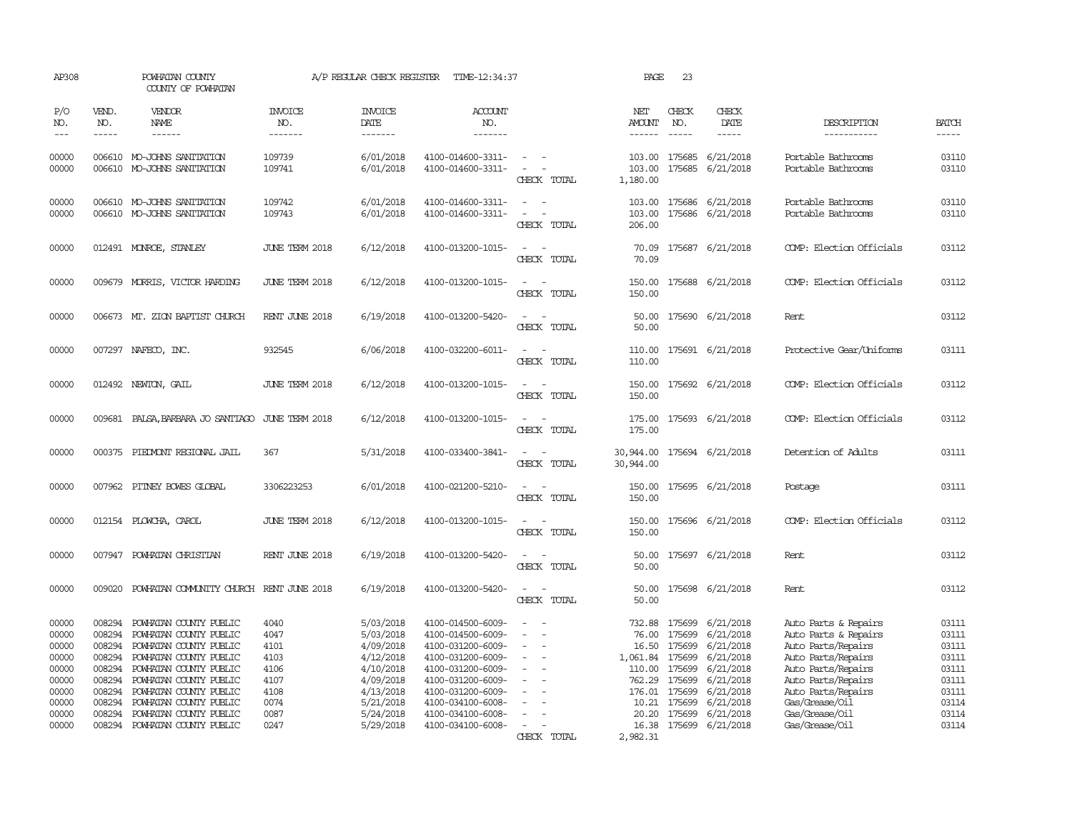| AP308                                                                |                                                                              | POWHATAN COUNTY<br>COUNTY OF POWHATAN                                                                                                                                                                        |                                                              | A/P REGULAR CHECK REGISTER                                                                           | TIME-12:34:37                                                                                                                                                        |                                                     | PAGE                                                                        | 23                                                                           |                                                                                                      |                                                                                                                                                                              |                                                                      |
|----------------------------------------------------------------------|------------------------------------------------------------------------------|--------------------------------------------------------------------------------------------------------------------------------------------------------------------------------------------------------------|--------------------------------------------------------------|------------------------------------------------------------------------------------------------------|----------------------------------------------------------------------------------------------------------------------------------------------------------------------|-----------------------------------------------------|-----------------------------------------------------------------------------|------------------------------------------------------------------------------|------------------------------------------------------------------------------------------------------|------------------------------------------------------------------------------------------------------------------------------------------------------------------------------|----------------------------------------------------------------------|
| P/O<br>NO.<br>$---$                                                  | VEND.<br>NO.<br>$- - - - -$                                                  | VENDOR<br>NAME<br>------                                                                                                                                                                                     | <b>INVOICE</b><br>NO.<br>-------                             | <b>INVOICE</b><br>DATE<br>-------                                                                    | <b>ACCOUNT</b><br>NO.<br>-------                                                                                                                                     |                                                     | NET<br>AMOUNT<br>------                                                     | CHECK<br>NO.<br>$- - - - -$                                                  | CHECK<br>DATE<br>-----                                                                               | DESCRIPTION<br>-----------                                                                                                                                                   | <b>BATCH</b><br>$- - - - -$                                          |
| 00000<br>00000                                                       |                                                                              | 006610 MO-JOHNS SANITATION<br>006610 MO-JOHNS SANITATION                                                                                                                                                     | 109739<br>109741                                             | 6/01/2018<br>6/01/2018                                                                               | 4100-014600-3311-<br>4100-014600-3311-                                                                                                                               | $\sim$<br>CHECK TOTAL                               | 103.00<br>103.00<br>1,180.00                                                | 175685                                                                       | 175685 6/21/2018<br>6/21/2018                                                                        | Portable Bathrooms<br>Portable Bathrooms                                                                                                                                     | 03110<br>03110                                                       |
| 00000<br>00000                                                       |                                                                              | 006610 MO-JOHNS SANITATION<br>006610 MO-JOHNS SANITATION                                                                                                                                                     | 109742<br>109743                                             | 6/01/2018<br>6/01/2018                                                                               | 4100-014600-3311-<br>4100-014600-3311-                                                                                                                               | $\equiv$<br>$\overline{\phantom{a}}$<br>CHECK TOTAL | 103.00<br>103.00<br>206.00                                                  | 175686<br>175686                                                             | 6/21/2018<br>6/21/2018                                                                               | Portable Bathrooms<br>Portable Bathrooms                                                                                                                                     | 03110<br>03110                                                       |
| 00000                                                                |                                                                              | 012491 MONROE, STANLEY                                                                                                                                                                                       | JUNE TERM 2018                                               | 6/12/2018                                                                                            | 4100-013200-1015-                                                                                                                                                    | $\sim$<br>$\sim$<br>CHECK TOTAL                     | 70.09<br>70.09                                                              |                                                                              | 175687 6/21/2018                                                                                     | COMP: Election Officials                                                                                                                                                     | 03112                                                                |
| 00000                                                                |                                                                              | 009679 MORRIS, VICTOR HARDING                                                                                                                                                                                | JUNE TERM 2018                                               | 6/12/2018                                                                                            | 4100-013200-1015-                                                                                                                                                    | $\sim$<br>$\sim$<br>CHECK TOTAL                     | 150.00<br>150.00                                                            |                                                                              | 175688 6/21/2018                                                                                     | COMP: Election Officials                                                                                                                                                     | 03112                                                                |
| 00000                                                                |                                                                              | 006673 MT. ZION BAPTIST CHURCH                                                                                                                                                                               | RENT JUNE 2018                                               | 6/19/2018                                                                                            | 4100-013200-5420-                                                                                                                                                    | $\sim$<br>$\overline{\phantom{a}}$<br>CHECK TOTAL   | 50.00<br>50.00                                                              |                                                                              | 175690 6/21/2018                                                                                     | Rent                                                                                                                                                                         | 03112                                                                |
| 00000                                                                |                                                                              | 007297 NAFECO, INC.                                                                                                                                                                                          | 932545                                                       | 6/06/2018                                                                                            | 4100-032200-6011-                                                                                                                                                    | CHECK TOTAL                                         | 110.00<br>110.00                                                            |                                                                              | 175691 6/21/2018                                                                                     | Protective Gear/Uniforms                                                                                                                                                     | 03111                                                                |
| 00000                                                                |                                                                              | 012492 NEWTON, GAIL                                                                                                                                                                                          | JUNE TERM 2018                                               | 6/12/2018                                                                                            | 4100-013200-1015-                                                                                                                                                    | CHECK TOTAL                                         | 150.00<br>150.00                                                            |                                                                              | 175692 6/21/2018                                                                                     | COMP: Election Officials                                                                                                                                                     | 03112                                                                |
| 00000                                                                | 009681                                                                       | PALSA, BARBARA JO SANTIAGO                                                                                                                                                                                   | JUNE TERM 2018                                               | 6/12/2018                                                                                            | 4100-013200-1015-                                                                                                                                                    | $\sim$<br>CHECK TOTAL                               | 175.00<br>175.00                                                            |                                                                              | 175693 6/21/2018                                                                                     | COMP: Election Officials                                                                                                                                                     | 03112                                                                |
| 00000                                                                | 000375                                                                       | PIEDMONT REGIONAL JAIL                                                                                                                                                                                       | 367                                                          | 5/31/2018                                                                                            | 4100-033400-3841-                                                                                                                                                    | CHECK TOTAL                                         | 30,944.00<br>30,944.00                                                      |                                                                              | 175694 6/21/2018                                                                                     | Detention of Adults                                                                                                                                                          | 03111                                                                |
| 00000                                                                |                                                                              | 007962 PITNEY BOWES GLOBAL                                                                                                                                                                                   | 3306223253                                                   | 6/01/2018                                                                                            | 4100-021200-5210-                                                                                                                                                    | CHECK TOTAL                                         | 150.00<br>150.00                                                            |                                                                              | 175695 6/21/2018                                                                                     | Postage                                                                                                                                                                      | 03111                                                                |
| 00000                                                                |                                                                              | 012154 PLOWCHA, CAROL                                                                                                                                                                                        | JUNE TERM 2018                                               | 6/12/2018                                                                                            | 4100-013200-1015-                                                                                                                                                    | CHECK TOTAL                                         | 150.00<br>150.00                                                            |                                                                              | 175696 6/21/2018                                                                                     | COMP: Election Officials                                                                                                                                                     | 03112                                                                |
| 00000                                                                | 007947                                                                       | POWHATAN CHRISTIAN                                                                                                                                                                                           | RENT JUNE 2018                                               | 6/19/2018                                                                                            | 4100-013200-5420-                                                                                                                                                    | CHECK TOTAL                                         | 50.00<br>50.00                                                              |                                                                              | 175697 6/21/2018                                                                                     | Rent                                                                                                                                                                         | 03112                                                                |
| 00000                                                                |                                                                              | 009020 POWHATAN COMMUNITY CHURCH RENT JUNE 2018                                                                                                                                                              |                                                              | 6/19/2018                                                                                            | 4100-013200-5420-                                                                                                                                                    | CHECK TOTAL                                         | 50.00<br>50.00                                                              |                                                                              | 175698 6/21/2018                                                                                     | Rent.                                                                                                                                                                        | 03112                                                                |
| 00000<br>00000<br>00000<br>00000<br>00000<br>00000<br>00000<br>00000 | 008294<br>008294<br>008294<br>008294<br>008294<br>008294<br>008294<br>008294 | POWHATAN COUNTY PUBLIC<br>POWHATAN COUNTY PUBLIC<br>POWHATAN COUNTY PUBLIC<br>POWHATAN COUNTY PUBLIC<br>POWHATAN COUNTY PUBLIC<br>POWHATAN COUNTY PUBLIC<br>POWHATAN COUNTY PUBLIC<br>POWHATAN COUNTY PUBLIC | 4040<br>4047<br>4101<br>4103<br>4106<br>4107<br>4108<br>0074 | 5/03/2018<br>5/03/2018<br>4/09/2018<br>4/12/2018<br>4/10/2018<br>4/09/2018<br>4/13/2018<br>5/21/2018 | 4100-014500-6009-<br>4100-014500-6009-<br>4100-031200-6009-<br>4100-031200-6009-<br>4100-031200-6009-<br>4100-031200-6009-<br>4100-031200-6009-<br>4100-034100-6008- | $\equiv$                                            | 732.88<br>76.00<br>16.50<br>1,061.84<br>110.00<br>762.29<br>176.01<br>10.21 | 175699<br>175699<br>175699<br>175699<br>175699<br>175699<br>175699<br>175699 | 6/21/2018<br>6/21/2018<br>6/21/2018<br>6/21/2018<br>6/21/2018<br>6/21/2018<br>6/21/2018<br>6/21/2018 | Auto Parts & Repairs<br>Auto Parts & Repairs<br>Auto Parts/Repairs<br>Auto Parts/Repairs<br>Auto Parts/Repairs<br>Auto Parts/Repairs<br>Auto Parts/Repairs<br>Gas/Grease/Oil | 03111<br>03111<br>03111<br>03111<br>03111<br>03111<br>03111<br>03114 |
| 00000<br>00000                                                       | 008294<br>008294                                                             | POWHATAN COUNTY PUBLIC<br>POWHATAN COUNTY PUBLIC                                                                                                                                                             | 0087<br>0247                                                 | 5/24/2018<br>5/29/2018                                                                               | 4100-034100-6008-<br>4100-034100-6008-                                                                                                                               | $\overline{\phantom{a}}$<br>CHECK TOTAL             | 20.20<br>16.38<br>2,982.31                                                  | 175699                                                                       | 6/21/2018<br>175699 6/21/2018                                                                        | Gas/Grease/0il<br>Gas/Grease/Oil                                                                                                                                             | 03114<br>03114                                                       |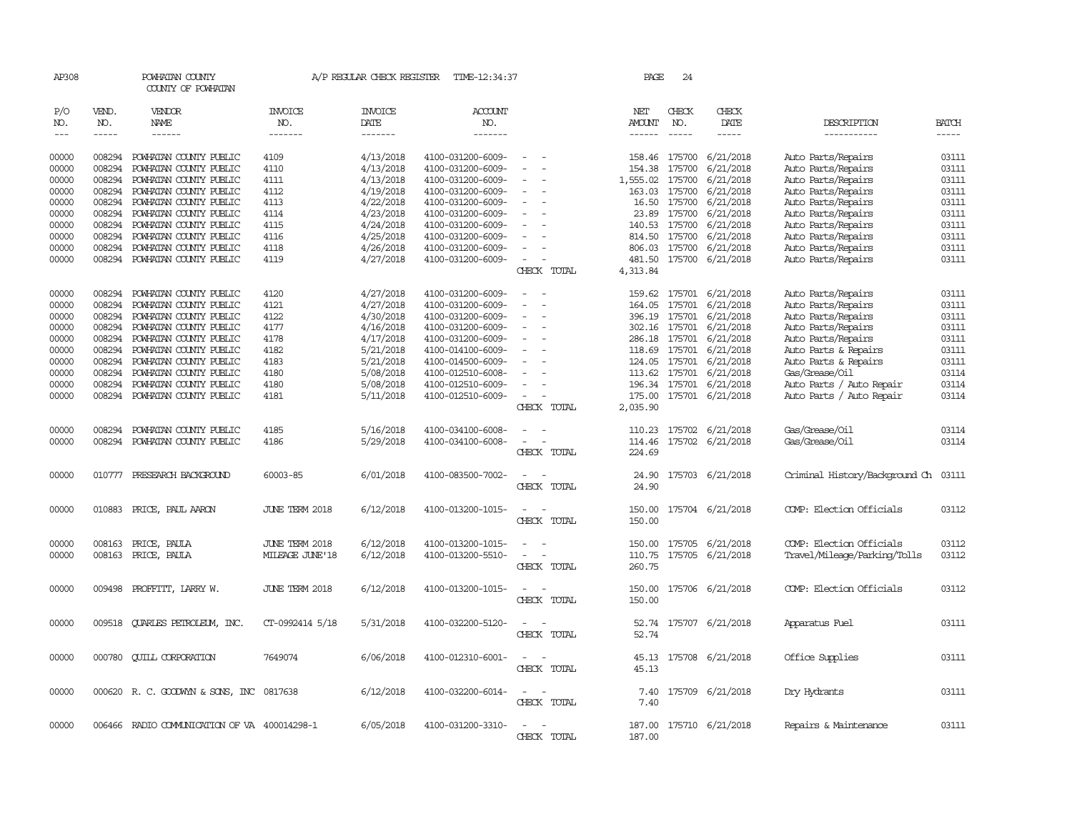| AP308               |                             | POWHATAN COUNTY<br>COUNTY OF POWHATAN        |                           | A/P REGULAR CHECK REGISTER        | TIME-12:34:37                    |                                    | PAGE                                  | 24                          |                              |                                      |                             |
|---------------------|-----------------------------|----------------------------------------------|---------------------------|-----------------------------------|----------------------------------|------------------------------------|---------------------------------------|-----------------------------|------------------------------|--------------------------------------|-----------------------------|
| P/O<br>NO.<br>$---$ | VEND.<br>NO.<br>$- - - - -$ | VENDOR<br><b>NAME</b><br>$- - - - - -$       | INVOICE<br>NO.<br>------- | <b>INVOICE</b><br>DATE<br>------- | <b>ACCOUNT</b><br>NO.<br>------- |                                    | NET<br><b>AMOUNT</b><br>$- - - - - -$ | CHECK<br>NO.<br>$- - - - -$ | CHECK<br>DATE<br>$- - - - -$ | DESCRIPTION<br>-----------           | <b>BATCH</b><br>$- - - - -$ |
| 00000               |                             | 008294 POWHATAN COUNTY PUBLIC                | 4109                      | 4/13/2018                         | 4100-031200-6009-                | $\sim$                             | 158.46 175700                         |                             | 6/21/2018                    | Auto Parts/Repairs                   | 03111                       |
| 00000               | 008294                      | POWHATAN COUNTY PUBLIC                       | 4110                      | 4/13/2018                         | 4100-031200-6009-                |                                    | 154.38                                | 175700                      | 6/21/2018                    | Auto Parts/Repairs                   | 03111                       |
| 00000               | 008294                      | POWHATAN COUNTY PUBLIC                       | 4111                      | 4/13/2018                         | 4100-031200-6009-                |                                    | 1,555.02                              | 175700                      | 6/21/2018                    | Auto Parts/Repairs                   | 03111                       |
| 00000               | 008294                      | POWHATAN COUNTY PUBLIC                       | 4112                      | 4/19/2018                         | 4100-031200-6009-                | $\hspace{0.1mm}-\hspace{0.1mm}$    | 163.03 175700                         |                             | 6/21/2018                    | Auto Parts/Repairs                   | 03111                       |
| 00000               |                             | 008294 POWHATAN COUNTY PUBLIC                | 4113                      | 4/22/2018                         | 4100-031200-6009-                | $\overline{\phantom{a}}$           |                                       | 16.50 175700                | 6/21/2018                    | Auto Parts/Repairs                   | 03111                       |
| 00000               | 008294                      | POWHATAN COUNTY PUBLIC                       | 4114                      | 4/23/2018                         | 4100-031200-6009-                |                                    |                                       | 23.89 175700                | 6/21/2018                    | Auto Parts/Repairs                   | 03111                       |
| 00000               | 008294                      |                                              | 4115                      |                                   |                                  |                                    | 140.53 175700                         |                             | 6/21/2018                    |                                      | 03111                       |
|                     |                             | POWHATAN COUNTY PUBLIC                       |                           | 4/24/2018                         | 4100-031200-6009-                |                                    |                                       |                             |                              | Auto Parts/Repairs                   |                             |
| 00000               | 008294                      | POWHATAN COUNTY PUBLIC                       | 4116                      | 4/25/2018                         | 4100-031200-6009-                | $\overline{\phantom{a}}$           | 814.50                                | 175700                      | 6/21/2018                    | Auto Parts/Repairs                   | 03111                       |
| 00000               | 008294                      | POWHATAN COUNTY PUBLIC                       | 4118                      | 4/26/2018                         | 4100-031200-6009-                | $\overline{\phantom{a}}$           | 806.03                                | 175700                      | 6/21/2018                    | Auto Parts/Repairs                   | 03111                       |
| 00000               |                             | 008294 POWHATAN COUNTY PUBLIC                | 4119                      | 4/27/2018                         | 4100-031200-6009-                | $\sim$<br>CHECK TOTAL              | 4,313.84                              |                             | 481.50 175700 6/21/2018      | Auto Parts/Repairs                   | 03111                       |
| 00000               | 008294                      | POWHATAN COUNTY PUBLIC                       | 4120                      | 4/27/2018                         | 4100-031200-6009-                |                                    |                                       |                             | 159.62 175701 6/21/2018      | Auto Parts/Repairs                   | 03111                       |
| 00000               | 008294                      | POWHATAN COUNTY PUBLIC                       | 4121                      | 4/27/2018                         | 4100-031200-6009-                |                                    | 164.05                                | 175701                      | 6/21/2018                    | Auto Parts/Repairs                   | 03111                       |
| 00000               | 008294                      | POWHATAN COUNTY PUBLIC                       | 4122                      | 4/30/2018                         | 4100-031200-6009-                | $\overline{\phantom{a}}$           | 396.19 175701                         |                             | 6/21/2018                    | Auto Parts/Repairs                   | 03111                       |
| 00000               |                             | 008294 POWHATAN COUNTY PUBLIC                | 4177                      | 4/16/2018                         | 4100-031200-6009-                |                                    | 302.16 175701                         |                             | 6/21/2018                    | Auto Parts/Repairs                   | 03111                       |
| 00000               | 008294                      | POWHATAN COUNTY PUBLIC                       | 4178                      | 4/17/2018                         | 4100-031200-6009-                |                                    | 286.18 175701                         |                             | 6/21/2018                    | Auto Parts/Repairs                   | 03111                       |
| 00000               | 008294                      | POWHATAN COUNTY PUBLIC                       | 4182                      | 5/21/2018                         | 4100-014100-6009-                |                                    | 118.69 175701                         |                             | 6/21/2018                    | Auto Parts & Repairs                 | 03111                       |
| 00000               | 008294                      | POWHATAN COUNTY PUBLIC                       | 4183                      | 5/21/2018                         | 4100-014500-6009-                | $\sim$                             | 124.05 175701                         |                             | 6/21/2018                    | Auto Parts & Repairs                 | 03111                       |
| 00000               | 008294                      | POWHATAN COUNTY PUBLIC                       | 4180                      | 5/08/2018                         | 4100-012510-6008-                |                                    | 113.62                                | 175701                      | 6/21/2018                    | Gas/Grease/Oil                       | 03114                       |
| 00000               | 008294                      | POWHATAN COUNTY PUBLIC                       | 4180                      | 5/08/2018                         | 4100-012510-6009-                |                                    | 196.34                                |                             | 175701 6/21/2018             | Auto Parts / Auto Repair             | 03114                       |
| 00000               |                             | 008294 POWHATAN COUNTY PUBLIC                | 4181                      | 5/11/2018                         | 4100-012510-6009-                | $\overline{\phantom{a}}$           | 175.00                                |                             | 175701 6/21/2018             | Auto Parts / Auto Repair             | 03114                       |
|                     |                             |                                              |                           |                                   |                                  | CHECK TOTAL                        | 2,035.90                              |                             |                              |                                      |                             |
| 00000               | 008294                      | POWHATAN COUNTY PUBLIC                       | 4185                      | 5/16/2018                         | 4100-034100-6008-                |                                    | 110.23                                |                             | 175702 6/21/2018             | Gas/Grease/Oil                       | 03114                       |
| 00000               |                             | 008294 POWHATAN COUNTY PUBLIC                | 4186                      | 5/29/2018                         | 4100-034100-6008-                | $\sim$<br>$\overline{\phantom{a}}$ | 114.46                                |                             | 175702 6/21/2018             | Gas/Grease/Oil                       | 03114                       |
|                     |                             |                                              |                           |                                   |                                  | CHECK TOTAL                        | 224.69                                |                             |                              |                                      |                             |
| 00000               |                             | 010777 PRESEARCH BACKGROUND                  | 60003-85                  | 6/01/2018                         | 4100-083500-7002-                | $\sim$<br>$\sim$                   | 24.90                                 |                             | 175703 6/21/2018             | Criminal History/Background Ch 03111 |                             |
|                     |                             |                                              |                           |                                   |                                  | CHECK TOTAL                        | 24.90                                 |                             |                              |                                      |                             |
| 00000               |                             | 010883 PRICE, PAUL AARON                     | <b>JUNE TERM 2018</b>     | 6/12/2018                         | 4100-013200-1015-                | $\sim$                             |                                       |                             | 150.00 175704 6/21/2018      | COMP: Election Officials             | 03112                       |
|                     |                             |                                              |                           |                                   |                                  | CHECK TOTAL                        | 150.00                                |                             |                              |                                      |                             |
| 00000               | 008163                      | PRICE, PAULA                                 | JUNE TERM 2018            | 6/12/2018                         | 4100-013200-1015-                |                                    | 150.00                                | 175705                      | 6/21/2018                    | COMP: Election Officials             | 03112                       |
| 00000               | 008163                      | PRICE, PAULA                                 | MILEAGE JUNE'18           | 6/12/2018                         | 4100-013200-5510-                |                                    | 110.75                                |                             | 175705 6/21/2018             | Travel/Mileage/Parking/Tolls         | 03112                       |
|                     |                             |                                              |                           |                                   |                                  | CHECK TOTAL                        | 260.75                                |                             |                              |                                      |                             |
| 00000               | 009498                      | PROFFITT, LARRY W.                           | <b>JUNE TERM 2018</b>     | 6/12/2018                         | 4100-013200-1015-                |                                    | 150.00                                |                             | 175706 6/21/2018             | COMP: Election Officials             | 03112                       |
|                     |                             |                                              |                           |                                   |                                  | CHECK TOTAL                        | 150.00                                |                             |                              |                                      |                             |
| 00000               | 009518                      | <b>OUARLES PETROLEUM, INC.</b>               | CT-0992414 5/18           | 5/31/2018                         | 4100-032200-5120-                |                                    | 52.74                                 |                             | 175707 6/21/2018             | Apparatus Fuel                       | 03111                       |
|                     |                             |                                              |                           |                                   |                                  | CHECK TOTAL                        | 52.74                                 |                             |                              |                                      |                             |
| 00000               |                             | 000780 QUILL CORPORATION                     | 7649074                   | 6/06/2018                         | 4100-012310-6001-                | $\sim$                             |                                       |                             | 45.13 175708 6/21/2018       | Office Supplies                      | 03111                       |
|                     |                             |                                              |                           |                                   |                                  | CHECK TOTAL                        | 45.13                                 |                             |                              |                                      |                             |
| 00000               |                             | 000620 R. C. GOODWYN & SONS, INC             | 0817638                   | 6/12/2018                         | 4100-032200-6014-                | $\overline{\phantom{a}}$           | 7.40                                  |                             | 175709 6/21/2018             | Dry Hydrants                         | 03111                       |
|                     |                             |                                              |                           |                                   |                                  | CHECK TOTAL                        | 7.40                                  |                             |                              |                                      |                             |
| 00000               |                             | 006466 RADIO COMMUNICATION OF VA 400014298-1 |                           | 6/05/2018                         | 4100-031200-3310-                |                                    | 187.00                                |                             | 175710 6/21/2018             | Repairs & Maintenance                | 03111                       |
|                     |                             |                                              |                           |                                   |                                  | CHECK TOTAL                        | 187.00                                |                             |                              |                                      |                             |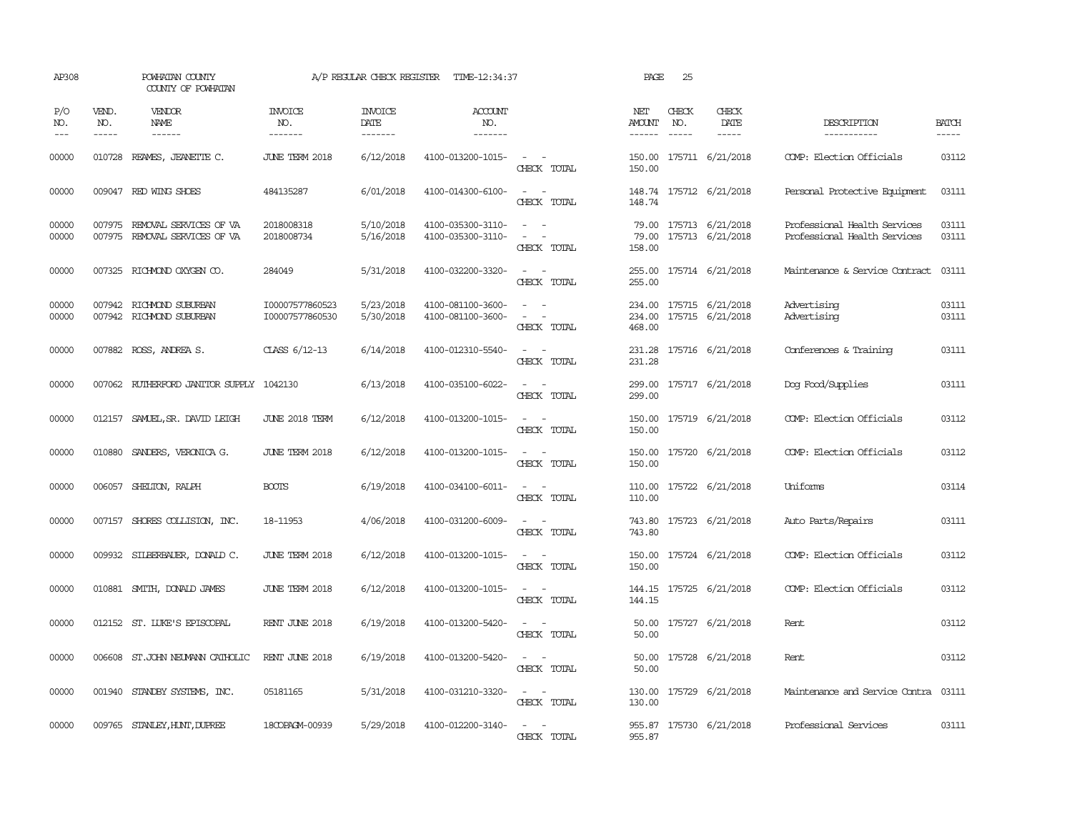| AP308               |                             | POWHATAN COUNTY<br>COUNTY OF POWHATAN                          |                                    |                                           | A/P REGULAR CHECK REGISTER TIME-12:34:37 |                                                                                                                             | PAGE                           | 25                            |                                            |                                                              |                       |
|---------------------|-----------------------------|----------------------------------------------------------------|------------------------------------|-------------------------------------------|------------------------------------------|-----------------------------------------------------------------------------------------------------------------------------|--------------------------------|-------------------------------|--------------------------------------------|--------------------------------------------------------------|-----------------------|
| P/O<br>NO.<br>$---$ | VEND.<br>NO.<br>$- - - - -$ | VENDOR<br>NAME<br>$- - - - - -$                                | <b>INVOICE</b><br>NO.<br>--------  | <b>INVOICE</b><br>DATE<br>$- - - - - - -$ | <b>ACCOUNT</b><br>NO.<br>-------         |                                                                                                                             | NET<br>AMOUNT<br>$- - - - - -$ | CHECK<br>NO.<br>$\frac{1}{2}$ | CHECK<br>DATE<br>$- - - - -$               | DESCRIPTION<br>-----------                                   | <b>BATCH</b><br>----- |
| 00000               |                             | 010728 REAMES, JEANETTE C.                                     | JUNE TERM 2018                     | 6/12/2018                                 | 4100-013200-1015-                        | $\sim$ $ -$<br>CHECK TOTAL                                                                                                  | 150.00<br>150.00               |                               | 175711 6/21/2018                           | COMP: Election Officials                                     | 03112                 |
| 00000               |                             | 009047 RED WING SHOES                                          | 484135287                          | 6/01/2018                                 | 4100-014300-6100-                        | $\overline{\phantom{a}}$<br>$\sim$<br>CHECK TOTAL                                                                           | 148.74                         |                               | 148.74 175712 6/21/2018                    | Personal Protective Equipment                                | 03111                 |
| 00000<br>00000      |                             | 007975 REMOVAL SERVICES OF VA<br>007975 REMOVAL SERVICES OF VA | 2018008318<br>2018008734           | 5/10/2018<br>5/16/2018                    | 4100-035300-3110-<br>4100-035300-3110-   | $\equiv$<br>CHECK TOTAL                                                                                                     | 79.00<br>158.00                |                               | 79.00 175713 6/21/2018<br>175713 6/21/2018 | Professional Health Services<br>Professional Health Services | 03111<br>03111        |
| 00000               |                             | 007325 RICHMOND OXYGEN CO.                                     | 284049                             | 5/31/2018                                 | 4100-032200-3320-                        | $\sim$ $ \sim$<br>CHECK TOTAL                                                                                               | 255.00<br>255.00               |                               | 175714 6/21/2018                           | Maintenance & Service Contract                               | 03111                 |
| 00000<br>00000      |                             | 007942 RICHMOND SUBURBAN<br>007942 RICHMOND SUBURBAN           | I00007577860523<br>I00007577860530 | 5/23/2018<br>5/30/2018                    | 4100-081100-3600-<br>4100-081100-3600-   | $\overline{\phantom{a}}$<br>$\sim$<br>$\sim$ $ -$<br>CHECK TOTAL                                                            | 234.00<br>234.00<br>468.00     |                               | 175715 6/21/2018<br>175715 6/21/2018       | Advertising<br>Advertising                                   | 03111<br>03111        |
| 00000               |                             | 007882 ROSS, ANDREA S.                                         | CLASS 6/12-13                      | 6/14/2018                                 | 4100-012310-5540-                        | $\frac{1}{2} \left( \frac{1}{2} \right) \left( \frac{1}{2} \right) = \frac{1}{2} \left( \frac{1}{2} \right)$<br>CHECK TOTAL | 231.28<br>231.28               |                               | 175716 6/21/2018                           | Conferences & Training                                       | 03111                 |
| 00000               |                             | 007062 RUIHERFORD JANITOR SUPPLY 1042130                       |                                    | 6/13/2018                                 | 4100-035100-6022-                        | $\sim$<br>CHECK TOTAL                                                                                                       | 299.00<br>299.00               |                               | 175717 6/21/2018                           | Dog Food/Supplies                                            | 03111                 |
| 00000               | 012157                      | SAMUEL, SR. DAVID LEIGH                                        | JUNE 2018 TERM                     | 6/12/2018                                 | 4100-013200-1015-                        | $\sim$<br>$\sim$<br>CHECK TOTAL                                                                                             | 150.00<br>150.00               |                               | 175719 6/21/2018                           | COMP: Election Officials                                     | 03112                 |
| 00000               |                             | 010880 SANDERS, VERONICA G.                                    | JUNE TERM 2018                     | 6/12/2018                                 | 4100-013200-1015-                        | $\omega_{\rm{max}}$ and<br>CHECK TOTAL                                                                                      | 150.00<br>150.00               |                               | 175720 6/21/2018                           | COMP: Election Officials                                     | 03112                 |
| 00000               |                             | 006057 SHELTON, RALPH                                          | <b>BOOTS</b>                       | 6/19/2018                                 | 4100-034100-6011-                        | $\sim$<br>CHECK TOTAL                                                                                                       | 110.00<br>110.00               |                               | 175722 6/21/2018                           | Uniforms                                                     | 03114                 |
| 00000               |                             | 007157 SHORES COLLISION, INC.                                  | 18-11953                           | 4/06/2018                                 | 4100-031200-6009-                        | $ -$<br>CHECK TOTAL                                                                                                         | 743.80<br>743.80               |                               | 175723 6/21/2018                           | Auto Parts/Repairs                                           | 03111                 |
| 00000               |                             | 009932 SILBERBAUER, DONALD C.                                  | JUNE TERM 2018                     | 6/12/2018                                 | 4100-013200-1015-                        | $\frac{1}{2} \left( \frac{1}{2} \right) \left( \frac{1}{2} \right) = \frac{1}{2} \left( \frac{1}{2} \right)$<br>CHECK TOTAL | 150.00<br>150.00               |                               | 175724 6/21/2018                           | COMP: Election Officials                                     | 03112                 |
| 00000               | 010881                      | SMITH, DONALD JAMES                                            | JUNE TERM 2018                     | 6/12/2018                                 | 4100-013200-1015-                        | CHECK TOTAL                                                                                                                 | 144.15<br>144.15               |                               | 175725 6/21/2018                           | COMP: Election Officials                                     | 03112                 |
| 00000               |                             | 012152 ST. LUKE'S EPISCOPAL                                    | RENT JUNE 2018                     | 6/19/2018                                 | 4100-013200-5420-                        | CHECK TOTAL                                                                                                                 | 50.00<br>50.00                 |                               | 175727 6/21/2018                           | Rent                                                         | 03112                 |
| 00000               |                             | 006608 ST.JOHN NEUMANN CATHOLIC                                | RENT JUNE 2018                     | 6/19/2018                                 | 4100-013200-5420-                        | $\sim$<br>CHECK TOTAL                                                                                                       | 50.00<br>50.00                 |                               | 175728 6/21/2018                           | Rent                                                         | 03112                 |
| 00000               |                             | 001940 STANDBY SYSTEMS, INC.                                   | 05181165                           | 5/31/2018                                 | 4100-031210-3320-                        | $\sim$<br>$\overline{\phantom{a}}$<br>CHECK TOTAL                                                                           | 130.00<br>130.00               |                               | 175729 6/21/2018                           | Maintenance and Service Contra                               | 03111                 |
| 00000               |                             | 009765 STANLEY, HUNT, DUPREE                                   | 18COPAGM-00939                     | 5/29/2018                                 | 4100-012200-3140-                        | $\sim$<br>$\sim$<br>CHECK TOTAL                                                                                             | 955.87                         |                               | 955.87 175730 6/21/2018                    | Professional Services                                        | 03111                 |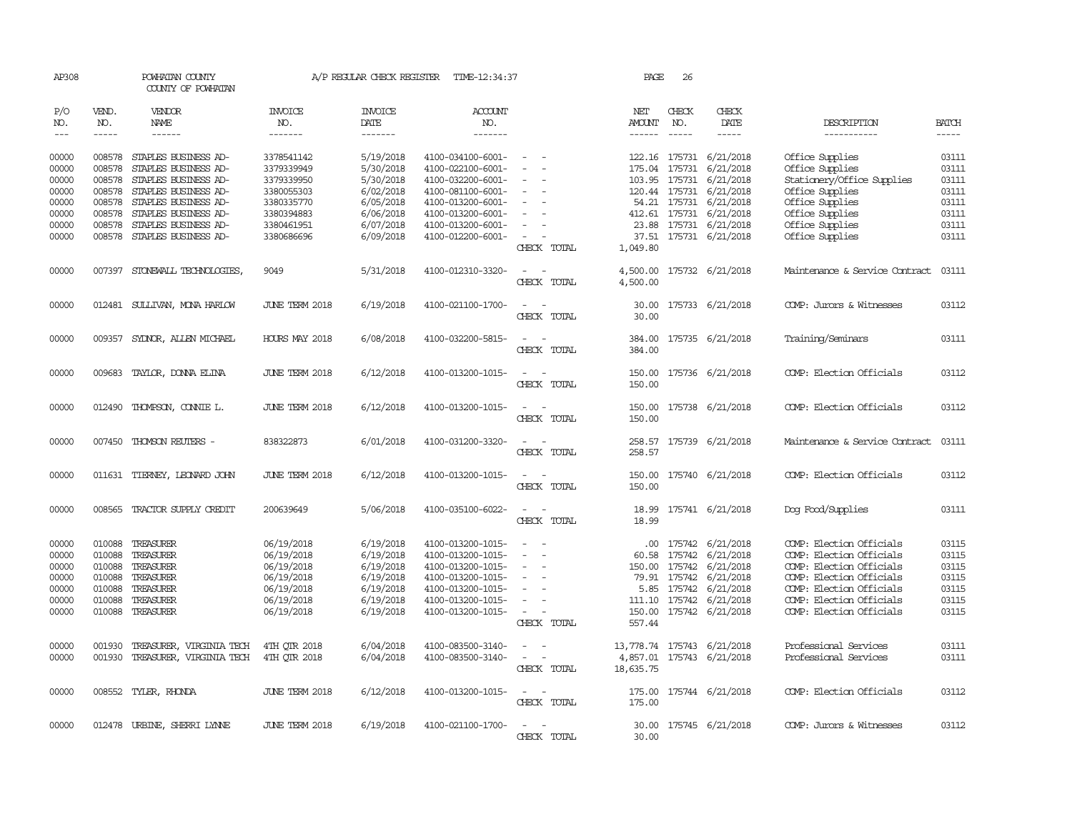| AP308                             |                             | POWHATAN COUNTY<br>COUNTY OF POWHATAN               |                                  | A/P REGULAR CHECK REGISTER        | TIME-12:34:37                          |                                                   |                      | PAGE<br>26                    |                                                   |                                                      |                             |
|-----------------------------------|-----------------------------|-----------------------------------------------------|----------------------------------|-----------------------------------|----------------------------------------|---------------------------------------------------|----------------------|-------------------------------|---------------------------------------------------|------------------------------------------------------|-----------------------------|
| P/O<br>NO.<br>$\qquad \qquad - -$ | VEND.<br>NO.<br>$- - - - -$ | <b>VENDOR</b><br><b>NAME</b><br>$- - - - - -$       | <b>INVOICE</b><br>NO.<br>------- | <b>INVOICE</b><br>DATE<br>------- | <b>ACCOUNT</b><br>NO.<br>-------       |                                                   | NET<br>AMOUNT        | CHECK<br>NO.<br>$\frac{1}{2}$ | CHECK<br>DATE<br>$- - - - -$                      | DESCRIPTION<br>-----------                           | <b>BATCH</b><br>$- - - - -$ |
| 00000<br>00000                    | 008578<br>008578            | STAPLES BUSINESS AD-<br>STAPLES BUSINESS AD-        | 3378541142<br>3379339949         | 5/19/2018<br>5/30/2018            | 4100-034100-6001-<br>4100-022100-6001- | $\overline{\phantom{a}}$<br>$\sim$<br>$\sim$      |                      | 175.04 175731                 | 122.16 175731 6/21/2018<br>6/21/2018              | Office Supplies<br>Office Supplies                   | 03111<br>03111              |
| 00000                             | 008578                      | STAPLES BUSINESS AD-                                | 3379339950                       | 5/30/2018                         | 4100-032200-6001-                      |                                                   |                      |                               | 103.95 175731 6/21/2018                           | Stationery/Office Supplies                           | 03111                       |
| 00000<br>00000                    | 008578                      | STAPLES BUSINESS AD-<br>008578 STAPLES BUSINESS AD- | 3380055303<br>3380335770         | 6/02/2018                         | 4100-081100-6001-<br>4100-013200-6001- | $\sim$<br>$\overline{\phantom{a}}$                |                      |                               | 120.44 175731 6/21/2018                           | Office Supplies                                      | 03111<br>03111              |
| 00000                             | 008578                      | STAPLES BUSINESS AD-                                | 3380394883                       | 6/05/2018<br>6/06/2018            | 4100-013200-6001-                      | $\sim$                                            |                      |                               | 54.21 175731 6/21/2018<br>412.61 175731 6/21/2018 | Office Supplies<br>Office Supplies                   | 03111                       |
| 00000                             | 008578                      | STAPLES BUSINESS AD-                                | 3380461951                       | 6/07/2018                         | 4100-013200-6001-                      |                                                   |                      |                               | 23.88 175731 6/21/2018                            | Office Supplies                                      | 03111                       |
| 00000                             |                             | 008578 STAPLES BUSINESS AD-                         | 3380686696                       | 6/09/2018                         | 4100-012200-6001-                      | $\overline{\phantom{0}}$<br>CHECK TOTAL           | 1,049.80             |                               | 37.51 175731 6/21/2018                            | Office Supplies                                      | 03111                       |
| 00000                             | 007397                      | STONEWALL TECHNOLOGIES,                             | 9049                             | 5/31/2018                         | 4100-012310-3320-                      | $\overline{\phantom{a}}$<br>CHECK TOTAL           | 4,500.00<br>4,500.00 |                               | 175732 6/21/2018                                  | Maintenance & Service Contract                       | 03111                       |
| 00000                             |                             | 012481 SULLIVAN, MONA HARLOW                        | <b>JUNE TERM 2018</b>            | 6/19/2018                         | 4100-021100-1700-                      | CHECK TOTAL                                       | 30.00<br>30.00       |                               | 175733 6/21/2018                                  | COMP: Jurors & Witnesses                             | 03112                       |
| 00000                             |                             | 009357 SYDNOR, ALLEN MICHAEL                        | HOURS MAY 2018                   | 6/08/2018                         | 4100-032200-5815-                      | $\sim$<br>CHECK TOTAL                             | 384.00<br>384.00     |                               | 175735 6/21/2018                                  | Training/Seminars                                    | 03111                       |
| 00000                             |                             | 009683 TAYLOR, DONNA ELINA                          | <b>JUNE TERM 2018</b>            | 6/12/2018                         | 4100-013200-1015-                      | $\sim$<br>CHECK TOTAL                             | 150.00               |                               | 150.00 175736 6/21/2018                           | COMP: Election Officials                             | 03112                       |
| 00000                             |                             | 012490 THOMPSON, CONNIE L.                          | JUNE TERM 2018                   | 6/12/2018                         | 4100-013200-1015-                      | $\overline{\phantom{a}}$<br>$\sim$<br>CHECK TOTAL | 150.00               |                               | 150.00 175738 6/21/2018                           | COMP: Election Officials                             | 03112                       |
| 00000                             |                             | 007450 THOMSON REUTERS -                            | 838322873                        | 6/01/2018                         | 4100-031200-3320-                      | $\sim$<br>CHECK TOTAL                             | 258.57               |                               | 258.57 175739 6/21/2018                           | Maintenance & Service Contract                       | 03111                       |
| 00000                             |                             | 011631 TIERNEY, LEONARD JOHN                        | JUNE TERM 2018                   | 6/12/2018                         | 4100-013200-1015-                      | $\sim$<br>$\sim$<br>CHECK TOTAL                   | 150.00               |                               | 150.00 175740 6/21/2018                           | COMP: Election Officials                             | 03112                       |
| 00000                             | 008565                      | TRACTOR SUPPLY CREDIT                               | 200639649                        | 5/06/2018                         | 4100-035100-6022-                      | $\overline{a}$<br>$\sim$<br>CHECK TOTAL           | 18.99<br>18.99       |                               | 175741 6/21/2018                                  | Dog Food/Supplies                                    | 03111                       |
| 00000                             | 010088                      | TREASURER                                           | 06/19/2018                       | 6/19/2018                         | 4100-013200-1015-                      | $\sim$<br>$\sim$                                  |                      | .00.<br>175742                | 6/21/2018                                         | COMP: Election Officials                             | 03115                       |
| 00000                             | 010088                      | TREASURER                                           | 06/19/2018                       | 6/19/2018                         | 4100-013200-1015-                      |                                                   | 60.58                |                               | 175742 6/21/2018                                  | COMP: Election Officials                             | 03115                       |
| 00000                             | 010088                      | TREASURER                                           | 06/19/2018                       | 6/19/2018                         | 4100-013200-1015-                      |                                                   | 150.00               |                               | 175742 6/21/2018                                  | COMP: Election Officials                             | 03115                       |
| 00000                             |                             | 010088 TREASURER                                    | 06/19/2018                       | 6/19/2018                         | 4100-013200-1015-                      | $\sim$<br>$\overline{\phantom{0}}$                |                      | 79.91 175742                  | 6/21/2018                                         | COMP: Election Officials                             | 03115                       |
| 00000                             | 010088<br>010088            | TREASURER<br>TREASURER                              | 06/19/2018                       | 6/19/2018<br>6/19/2018            | 4100-013200-1015-                      | $\sim$                                            |                      | 5.85 175742                   | 6/21/2018<br>6/21/2018                            | COMP: Election Officials<br>COMP: Election Officials | 03115<br>03115              |
| 00000<br>00000                    |                             | 010088 TREASURER                                    | 06/19/2018<br>06/19/2018         | 6/19/2018                         | 4100-013200-1015-<br>4100-013200-1015- | $\sim$                                            |                      | 111.10 175742                 | 150.00 175742 6/21/2018                           | COMP: Election Officials                             | 03115                       |
|                                   |                             |                                                     |                                  |                                   |                                        | CHECK TOTAL                                       | 557.44               |                               |                                                   |                                                      |                             |
| 00000                             | 001930                      | TREASURER, VIRGINIA TECH                            | 4TH OTR 2018                     | 6/04/2018                         | 4100-083500-3140-                      | $\overline{\phantom{a}}$                          | 13,778.74            |                               | 175743 6/21/2018                                  | Professional Services                                | 03111                       |
| 00000                             | 001930                      | TREASURER, VIRGINIA TECH                            | 4TH OTR 2018                     | 6/04/2018                         | 4100-083500-3140-                      | $\sim$<br>$\overline{\phantom{a}}$<br>CHECK TOTAL | 18,635.75            |                               | 4,857.01 175743 6/21/2018                         | Professional Services                                | 03111                       |
| 00000                             |                             | 008552 TYLER, RHONDA                                | <b>JUNE TERM 2018</b>            | 6/12/2018                         | 4100-013200-1015-                      | $\sim$ $\sim$<br>CHECK TOTAL                      | 175.00               |                               | 175.00 175744 6/21/2018                           | COMP: Election Officials                             | 03112                       |
| 00000                             |                             | 012478 URBINE, SHERRI LYNNE                         | <b>JUNE TERM 2018</b>            | 6/19/2018                         | 4100-021100-1700-                      | CHECK TOTAL                                       | 30.00                |                               | 30.00 175745 6/21/2018                            | COMP: Jurors & Witnesses                             | 03112                       |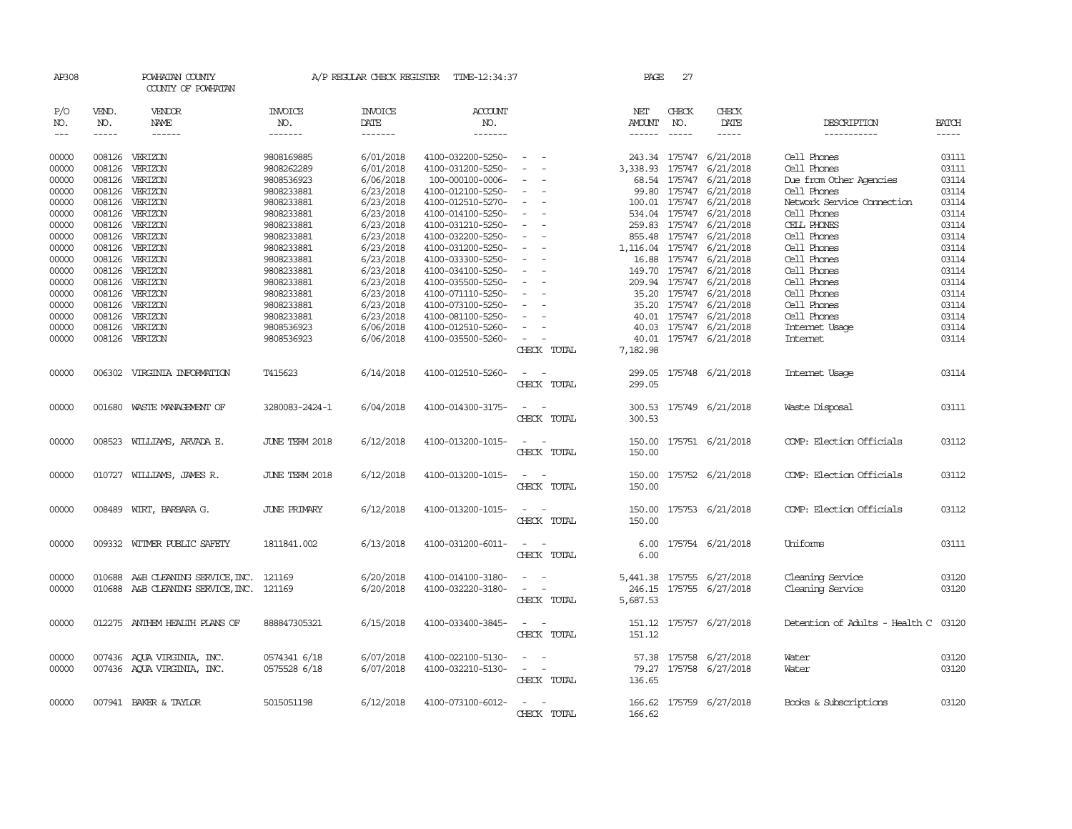| AP308          |        | POWHATAN COUNTY<br>COUNTY OF POWHATAN                                         |                     | A/P REGULAR CHECK REGISTER | TIME-12:34:37                          |                                                     | PAGE               | 27            |                                        |                                      |                |
|----------------|--------|-------------------------------------------------------------------------------|---------------------|----------------------------|----------------------------------------|-----------------------------------------------------|--------------------|---------------|----------------------------------------|--------------------------------------|----------------|
| P/O            | VEND.  | VENDOR                                                                        | <b>INVOICE</b>      | <b>INVOICE</b>             | ACCOUNT                                |                                                     | NET                | CHECK         | CHECK                                  |                                      |                |
| NO.            | NO.    | NAME                                                                          | NO.                 | DATE                       | NO.                                    |                                                     | AMOUNT             | NO.           | DATE                                   | DESCRIPTION                          | <b>BATCH</b>   |
| $\frac{1}{2}$  | -----  | $- - - - - -$                                                                 | $- - - - - - -$     | $- - - - - - -$            | -------                                |                                                     |                    | $\frac{1}{2}$ | -----                                  | ------------                         | $- - - - -$    |
| 00000          |        | 008126 VERIZON                                                                | 9808169885          | 6/01/2018                  | 4100-032200-5250-                      | $\sim$                                              |                    |               | 243.34 175747 6/21/2018                | Cell Phones                          | 03111          |
| 00000          | 008126 | VERIZON                                                                       | 9808262289          | 6/01/2018                  | 4100-031200-5250-                      |                                                     | 3,338.93 175747    |               | 6/21/2018                              | Cell Phones                          | 03111          |
| 00000          | 008126 | VERIZON                                                                       | 9808536923          | 6/06/2018                  | 100-000100-0006-                       | $\overline{\phantom{a}}$                            |                    | 68.54 175747  | 6/21/2018                              | Due from Other Agencies              | 03114          |
| 00000          | 008126 | VERIZON                                                                       | 9808233881          | 6/23/2018                  | 4100-012100-5250-                      | $\overline{\phantom{a}}$                            | 99.80              | 175747        | 6/21/2018                              | Cell Phones                          | 03114          |
| 00000          | 008126 | VERIZON                                                                       | 9808233881          | 6/23/2018                  | 4100-012510-5270-                      | $\overline{\phantom{a}}$                            |                    | 100.01 175747 | 6/21/2018                              | Network Service Cornection           | 03114          |
| 00000          | 008126 | VERIZON                                                                       | 9808233881          | 6/23/2018                  | 4100-014100-5250-                      | $\sim$                                              |                    |               | 534.04 175747 6/21/2018                | Cell Phones                          | 03114          |
| 00000          | 008126 | VERIZON                                                                       | 9808233881          | 6/23/2018                  | 4100-031210-5250-                      | $\sim$                                              | 259.83 175747      |               | 6/21/2018                              | CELL PHONES                          | 03114          |
| 00000          | 008126 | VERIZON                                                                       | 9808233881          | 6/23/2018                  | 4100-032200-5250-                      | $\overline{\phantom{a}}$                            |                    | 855.48 175747 | 6/21/2018                              | Cell Phones                          | 03114          |
| 00000          | 008126 | VERIZON                                                                       | 9808233881          | 6/23/2018                  | 4100-031200-5250-                      |                                                     |                    |               | 1,116.04 175747 6/21/2018              | Cell Phones                          | 03114          |
| 00000          |        | 008126 VERIZON                                                                | 9808233881          | 6/23/2018                  | 4100-033300-5250-                      | $\sim$                                              |                    | 16.88 175747  | 6/21/2018                              | Cell Phones                          | 03114          |
| 00000          | 008126 | VERIZON                                                                       | 9808233881          | 6/23/2018                  | 4100-034100-5250-                      |                                                     |                    | 149.70 175747 | 6/21/2018                              | Cell Phones                          | 03114          |
| 00000          | 008126 | VERIZON                                                                       | 9808233881          | 6/23/2018                  | 4100-035500-5250-                      |                                                     |                    |               | 209.94 175747 6/21/2018                | Cell Phones                          | 03114          |
| 00000          | 008126 | VERIZON                                                                       | 9808233881          | 6/23/2018                  | 4100-071110-5250-                      | $\sim$                                              |                    | 35.20 175747  | 6/21/2018                              | Cell Phones                          | 03114          |
| 00000          | 008126 | VERIZON                                                                       | 9808233881          | 6/23/2018                  | 4100-073100-5250-                      | $\overline{\phantom{0}}$                            | 35.20              | 175747        | 6/21/2018                              | Cell Phones                          | 03114          |
| 00000          | 008126 | VERIZON                                                                       | 9808233881          | 6/23/2018                  | 4100-081100-5250-                      |                                                     | 40.01              |               | 175747 6/21/2018                       | Cell Phones                          | 03114          |
| 00000          | 008126 | VERIZON                                                                       | 9808536923          | 6/06/2018                  | 4100-012510-5260-                      | $\sim$                                              |                    |               | 40.03 175747 6/21/2018                 | Internet Usage                       | 03114          |
| 00000          |        | 008126 VERIZON                                                                | 9808536923          | 6/06/2018                  | 4100-035500-5260-                      | $\sim$<br>$\sim$                                    | 40.01              |               | 175747 6/21/2018                       | Internet                             | 03114          |
|                |        |                                                                               |                     |                            |                                        | CHECK TOTAL                                         | 7,182.98           |               |                                        |                                      |                |
| 00000          |        | 006302 VIRGINIA INFORMATION                                                   | T415623             | 6/14/2018                  | 4100-012510-5260-                      | $\sim$ $ -$<br>CHECK TOTAL                          | 299.05<br>299.05   |               | 175748 6/21/2018                       | Internet Usage                       | 03114          |
| 00000          |        | 001680 WASTE MANAGEMENT OF                                                    | 3280083-2424-1      | 6/04/2018                  | 4100-014300-3175-                      | $\sim$ $ \sim$<br>CHECK TOTAL                       | 300.53             |               | 300.53 175749 6/21/2018                | Waste Disposal                       | 03111          |
| 00000          |        | 008523 WILLIAMS, ARVADA E.                                                    | JUNE TERM 2018      | 6/12/2018                  | 4100-013200-1015-                      | $\sim$<br>CHECK TOTAL                               | 150.00<br>150.00   |               | 175751 6/21/2018                       | COMP: Election Officials             | 03112          |
| 00000          |        | 010727 WILLIAMS, JAMES R.                                                     | JUNE TERM 2018      | 6/12/2018                  | 4100-013200-1015-                      | $\sim$<br>CHECK TOTAL                               | 150.00<br>150.00   |               | 175752 6/21/2018                       | COMP: Election Officials             | 03112          |
| 00000          |        | 008489 WIRT, BARBARA G.                                                       | <b>JUNE PRIMARY</b> | 6/12/2018                  | 4100-013200-1015-                      | $\sim$ $ -$<br>CHECK TOTAL                          | 150.00<br>150.00   |               | 175753 6/21/2018                       | COMP: Election Officials             | 03112          |
| 00000          |        | 009332 WITMER PUBLIC SAFETY                                                   | 1811841.002         | 6/13/2018                  | 4100-031200-6011-                      | $\sim$ $ \sim$<br>CHECK TOTAL                       | 6.00               |               | 6.00 175754 6/21/2018                  | Uniforms                             | 03111          |
| 00000<br>00000 |        | 010688 A&B CLEANING SERVICE, INC. 121169<br>010688 A&B CLEANING SERVICE, INC. | 121169              | 6/20/2018<br>6/20/2018     | 4100-014100-3180-<br>4100-032220-3180- | $\sim$<br>$\sim$<br>$\sim$<br>$\sim$<br>CHECK TOTAL | 246.15<br>5,687.53 | 175755        | 5,441.38 175755 6/27/2018<br>6/27/2018 | Cleaning Service<br>Cleaning Service | 03120<br>03120 |
| 00000          |        | 012275 ANTHEM HEALTH PLANS OF                                                 | 888847305321        | 6/15/2018                  | 4100-033400-3845-                      | $\sim$<br>CHECK TOTAL                               | 151.12             |               | 151.12 175757 6/27/2018                | Detention of Adults - Health C 03120 |                |
| 00000          |        | 007436 AQUA VIRGINIA, INC.                                                    | 0574341 6/18        | 6/07/2018                  | 4100-022100-5130-                      | $\sim$<br>$\sim$                                    |                    | 57.38 175758  | 6/27/2018                              | Water                                | 03120          |
| 00000          |        | 007436 AQUA VIRGINIA, INC.                                                    | 0575528 6/18        | 6/07/2018                  | 4100-032210-5130-                      | $\sim$ 100 $\sim$<br>CHECK TOTAL                    | 136.65             |               | 79.27 175758 6/27/2018                 | Water                                | 03120          |
| 00000          |        | 007941 BAKER & TAYLOR                                                         | 5015051198          | 6/12/2018                  | 4100-073100-6012-                      | CHECK TOTAL                                         | 166.62             |               | 166.62 175759 6/27/2018                | Books & Subscriptions                | 03120          |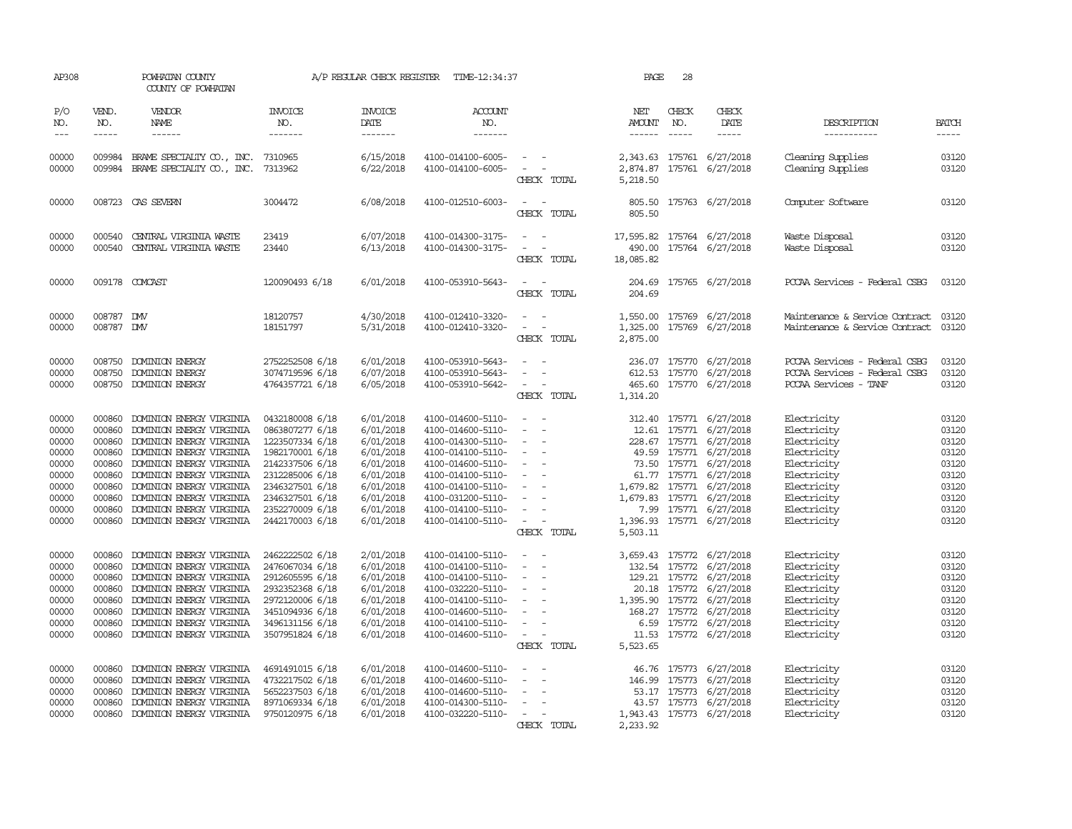| AP308                                                                                  |                                                                              | POWHATAN COUNTY<br>COUNTY OF POWHATAN                                                                                                                                                                                                                                                              |                                                                                                                                                                                            | A/P REGULAR CHECK REGISTER                                                                                                     | TIME-12:34:37                                                                                                                                                                                                  |                                                                                                                                                                                                                                             | PAGE                 | 28           |                                                                                                                                                                                                                                                                            |                                                                                                                                                    |                                                                                        |
|----------------------------------------------------------------------------------------|------------------------------------------------------------------------------|----------------------------------------------------------------------------------------------------------------------------------------------------------------------------------------------------------------------------------------------------------------------------------------------------|--------------------------------------------------------------------------------------------------------------------------------------------------------------------------------------------|--------------------------------------------------------------------------------------------------------------------------------|----------------------------------------------------------------------------------------------------------------------------------------------------------------------------------------------------------------|---------------------------------------------------------------------------------------------------------------------------------------------------------------------------------------------------------------------------------------------|----------------------|--------------|----------------------------------------------------------------------------------------------------------------------------------------------------------------------------------------------------------------------------------------------------------------------------|----------------------------------------------------------------------------------------------------------------------------------------------------|----------------------------------------------------------------------------------------|
| P/O<br>NO.<br>$\cdots$                                                                 | VEND.<br>NO.<br>$- - - - -$                                                  | VENDOR<br>NAME<br>$- - - - - -$                                                                                                                                                                                                                                                                    | <b>INVOICE</b><br>NO.<br>-------                                                                                                                                                           | <b>INVOICE</b><br>DATE<br>$- - - - - - -$                                                                                      | <b>ACCOUNT</b><br>NO.<br>$- - - - - - -$                                                                                                                                                                       |                                                                                                                                                                                                                                             | NET<br>AMOUNT        | CHECK<br>NO. | CHECK<br>DATE<br>$- - - - -$                                                                                                                                                                                                                                               | DESCRIPTION<br>------------                                                                                                                        | <b>BATCH</b>                                                                           |
| 00000<br>00000                                                                         |                                                                              | 009984 BRAME SPECIALIY CO., INC. 7310965<br>009984 BRAME SPECIALIY CO., INC.                                                                                                                                                                                                                       | 7313962                                                                                                                                                                                    | 6/15/2018<br>6/22/2018                                                                                                         | 4100-014100-6005-<br>4100-014100-6005-                                                                                                                                                                         | $\sim$ $ \sim$<br>$\sim$ $ -$<br>CHECK TOTAL                                                                                                                                                                                                | 2,874.87<br>5,218.50 |              | 2,343.63 175761 6/27/2018<br>175761 6/27/2018                                                                                                                                                                                                                              | Cleaning Supplies<br>Cleaning Supplies                                                                                                             | 03120<br>03120                                                                         |
| 00000                                                                                  |                                                                              | 008723 CAS SEVERN                                                                                                                                                                                                                                                                                  | 3004472                                                                                                                                                                                    | 6/08/2018                                                                                                                      | 4100-012510-6003-                                                                                                                                                                                              | $\overline{\phantom{a}}$<br>CHECK TOTAL                                                                                                                                                                                                     | 805.50               |              | 805.50 175763 6/27/2018                                                                                                                                                                                                                                                    | Computer Software                                                                                                                                  | 03120                                                                                  |
| 00000<br>00000                                                                         | 000540<br>000540                                                             | CENTRAL VIRGINIA WASTE<br>CENIRAL VIRGINIA WASTE                                                                                                                                                                                                                                                   | 23419<br>23440                                                                                                                                                                             | 6/07/2018<br>6/13/2018                                                                                                         | 4100-014300-3175-<br>4100-014300-3175-                                                                                                                                                                         | $\sim$ $ \sim$<br>$\sim$<br>$\sim$<br>CHECK TOTAL                                                                                                                                                                                           | 490.00<br>18,085.82  |              | 17,595.82 175764 6/27/2018<br>175764 6/27/2018                                                                                                                                                                                                                             | Waste Disposal<br>Waste Disposal                                                                                                                   | 03120<br>03120                                                                         |
| 00000                                                                                  |                                                                              | 009178 COMCAST                                                                                                                                                                                                                                                                                     | 120090493 6/18                                                                                                                                                                             | 6/01/2018                                                                                                                      | 4100-053910-5643-                                                                                                                                                                                              | $\omega_{\rm{max}}$ and $\omega_{\rm{max}}$<br>CHECK TOTAL                                                                                                                                                                                  | 204.69               |              | 204.69 175765 6/27/2018                                                                                                                                                                                                                                                    | PCCAA Services - Federal CSBG                                                                                                                      | 03120                                                                                  |
| 00000<br>00000                                                                         | 008787 DW<br>008787 DMV                                                      |                                                                                                                                                                                                                                                                                                    | 18120757<br>18151797                                                                                                                                                                       | 4/30/2018<br>5/31/2018                                                                                                         | 4100-012410-3320-<br>4100-012410-3320-                                                                                                                                                                         | $\omega_{\rm{max}}$ and $\omega_{\rm{max}}$<br>$\overline{\phantom{a}}$<br>$\sim$ $-$<br>CHECK TOTAL                                                                                                                                        | 2,875.00             |              | 1,550.00 175769 6/27/2018<br>1,325.00 175769 6/27/2018                                                                                                                                                                                                                     | Maintenance & Service Contract 03120<br>Maintenance & Service Contract                                                                             | 03120                                                                                  |
| 00000<br>00000<br>00000                                                                | 008750                                                                       | DOMINION ENERGY<br>008750 DOMINION ENERGY<br>008750 DOMINION ENERGY                                                                                                                                                                                                                                | 2752252508 6/18<br>3074719596 6/18<br>4764357721 6/18                                                                                                                                      | 6/01/2018<br>6/07/2018<br>6/05/2018                                                                                            | 4100-053910-5643-<br>4100-053910-5643-<br>4100-053910-5642-                                                                                                                                                    | $\sim$ $\sim$<br>$\sim$<br>$\sim$ $ \sim$ $-$<br>CHECK TOTAL                                                                                                                                                                                | 1,314.20             |              | 236.07 175770 6/27/2018<br>612.53 175770 6/27/2018<br>465.60 175770 6/27/2018                                                                                                                                                                                              | PCCAA Services - Federal CSBG<br>PCCAA Services - Federal CSBG<br>PCCAA Services - TANF                                                            | 03120<br>03120<br>03120                                                                |
| 00000<br>00000<br>00000<br>00000<br>00000<br>00000<br>00000<br>00000<br>00000<br>00000 | 000860<br>000860<br>000860<br>000860<br>000860<br>000860<br>000860<br>000860 | DOMINION ENERGY VIRGINIA<br>DOMINION ENERGY VIRGINIA<br>DOMINION ENERGY VIRGINIA<br>DOMINION ENERGY VIRGINIA<br>DOMINION ENERGY VIRGINIA<br>DOMINION ENERGY VIRGINIA<br>000860 DOMINION ENERGY VIRGINIA<br>DOMINION ENERGY VIRGINIA<br>DOMINION ENERGY VIRGINIA<br>000860 DOMINION ENERGY VIRGINIA | 0432180008 6/18<br>0863807277 6/18<br>1223507334 6/18<br>1982170001 6/18<br>2142337506 6/18<br>2312285006 6/18<br>2346327501 6/18<br>2346327501 6/18<br>2352270009 6/18<br>2442170003 6/18 | 6/01/2018<br>6/01/2018<br>6/01/2018<br>6/01/2018<br>6/01/2018<br>6/01/2018<br>6/01/2018<br>6/01/2018<br>6/01/2018<br>6/01/2018 | 4100-014600-5110-<br>4100-014600-5110-<br>4100-014300-5110-<br>4100-014100-5110-<br>4100-014600-5110-<br>4100-014100-5110-<br>4100-014100-5110-<br>4100-031200-5110-<br>4100-014100-5110-<br>4100-014100-5110- | $\sim$ $ \sim$<br>$\sim$<br>$\sim$<br>$\sim$ $ \sim$<br>$\sim$ $ \sim$ $-$<br>$\sim$ $ \sim$<br>$\sim$ $-$<br>$\sim$ $ \sim$<br>$\sim$<br>$\sim$ $ \sim$ $-$<br>$\sim$ $-$<br>$\overline{\phantom{a}}$<br>$\sim$ $ \sim$ $-$<br>CHECK TOTAL | 5,503.11             |              | 312.40 175771 6/27/2018<br>12.61 175771 6/27/2018<br>228.67 175771 6/27/2018<br>49.59 175771 6/27/2018<br>73.50 175771 6/27/2018<br>61.77 175771 6/27/2018<br>1,679.82 175771 6/27/2018<br>1,679.83 175771 6/27/2018<br>7.99 175771 6/27/2018<br>1,396.93 175771 6/27/2018 | Electricity<br>Electricity<br>Electricity<br>Electricity<br>Electricity<br>Electricity<br>Electricity<br>Electricity<br>Electricity<br>Electricity | 03120<br>03120<br>03120<br>03120<br>03120<br>03120<br>03120<br>03120<br>03120<br>03120 |
| 00000<br>00000<br>00000<br>00000<br>00000<br>00000<br>00000<br>00000                   | 000860<br>000860<br>000860<br>000860<br>000860<br>000860<br>000860           | DOMINION ENERGY VIRGINIA<br>DOMINION ENERGY VIRGINIA<br>DOMINION ENERGY VIRGINIA<br>DOMINION ENERGY VIRGINIA<br>DOMINION ENERGY VIRGINIA<br>DOMINION ENERGY VIRGINIA<br>DOMINION ENERGY VIRGINIA<br>000860 DOMINION ENERGY VIRGINIA                                                                | 2462222502 6/18<br>2476067034 6/18<br>2912605595 6/18<br>2932352368 6/18<br>2972120006 6/18<br>3451094936 6/18<br>3496131156 6/18<br>3507951824 6/18                                       | 2/01/2018<br>6/01/2018<br>6/01/2018<br>6/01/2018<br>6/01/2018<br>6/01/2018<br>6/01/2018<br>6/01/2018                           | 4100-014100-5110-<br>4100-014100-5110-<br>4100-014100-5110-<br>4100-032220-5110-<br>4100-014100-5110-<br>4100-014600-5110-<br>4100-014100-5110-<br>4100-014600-5110-                                           | $\sim$<br>$\sim$ $ \sim$<br>$\overline{\phantom{a}}$<br>$\sim$<br>$\sim$<br>$\sim 10^{-10}$<br>$\sim$<br>$\sim$ $-$<br>$\sim$<br>$\sim$<br>$\alpha = 1$ , $\alpha = 1$<br>$\alpha = 1$ , $\alpha = 1$<br>CHECK TOTAL                        | 5,523.65             |              | 3,659.43 175772 6/27/2018<br>132.54 175772 6/27/2018<br>129.21 175772 6/27/2018<br>20.18 175772 6/27/2018<br>1,395.90 175772 6/27/2018<br>168.27 175772 6/27/2018<br>6.59 175772 6/27/2018<br>11.53 175772 6/27/2018                                                       | Electricity<br>Electricity<br>Electricity<br>Electricity<br>Electricity<br>Electricity<br>Electricity<br>Electricity                               | 03120<br>03120<br>03120<br>03120<br>03120<br>03120<br>03120<br>03120                   |
| 00000<br>00000<br>00000<br>00000<br>00000                                              | 000860<br>000860<br>000860<br>000860                                         | DOMINION ENERGY VIRGINIA<br>DOMINION ENERGY VIRGINIA<br>DOMINION ENERGY VIRGINIA<br>DOMINION ENERGY VIRGINIA<br>000860 DOMINION ENERGY VIRGINIA                                                                                                                                                    | 4691491015 6/18<br>4732217502 6/18<br>5652237503 6/18<br>8971069334 6/18<br>9750120975 6/18                                                                                                | 6/01/2018<br>6/01/2018<br>6/01/2018<br>6/01/2018<br>6/01/2018                                                                  | 4100-014600-5110-<br>4100-014600-5110-<br>4100-014600-5110-<br>4100-014300-5110-<br>4100-032220-5110-                                                                                                          | $\overline{\phantom{a}}$<br>$\sim$<br>$\sim 10^{-10}$<br>$\sim$<br>$\sim$ $-$<br>$\sim$<br>$\sim 10^{-1}$ and $\sim 10^{-1}$<br>CHECK TOTAL                                                                                                 | 2,233.92             |              | 46.76 175773 6/27/2018<br>146.99 175773 6/27/2018<br>53.17 175773 6/27/2018<br>43.57 175773 6/27/2018<br>1,943.43 175773 6/27/2018                                                                                                                                         | Electricity<br>Electricity<br>Electricity<br>Electricity<br>Electricity                                                                            | 03120<br>03120<br>03120<br>03120<br>03120                                              |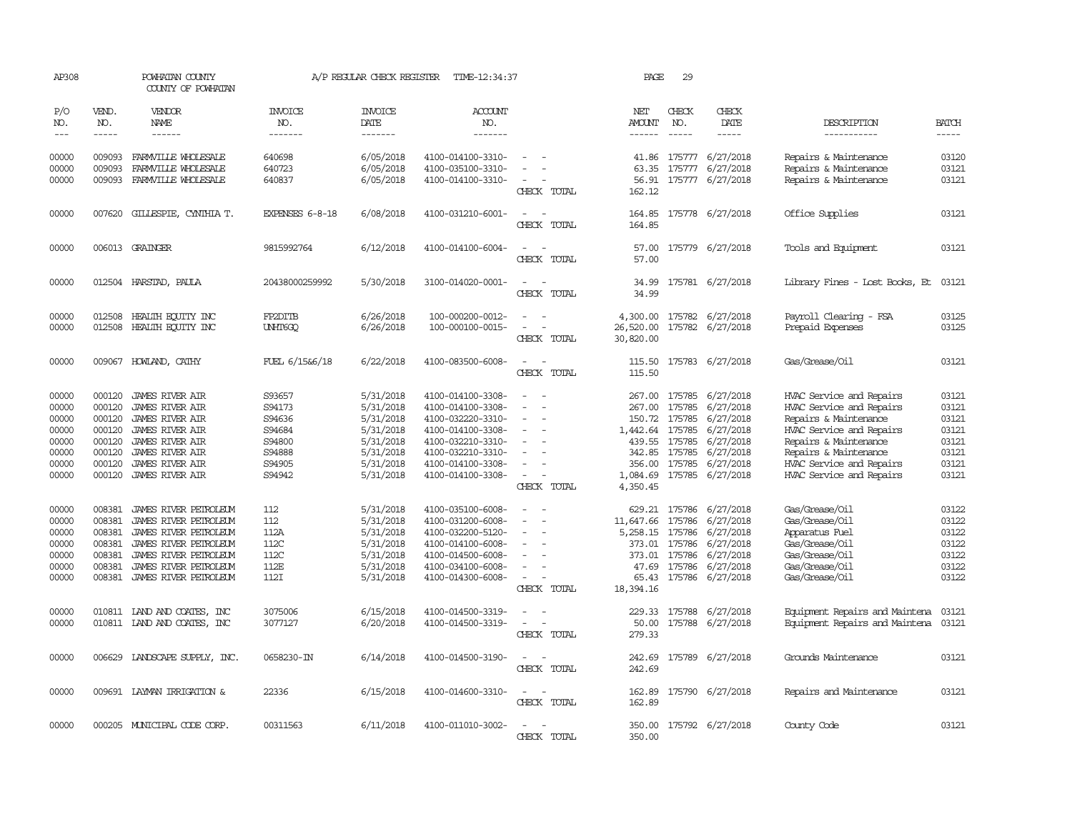| AP308                                                                |                                                                              | POWHATAN COUNTY<br>COUNTY OF POWHATAN                                                                                                                                                          |                                                                              | A/P REGULAR CHECK REGISTER                                                                           | TIME-12:34:37                                                                                                                                                        |                                                                               | PAGE                                                           | 29                                                        |                                                                                                                                  |                                                                                                                                                                                                                     |                                                                      |
|----------------------------------------------------------------------|------------------------------------------------------------------------------|------------------------------------------------------------------------------------------------------------------------------------------------------------------------------------------------|------------------------------------------------------------------------------|------------------------------------------------------------------------------------------------------|----------------------------------------------------------------------------------------------------------------------------------------------------------------------|-------------------------------------------------------------------------------|----------------------------------------------------------------|-----------------------------------------------------------|----------------------------------------------------------------------------------------------------------------------------------|---------------------------------------------------------------------------------------------------------------------------------------------------------------------------------------------------------------------|----------------------------------------------------------------------|
| P/O<br>NO.                                                           | VEND.<br>NO.                                                                 | VENDOR<br>NAME                                                                                                                                                                                 | <b>INVOICE</b><br>NO.                                                        | <b>INVOICE</b><br>DATE                                                                               | <b>ACCOUNT</b><br>NO.                                                                                                                                                |                                                                               | NET<br>AMOUNT                                                  | CHECK<br>NO.                                              | CHECK<br>DATE                                                                                                                    | DESCRIPTION                                                                                                                                                                                                         | <b>BATCH</b>                                                         |
| $---$                                                                | $- - - - -$                                                                  | ------                                                                                                                                                                                         | -------                                                                      | --------                                                                                             | -------                                                                                                                                                              |                                                                               | $- - - - - -$                                                  | $- - - - -$                                               | $- - - - -$                                                                                                                      | -----------                                                                                                                                                                                                         | $- - - - -$                                                          |
| 00000<br>00000<br>00000                                              | 009093<br>009093<br>009093                                                   | FARMVILLE WHOLESALE<br>FARMILLE WHOLESALE<br>FARMVILLE WHOLESALE                                                                                                                               | 640698<br>640723<br>640837                                                   | 6/05/2018<br>6/05/2018<br>6/05/2018                                                                  | 4100-014100-3310-<br>4100-035100-3310-<br>4100-014100-3310-                                                                                                          | $\overline{\phantom{a}}$<br>CHECK TOTAL                                       | 41.86<br>63.35<br>56.91<br>162.12                              |                                                           | 175777 6/27/2018<br>175777 6/27/2018<br>175777 6/27/2018                                                                         | Repairs & Maintenance<br>Repairs & Maintenance<br>Repairs & Maintenance                                                                                                                                             | 03120<br>03121<br>03121                                              |
| 00000                                                                | 007620                                                                       | GILLESPIE, CYNIHIA T.                                                                                                                                                                          | EXPENSES 6-8-18                                                              | 6/08/2018                                                                                            | 4100-031210-6001-                                                                                                                                                    |                                                                               |                                                                |                                                           | 164.85 175778 6/27/2018                                                                                                          | Office Supplies                                                                                                                                                                                                     | 03121                                                                |
|                                                                      |                                                                              |                                                                                                                                                                                                |                                                                              |                                                                                                      |                                                                                                                                                                      | CHECK TOTAL                                                                   | 164.85                                                         |                                                           |                                                                                                                                  |                                                                                                                                                                                                                     |                                                                      |
| 00000                                                                |                                                                              | 006013 GRAINGER                                                                                                                                                                                | 9815992764                                                                   | 6/12/2018                                                                                            | 4100-014100-6004-                                                                                                                                                    | CHECK TOTAL                                                                   | 57.00<br>57.00                                                 |                                                           | 175779 6/27/2018                                                                                                                 | Tools and Equipment                                                                                                                                                                                                 | 03121                                                                |
| 00000                                                                |                                                                              | 012504 HARSTAD, PAULA                                                                                                                                                                          | 20438000259992                                                               | 5/30/2018                                                                                            | 3100-014020-0001-                                                                                                                                                    | $\sim$<br>CHECK TOTAL                                                         | 34.99<br>34.99                                                 |                                                           | 175781 6/27/2018                                                                                                                 | Library Fines - Lost Books, Et                                                                                                                                                                                      | 03121                                                                |
| 00000<br>00000                                                       | 012508<br>012508                                                             | HEALTH ECUTTY INC<br>HEALTH EQUITY INC                                                                                                                                                         | FP2DITB<br><b>UNHT6GQ</b>                                                    | 6/26/2018<br>6/26/2018                                                                               | 100-000200-0012-<br>100-000100-0015-                                                                                                                                 | CHECK TOTAL                                                                   | 4,300.00<br>26,520.00<br>30,820.00                             |                                                           | 175782 6/27/2018<br>175782 6/27/2018                                                                                             | Payroll Clearing - FSA<br>Prepaid Expenses                                                                                                                                                                          | 03125<br>03125                                                       |
| 00000                                                                | 009067                                                                       | HOWLAND, CATHY                                                                                                                                                                                 | FUEL 6/15&6/18                                                               | 6/22/2018                                                                                            | 4100-083500-6008-                                                                                                                                                    | $\overline{\phantom{a}}$<br>CHECK TOTAL                                       | 115.50<br>115.50                                               |                                                           | 175783 6/27/2018                                                                                                                 | Gas/Grease/Oil                                                                                                                                                                                                      | 03121                                                                |
| 00000<br>00000<br>00000<br>00000<br>00000<br>00000<br>00000<br>00000 | 000120<br>000120<br>000120<br>000120<br>000120<br>000120<br>000120<br>000120 | <b>JAMES RIVER AIR</b><br><b>JAMES RIVER AIR</b><br><b>JAMES RIVER AIR</b><br>JAMES RIVER AIR<br><b>JAMES RIVER AIR</b><br><b>JAMES RIVER AIR</b><br>JAMES RIVER AIR<br><b>JAMES RIVER AIR</b> | S93657<br>S94173<br>S94636<br>S94684<br>S94800<br>S94888<br>S94905<br>S94942 | 5/31/2018<br>5/31/2018<br>5/31/2018<br>5/31/2018<br>5/31/2018<br>5/31/2018<br>5/31/2018<br>5/31/2018 | 4100-014100-3308-<br>4100-014100-3308-<br>4100-032220-3310-<br>4100-014100-3308-<br>4100-032210-3310-<br>4100-032210-3310-<br>4100-014100-3308-<br>4100-014100-3308- | $\equiv$<br>$\equiv$<br>$\overline{\phantom{a}}$<br>$\sim$ $-$<br>CHECK TOTAL | 267.00<br>267.00<br>1,442.64 175785<br>1,084.69<br>4,350.45    | 175785<br>150.72 175785<br>439.55 175785<br>342.85 175785 | 175785 6/27/2018<br>6/27/2018<br>6/27/2018<br>6/27/2018<br>6/27/2018<br>6/27/2018<br>356.00 175785 6/27/2018<br>175785 6/27/2018 | HVAC Service and Repairs<br>HVAC Service and Repairs<br>Repairs & Maintenance<br>HVAC Service and Repairs<br>Repairs & Maintenance<br>Repairs & Maintenance<br>HVAC Service and Repairs<br>HVAC Service and Repairs | 03121<br>03121<br>03121<br>03121<br>03121<br>03121<br>03121<br>03121 |
| 00000<br>00000<br>00000<br>00000<br>00000<br>00000<br>00000          | 008381<br>008381<br>008381<br>008381<br>008381<br>008381<br>008381           | JAMES RIVER PETROLEUM<br>JAMES RIVER PETROLEUM<br>JAMES RIVER PETROLEUM<br>JAMES RIVER PETROLEUM<br>JAMES RIVER PETROLEUM<br>JAMES RIVER PETROLEUM<br>JAMES RIVER PETROLEUM                    | 112<br>112<br>112A<br>112C<br>112C<br>112E<br>112T                           | 5/31/2018<br>5/31/2018<br>5/31/2018<br>5/31/2018<br>5/31/2018<br>5/31/2018<br>5/31/2018              | 4100-035100-6008-<br>4100-031200-6008-<br>4100-032200-5120-<br>4100-014100-6008-<br>4100-014500-6008-<br>4100-034100-6008-<br>4100-014300-6008-                      | $\overline{\phantom{a}}$<br>$\sim$<br>CHECK TOTAL                             | 11,647.66<br>5,258.15<br>373.01<br>47.69<br>65.43<br>18,394.16 | 175786<br>175786<br>373.01 175786<br>175786               | 629.21 175786 6/27/2018<br>6/27/2018<br>6/27/2018<br>6/27/2018<br>6/27/2018<br>175786 6/27/2018<br>175786 6/27/2018              | Gas/Grease/Oil<br>Gas/Grease/Oil<br>Apparatus Fuel<br>Gas/Grease/Oil<br>Gas/Grease/Oil<br>Gas/Grease/Oil<br>Gas/Grease/Oil                                                                                          | 03122<br>03122<br>03122<br>03122<br>03122<br>03122<br>03122          |
| 00000<br>00000                                                       |                                                                              | 010811 IAND AND COATES, INC<br>010811 LAND AND COATES, INC                                                                                                                                     | 3075006<br>3077127                                                           | 6/15/2018<br>6/20/2018                                                                               | 4100-014500-3319-<br>4100-014500-3319-                                                                                                                               | $\overline{\phantom{a}}$<br>$\overline{\phantom{a}}$<br>CHECK TOTAL           | 229.33<br>50.00<br>279.33                                      | 175788<br>175788                                          | 6/27/2018<br>6/27/2018                                                                                                           | Equipment Repairs and Maintena<br>Equipment Repairs and Maintena                                                                                                                                                    | 03121<br>03121                                                       |
| 00000                                                                | 006629                                                                       | LANDSCAPE SUPPLY, INC.                                                                                                                                                                         | 0658230-IN                                                                   | 6/14/2018                                                                                            | 4100-014500-3190-                                                                                                                                                    | $\equiv$<br>CHECK TOTAL                                                       | 242.69<br>242.69                                               |                                                           | 175789 6/27/2018                                                                                                                 | Grounds Maintenance                                                                                                                                                                                                 | 03121                                                                |
| 00000                                                                |                                                                              | 009691 LAYMAN IRRIGATION &                                                                                                                                                                     | 22336                                                                        | 6/15/2018                                                                                            | 4100-014600-3310-                                                                                                                                                    | CHECK TOTAL                                                                   | 162.89<br>162.89                                               |                                                           | 175790 6/27/2018                                                                                                                 | Repairs and Maintenance                                                                                                                                                                                             | 03121                                                                |
| 00000                                                                |                                                                              | 000205 MUNICIPAL CODE CORP.                                                                                                                                                                    | 00311563                                                                     | 6/11/2018                                                                                            | 4100-011010-3002-                                                                                                                                                    | $\sim$<br><b>CHECK</b><br>TOTAL.                                              | 350.00                                                         |                                                           | 350.00 175792 6/27/2018                                                                                                          | County Code                                                                                                                                                                                                         | 03121                                                                |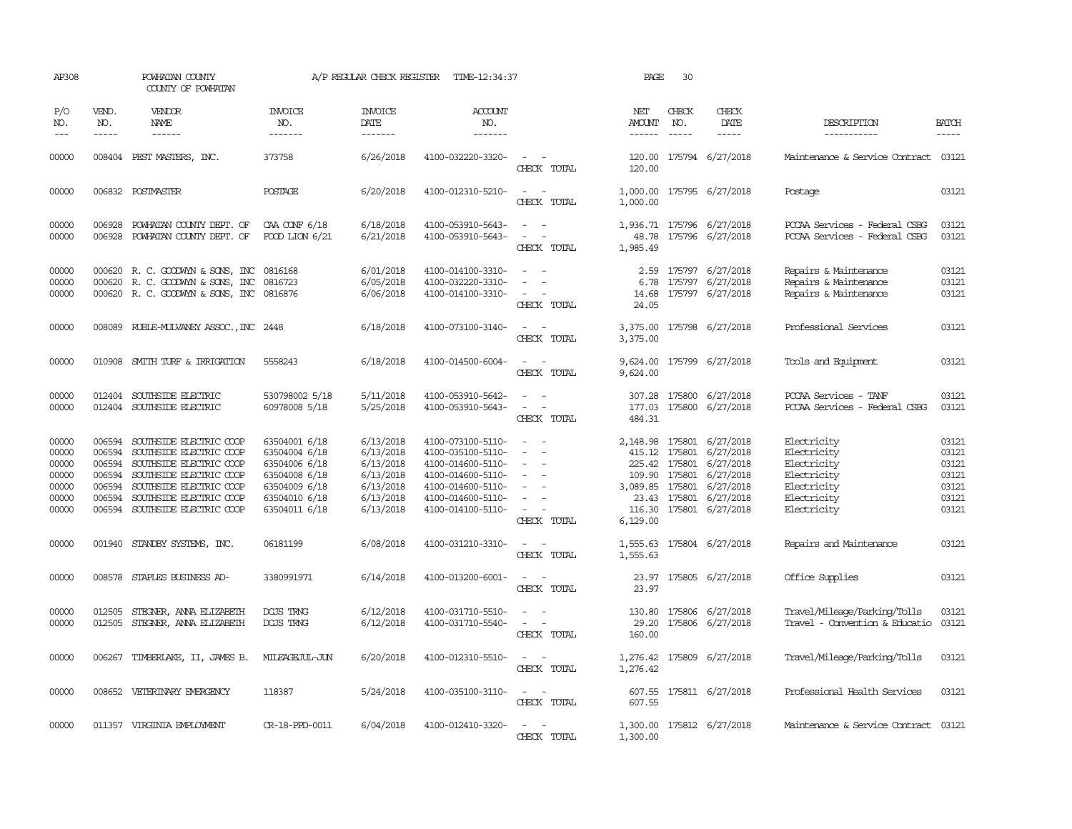| AP308                                                       |                                                          | POWHATAN COUNTY<br>COUNTY OF POWHATAN                                                                                                                                                            |                                                                                                                     | A/P REGULAR CHECK REGISTER                                                              | TIME-12:34:37                                                                                                                                   |                                                                                                                                                           | PAGE                           | 30                            |                                                                                                                                                                                       |                                                                                                       |                                                             |
|-------------------------------------------------------------|----------------------------------------------------------|--------------------------------------------------------------------------------------------------------------------------------------------------------------------------------------------------|---------------------------------------------------------------------------------------------------------------------|-----------------------------------------------------------------------------------------|-------------------------------------------------------------------------------------------------------------------------------------------------|-----------------------------------------------------------------------------------------------------------------------------------------------------------|--------------------------------|-------------------------------|---------------------------------------------------------------------------------------------------------------------------------------------------------------------------------------|-------------------------------------------------------------------------------------------------------|-------------------------------------------------------------|
| P/O<br>NO.<br>$---$                                         | VEND.<br>NO.<br>$- - - - -$                              | VENDOR<br>NAME<br>$- - - - - -$                                                                                                                                                                  | <b>INVOICE</b><br>NO.<br>-------                                                                                    | <b>INVOICE</b><br>DATE<br>-------                                                       | <b>ACCOUNT</b><br>NO.<br>-------                                                                                                                |                                                                                                                                                           | NET<br><b>AMOUNT</b><br>------ | CHECK<br>NO.<br>$\frac{1}{2}$ | CHECK<br>DATE<br>-----                                                                                                                                                                | DESCRIPTION<br>-----------                                                                            | <b>BATCH</b><br>-----                                       |
| 00000                                                       |                                                          | 008404 PEST MASTERS, INC.                                                                                                                                                                        | 373758                                                                                                              | 6/26/2018                                                                               | 4100-032220-3320-                                                                                                                               | $\sim$ $\sim$<br>CHECK TOTAL                                                                                                                              | 120.00                         |                               | 120.00 175794 6/27/2018                                                                                                                                                               | Maintenance & Service Contract 03121                                                                  |                                                             |
| 00000                                                       |                                                          | 006832 POSTMASTER                                                                                                                                                                                | POSTAGE                                                                                                             | 6/20/2018                                                                               | 4100-012310-5210-                                                                                                                               | $\sim$ $ \sim$<br>CHECK TOTAL                                                                                                                             | 1,000.00                       |                               | 1,000.00 175795 6/27/2018                                                                                                                                                             | Postage                                                                                               | 03121                                                       |
| 00000<br>00000                                              | 006928<br>006928                                         | POWHATAN COUNTY DEPT. OF<br>POWHATAN COUNTY DEPT. OF                                                                                                                                             | CAA CONF 6/18<br>FOOD LION 6/21                                                                                     | 6/18/2018<br>6/21/2018                                                                  | 4100-053910-5643-<br>4100-053910-5643-                                                                                                          | CHECK TOTAL                                                                                                                                               | 48.78<br>1,985.49              |                               | 1,936.71 175796 6/27/2018<br>175796 6/27/2018                                                                                                                                         | PCCAA Services - Federal CSBG<br>PCCAA Services - Federal CSBG                                        | 03121<br>03121                                              |
| 00000<br>00000<br>00000                                     |                                                          | 000620 R. C. GOODWYN & SONS, INC<br>000620 R. C. GOODWYN & SONS, INC<br>000620 R. C. GOODWYN & SONS, INC 0816876                                                                                 | 0816168<br>0816723                                                                                                  | 6/01/2018<br>6/05/2018<br>6/06/2018                                                     | 4100-014100-3310-<br>4100-032220-3310-<br>4100-014100-3310-                                                                                     | $\overline{\phantom{a}}$<br>CHECK TOTAL                                                                                                                   | 2.59<br>6.78<br>14.68<br>24.05 |                               | 175797 6/27/2018<br>175797 6/27/2018<br>175797 6/27/2018                                                                                                                              | Repairs & Maintenance<br>Repairs & Maintenance<br>Repairs & Maintenance                               | 03121<br>03121<br>03121                                     |
| 00000                                                       |                                                          | 008089 RUBLE-MULVANEY ASSOC., INC 2448                                                                                                                                                           |                                                                                                                     | 6/18/2018                                                                               | 4100-073100-3140-                                                                                                                               | $\frac{1}{2} \left( \frac{1}{2} \right) \left( \frac{1}{2} \right) = \frac{1}{2} \left( \frac{1}{2} \right)$<br>CHECK TOTAL                               | 3,375.00<br>3,375.00           |                               | 175798 6/27/2018                                                                                                                                                                      | Professional Services                                                                                 | 03121                                                       |
| 00000                                                       |                                                          | 010908 SMITH TURF & IRRIGATION                                                                                                                                                                   | 5558243                                                                                                             | 6/18/2018                                                                               | 4100-014500-6004-                                                                                                                               | $\sim$ $ \sim$<br>CHECK TOTAL                                                                                                                             | 9,624.00                       |                               | 9,624.00 175799 6/27/2018                                                                                                                                                             | Tools and Equipment                                                                                   | 03121                                                       |
| 00000<br>00000                                              |                                                          | 012404 SOUTHSIDE ELECTRIC<br>012404 SOUTHSIDE ELECTRIC                                                                                                                                           | 530798002 5/18<br>60978008 5/18                                                                                     | 5/11/2018<br>5/25/2018                                                                  | 4100-053910-5642-<br>4100-053910-5643-                                                                                                          | $\overline{\phantom{a}}$<br>$\omega_{\rm{max}}$ and $\omega_{\rm{max}}$<br>CHECK TOTAL                                                                    | 484.31                         |                               | 307.28 175800 6/27/2018<br>177.03 175800 6/27/2018                                                                                                                                    | PCCAA Services - TANF<br>PCCAA Services - Federal CSBG                                                | 03121<br>03121                                              |
| 00000<br>00000<br>00000<br>00000<br>00000<br>00000<br>00000 | 006594<br>006594<br>006594<br>006594<br>006594<br>006594 | SOUTHSIDE ELECTRIC COOP<br>SOUTHSIDE ELECTRIC COOP<br>SOUTHSIDE ELECTRIC COOP<br>SOUTHSIDE ELECTRIC COOP<br>SOUTHSIDE ELECTRIC COOP<br>SOUTHSIDE ELECTRIC COOP<br>006594 SOUTHSIDE ELECTRIC COOP | 63504001 6/18<br>63504004 6/18<br>63504006 6/18<br>63504008 6/18<br>63504009 6/18<br>63504010 6/18<br>63504011 6/18 | 6/13/2018<br>6/13/2018<br>6/13/2018<br>6/13/2018<br>6/13/2018<br>6/13/2018<br>6/13/2018 | 4100-073100-5110-<br>4100-035100-5110-<br>4100-014600-5110-<br>4100-014600-5110-<br>4100-014600-5110-<br>4100-014600-5110-<br>4100-014100-5110- | $\overline{\phantom{a}}$<br>CHECK TOTAL                                                                                                                   | 109.90<br>6,129.00             |                               | 2,148.98 175801 6/27/2018<br>415.12 175801 6/27/2018<br>225.42 175801 6/27/2018<br>175801 6/27/2018<br>3,089.85 175801 6/27/2018<br>23.43 175801 6/27/2018<br>116.30 175801 6/27/2018 | Electricity<br>Electricity<br>Electricity<br>Electricity<br>Electricity<br>Electricity<br>Electricity | 03121<br>03121<br>03121<br>03121<br>03121<br>03121<br>03121 |
| 00000                                                       |                                                          | 001940 STANDBY SYSTEMS, INC.                                                                                                                                                                     | 06181199                                                                                                            | 6/08/2018                                                                               | 4100-031210-3310-                                                                                                                               | CHECK TOTAL                                                                                                                                               | 1,555.63                       |                               | 1,555.63 175804 6/27/2018                                                                                                                                                             | Repairs and Maintenance                                                                               | 03121                                                       |
| 00000                                                       |                                                          | 008578 STAPLES BUSINESS AD-                                                                                                                                                                      | 3380991971                                                                                                          | 6/14/2018                                                                               | 4100-013200-6001-                                                                                                                               | $\frac{1}{2} \left( \frac{1}{2} \right) \left( \frac{1}{2} \right) = \frac{1}{2} \left( \frac{1}{2} \right)$<br>CHECK TOTAL                               | 23.97                          |                               | 23.97 175805 6/27/2018                                                                                                                                                                | Office Supplies                                                                                       | 03121                                                       |
| 00000<br>00000                                              | 012505                                                   | STECNER, ANNA ELIZABETH<br>012505 STEGNER, ANNA ELIZABETH                                                                                                                                        | DGJS TRNG<br>DGJS TRNG                                                                                              | 6/12/2018<br>6/12/2018                                                                  | 4100-031710-5510-<br>4100-031710-5540-                                                                                                          | $\sim$ $\sim$<br>$\frac{1}{2} \left( \frac{1}{2} \right) \left( \frac{1}{2} \right) \left( \frac{1}{2} \right) \left( \frac{1}{2} \right)$<br>CHECK TOTAL | 130.80<br>29.20<br>160.00      |                               | 175806 6/27/2018<br>175806 6/27/2018                                                                                                                                                  | Travel/Mileage/Parking/Tolls<br>Travel - Convention & Educatio                                        | 03121<br>03121                                              |
| 00000                                                       |                                                          | 006267 TIMBERLAKE, II, JAMES B.                                                                                                                                                                  | MILEAGEJUL-JUN                                                                                                      | 6/20/2018                                                                               | 4100-012310-5510-                                                                                                                               | $\sim$ $\sim$<br>CHECK TOTAL                                                                                                                              | 1,276.42<br>1,276.42           |                               | 175809 6/27/2018                                                                                                                                                                      | Travel/Mileage/Parking/Tolls                                                                          | 03121                                                       |
| 00000                                                       |                                                          | 008652 VETERINARY EMERGENCY                                                                                                                                                                      | 118387                                                                                                              | 5/24/2018                                                                               | 4100-035100-3110-                                                                                                                               | $\frac{1}{2} \left( \frac{1}{2} \right) \left( \frac{1}{2} \right) = \frac{1}{2} \left( \frac{1}{2} \right)$<br>CHECK TOTAL                               | 607.55                         |                               | 607.55 175811 6/27/2018                                                                                                                                                               | Professional Health Services                                                                          | 03121                                                       |
| 00000                                                       |                                                          | 011357 VIRGINIA EMPLOYMENT                                                                                                                                                                       | CR-18-PPD-0011                                                                                                      | 6/04/2018                                                                               | 4100-012410-3320-                                                                                                                               | $\sim$ 100 $\sim$<br>CHECK TOTAL                                                                                                                          | 1,300.00                       |                               | 1,300.00 175812 6/27/2018                                                                                                                                                             | Maintenance & Service Contract 03121                                                                  |                                                             |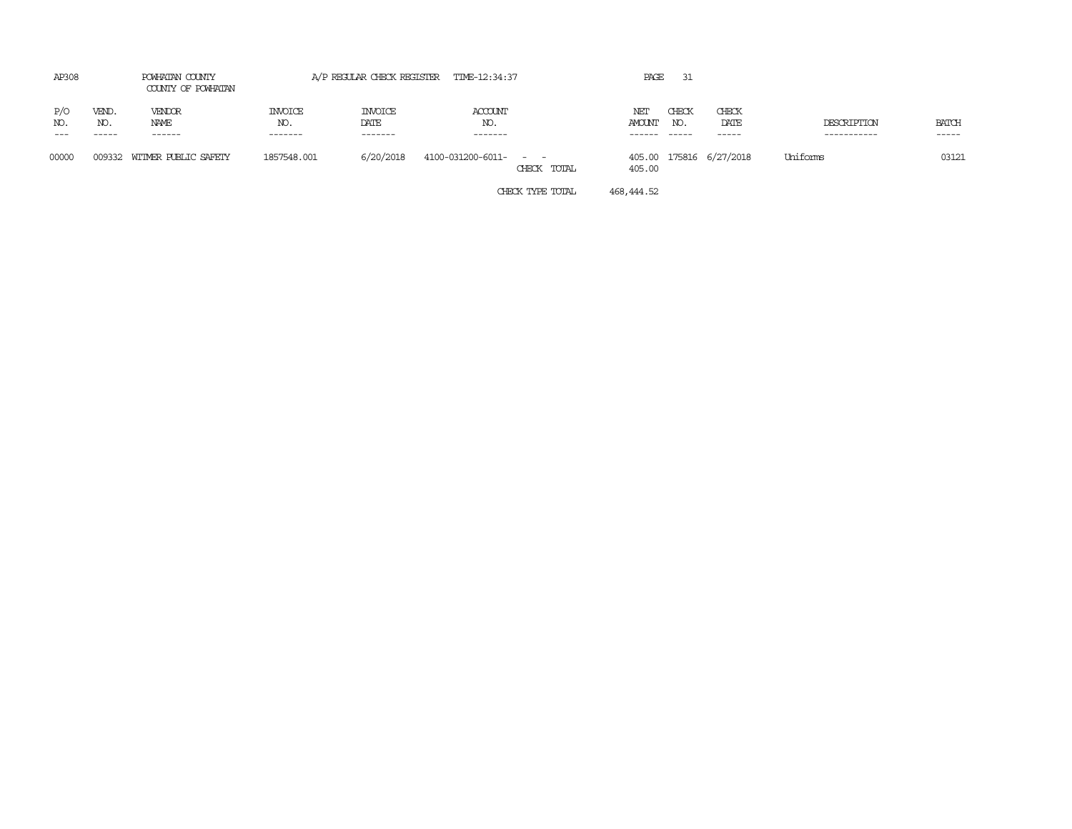| AP308               |                       | POWHATAN COUNTY<br>COUNTY OF POWHATAN |                                   |                                   | A/P REGULAR CHECK REGISTER TIME-12:34:37 |             | PAGE                    | 31                     |                              |                            |                       |
|---------------------|-----------------------|---------------------------------------|-----------------------------------|-----------------------------------|------------------------------------------|-------------|-------------------------|------------------------|------------------------------|----------------------------|-----------------------|
| P/O<br>NO.<br>$---$ | VEND.<br>NO.<br>----- | VENDOR<br>NAME<br>------              | <b>INVOICE</b><br>NO.<br>-------- | <b>INVOICE</b><br>DATE<br>------- | <b>ACCOUNT</b><br>NO.<br>--------        |             | NEI<br>AMOUNT<br>------ | CHECK<br>NO.<br>------ | CHECK<br>DATE<br>$- - - - -$ | DESCRIPTION<br>----------- | <b>BATCH</b><br>----- |
| 00000               |                       | 009332 WITMER PUBLIC SAFETY           | 1857548.001                       | 6/20/2018                         | 4100-031200-6011- - -                    | CHECK TOTAL | 405.00                  |                        | 405.00 175816 6/27/2018      | Uniforms                   | 03121                 |

CHECK TYPE TOTAL 468,444.52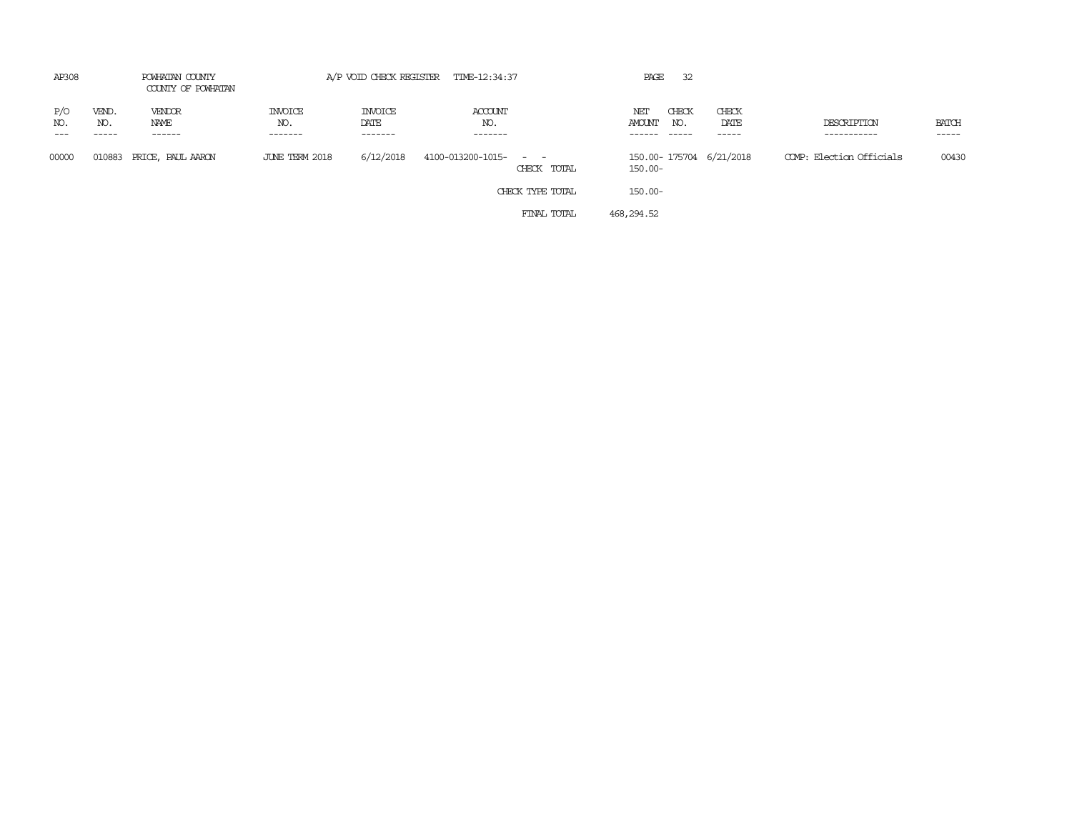| AP308      |                       | POWHATAN COUNTY<br>COUNTY OF POWHATAN |                           |                            | A/P VOID CHECK REGISTER TIME-12:34:37 | 32<br>PAGE                            |                        |                            |                       |
|------------|-----------------------|---------------------------------------|---------------------------|----------------------------|---------------------------------------|---------------------------------------|------------------------|----------------------------|-----------------------|
| P/O<br>NO. | VEND.<br>NO.<br>----- | VENDOR<br>NAME<br>------              | INVOICE<br>NO.<br>------- | INVOICE<br>DATE<br>------- | ACCOUNT<br>NO.<br>-------             | CHECK<br>NET<br>AMOUNT<br>NO.         | CHECK<br>DATE<br>----- | DESCRIPTION<br>----------- | <b>BATCH</b><br>----- |
| 00000      | 010883                | PRICE, PAUL AARON                     | JUNE TERM 2018            | 6/12/2018                  | 4100-013200-1015- - -<br>CHECK TOTAL  | 150.00-175704 6/21/2018<br>$150.00 -$ |                        | COMP: Election Officials   | 00430                 |
|            |                       |                                       |                           |                            | CHECK TYPE TOTAL                      | $150.00 -$                            |                        |                            |                       |
|            |                       |                                       |                           |                            | FINAL TOTAL                           | 468,294.52                            |                        |                            |                       |
|            |                       |                                       |                           |                            |                                       |                                       |                        |                            |                       |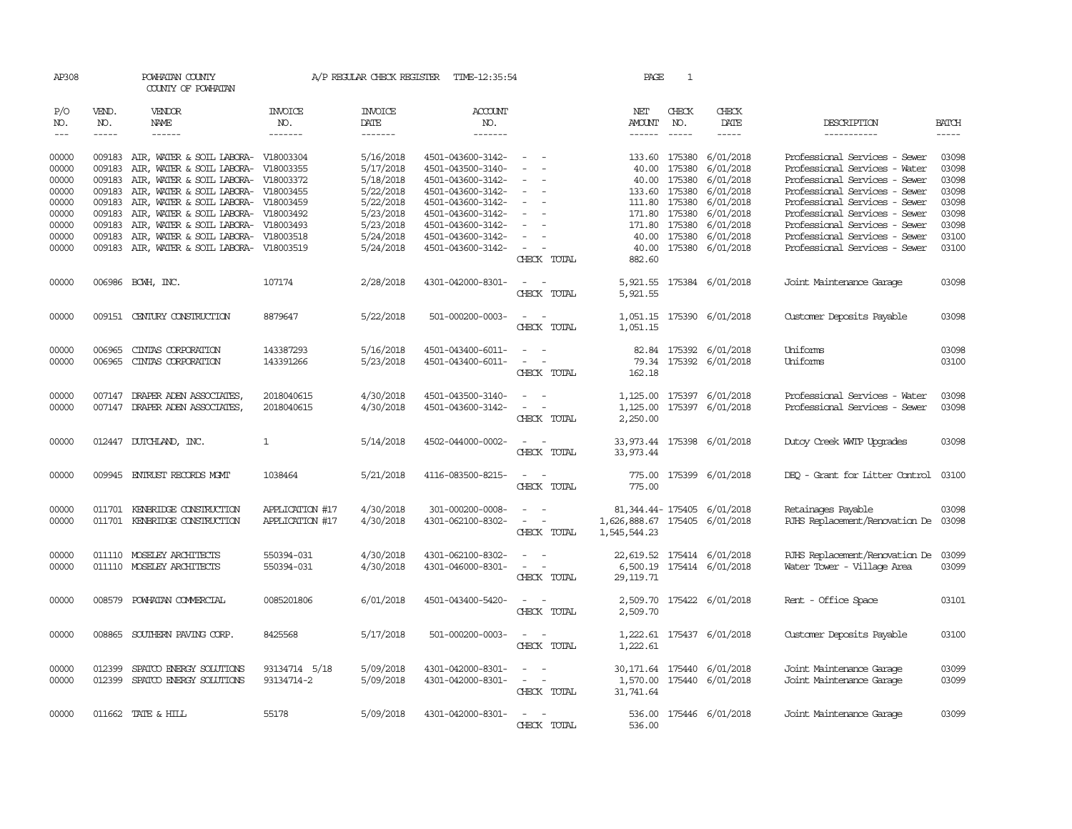| AP308               |                          | POWHATAN COUNTY<br>COUNTY OF POWHATAN                                                                                                                                                                                                                                                                                                                                                                                                                                              |                           |                                   | A/P REGULAR CHECK REGISTER TIME-12:35:54 |                                         | PAGE                                          | 1                                                                                                                                                                                                                                                                                                                                                                                                                                                                                                   |                                                                                                                                                                                                                                                                                                                                                                                                                                                                                                      |                                                              |                                                                                                                                                                                                                                                                                  |
|---------------------|--------------------------|------------------------------------------------------------------------------------------------------------------------------------------------------------------------------------------------------------------------------------------------------------------------------------------------------------------------------------------------------------------------------------------------------------------------------------------------------------------------------------|---------------------------|-----------------------------------|------------------------------------------|-----------------------------------------|-----------------------------------------------|-----------------------------------------------------------------------------------------------------------------------------------------------------------------------------------------------------------------------------------------------------------------------------------------------------------------------------------------------------------------------------------------------------------------------------------------------------------------------------------------------------|------------------------------------------------------------------------------------------------------------------------------------------------------------------------------------------------------------------------------------------------------------------------------------------------------------------------------------------------------------------------------------------------------------------------------------------------------------------------------------------------------|--------------------------------------------------------------|----------------------------------------------------------------------------------------------------------------------------------------------------------------------------------------------------------------------------------------------------------------------------------|
| P/O<br>NO.<br>$---$ | VEND.<br>NO.<br>$\cdots$ | VENDOR<br>NAME<br>$\begin{tabular}{ccccc} \multicolumn{2}{c }{\multicolumn{2}{c }{\multicolumn{2}{c }{\multicolumn{2}{c}}{\hspace{-2.2cm}}}} \multicolumn{2}{c }{\end{tabular}} \end{tabular} \begin{tabular}{c c } \multicolumn{2}{c }{\multicolumn{2}{c }{\hspace{-2.2cm}}\hspace{-2.2cm}}}} \multicolumn{2}{c }{\end{tabular}} \end{tabular} \begin{tabular}{c c }{\multicolumn{2}{c }{\hspace{-2.2cm}}\hspace{-2.2cm}}}\hspace{-2.2cm}\multicolumn{2}{c }{\hspace{-2.2cm}}\hs$ | INVOICE<br>NO.<br>------- | <b>INVOICE</b><br>DATE<br>------- | <b>ACCOUNT</b><br>NO.                    |                                         | NET<br>AMOUNT                                 | CHECK<br>NO.<br>$\begin{tabular}{ccccc} \multicolumn{2}{c}{} & \multicolumn{2}{c}{} & \multicolumn{2}{c}{} & \multicolumn{2}{c}{} & \multicolumn{2}{c}{} & \multicolumn{2}{c}{} & \multicolumn{2}{c}{} & \multicolumn{2}{c}{} & \multicolumn{2}{c}{} & \multicolumn{2}{c}{} & \multicolumn{2}{c}{} & \multicolumn{2}{c}{} & \multicolumn{2}{c}{} & \multicolumn{2}{c}{} & \multicolumn{2}{c}{} & \multicolumn{2}{c}{} & \multicolumn{2}{c}{} & \multicolumn{2}{c}{} & \multicolumn{2}{c}{} & \mult$ | CHECK<br>DATE<br>$\begin{tabular}{ccccc} \multicolumn{2}{c}{} & \multicolumn{2}{c}{} & \multicolumn{2}{c}{} & \multicolumn{2}{c}{} & \multicolumn{2}{c}{} & \multicolumn{2}{c}{} & \multicolumn{2}{c}{} & \multicolumn{2}{c}{} & \multicolumn{2}{c}{} & \multicolumn{2}{c}{} & \multicolumn{2}{c}{} & \multicolumn{2}{c}{} & \multicolumn{2}{c}{} & \multicolumn{2}{c}{} & \multicolumn{2}{c}{} & \multicolumn{2}{c}{} & \multicolumn{2}{c}{} & \multicolumn{2}{c}{} & \multicolumn{2}{c}{} & \mult$ | DESCRIPTION<br>-----------                                   | <b>BATCH</b><br>$\begin{tabular}{ccccc} \multicolumn{2}{c }{\multicolumn{2}{c }{\multicolumn{2}{c }{\multicolumn{2}{c}}}{\multicolumn{2}{c }{\multicolumn{2}{c}}}{\multicolumn{2}{c }{\multicolumn{2}{c}}}{\multicolumn{2}{c }{\multicolumn{2}{c}}}}\end{tabular} \end{tabular}$ |
| 00000               |                          | 009183 AIR, WATER & SOIL LABORA- V18003304                                                                                                                                                                                                                                                                                                                                                                                                                                         |                           | 5/16/2018                         | 4501-043600-3142-                        | $\sim$ 100 $\sim$                       |                                               | 133.60 175380                                                                                                                                                                                                                                                                                                                                                                                                                                                                                       | 6/01/2018                                                                                                                                                                                                                                                                                                                                                                                                                                                                                            | Professional Services - Sewer                                | 03098                                                                                                                                                                                                                                                                            |
| 00000               | 009183                   | AIR, WATER & SOIL LABORA- V18003355                                                                                                                                                                                                                                                                                                                                                                                                                                                |                           | 5/17/2018                         | 4501-043500-3140-                        | $\sim$                                  | 40.00                                         | 175380                                                                                                                                                                                                                                                                                                                                                                                                                                                                                              | 6/01/2018                                                                                                                                                                                                                                                                                                                                                                                                                                                                                            | Professional Services - Water                                | 03098                                                                                                                                                                                                                                                                            |
| 00000               | 009183                   | AIR, WATER & SOIL LABORA- V18003372                                                                                                                                                                                                                                                                                                                                                                                                                                                |                           | 5/18/2018                         | 4501-043600-3142-                        |                                         |                                               | 40.00 175380                                                                                                                                                                                                                                                                                                                                                                                                                                                                                        | 6/01/2018                                                                                                                                                                                                                                                                                                                                                                                                                                                                                            | Professional Services - Sewer                                | 03098                                                                                                                                                                                                                                                                            |
| 00000               |                          | 009183 AIR, WATER & SOIL LABORA- V18003455                                                                                                                                                                                                                                                                                                                                                                                                                                         |                           | 5/22/2018                         | 4501-043600-3142-                        | $\overline{\phantom{a}}$                |                                               | 133.60 175380                                                                                                                                                                                                                                                                                                                                                                                                                                                                                       | 6/01/2018                                                                                                                                                                                                                                                                                                                                                                                                                                                                                            | Professional Services - Sewer                                | 03098                                                                                                                                                                                                                                                                            |
| 00000               | 009183                   | AIR, WATER & SOIL LABORA- V18003459                                                                                                                                                                                                                                                                                                                                                                                                                                                |                           | 5/22/2018                         | 4501-043600-3142-                        | $\sim$                                  |                                               | 111.80 175380                                                                                                                                                                                                                                                                                                                                                                                                                                                                                       | 6/01/2018                                                                                                                                                                                                                                                                                                                                                                                                                                                                                            | Professional Services - Sewer                                | 03098                                                                                                                                                                                                                                                                            |
| 00000               | 009183                   | AIR, WATER & SOIL LABORA- V18003492                                                                                                                                                                                                                                                                                                                                                                                                                                                |                           | 5/23/2018                         | 4501-043600-3142-                        | $\sim$                                  |                                               | 171.80 175380                                                                                                                                                                                                                                                                                                                                                                                                                                                                                       | 6/01/2018                                                                                                                                                                                                                                                                                                                                                                                                                                                                                            | Professional Services - Sewer                                | 03098                                                                                                                                                                                                                                                                            |
| 00000               | 009183                   | AIR, WATER & SOIL LABORA- V18003493                                                                                                                                                                                                                                                                                                                                                                                                                                                |                           | 5/23/2018                         | 4501-043600-3142-                        | $\sim$                                  |                                               | 171.80 175380                                                                                                                                                                                                                                                                                                                                                                                                                                                                                       | 6/01/2018                                                                                                                                                                                                                                                                                                                                                                                                                                                                                            | Professional Services - Sewer                                | 03098                                                                                                                                                                                                                                                                            |
| 00000               | 009183                   | AIR, WATER & SOIL LABORA- V18003518                                                                                                                                                                                                                                                                                                                                                                                                                                                |                           | 5/24/2018                         | 4501-043600-3142-                        | $\sim$                                  |                                               | 40.00 175380                                                                                                                                                                                                                                                                                                                                                                                                                                                                                        | 6/01/2018                                                                                                                                                                                                                                                                                                                                                                                                                                                                                            | Professional Services - Sewer                                | 03100                                                                                                                                                                                                                                                                            |
| 00000               |                          | 009183 AIR, WATER & SOIL LABORA- V18003519                                                                                                                                                                                                                                                                                                                                                                                                                                         |                           | 5/24/2018                         | 4501-043600-3142-                        | $\sim$                                  | 40.00                                         |                                                                                                                                                                                                                                                                                                                                                                                                                                                                                                     | 175380 6/01/2018                                                                                                                                                                                                                                                                                                                                                                                                                                                                                     | Professional Services - Sewer                                | 03100                                                                                                                                                                                                                                                                            |
|                     |                          |                                                                                                                                                                                                                                                                                                                                                                                                                                                                                    |                           |                                   |                                          | CHECK TOTAL                             | 882.60                                        |                                                                                                                                                                                                                                                                                                                                                                                                                                                                                                     |                                                                                                                                                                                                                                                                                                                                                                                                                                                                                                      |                                                              |                                                                                                                                                                                                                                                                                  |
| 00000               |                          | 006986 BCWH, INC.                                                                                                                                                                                                                                                                                                                                                                                                                                                                  | 107174                    | 2/28/2018                         | 4301-042000-8301-                        | $\sim$ $ \sim$<br>CHECK TOTAL           | 5,921.55                                      |                                                                                                                                                                                                                                                                                                                                                                                                                                                                                                     | 5,921.55 175384 6/01/2018                                                                                                                                                                                                                                                                                                                                                                                                                                                                            | Joint Maintenance Garage                                     | 03098                                                                                                                                                                                                                                                                            |
| 00000               |                          | 009151 CENTURY CONSTRUCTION                                                                                                                                                                                                                                                                                                                                                                                                                                                        | 8879647                   | 5/22/2018                         | 501-000200-0003-                         | $\overline{\phantom{a}}$<br>CHECK TOTAL | 1,051.15                                      |                                                                                                                                                                                                                                                                                                                                                                                                                                                                                                     | 1,051.15 175390 6/01/2018                                                                                                                                                                                                                                                                                                                                                                                                                                                                            | Customer Deposits Payable                                    | 03098                                                                                                                                                                                                                                                                            |
|                     |                          |                                                                                                                                                                                                                                                                                                                                                                                                                                                                                    |                           | 5/16/2018                         |                                          |                                         |                                               |                                                                                                                                                                                                                                                                                                                                                                                                                                                                                                     |                                                                                                                                                                                                                                                                                                                                                                                                                                                                                                      | Uniforms                                                     | 03098                                                                                                                                                                                                                                                                            |
| 00000<br>00000      | 006965<br>006965         | CINIAS CORPORATION<br>CINIAS CORPORATION                                                                                                                                                                                                                                                                                                                                                                                                                                           | 143387293<br>143391266    | 5/23/2018                         | 4501-043400-6011-<br>4501-043400-6011-   | $\sim$ $ -$<br>$\sim$<br>$\sim$         |                                               |                                                                                                                                                                                                                                                                                                                                                                                                                                                                                                     | 82.84 175392 6/01/2018<br>79.34 175392 6/01/2018                                                                                                                                                                                                                                                                                                                                                                                                                                                     | Uniforms                                                     | 03100                                                                                                                                                                                                                                                                            |
|                     |                          |                                                                                                                                                                                                                                                                                                                                                                                                                                                                                    |                           |                                   |                                          | CHECK TOTAL                             | 162.18                                        |                                                                                                                                                                                                                                                                                                                                                                                                                                                                                                     |                                                                                                                                                                                                                                                                                                                                                                                                                                                                                                      |                                                              |                                                                                                                                                                                                                                                                                  |
| 00000               |                          | 007147 DRAPER ADEN ASSOCIATES,                                                                                                                                                                                                                                                                                                                                                                                                                                                     | 2018040615                | 4/30/2018                         | 4501-043500-3140-                        | $\sim$                                  |                                               |                                                                                                                                                                                                                                                                                                                                                                                                                                                                                                     | 1,125.00 175397 6/01/2018                                                                                                                                                                                                                                                                                                                                                                                                                                                                            | Professional Services - Water                                | 03098                                                                                                                                                                                                                                                                            |
| 00000               |                          | 007147 DRAPER ADEN ASSOCIATES,                                                                                                                                                                                                                                                                                                                                                                                                                                                     | 2018040615                | 4/30/2018                         | 4501-043600-3142-                        | $\sim$ 100 $\sim$                       |                                               |                                                                                                                                                                                                                                                                                                                                                                                                                                                                                                     | 1,125.00 175397 6/01/2018                                                                                                                                                                                                                                                                                                                                                                                                                                                                            | Professional Services - Sewer                                | 03098                                                                                                                                                                                                                                                                            |
|                     |                          |                                                                                                                                                                                                                                                                                                                                                                                                                                                                                    |                           |                                   |                                          | CHECK TOTAL                             | 2,250.00                                      |                                                                                                                                                                                                                                                                                                                                                                                                                                                                                                     |                                                                                                                                                                                                                                                                                                                                                                                                                                                                                                      |                                                              |                                                                                                                                                                                                                                                                                  |
| 00000               |                          | 012447 DUTCHLAND, INC.                                                                                                                                                                                                                                                                                                                                                                                                                                                             | $\mathbf{1}$              | 5/14/2018                         | 4502-044000-0002-                        | $\sim$ $ -$<br>CHECK TOTAL              | 33, 973.44                                    |                                                                                                                                                                                                                                                                                                                                                                                                                                                                                                     | 33,973.44 175398 6/01/2018                                                                                                                                                                                                                                                                                                                                                                                                                                                                           | Dutoy Creek WITP Upgrades                                    | 03098                                                                                                                                                                                                                                                                            |
| 00000               | 009945                   | ENTRUST RECORDS MGMT                                                                                                                                                                                                                                                                                                                                                                                                                                                               | 1038464                   | 5/21/2018                         | 4116-083500-8215-                        | $\sim$<br>$\sim$ $-$                    |                                               |                                                                                                                                                                                                                                                                                                                                                                                                                                                                                                     | 775.00 175399 6/01/2018                                                                                                                                                                                                                                                                                                                                                                                                                                                                              | DEQ - Grant for Litter Control                               | 03100                                                                                                                                                                                                                                                                            |
|                     |                          |                                                                                                                                                                                                                                                                                                                                                                                                                                                                                    |                           |                                   |                                          | CHECK TOTAL                             | 775.00                                        |                                                                                                                                                                                                                                                                                                                                                                                                                                                                                                     |                                                                                                                                                                                                                                                                                                                                                                                                                                                                                                      |                                                              |                                                                                                                                                                                                                                                                                  |
| 00000               |                          | 011701 KENBRIDGE CONSTRUCTION                                                                                                                                                                                                                                                                                                                                                                                                                                                      | APPLICATION #17           | 4/30/2018                         | 301-000200-0008-                         | $\sim$ $ \sim$                          |                                               |                                                                                                                                                                                                                                                                                                                                                                                                                                                                                                     | 81, 344.44-175405 6/01/2018                                                                                                                                                                                                                                                                                                                                                                                                                                                                          | Retainages Payable                                           | 03098                                                                                                                                                                                                                                                                            |
| 00000               |                          | 011701 KENBRIDGE CONSTRUCTION                                                                                                                                                                                                                                                                                                                                                                                                                                                      | APPLICATION #17           | 4/30/2018                         | 4301-062100-8302-                        | $\sim$ $ -$<br>CHECK TOTAL              | 1,626,888.67 175405 6/01/2018<br>1,545,544.23 |                                                                                                                                                                                                                                                                                                                                                                                                                                                                                                     |                                                                                                                                                                                                                                                                                                                                                                                                                                                                                                      | RJHS Replacement/Renovation De 03098                         |                                                                                                                                                                                                                                                                                  |
| 00000               |                          | 011110 MOSELEY ARCHITECTS                                                                                                                                                                                                                                                                                                                                                                                                                                                          | 550394-031                | 4/30/2018                         | 4301-062100-8302-                        | $\overline{\phantom{a}}$<br>$\sim$      |                                               |                                                                                                                                                                                                                                                                                                                                                                                                                                                                                                     |                                                                                                                                                                                                                                                                                                                                                                                                                                                                                                      |                                                              | 03099                                                                                                                                                                                                                                                                            |
| 00000               |                          | 011110 MOSELEY ARCHITECTS                                                                                                                                                                                                                                                                                                                                                                                                                                                          | 550394-031                | 4/30/2018                         | 4301-046000-8301-                        | $\sim$ $ -$                             |                                               |                                                                                                                                                                                                                                                                                                                                                                                                                                                                                                     | 22,619.52 175414 6/01/2018<br>6,500.19 175414 6/01/2018                                                                                                                                                                                                                                                                                                                                                                                                                                              | RJHS Replacement/Renovation De<br>Water Tower - Village Area | 03099                                                                                                                                                                                                                                                                            |
|                     |                          |                                                                                                                                                                                                                                                                                                                                                                                                                                                                                    |                           |                                   |                                          | CHECK TOTAL                             | 29, 119.71                                    |                                                                                                                                                                                                                                                                                                                                                                                                                                                                                                     |                                                                                                                                                                                                                                                                                                                                                                                                                                                                                                      |                                                              |                                                                                                                                                                                                                                                                                  |
|                     |                          |                                                                                                                                                                                                                                                                                                                                                                                                                                                                                    |                           |                                   |                                          |                                         |                                               |                                                                                                                                                                                                                                                                                                                                                                                                                                                                                                     |                                                                                                                                                                                                                                                                                                                                                                                                                                                                                                      |                                                              |                                                                                                                                                                                                                                                                                  |
| 00000               | 008579                   | POWHATAN COMMERCIAL                                                                                                                                                                                                                                                                                                                                                                                                                                                                | 0085201806                | 6/01/2018                         | 4501-043400-5420-                        | $\sim$ $-$<br>CHECK TOTAL               | 2,509.70                                      |                                                                                                                                                                                                                                                                                                                                                                                                                                                                                                     | 2,509.70 175422 6/01/2018                                                                                                                                                                                                                                                                                                                                                                                                                                                                            | Rent - Office Space                                          | 03101                                                                                                                                                                                                                                                                            |
|                     |                          |                                                                                                                                                                                                                                                                                                                                                                                                                                                                                    |                           |                                   |                                          |                                         |                                               |                                                                                                                                                                                                                                                                                                                                                                                                                                                                                                     |                                                                                                                                                                                                                                                                                                                                                                                                                                                                                                      |                                                              |                                                                                                                                                                                                                                                                                  |
| 00000               | 008865                   | SOUTHERN PAVING CORP.                                                                                                                                                                                                                                                                                                                                                                                                                                                              | 8425568                   | 5/17/2018                         | 501-000200-0003-                         | $\sim$ $ -$                             |                                               |                                                                                                                                                                                                                                                                                                                                                                                                                                                                                                     | 1,222.61 175437 6/01/2018                                                                                                                                                                                                                                                                                                                                                                                                                                                                            | Customer Deposits Payable                                    | 03100                                                                                                                                                                                                                                                                            |
|                     |                          |                                                                                                                                                                                                                                                                                                                                                                                                                                                                                    |                           |                                   |                                          | CHECK TOTAL                             | 1,222.61                                      |                                                                                                                                                                                                                                                                                                                                                                                                                                                                                                     |                                                                                                                                                                                                                                                                                                                                                                                                                                                                                                      |                                                              |                                                                                                                                                                                                                                                                                  |
| 00000               | 012399                   | SPATCO ENERGY SOLUTIONS                                                                                                                                                                                                                                                                                                                                                                                                                                                            | 93134714 5/18             | 5/09/2018                         | 4301-042000-8301-                        | $\sim$<br>$\sim$                        |                                               |                                                                                                                                                                                                                                                                                                                                                                                                                                                                                                     | 30, 171.64 175440 6/01/2018                                                                                                                                                                                                                                                                                                                                                                                                                                                                          | Joint Maintenance Garage                                     | 03099                                                                                                                                                                                                                                                                            |
| 00000               | 012399                   | SPATCO ENERGY SOLUTIONS                                                                                                                                                                                                                                                                                                                                                                                                                                                            | 93134714-2                | 5/09/2018                         | 4301-042000-8301-                        | $\sim$ $ -$                             |                                               |                                                                                                                                                                                                                                                                                                                                                                                                                                                                                                     | 1,570.00 175440 6/01/2018                                                                                                                                                                                                                                                                                                                                                                                                                                                                            | Joint Maintenance Garage                                     | 03099                                                                                                                                                                                                                                                                            |
|                     |                          |                                                                                                                                                                                                                                                                                                                                                                                                                                                                                    |                           |                                   |                                          | CHECK TOTAL                             | 31,741.64                                     |                                                                                                                                                                                                                                                                                                                                                                                                                                                                                                     |                                                                                                                                                                                                                                                                                                                                                                                                                                                                                                      |                                                              |                                                                                                                                                                                                                                                                                  |
| 00000               |                          | 011662 TATE & HILL                                                                                                                                                                                                                                                                                                                                                                                                                                                                 | 55178                     | 5/09/2018                         | 4301-042000-8301-                        | $\sim$ $ \sim$                          |                                               |                                                                                                                                                                                                                                                                                                                                                                                                                                                                                                     | 536.00 175446 6/01/2018                                                                                                                                                                                                                                                                                                                                                                                                                                                                              | Joint Maintenance Garage                                     | 03099                                                                                                                                                                                                                                                                            |
|                     |                          |                                                                                                                                                                                                                                                                                                                                                                                                                                                                                    |                           |                                   |                                          | CHECK TOTAL                             | 536.00                                        |                                                                                                                                                                                                                                                                                                                                                                                                                                                                                                     |                                                                                                                                                                                                                                                                                                                                                                                                                                                                                                      |                                                              |                                                                                                                                                                                                                                                                                  |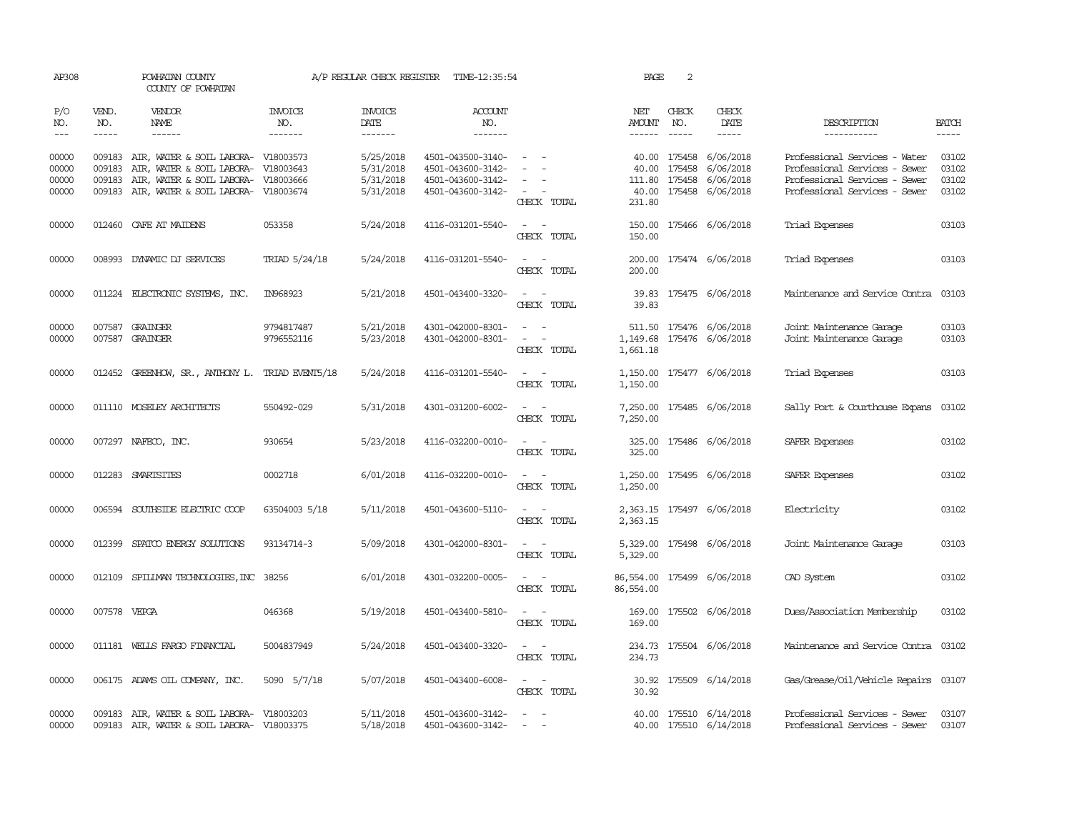| AP308                            |                             | POWHATAN COUNTY<br>COUNTY OF POWHATAN                                                                                                              |                           | A/P REGULAR CHECK REGISTER                       | TIME-12:35:54                                                                    |                                                                                                                             | PAGE                           | $\sqrt{2}$                  |                                                                            |                                                                                                                                  |                                  |
|----------------------------------|-----------------------------|----------------------------------------------------------------------------------------------------------------------------------------------------|---------------------------|--------------------------------------------------|----------------------------------------------------------------------------------|-----------------------------------------------------------------------------------------------------------------------------|--------------------------------|-----------------------------|----------------------------------------------------------------------------|----------------------------------------------------------------------------------------------------------------------------------|----------------------------------|
| P/O<br>NO.<br>$---$              | VEND.<br>NO.<br>$- - - - -$ | VENDOR<br>NAME<br>$- - - - - -$                                                                                                                    | INVOICE<br>NO.<br>------- | <b>INVOICE</b><br>DATE<br>-------                | <b>ACCOUNT</b><br>NO.<br>-------                                                 |                                                                                                                             | NET<br>AMOUNT<br>$- - - - - -$ | CHECK<br>NO.<br>$- - - - -$ | CHECK<br>DATE<br>-----                                                     | DESCRIPTION<br>-----------                                                                                                       | <b>BATCH</b>                     |
| 00000<br>00000<br>00000<br>00000 | 009183<br>009183            | 009183 AIR, WATER & SOIL LABORA- V18003573<br>AIR, WATER & SOIL LABORA-<br>AIR, WATER & SOIL LABORA-<br>009183 AIR, WATER & SOIL LABORA- V18003674 | V18003643<br>V18003666    | 5/25/2018<br>5/31/2018<br>5/31/2018<br>5/31/2018 | 4501-043500-3140-<br>4501-043600-3142-<br>4501-043600-3142-<br>4501-043600-3142- | $\sim$ $\sim$<br>$\sim$<br>CHECK TOTAL                                                                                      | 40.00<br>231.80                | 175458<br>111.80 175458     | 40.00 175458 6/06/2018<br>6/06/2018<br>6/06/2018<br>40.00 175458 6/06/2018 | Professional Services - Water<br>Professional Services - Sewer<br>Professional Services - Sewer<br>Professional Services - Sewer | 03102<br>03102<br>03102<br>03102 |
| 00000                            |                             | 012460 CAFE AT MAIDENS                                                                                                                             | 053358                    | 5/24/2018                                        | 4116-031201-5540-                                                                | $\sim$ $ \sim$<br>CHECK TOTAL                                                                                               | 150.00<br>150.00               |                             | 175466 6/06/2018                                                           | Triad Expenses                                                                                                                   | 03103                            |
| 00000                            |                             | 008993 DYNAMIC DJ SERVICES                                                                                                                         | TRIAD 5/24/18             | 5/24/2018                                        | 4116-031201-5540-                                                                | $\sim$ $ \sim$<br>CHECK TOTAL                                                                                               | 200.00                         |                             | 200.00 175474 6/06/2018                                                    | Triad Expenses                                                                                                                   | 03103                            |
| 00000                            |                             | 011224 ELECTRONIC SYSTEMS, INC.                                                                                                                    | IN968923                  | 5/21/2018                                        | 4501-043400-3320-                                                                | $\sim$ $\sim$<br>CHECK TOTAL                                                                                                | 39.83                          |                             | 39.83 175475 6/06/2018                                                     | Maintenance and Service Contra                                                                                                   | 03103                            |
| 00000<br>00000                   |                             | 007587 GRAINGER<br>007587 GRAINGER                                                                                                                 | 9794817487<br>9796552116  | 5/21/2018<br>5/23/2018                           | 4301-042000-8301-<br>4301-042000-8301-                                           | $\sim$ $-$<br>CHECK TOTAL                                                                                                   | 1,149.68<br>1,661.18           |                             | 511.50 175476 6/06/2018<br>175476 6/06/2018                                | Joint Maintenance Garage<br>Joint Maintenance Garage                                                                             | 03103<br>03103                   |
| 00000                            |                             | 012452 GREENHOW, SR., ANTHONY L.                                                                                                                   | TRIAD EVENT5/18           | 5/24/2018                                        | 4116-031201-5540-                                                                | $ -$<br>CHECK TOTAL                                                                                                         | 1,150.00                       |                             | 1,150.00 175477 6/06/2018                                                  | Triad Expenses                                                                                                                   | 03103                            |
| 00000                            |                             | 011110 MOSELEY ARCHITECTS                                                                                                                          | 550492-029                | 5/31/2018                                        | 4301-031200-6002-                                                                | CHECK TOTAL                                                                                                                 | 7,250.00                       |                             | 7,250.00 175485 6/06/2018                                                  | Sally Port & Courthouse Expans                                                                                                   | 03102                            |
| 00000                            |                             | 007297 NAFECO, INC.                                                                                                                                | 930654                    | 5/23/2018                                        | 4116-032200-0010-                                                                | CHECK TOTAL                                                                                                                 | 325.00<br>325.00               |                             | 175486 6/06/2018                                                           | SAFER Expenses                                                                                                                   | 03102                            |
| 00000                            |                             | 012283 SMARTSITES                                                                                                                                  | 0002718                   | 6/01/2018                                        | 4116-032200-0010-                                                                | $\overline{a}$<br>CHECK TOTAL                                                                                               | 1,250.00<br>1,250.00           |                             | 175495 6/06/2018                                                           | SAFER Expenses                                                                                                                   | 03102                            |
| 00000                            |                             | 006594 SOUTHSIDE ELECTRIC COOP                                                                                                                     | 63504003 5/18             | 5/11/2018                                        | 4501-043600-5110-                                                                | $\overline{\phantom{a}}$<br>CHECK TOTAL                                                                                     | 2,363.15                       |                             | 2,363.15 175497 6/06/2018                                                  | Electricity                                                                                                                      | 03102                            |
| 00000                            |                             | 012399 SPATCO ENERGY SOLUTIONS                                                                                                                     | 93134714-3                | 5/09/2018                                        | 4301-042000-8301-                                                                | $\sim$<br>$\overline{\phantom{a}}$<br>CHECK TOTAL                                                                           | 5,329.00                       |                             | 5,329.00 175498 6/06/2018                                                  | Joint Maintenance Garage                                                                                                         | 03103                            |
| 00000                            |                             | 012109 SPILLMAN TECHNOLOGIES, INC 38256                                                                                                            |                           | 6/01/2018                                        | 4301-032200-0005-                                                                | $\sim$<br>CHECK TOTAL                                                                                                       | 86,554.00                      |                             | 86,554.00 175499 6/06/2018                                                 | CAD System                                                                                                                       | 03102                            |
| 00000                            | 007578 VEPGA                |                                                                                                                                                    | 046368                    | 5/19/2018                                        | 4501-043400-5810-                                                                | $\sim$ $ \sim$<br>CHECK TOTAL                                                                                               | 169.00<br>169.00               |                             | 175502 6/06/2018                                                           | Dues/Association Membership                                                                                                      | 03102                            |
| 00000                            |                             | 011181 WELLS FARGO FINANCIAL                                                                                                                       | 5004837949                | 5/24/2018                                        | 4501-043400-3320-                                                                | $\equiv$<br>$\sim$<br>CHECK TOTAL                                                                                           | 234.73                         |                             | 234.73 175504 6/06/2018                                                    | Maintenance and Service Contra                                                                                                   | 03102                            |
| 00000                            |                             | 006175 ADAMS OIL COMPANY, INC.                                                                                                                     | 5090 5/7/18               | 5/07/2018                                        | 4501-043400-6008-                                                                | $\frac{1}{2} \left( \frac{1}{2} \right) \left( \frac{1}{2} \right) = \frac{1}{2} \left( \frac{1}{2} \right)$<br>CHECK TOTAL | 30.92                          |                             | 30.92 175509 6/14/2018                                                     | Gas/Grease/Oil/Vehicle Repairs 03107                                                                                             |                                  |
| 00000<br>00000                   |                             | 009183 AIR, WATER & SOIL LABORA- V18003203<br>009183 AIR, WATER & SOIL LABORA- V18003375                                                           |                           | 5/11/2018<br>5/18/2018                           | 4501-043600-3142-<br>4501-043600-3142-                                           |                                                                                                                             | 40.00                          |                             | 175510 6/14/2018<br>40.00 175510 6/14/2018                                 | Professional Services - Sewer<br>Professional Services - Sewer                                                                   | 03107<br>03107                   |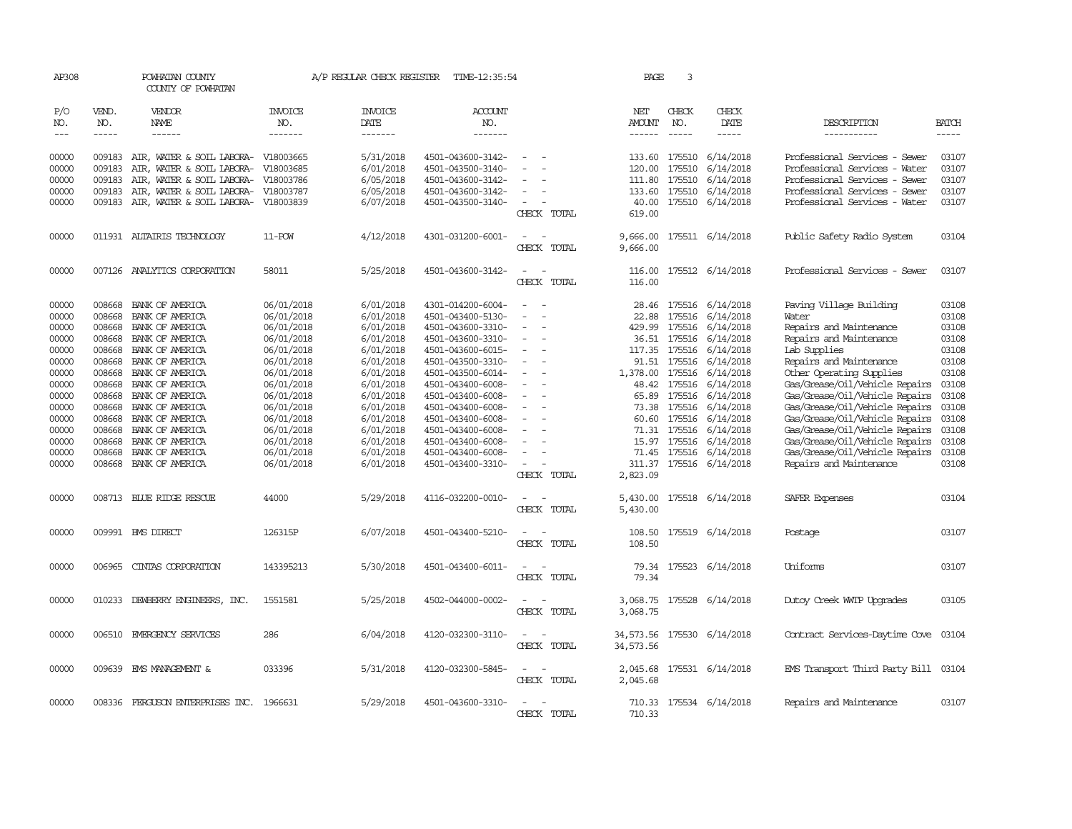| AP308                                                                                                                               |                                                                                                                                          | POWHATAN COUNTY<br>COUNTY OF POWHATAN                                                                                                                                                                                                                                                            |                                                                                                                                                                                                                | A/P REGULAR CHECK REGISTER                                                                                                                                                                      | TIME-12:35:54                                                                                                                                                                                                                                                                                                           |                                         | PAGE                                                                                 | 3                                          |                                                                                                                                                                                                                                                                                                                                                      |                                                                                                                                                                                                                                                                                                                                                                                                                                        |                                                                                                                                     |
|-------------------------------------------------------------------------------------------------------------------------------------|------------------------------------------------------------------------------------------------------------------------------------------|--------------------------------------------------------------------------------------------------------------------------------------------------------------------------------------------------------------------------------------------------------------------------------------------------|----------------------------------------------------------------------------------------------------------------------------------------------------------------------------------------------------------------|-------------------------------------------------------------------------------------------------------------------------------------------------------------------------------------------------|-------------------------------------------------------------------------------------------------------------------------------------------------------------------------------------------------------------------------------------------------------------------------------------------------------------------------|-----------------------------------------|--------------------------------------------------------------------------------------|--------------------------------------------|------------------------------------------------------------------------------------------------------------------------------------------------------------------------------------------------------------------------------------------------------------------------------------------------------------------------------------------------------|----------------------------------------------------------------------------------------------------------------------------------------------------------------------------------------------------------------------------------------------------------------------------------------------------------------------------------------------------------------------------------------------------------------------------------------|-------------------------------------------------------------------------------------------------------------------------------------|
| P/O<br>NO.<br>$\frac{1}{2}$                                                                                                         | VEND.<br>NO.<br>$- - - - -$                                                                                                              | VENDOR<br>NAME<br>$- - - - - -$                                                                                                                                                                                                                                                                  | <b>INVOICE</b><br>NO.<br>-------                                                                                                                                                                               | <b>INVOICE</b><br>DATE<br>-------                                                                                                                                                               | <b>ACCOUNT</b><br>NO.<br>-------                                                                                                                                                                                                                                                                                        |                                         | NET<br><b>AMOUNT</b><br>$- - - - - -$                                                | CHECK<br>NO.<br>$- - - - -$                | CHECK<br>DATE<br>-----                                                                                                                                                                                                                                                                                                                               | DESCRIPTION<br>-----------                                                                                                                                                                                                                                                                                                                                                                                                             | <b>BATCH</b><br>-----                                                                                                               |
| 00000<br>00000<br>00000<br>00000<br>00000                                                                                           | 009183<br>009183<br>009183<br>009183<br>009183                                                                                           | AIR, WATER & SOIL LABORA- V18003665<br>AIR, WATER & SOIL LABORA-<br>AIR, WATER & SOIL LABORA-<br>AIR, WATER & SOIL LABORA-<br>AIR, WATER & SOIL LABORA-                                                                                                                                          | V18003685<br>V18003786<br>V18003787<br>V18003839                                                                                                                                                               | 5/31/2018<br>6/01/2018<br>6/05/2018<br>6/05/2018<br>6/07/2018                                                                                                                                   | 4501-043600-3142-<br>4501-043500-3140-<br>4501-043600-3142-<br>4501-043600-3142-<br>4501-043500-3140-                                                                                                                                                                                                                   | $\sim$<br>CHECK TOTAL                   | 133.60<br>120.00<br>111.80<br>133.60<br>619.00                                       | 175510<br>175510<br>175510<br>40.00 175510 | 175510 6/14/2018<br>6/14/2018<br>6/14/2018<br>6/14/2018<br>6/14/2018                                                                                                                                                                                                                                                                                 | Professional Services - Sewer<br>Professional Services - Water<br>Professional Services - Sewer<br>Professional Services - Sewer<br>Professional Services - Water                                                                                                                                                                                                                                                                      | 03107<br>03107<br>03107<br>03107<br>03107                                                                                           |
| 00000                                                                                                                               |                                                                                                                                          | 011931 ALTAIRIS TECHNOLOGY                                                                                                                                                                                                                                                                       | 11-POW                                                                                                                                                                                                         | 4/12/2018                                                                                                                                                                                       | 4301-031200-6001-                                                                                                                                                                                                                                                                                                       | CHECK TOTAL                             | 9,666.00<br>9,666.00                                                                 |                                            | 175511 6/14/2018                                                                                                                                                                                                                                                                                                                                     | Public Safety Radio System                                                                                                                                                                                                                                                                                                                                                                                                             | 03104                                                                                                                               |
| 00000                                                                                                                               |                                                                                                                                          | 007126 ANALYTICS CORPORATION                                                                                                                                                                                                                                                                     | 58011                                                                                                                                                                                                          | 5/25/2018                                                                                                                                                                                       | 4501-043600-3142-                                                                                                                                                                                                                                                                                                       | CHECK TOTAL                             | 116.00<br>116.00                                                                     |                                            | 175512 6/14/2018                                                                                                                                                                                                                                                                                                                                     | Professional Services - Sewer                                                                                                                                                                                                                                                                                                                                                                                                          | 03107                                                                                                                               |
| 00000<br>00000<br>00000<br>00000<br>00000<br>00000<br>00000<br>00000<br>00000<br>00000<br>00000<br>00000<br>00000<br>00000<br>00000 | 008668<br>008668<br>008668<br>008668<br>008668<br>008668<br>008668<br>008668<br>008668<br>008668<br>008668<br>008668<br>008668<br>008668 | BANK OF AMERICA<br>BANK OF AMERICA<br>BANK OF AMERICA<br>BANK OF AMERICA<br>BANK OF AMERICA<br>BANK OF AMERICA<br>BANK OF AMERICA<br>BANK OF AMERICA<br>BANK OF AMERICA<br>BANK OF AMERICA<br>BANK OF AMERICA<br>BANK OF AMERICA<br>BANK OF AMERICA<br>BANK OF AMERICA<br>008668 BANK OF AMERICA | 06/01/2018<br>06/01/2018<br>06/01/2018<br>06/01/2018<br>06/01/2018<br>06/01/2018<br>06/01/2018<br>06/01/2018<br>06/01/2018<br>06/01/2018<br>06/01/2018<br>06/01/2018<br>06/01/2018<br>06/01/2018<br>06/01/2018 | 6/01/2018<br>6/01/2018<br>6/01/2018<br>6/01/2018<br>6/01/2018<br>6/01/2018<br>6/01/2018<br>6/01/2018<br>6/01/2018<br>6/01/2018<br>6/01/2018<br>6/01/2018<br>6/01/2018<br>6/01/2018<br>6/01/2018 | 4301-014200-6004-<br>4501-043400-5130-<br>4501-043600-3310-<br>4501-043600-3310-<br>4501-043600-6015-<br>4501-043500-3310-<br>4501-043500-6014-<br>4501-043400-6008-<br>4501-043400-6008-<br>4501-043400-6008-<br>4501-043400-6008-<br>4501-043400-6008-<br>4501-043400-6008-<br>4501-043400-6008-<br>4501-043400-3310- | $\equiv$<br>CHECK TOTAL                 | 28.46<br>22.88<br>117.35<br>1,378.00<br>65.89<br>73.38<br>71.31<br>71.45<br>2,823.09 |                                            | 175516 6/14/2018<br>175516 6/14/2018<br>429.99 175516 6/14/2018<br>36.51 175516 6/14/2018<br>175516 6/14/2018<br>91.51 175516 6/14/2018<br>175516 6/14/2018<br>48.42 175516 6/14/2018<br>175516 6/14/2018<br>175516 6/14/2018<br>60.60 175516 6/14/2018<br>175516 6/14/2018<br>15.97 175516 6/14/2018<br>175516 6/14/2018<br>311.37 175516 6/14/2018 | Paving Village Building<br>Water<br>Repairs and Maintenance<br>Repairs and Maintenance<br>Lab Supplies<br>Repairs and Maintenance<br>Other Operating Supplies<br>Gas/Grease/Oil/Vehicle Repairs<br>Gas/Grease/Oil/Vehicle Repairs<br>Gas/Grease/Oil/Vehicle Repairs<br>Gas/Grease/Oil/Vehicle Repairs<br>Gas/Grease/Oil/Vehicle Repairs<br>Gas/Grease/Oil/Vehicle Repairs<br>Gas/Grease/Oil/Vehicle Repairs<br>Repairs and Maintenance | 03108<br>03108<br>03108<br>03108<br>03108<br>03108<br>03108<br>03108<br>03108<br>03108<br>03108<br>03108<br>03108<br>03108<br>03108 |
| 00000                                                                                                                               |                                                                                                                                          | 008713 BLUE RIDGE RESCUE                                                                                                                                                                                                                                                                         | 44000                                                                                                                                                                                                          | 5/29/2018                                                                                                                                                                                       | 4116-032200-0010-                                                                                                                                                                                                                                                                                                       | CHECK TOTAL                             | 5,430.00<br>5,430.00                                                                 |                                            | 175518 6/14/2018                                                                                                                                                                                                                                                                                                                                     | SAFER Expenses                                                                                                                                                                                                                                                                                                                                                                                                                         | 03104                                                                                                                               |
| 00000                                                                                                                               |                                                                                                                                          | 009991 BMS DIRECT                                                                                                                                                                                                                                                                                | 126315P                                                                                                                                                                                                        | 6/07/2018                                                                                                                                                                                       | 4501-043400-5210-                                                                                                                                                                                                                                                                                                       | $\overline{\phantom{a}}$<br>CHECK TOTAL | 108.50<br>108.50                                                                     |                                            | 175519 6/14/2018                                                                                                                                                                                                                                                                                                                                     | Postage                                                                                                                                                                                                                                                                                                                                                                                                                                | 03107                                                                                                                               |
| 00000                                                                                                                               | 006965                                                                                                                                   | CINIAS CORPORATION                                                                                                                                                                                                                                                                               | 143395213                                                                                                                                                                                                      | 5/30/2018                                                                                                                                                                                       | 4501-043400-6011-                                                                                                                                                                                                                                                                                                       | CHECK TOTAL                             | 79.34                                                                                |                                            | 79.34 175523 6/14/2018                                                                                                                                                                                                                                                                                                                               | Uniforms                                                                                                                                                                                                                                                                                                                                                                                                                               | 03107                                                                                                                               |
| 00000                                                                                                                               |                                                                                                                                          | 010233 DEWBERRY ENGINEERS, INC.                                                                                                                                                                                                                                                                  | 1551581                                                                                                                                                                                                        | 5/25/2018                                                                                                                                                                                       | 4502-044000-0002-                                                                                                                                                                                                                                                                                                       | CHECK TOTAL                             | 3,068.75                                                                             |                                            | 3,068.75 175528 6/14/2018                                                                                                                                                                                                                                                                                                                            | Dutoy Creek WITP Upgrades                                                                                                                                                                                                                                                                                                                                                                                                              | 03105                                                                                                                               |
| 00000                                                                                                                               |                                                                                                                                          | 006510 EMERGENCY SERVICES                                                                                                                                                                                                                                                                        | 286                                                                                                                                                                                                            | 6/04/2018                                                                                                                                                                                       | 4120-032300-3110-                                                                                                                                                                                                                                                                                                       | $\sim$<br>$\sim$<br>CHECK TOTAL         | 34,573.56                                                                            |                                            | 34,573.56 175530 6/14/2018                                                                                                                                                                                                                                                                                                                           | Contract Services-Daytime Cove 03104                                                                                                                                                                                                                                                                                                                                                                                                   |                                                                                                                                     |
| 00000                                                                                                                               |                                                                                                                                          | 009639 EMS MANAGEMENT &                                                                                                                                                                                                                                                                          | 033396                                                                                                                                                                                                         | 5/31/2018                                                                                                                                                                                       | 4120-032300-5845-                                                                                                                                                                                                                                                                                                       | CHECK TOTAL                             | 2,045.68<br>2,045.68                                                                 |                                            | 175531 6/14/2018                                                                                                                                                                                                                                                                                                                                     | EMS Transport Third Party Bill 03104                                                                                                                                                                                                                                                                                                                                                                                                   |                                                                                                                                     |
| 00000                                                                                                                               |                                                                                                                                          | 008336 FERGUSON ENTERPRISES INC. 1966631                                                                                                                                                                                                                                                         |                                                                                                                                                                                                                | 5/29/2018                                                                                                                                                                                       | 4501-043600-3310-                                                                                                                                                                                                                                                                                                       | CHECK TOTAL                             | 710.33                                                                               |                                            | 710.33 175534 6/14/2018                                                                                                                                                                                                                                                                                                                              | Repairs and Maintenance                                                                                                                                                                                                                                                                                                                                                                                                                | 03107                                                                                                                               |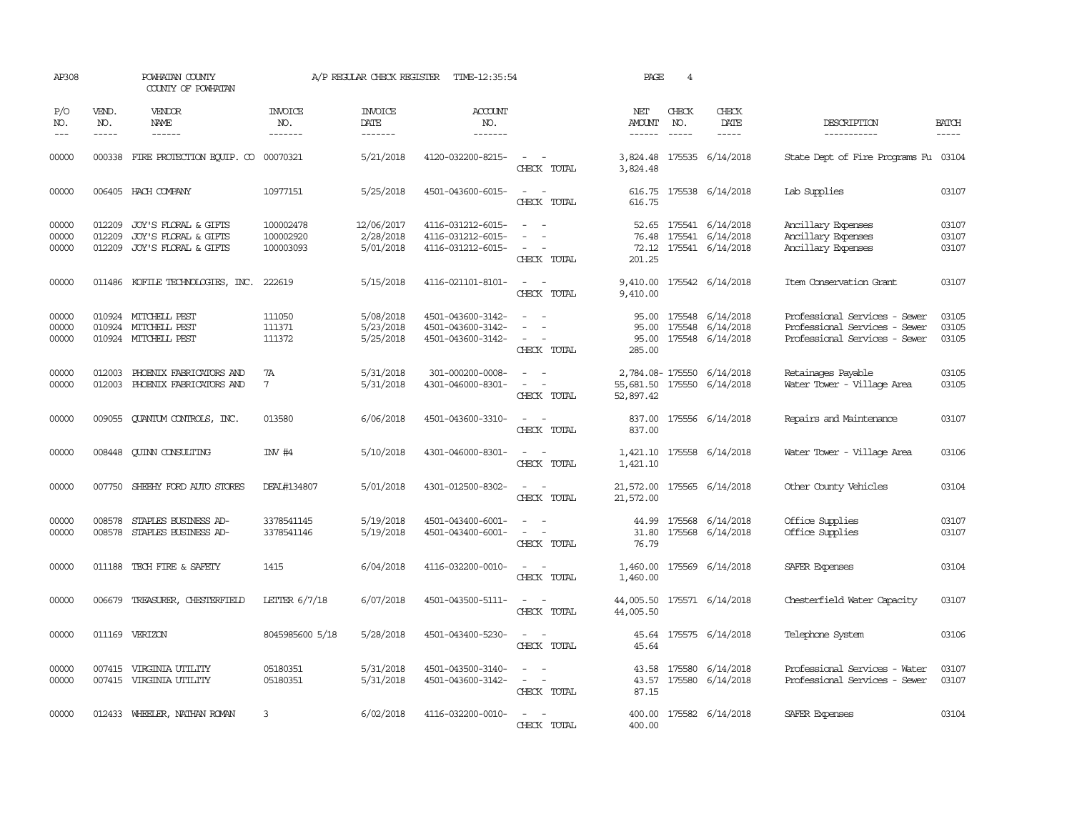| AP308                   |                             | POWHATAN COUNTY<br>COUNTY OF POWHATAN                                       |                                     | A/P REGULAR CHECK REGISTER           | TIME-12:35:54                                               |                                                                                                | PAGE                                    | $\overline{4}$                |                                                                      |                                                                                                 |                             |
|-------------------------|-----------------------------|-----------------------------------------------------------------------------|-------------------------------------|--------------------------------------|-------------------------------------------------------------|------------------------------------------------------------------------------------------------|-----------------------------------------|-------------------------------|----------------------------------------------------------------------|-------------------------------------------------------------------------------------------------|-----------------------------|
| P/O<br>NO.<br>$---$     | VEND.<br>NO.<br>$- - - - -$ | VENDOR<br>NAME<br>$- - - - - -$                                             | <b>INVOICE</b><br>NO.<br>-------    | <b>INVOICE</b><br>DATE<br>-------    | <b>ACCOUNT</b><br>NO.<br>-------                            |                                                                                                | NET<br>AMOUNT<br>$- - - - - -$          | CHECK<br>NO.<br>$\frac{1}{2}$ | CHECK<br>DATE<br>-----                                               | DESCRIPTION<br>-----------                                                                      | <b>BATCH</b><br>$- - - - -$ |
| 00000                   |                             | 000338 FIRE PROTECTION EQUIP. CO 00070321                                   |                                     | 5/21/2018                            | 4120-032200-8215-                                           | $\sim$ $ \sim$<br>CHECK TOTAL                                                                  | 3,824.48                                |                               | 3,824.48 175535 6/14/2018                                            | State Dept of Fire Programs Fu 03104                                                            |                             |
| 00000                   |                             | 006405 HACH COMPANY                                                         | 10977151                            | 5/25/2018                            | 4501-043600-6015-                                           | $\sim$ $ \sim$<br>CHECK TOTAL                                                                  | 616.75                                  |                               | 616.75 175538 6/14/2018                                              | Lab Supplies                                                                                    | 03107                       |
| 00000<br>00000<br>00000 | 012209<br>012209            | JOY'S FLORAL & GIFTS<br>JOY'S FLORAL & GIFTS<br>012209 JOY'S FLORAL & GIFTS | 100002478<br>100002920<br>100003093 | 12/06/2017<br>2/28/2018<br>5/01/2018 | 4116-031212-6015-<br>4116-031212-6015-<br>4116-031212-6015- | $\sim$<br>$\sim$<br>$\sim$<br>$\sim$<br>$\overline{\phantom{a}}$<br>CHECK TOTAL                | 72.12<br>201.25                         |                               | 52.65 175541 6/14/2018<br>76.48 175541 6/14/2018<br>175541 6/14/2018 | Ancillary Expenses<br>Ancillary Expenses<br>Ancillary Expenses                                  | 03107<br>03107<br>03107     |
| 00000                   |                             | 011486 KOFILE TECHNOLOGIES, INC.                                            | 222619                              | 5/15/2018                            | 4116-021101-8101-                                           | $\sim$<br>$\sim$ $-$<br>CHECK TOTAL                                                            | 9,410.00                                |                               | 9,410.00 175542 6/14/2018                                            | Item Conservation Grant                                                                         | 03107                       |
| 00000<br>00000<br>00000 |                             | 010924 MITCHELL PEST<br>010924 MITCHELL PEST<br>010924 MITCHELL PEST        | 111050<br>111371<br>111372          | 5/08/2018<br>5/23/2018<br>5/25/2018  | 4501-043600-3142-<br>4501-043600-3142-<br>4501-043600-3142- | $\sim$ $\sim$<br>$\sim$<br>$\overline{\phantom{a}}$<br>$\overline{\phantom{a}}$<br>CHECK TOTAL | 95.00<br>285.00                         | 175548                        | 95.00 175548 6/14/2018<br>6/14/2018<br>95.00 175548 6/14/2018        | Professional Services - Sewer<br>Professional Services - Sewer<br>Professional Services - Sewer | 03105<br>03105<br>03105     |
| 00000<br>00000          |                             | 012003 PHOENIX FABRICATORS AND<br>012003 PHOENIX FABRICATORS AND            | 7A<br>$7\overline{ }$               | 5/31/2018<br>5/31/2018               | 301-000200-0008-<br>4301-046000-8301-                       | $\sim$<br>$\sim$<br>$\sim$ $ \sim$<br>CHECK TOTAL                                              | 55,681.50 175550 6/14/2018<br>52,897.42 |                               | 2,784.08-175550 6/14/2018                                            | Retainages Payable<br>Water Tower - Village Area                                                | 03105<br>03105              |
| 00000                   |                             | 009055 CLANTUM CONTROLS, INC.                                               | 013580                              | 6/06/2018                            | 4501-043600-3310-                                           | $\sim$ 100 $\sim$<br>CHECK TOTAL                                                               | 837.00                                  |                               | 837.00 175556 6/14/2018                                              | Repairs and Maintenance                                                                         | 03107                       |
| 00000                   |                             | 008448 CUINN CONSULTING                                                     | IW#4                                | 5/10/2018                            | 4301-046000-8301-                                           | CHECK TOTAL                                                                                    | 1,421.10                                |                               | 1,421.10 175558 6/14/2018                                            | Water Tower - Village Area                                                                      | 03106                       |
| 00000                   |                             | 007750 SHEEHY FORD AUTO STORES                                              | DEAL#134807                         | 5/01/2018                            | 4301-012500-8302-                                           | $\sim$ $ -$<br>CHECK TOTAL                                                                     | 21,572.00<br>21,572.00                  |                               | 175565 6/14/2018                                                     | Other County Vehicles                                                                           | 03104                       |
| 00000<br>00000          | 008578<br>008578            | STAPLES BUSINESS AD-<br>STAPLES BUSINESS AD-                                | 3378541145<br>3378541146            | 5/19/2018<br>5/19/2018               | 4501-043400-6001-<br>4501-043400-6001-                      | $\sim$<br>$\sim$<br>$\overline{\phantom{a}}$<br>CHECK TOTAL                                    | 44.99<br>31.80<br>76.79                 | 175568<br>175568              | 6/14/2018<br>6/14/2018                                               | Office Supplies<br>Office Supplies                                                              | 03107<br>03107              |
| 00000                   | 011188                      | TECH FIRE & SAFETY                                                          | 1415                                | 6/04/2018                            | 4116-032200-0010-                                           | $\equiv$<br>$\sim$<br>CHECK TOTAL                                                              | 1,460.00<br>1,460.00                    |                               | 175569 6/14/2018                                                     | SAFER Expenses                                                                                  | 03104                       |
| 00000                   |                             | 006679 TREASURER, CHESTERFIELD                                              | LETTER $6/7/18$                     | 6/07/2018                            | 4501-043500-5111-                                           | $\sim$ $ \sim$<br>CHECK TOTAL                                                                  | 44,005.50 175571 6/14/2018<br>44,005.50 |                               |                                                                      | Chesterfield Water Capacity                                                                     | 03107                       |
| 00000                   |                             | 011169 VERIZON                                                              | 8045985600 5/18                     | 5/28/2018                            | 4501-043400-5230-                                           | $\sim$<br>$\sim$<br>CHECK TOTAL                                                                | 45.64                                   |                               | 45.64 175575 6/14/2018                                               | Telephone System                                                                                | 03106                       |
| 00000<br>00000          |                             | 007415 VIRGINIA UTILITY<br>007415 VIRGINIA UTILITY                          | 05180351<br>05180351                | 5/31/2018<br>5/31/2018               | 4501-043500-3140-<br>4501-043600-3142-                      | $\sim$<br>$\sim$<br>$\sim$<br>$\sim$<br>CHECK TOTAL                                            | 43.57<br>87.15                          | 43.58 175580                  | 6/14/2018<br>175580 6/14/2018                                        | Professional Services - Water<br>Professional Services - Sewer                                  | 03107<br>03107              |
| 00000                   |                             | 012433 WHEELER, NATHAN ROMAN                                                | 3                                   | 6/02/2018                            | 4116-032200-0010-                                           | $\sim$ $ \sim$<br>CHECK TOTAL                                                                  | 400.00<br>400.00                        |                               | 175582 6/14/2018                                                     | <b>SAFER Expenses</b>                                                                           | 03104                       |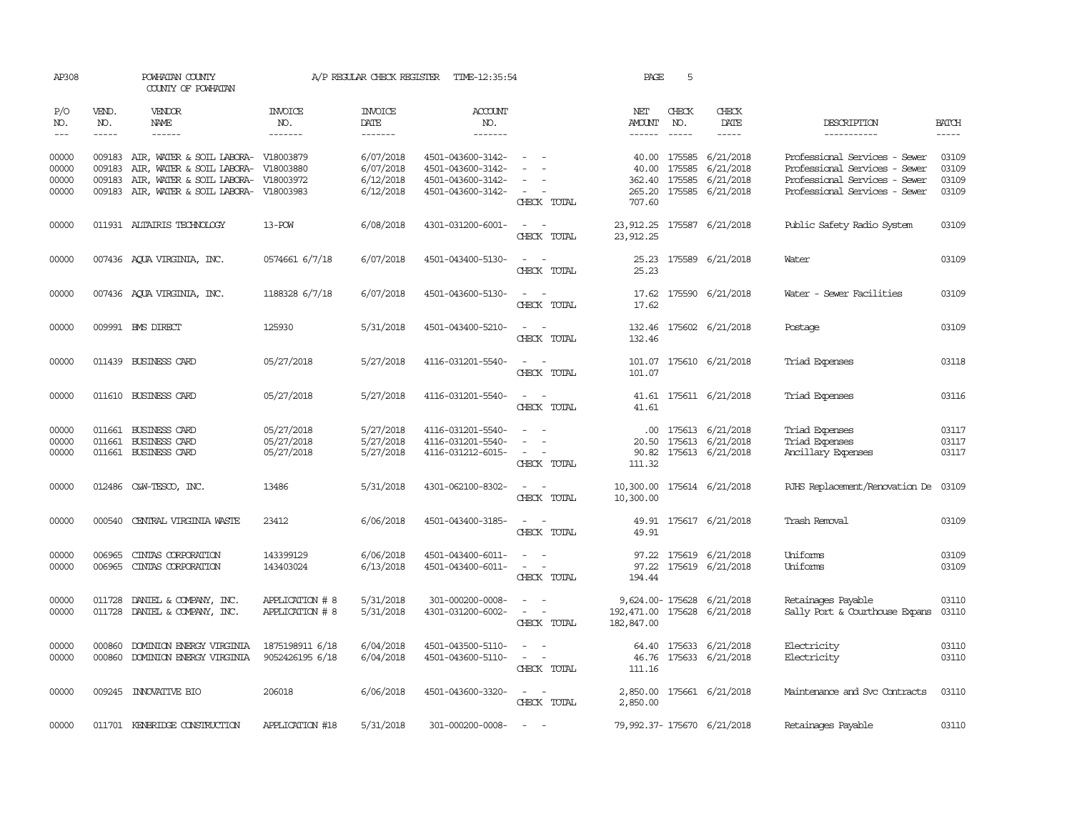| AP308                            |                               | POWHATAN COUNTY<br>COUNTY OF POWHATAN                                                                                                                                  |                                        | A/P REGULAR CHECK REGISTER                       | 5<br>TIME-12:35:54<br>PAGE                                                       |                                                                                                                             |                                           |                               |                                                                                                  |                                                                                                                                  |                                  |
|----------------------------------|-------------------------------|------------------------------------------------------------------------------------------------------------------------------------------------------------------------|----------------------------------------|--------------------------------------------------|----------------------------------------------------------------------------------|-----------------------------------------------------------------------------------------------------------------------------|-------------------------------------------|-------------------------------|--------------------------------------------------------------------------------------------------|----------------------------------------------------------------------------------------------------------------------------------|----------------------------------|
| P/O<br>NO.<br>$---$              | VEND.<br>NO.<br>$\frac{1}{2}$ | <b>VENDOR</b><br>NAME                                                                                                                                                  | <b>INVOICE</b><br>NO.<br>-------       | <b>INVOICE</b><br>DATE<br>--------               | <b>ACCOUNT</b><br>NO.<br>--------                                                |                                                                                                                             | NET<br>AMOUNT<br>------                   | CHECK<br>NO.<br>$\frac{1}{2}$ | CHECK<br>DATE<br>$\frac{1}{2}$                                                                   | DESCRIPTION<br>-----------                                                                                                       | <b>BATCH</b><br>-----            |
| 00000<br>00000<br>00000<br>00000 | 009183<br>009183              | 009183 AIR, WATER & SOIL LABORA- V18003879<br>AIR, WATER & SOIL LABORA- V18003880<br>AIR, WATER & SOIL LABORA- V18003972<br>009183 AIR, WATER & SOIL LABORA- V18003983 |                                        | 6/07/2018<br>6/07/2018<br>6/12/2018<br>6/12/2018 | 4501-043600-3142-<br>4501-043600-3142-<br>4501-043600-3142-<br>4501-043600-3142- | $\sim$<br>CHECK TOTAL                                                                                                       | 40.00<br>707.60                           |                               | 40.00 175585 6/21/2018<br>175585 6/21/2018<br>362.40 175585 6/21/2018<br>265.20 175585 6/21/2018 | Professional Services - Sewer<br>Professional Services - Sewer<br>Professional Services - Sewer<br>Professional Services - Sewer | 03109<br>03109<br>03109<br>03109 |
| 00000                            |                               | 011931 ALTAIRIS TECHNOLOGY                                                                                                                                             | 13-POW                                 | 6/08/2018                                        | 4301-031200-6001-                                                                | $\frac{1}{2} \left( \frac{1}{2} \right) \left( \frac{1}{2} \right) = \frac{1}{2} \left( \frac{1}{2} \right)$<br>CHECK TOTAL | 23, 912.25                                |                               | 23, 912.25 175587 6/21/2018                                                                      | Public Safety Radio System                                                                                                       | 03109                            |
| 00000                            |                               | 007436 AQUA VIRGINIA, INC.                                                                                                                                             | 0574661 6/7/18                         | 6/07/2018                                        | 4501-043400-5130-                                                                | $\sim$ $\sim$<br>CHECK TOTAL                                                                                                | 25.23                                     |                               | 25.23 175589 6/21/2018                                                                           | Water                                                                                                                            | 03109                            |
| 00000                            |                               | 007436 AQUA VIRGINIA, INC.                                                                                                                                             | 1188328 6/7/18                         | 6/07/2018                                        | 4501-043600-5130-                                                                | $\sim$ $ \sim$<br>CHECK TOTAL                                                                                               | 17.62                                     |                               | 17.62 175590 6/21/2018                                                                           | Water - Sewer Facilities                                                                                                         | 03109                            |
| 00000                            |                               | 009991 BMS DIRECT                                                                                                                                                      | 125930                                 | 5/31/2018                                        | 4501-043400-5210-                                                                | $\frac{1}{2} \left( \frac{1}{2} \right) \left( \frac{1}{2} \right) = \frac{1}{2} \left( \frac{1}{2} \right)$<br>CHECK TOTAL | 132.46                                    |                               | 132.46 175602 6/21/2018                                                                          | Postage                                                                                                                          | 03109                            |
| 00000                            |                               | 011439 BUSINESS CARD                                                                                                                                                   | 05/27/2018                             | 5/27/2018                                        | 4116-031201-5540-                                                                | $\sim$<br>$\sim$<br>CHECK TOTAL                                                                                             | 101.07                                    |                               | 101.07 175610 6/21/2018                                                                          | Triad Expenses                                                                                                                   | 03118                            |
| 00000                            |                               | 011610 BUSINESS CARD                                                                                                                                                   | 05/27/2018                             | 5/27/2018                                        | 4116-031201-5540-                                                                | $\sim$ $ \sim$<br>CHECK TOTAL                                                                                               | 41.61                                     |                               | 41.61 175611 6/21/2018                                                                           | Triad Expenses                                                                                                                   | 03116                            |
| 00000<br>00000<br>00000          |                               | 011661 BUSINESS CARD<br>011661 BUSINESS CARD<br>011661 BUSINESS CARD                                                                                                   | 05/27/2018<br>05/27/2018<br>05/27/2018 | 5/27/2018<br>5/27/2018<br>5/27/2018              | 4116-031201-5540-<br>4116-031201-5540-<br>4116-031212-6015-                      | $\sim$ $ \sim$<br>$\sim$ 100 $\sim$<br>CHECK TOTAL                                                                          | 111.32                                    |                               | $.00$ 175613 6/21/2018<br>20.50 175613 6/21/2018<br>90.82 175613 6/21/2018                       | Triad Expenses<br>Triad Expenses<br>Ancillary Expenses                                                                           | 03117<br>03117<br>03117          |
| 00000                            |                               | 012486 C&W-TESCO, INC.                                                                                                                                                 | 13486                                  | 5/31/2018                                        | 4301-062100-8302-                                                                | $ -$<br>CHECK TOTAL                                                                                                         | 10,300.00                                 |                               | 10,300.00 175614 6/21/2018                                                                       | RJHS Replacement/Renovation De 03109                                                                                             |                                  |
| 00000                            |                               | 000540 CENTRAL VIRGINIA WASTE                                                                                                                                          | 23412                                  | 6/06/2018                                        | 4501-043400-3185-                                                                | $\sim$ $ \sim$<br>CHECK TOTAL                                                                                               | 49.91                                     |                               | 49.91 175617 6/21/2018                                                                           | Trash Removal                                                                                                                    | 03109                            |
| 00000<br>00000                   | 006965<br>006965              | CINIAS CORPORATION<br>CINTAS CORPORATION                                                                                                                               | 143399129<br>143403024                 | 6/06/2018<br>6/13/2018                           | 4501-043400-6011-<br>4501-043400-6011-                                           | $\sim$<br>CHECK TOTAL                                                                                                       | 194.44                                    |                               | 97.22 175619 6/21/2018<br>97.22 175619 6/21/2018                                                 | Uniforms<br>Uniforms                                                                                                             | 03109<br>03109                   |
| 00000<br>00000                   | 011728                        | DANIEL & COMPANY, INC.<br>011728 DANIEL & COMPANY, INC.                                                                                                                | APPLICATION # 8<br>APPLICATION # 8     | 5/31/2018<br>5/31/2018                           | 301-000200-0008-<br>4301-031200-6002-                                            | $\frac{1}{2} \left( \frac{1}{2} \right) \left( \frac{1}{2} \right) = \frac{1}{2} \left( \frac{1}{2} \right)$<br>CHECK TOTAL | 192,471.00 175628 6/21/2018<br>182,847.00 |                               | 9,624.00-175628 6/21/2018                                                                        | Retainages Payable<br>Sally Port & Courthouse Expans                                                                             | 03110<br>03110                   |
| 00000<br>00000                   | 000860                        | DOMINION ENERGY VIRGINIA<br>000860 DOMINION ENERGY VIRGINIA                                                                                                            | 1875198911 6/18<br>9052426195 6/18     | 6/04/2018<br>6/04/2018                           | 4501-043500-5110-<br>4501-043600-5110-                                           | $\sim$ $ -$<br>CHECK TOTAL                                                                                                  | 111.16                                    |                               | 64.40 175633 6/21/2018<br>46.76 175633 6/21/2018                                                 | Electricity<br>Electricity                                                                                                       | 03110<br>03110                   |
| 00000                            |                               | 009245 INNOVATIVE BIO                                                                                                                                                  | 206018                                 | 6/06/2018                                        | 4501-043600-3320-                                                                | $\sim$ $ \sim$<br>CHECK TOTAL                                                                                               | 2,850.00                                  |                               | 2,850.00 175661 6/21/2018                                                                        | Maintenance and Svc Contracts                                                                                                    | 03110                            |
| 00000                            |                               | 011701 KENBRIDGE CONSTRUCTION                                                                                                                                          | APPLICATION #18                        | 5/31/2018                                        | 301-000200-0008-                                                                 | $\sim$ $-$                                                                                                                  |                                           |                               | 79, 992.37-175670 6/21/2018                                                                      | Retainages Payable                                                                                                               | 03110                            |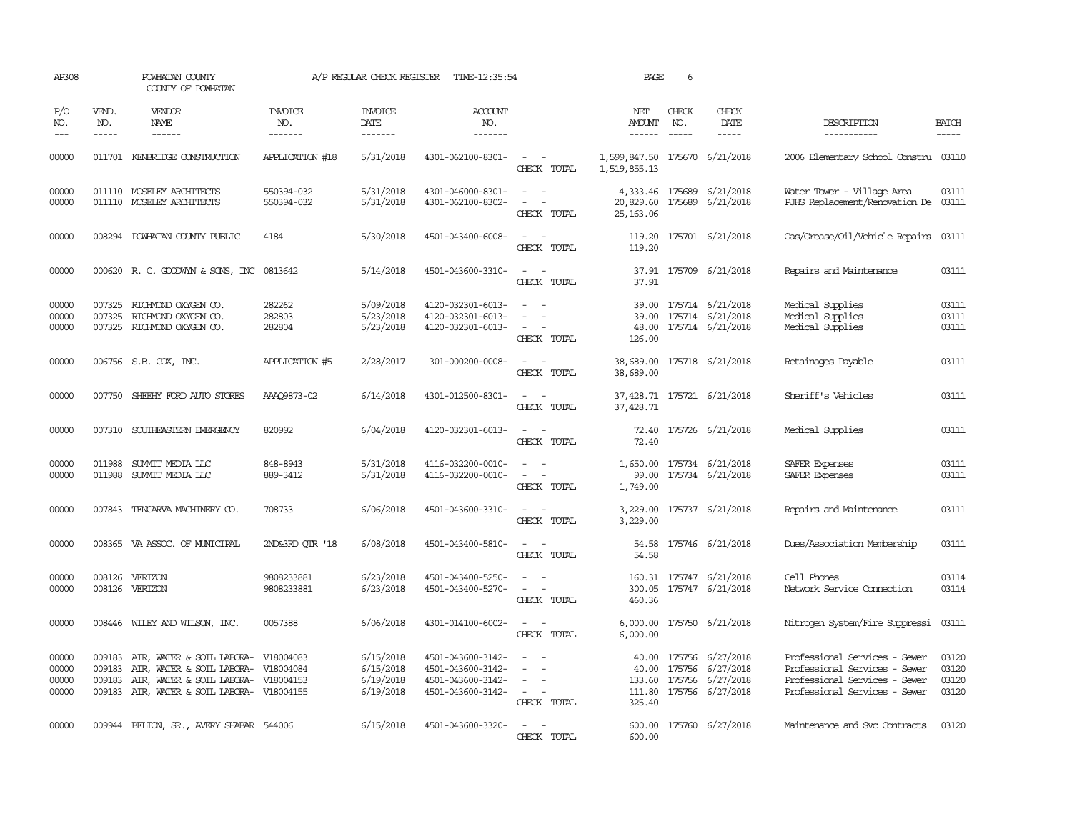| AP308                            | POWHATAN COUNTY<br>COUNTY OF POWHATAN |                                                                                                                                                       | A/P REGULAR CHECK REGISTER<br>TIME-12:35:54 |                                                  |                                                                                  |                                                                     | PAGE                                          | 6                        |                                                                                                  |                                                                                                                                  |                                                                                |
|----------------------------------|---------------------------------------|-------------------------------------------------------------------------------------------------------------------------------------------------------|---------------------------------------------|--------------------------------------------------|----------------------------------------------------------------------------------|---------------------------------------------------------------------|-----------------------------------------------|--------------------------|--------------------------------------------------------------------------------------------------|----------------------------------------------------------------------------------------------------------------------------------|--------------------------------------------------------------------------------|
| P/O<br>NO.<br>$\frac{1}{2}$      | VEND.<br>NO.<br>-----                 | <b>VENDOR</b><br>NAME<br>$- - - - - -$                                                                                                                | <b>INVOICE</b><br>NO.<br>-------            | <b>INVOICE</b><br>DATE<br>-------                | <b>ACCOUNT</b><br>NO.<br>-------                                                 |                                                                     | NET<br>AMOUNT<br>$- - - - - -$                | CHECK<br>NO.<br>$\cdots$ | CHECK<br>DATE                                                                                    | DESCRIPTION<br>-----------                                                                                                       | <b>BATCH</b><br>$\begin{tabular}{ccccc} - & - & - & - \\ \hline \end{tabular}$ |
| 00000                            |                                       | 011701 KENBRIDGE CONSTRUCTION                                                                                                                         | APPLICATION #18                             | 5/31/2018                                        | 4301-062100-8301-                                                                | $\sim$ $ \sim$<br>CHECK TOTAL                                       | 1,599,847.50 175670 6/21/2018<br>1,519,855.13 |                          |                                                                                                  | 2006 Elementary School Constru 03110                                                                                             |                                                                                |
| 00000<br>00000                   |                                       | 011110 MOSELEY ARCHITECTS<br>011110 MOSELEY ARCHITECTS                                                                                                | 550394-032<br>550394-032                    | 5/31/2018<br>5/31/2018                           | 4301-046000-8301-<br>4301-062100-8302-                                           | $\sim$ $ \sim$<br>$\sim$ $ -$<br>CHECK TOTAL                        | 20,829.60<br>25, 163, 06                      |                          | 4,333.46 175689 6/21/2018<br>175689 6/21/2018                                                    | Water Tower - Village Area<br>RJHS Replacement/Renovation De 03111                                                               | 03111                                                                          |
| 00000                            |                                       | 008294 POWHATAN COUNTY PUBLIC                                                                                                                         | 4184                                        | 5/30/2018                                        | 4501-043400-6008-                                                                | $\sim$ $ \sim$<br>CHECK TOTAL                                       | 119.20                                        |                          | 119.20 175701 6/21/2018                                                                          | Gas/Grease/Oil/Vehicle Repairs 03111                                                                                             |                                                                                |
| 00000                            |                                       | 000620 R.C. GOODWYN & SONS, INC 0813642                                                                                                               |                                             | 5/14/2018                                        | 4501-043600-3310-                                                                | $\sim$ $ \sim$ $-$<br>CHECK TOTAL                                   | 37.91                                         |                          | 37.91 175709 6/21/2018                                                                           | Repairs and Maintenance                                                                                                          | 03111                                                                          |
| 00000<br>00000<br>00000          | 007325                                | 007325 RICHMOND OXYGEN CO.<br>RICHMOND OXYGEN CO.<br>007325 RICHMOND OXYGEN CO.                                                                       | 282262<br>282803<br>282804                  | 5/09/2018<br>5/23/2018<br>5/23/2018              | 4120-032301-6013-<br>4120-032301-6013-<br>4120-032301-6013-                      | $\equiv$<br>$\sim$<br>$\overline{a}$<br>CHECK TOTAL                 | 126.00                                        |                          | 39.00 175714 6/21/2018<br>39.00 175714 6/21/2018<br>48.00 175714 6/21/2018                       | Medical Supplies<br>Medical Supplies<br>Medical Supplies                                                                         | 03111<br>03111<br>03111                                                        |
| 00000                            |                                       | 006756 S.B. COX, INC.                                                                                                                                 | APPLICATION #5                              | 2/28/2017                                        | 301-000200-0008-                                                                 | $\sim$ $ -$<br>CHECK TOTAL                                          | 38,689.00                                     |                          | 38,689.00 175718 6/21/2018                                                                       | Retainages Payable                                                                                                               | 03111                                                                          |
| 00000                            |                                       | 007750 SHEEHY FORD AUTO STORES                                                                                                                        | AAAQ9873-02                                 | 6/14/2018                                        | 4301-012500-8301-                                                                | $\sim$ $  -$<br>CHECK TOTAL                                         | 37,428.71                                     |                          | 37,428.71 175721 6/21/2018                                                                       | Sheriff's Vehicles                                                                                                               | 03111                                                                          |
| 00000                            |                                       | 007310 SOUTHEASTERN EMERGENCY                                                                                                                         | 820992                                      | 6/04/2018                                        | 4120-032301-6013-                                                                | $\sim$ $ \sim$<br>CHECK TOTAL                                       | 72.40                                         |                          | 72.40 175726 6/21/2018                                                                           | Medical Supplies                                                                                                                 | 03111                                                                          |
| 00000<br>00000                   | 011988                                | SUMMIT MEDIA LLC<br>011988 SUMMIT MEDIA LLC                                                                                                           | 848-8943<br>889-3412                        | 5/31/2018<br>5/31/2018                           | 4116-032200-0010-<br>4116-032200-0010-                                           | $\sim$ $ \sim$<br>$\sim$ 100 $\sim$<br>CHECK TOTAL                  | 1,749.00                                      |                          | 1,650.00 175734 6/21/2018<br>99.00 175734 6/21/2018                                              | SAFER Expenses<br>SAFER Expenses                                                                                                 | 03111<br>03111                                                                 |
| 00000                            |                                       | 007843 TENCARVA MACHINERY CO.                                                                                                                         | 708733                                      | 6/06/2018                                        | 4501-043600-3310-                                                                | $\sim$ 100 $\sim$<br>CHECK TOTAL                                    | 3,229.00                                      |                          | 3,229.00 175737 6/21/2018                                                                        | Repairs and Maintenance                                                                                                          | 03111                                                                          |
| 00000                            |                                       | 008365 VA ASSOC. OF MUNICIPAL                                                                                                                         | 2ND&3RD QTR '18                             | 6/08/2018                                        | 4501-043400-5810-                                                                | $\sim$ $ \sim$<br>CHECK TOTAL                                       | 54.58<br>54.58                                |                          | 175746 6/21/2018                                                                                 | Dues/Association Membership                                                                                                      | 03111                                                                          |
| 00000<br>00000                   | 008126<br>008126                      | VERIZON<br>VERIZON                                                                                                                                    | 9808233881<br>9808233881                    | 6/23/2018<br>6/23/2018                           | 4501-043400-5250-<br>4501-043400-5270-                                           | $\omega_{\rm{max}}$<br>$\overline{\phantom{a}}$<br>CHECK TOTAL      | 300.05<br>460.36                              |                          | 160.31 175747 6/21/2018<br>175747 6/21/2018                                                      | Cell Phones<br>Network Service Connection                                                                                        | 03114<br>03114                                                                 |
| 00000                            |                                       | 008446 WILEY AND WILSON, INC.                                                                                                                         | 0057388                                     | 6/06/2018                                        | 4301-014100-6002-                                                                | $\sim$ $ -$<br>CHECK TOTAL                                          | 6,000.00                                      |                          | 6,000.00 175750 6/21/2018                                                                        | Nitrogen System/Fire Suppressi                                                                                                   | 03111                                                                          |
| 00000<br>00000<br>00000<br>00000 | 009183<br>009183<br>009183            | AIR, WATER & SOIL LABORA- V18004083<br>AIR, WATER & SOIL LABORA-<br>AIR, WATER & SOIL LABORA- V18004153<br>009183 AIR, WATER & SOIL LABORA- V18004155 | V18004084                                   | 6/15/2018<br>6/15/2018<br>6/19/2018<br>6/19/2018 | 4501-043600-3142-<br>4501-043600-3142-<br>4501-043600-3142-<br>4501-043600-3142- | $\sim$ 100 $\sim$<br>$\sim$<br>$\sim$<br>$\sim$ $ -$<br>CHECK TOTAL | 40.00<br>325.40                               |                          | 40.00 175756 6/27/2018<br>175756 6/27/2018<br>133.60 175756 6/27/2018<br>111.80 175756 6/27/2018 | Professional Services - Sewer<br>Professional Services - Sewer<br>Professional Services - Sewer<br>Professional Services - Sewer | 03120<br>03120<br>03120<br>03120                                               |
| 00000                            |                                       | 009944 BELTON, SR., AVERY SHABAR 544006                                                                                                               |                                             | 6/15/2018                                        | 4501-043600-3320-                                                                | $\sim$ $-$<br>CHECK TOTAL                                           | 600.00                                        |                          | 600.00 175760 6/27/2018                                                                          | Maintenance and Svc Contracts                                                                                                    | 03120                                                                          |